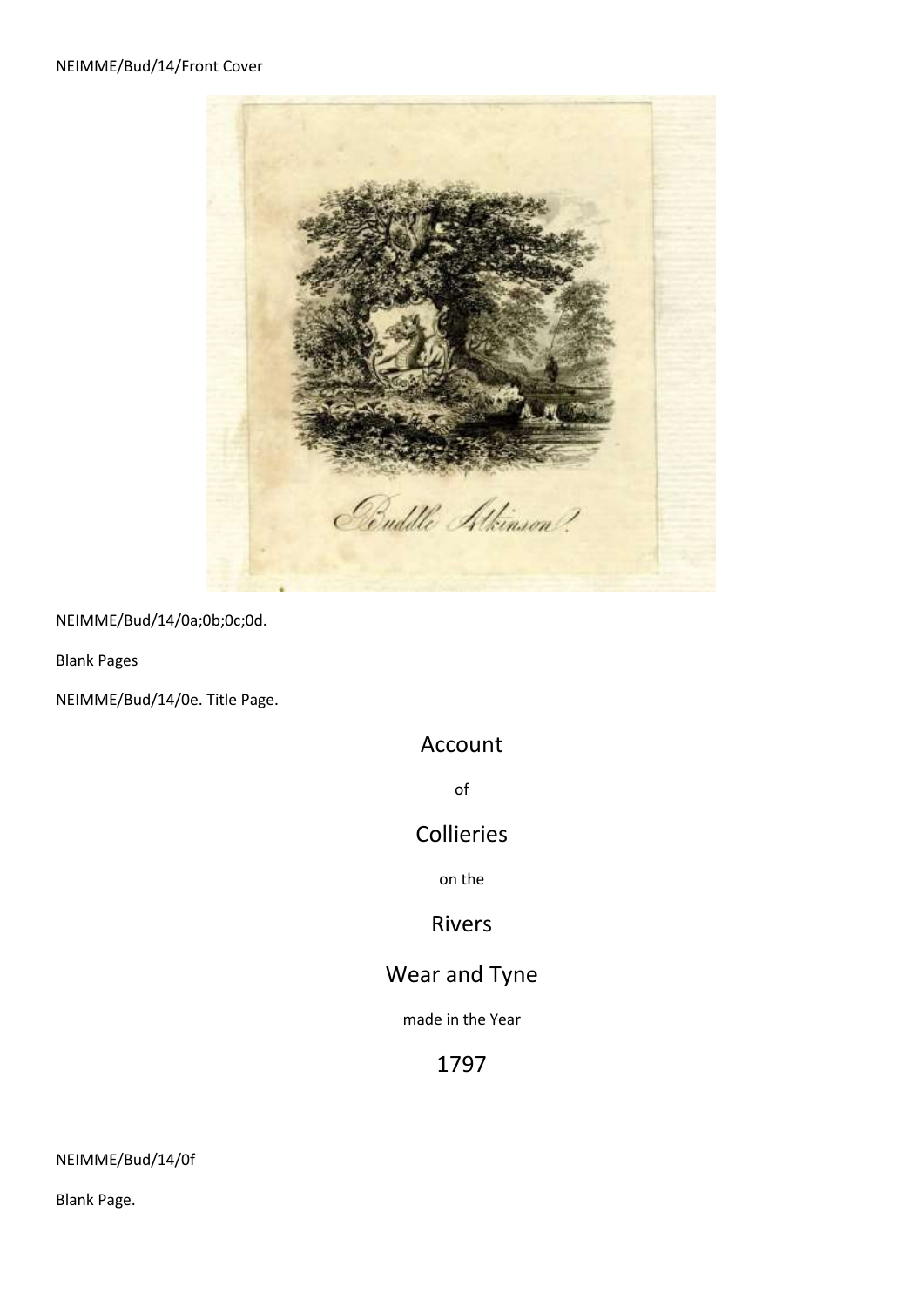

NEIMME/Bud/14/0a;0b;0c;0d.

Blank Pages

NEIMME/Bud/14/0e. Title Page.

# Account

of

# Collieries

on the

# Rivers

# Wear and Tyne

made in the Year

# 1797

NEIMME/Bud/14/0f

Blank Page.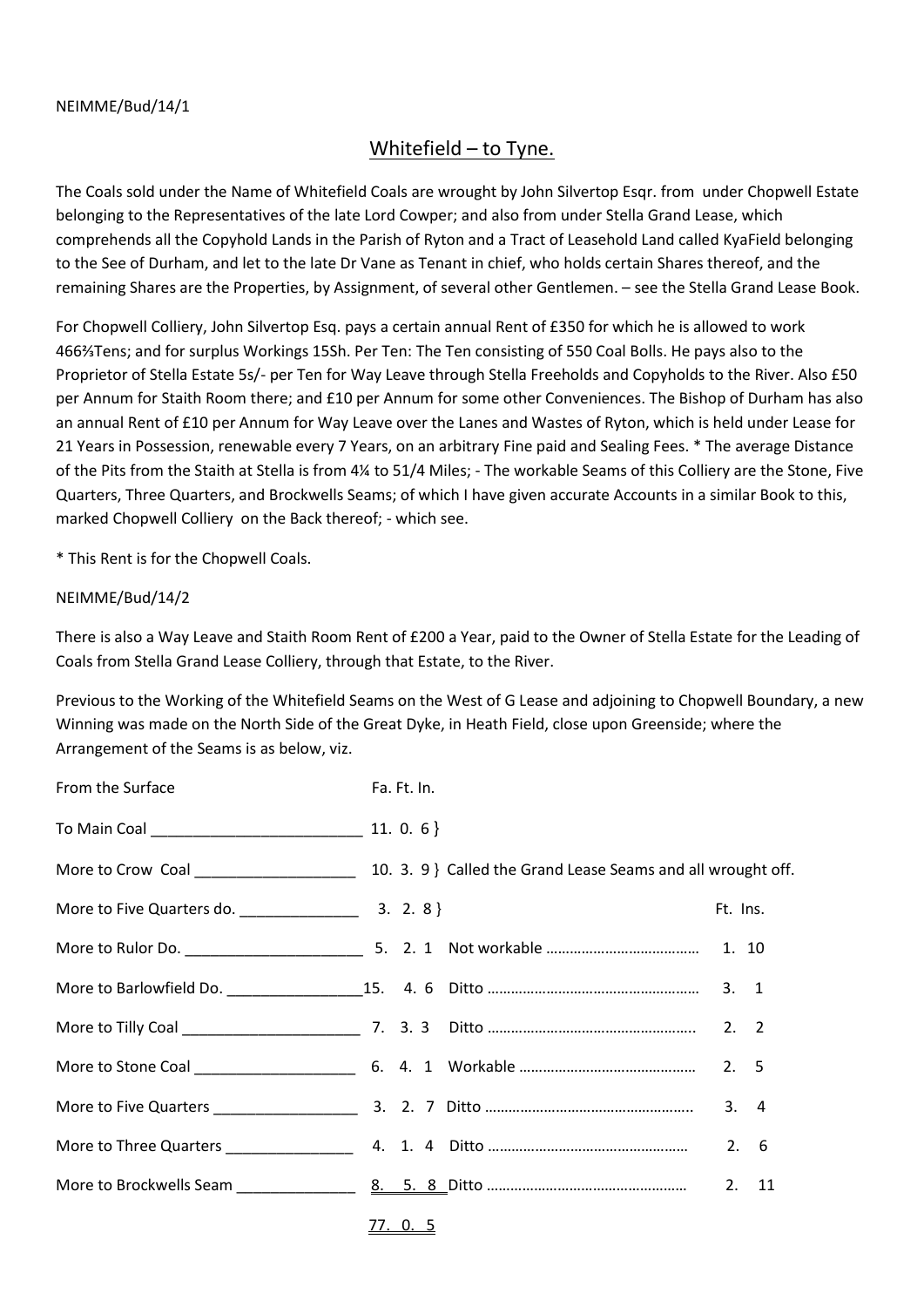#### NEIMME/Bud/14/1

# Whitefield – to Tyne.

The Coals sold under the Name of Whitefield Coals are wrought by John Silvertop Esqr. from under Chopwell Estate belonging to the Representatives of the late Lord Cowper; and also from under Stella Grand Lease, which comprehends all the Copyhold Lands in the Parish of Ryton and a Tract of Leasehold Land called KyaField belonging to the See of Durham, and let to the late Dr Vane as Tenant in chief, who holds certain Shares thereof, and the remaining Shares are the Properties, by Assignment, of several other Gentlemen. – see the Stella Grand Lease Book.

For Chopwell Colliery, John Silvertop Esq. pays a certain annual Rent of £350 for which he is allowed to work 466⅔Tens; and for surplus Workings 15Sh. Per Ten: The Ten consisting of 550 Coal Bolls. He pays also to the Proprietor of Stella Estate 5s/- per Ten for Way Leave through Stella Freeholds and Copyholds to the River. Also £50 per Annum for Staith Room there; and £10 per Annum for some other Conveniences. The Bishop of Durham has also an annual Rent of £10 per Annum for Way Leave over the Lanes and Wastes of Ryton, which is held under Lease for 21 Years in Possession, renewable every 7 Years, on an arbitrary Fine paid and Sealing Fees. \* The average Distance of the Pits from the Staith at Stella is from 4¼ to 51/4 Miles; - The workable Seams of this Colliery are the Stone, Five Quarters, Three Quarters, and Brockwells Seams; of which I have given accurate Accounts in a similar Book to this, marked Chopwell Colliery on the Back thereof; - which see.

\* This Rent is for the Chopwell Coals.

#### NEIMME/Bud/14/2

There is also a Way Leave and Staith Room Rent of £200 a Year, paid to the Owner of Stella Estate for the Leading of Coals from Stella Grand Lease Colliery, through that Estate, to the River.

Previous to the Working of the Whitefield Seams on the West of G Lease and adjoining to Chopwell Boundary, a new Winning was made on the North Side of the Great Dyke, in Heath Field, close upon Greenside; where the Arrangement of the Seams is as below, viz.

| From the Surface | Fa. Ft. In. |  |          |       |
|------------------|-------------|--|----------|-------|
|                  |             |  |          |       |
|                  |             |  |          |       |
|                  |             |  | Ft. Ins. |       |
|                  |             |  |          |       |
|                  |             |  |          |       |
|                  |             |  |          |       |
|                  |             |  |          |       |
|                  |             |  |          | 3.4   |
|                  |             |  |          | 2.6   |
|                  |             |  |          | 2. 11 |
|                  |             |  |          |       |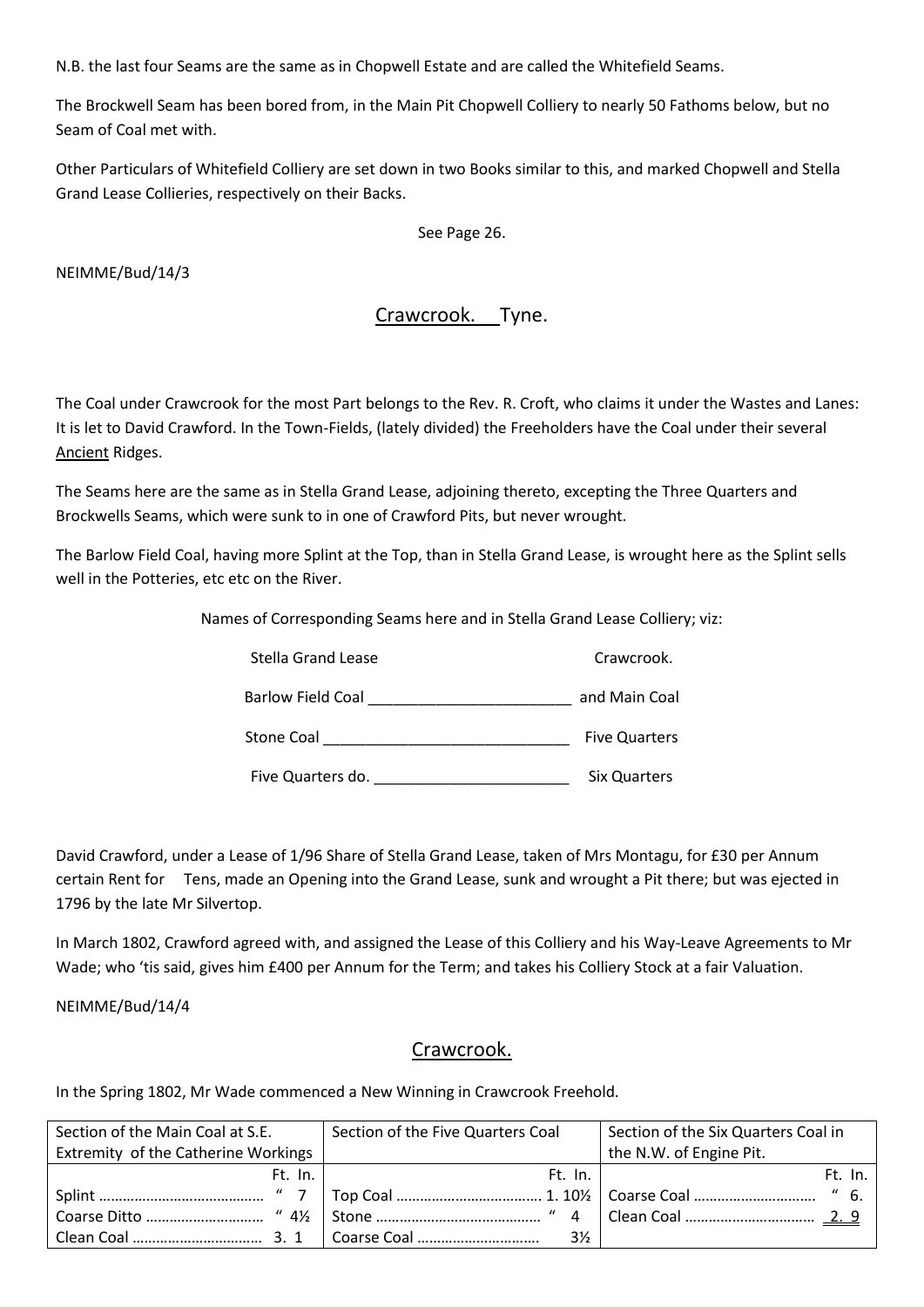N.B. the last four Seams are the same as in Chopwell Estate and are called the Whitefield Seams.

The Brockwell Seam has been bored from, in the Main Pit Chopwell Colliery to nearly 50 Fathoms below, but no Seam of Coal met with.

Other Particulars of Whitefield Colliery are set down in two Books similar to this, and marked Chopwell and Stella Grand Lease Collieries, respectively on their Backs.

See Page 26.

NEIMME/Bud/14/3

# Crawcrook. Tyne.

The Coal under Crawcrook for the most Part belongs to the Rev. R. Croft, who claims it under the Wastes and Lanes: It is let to David Crawford. In the Town-Fields, (lately divided) the Freeholders have the Coal under their several Ancient Ridges.

The Seams here are the same as in Stella Grand Lease, adjoining thereto, excepting the Three Quarters and Brockwells Seams, which were sunk to in one of Crawford Pits, but never wrought.

The Barlow Field Coal, having more Splint at the Top, than in Stella Grand Lease, is wrought here as the Splint sells well in the Potteries, etc etc on the River.

Names of Corresponding Seams here and in Stella Grand Lease Colliery; viz:

| Stella Grand Lease       | Crawcrook.           |
|--------------------------|----------------------|
| <b>Barlow Field Coal</b> | and Main Coal        |
| <b>Stone Coal</b>        | <b>Five Quarters</b> |
| Five Quarters do.        | <b>Six Quarters</b>  |

David Crawford, under a Lease of 1/96 Share of Stella Grand Lease, taken of Mrs Montagu, for £30 per Annum certain Rent for Tens, made an Opening into the Grand Lease, sunk and wrought a Pit there; but was ejected in 1796 by the late Mr Silvertop.

In March 1802, Crawford agreed with, and assigned the Lease of this Colliery and his Way-Leave Agreements to Mr Wade; who 'tis said, gives him £400 per Annum for the Term; and takes his Colliery Stock at a fair Valuation.

NEIMME/Bud/14/4

#### Crawcrook.

In the Spring 1802, Mr Wade commenced a New Winning in Crawcrook Freehold.

| Section of the Main Coal at S.E.    |         | Section of the Five Quarters Coal | Section of the Six Quarters Coal in |
|-------------------------------------|---------|-----------------------------------|-------------------------------------|
| Extremity of the Catherine Workings |         |                                   | the N.W. of Engine Pit.             |
|                                     | Ft. In. | Ft. In.                           | Ft. In.                             |
|                                     |         |                                   | "6.                                 |
|                                     |         |                                   |                                     |
|                                     |         | $3\frac{1}{2}$                    |                                     |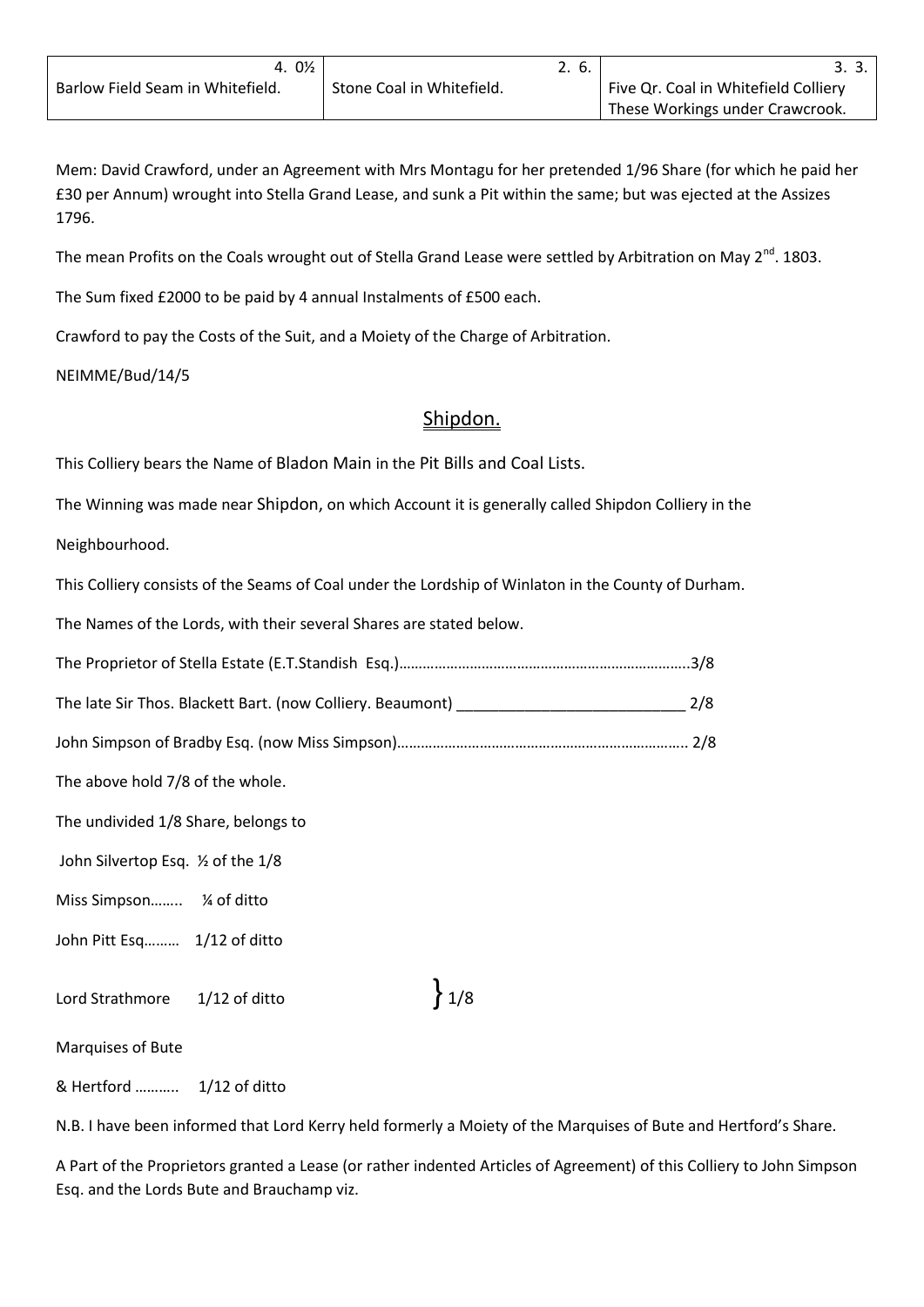Mem: David Crawford, under an Agreement with Mrs Montagu for her pretended 1/96 Share (for which he paid her £30 per Annum) wrought into Stella Grand Lease, and sunk a Pit within the same; but was ejected at the Assizes 1796.

The mean Profits on the Coals wrought out of Stella Grand Lease were settled by Arbitration on May 2<sup>nd</sup>. 1803.

The Sum fixed £2000 to be paid by 4 annual Instalments of £500 each.

Crawford to pay the Costs of the Suit, and a Moiety of the Charge of Arbitration.

NEIMME/Bud/14/5

#### Shipdon.

This Colliery bears the Name of Bladon Main in the Pit Bills and Coal Lists.

The Winning was made near Shipdon, on which Account it is generally called Shipdon Colliery in the

Neighbourhood.

This Colliery consists of the Seams of Coal under the Lordship of Winlaton in the County of Durham.

The Names of the Lords, with their several Shares are stated below.

|--|--|--|

The late Sir Thos. Blackett Bart. (now Colliery. Beaumont) \_\_\_\_\_\_\_\_\_\_\_\_\_\_\_\_\_\_\_\_\_\_\_\_\_\_\_ 2/8

John Simpson of Bradby Esq. (now Miss Simpson)……………………………………………………………….. 2/8

The above hold 7/8 of the whole.

The undivided 1/8 Share, belongs to

John Silvertop Esq. ½ of the 1/8

Miss Simpson…….. ¼ of ditto

John Pitt Esq......... 1/12 of ditto

Lord Strathmore  $\left.\frac{1}{12}$  of ditto  $\left.\frac{1}{8}\right\}$  1/8

Marquises of Bute

& Hertford ……….. 1/12 of ditto

N.B. I have been informed that Lord Kerry held formerly a Moiety of the Marquises of Bute and Hertford's Share.

A Part of the Proprietors granted a Lease (or rather indented Articles of Agreement) of this Colliery to John Simpson Esq. and the Lords Bute and Brauchamp viz.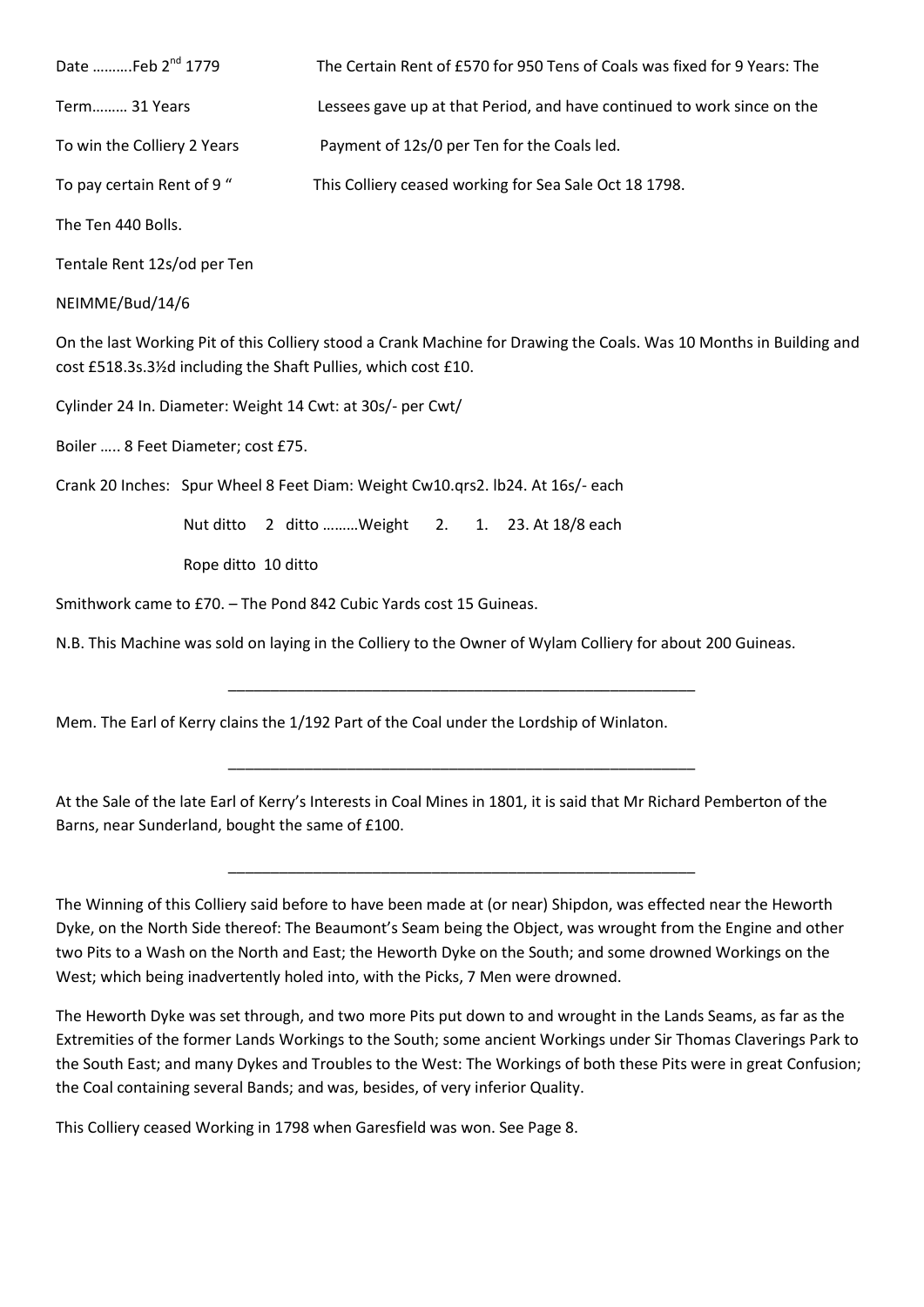| Date Feb 2 <sup>nd</sup> 1779 | The Certain Rent of £570 for 950 Tens of Coals was fixed for 9 Years: The |
|-------------------------------|---------------------------------------------------------------------------|
| Term 31 Years                 | Lessees gave up at that Period, and have continued to work since on the   |
| To win the Colliery 2 Years   | Payment of 12s/0 per Ten for the Coals led.                               |
| To pay certain Rent of 9"     | This Colliery ceased working for Sea Sale Oct 18 1798.                    |
| The Ten 440 Bolls.            |                                                                           |

Tentale Rent 12s/od per Ten

NEIMME/Bud/14/6

On the last Working Pit of this Colliery stood a Crank Machine for Drawing the Coals. Was 10 Months in Building and cost £518.3s.3½d including the Shaft Pullies, which cost £10.

Cylinder 24 In. Diameter: Weight 14 Cwt: at 30s/- per Cwt/

Boiler ….. 8 Feet Diameter; cost £75.

Crank 20 Inches: Spur Wheel 8 Feet Diam: Weight Cw10.qrs2. lb24. At 16s/- each

Nut ditto 2 ditto ………Weight 2. 1. 23. At 18/8 each

Rope ditto 10 ditto

Smithwork came to £70. – The Pond 842 Cubic Yards cost 15 Guineas.

N.B. This Machine was sold on laying in the Colliery to the Owner of Wylam Colliery for about 200 Guineas.

\_\_\_\_\_\_\_\_\_\_\_\_\_\_\_\_\_\_\_\_\_\_\_\_\_\_\_\_\_\_\_\_\_\_\_\_\_\_\_\_\_\_\_\_\_\_\_\_\_\_\_\_\_\_\_

\_\_\_\_\_\_\_\_\_\_\_\_\_\_\_\_\_\_\_\_\_\_\_\_\_\_\_\_\_\_\_\_\_\_\_\_\_\_\_\_\_\_\_\_\_\_\_\_\_\_\_\_\_\_\_

\_\_\_\_\_\_\_\_\_\_\_\_\_\_\_\_\_\_\_\_\_\_\_\_\_\_\_\_\_\_\_\_\_\_\_\_\_\_\_\_\_\_\_\_\_\_\_\_\_\_\_\_\_\_\_

Mem. The Earl of Kerry clains the 1/192 Part of the Coal under the Lordship of Winlaton.

At the Sale of the late Earl of Kerry's Interests in Coal Mines in 1801, it is said that Mr Richard Pemberton of the Barns, near Sunderland, bought the same of £100.

The Winning of this Colliery said before to have been made at (or near) Shipdon, was effected near the Heworth Dyke, on the North Side thereof: The Beaumont's Seam being the Object, was wrought from the Engine and other two Pits to a Wash on the North and East; the Heworth Dyke on the South; and some drowned Workings on the West; which being inadvertently holed into, with the Picks, 7 Men were drowned.

The Heworth Dyke was set through, and two more Pits put down to and wrought in the Lands Seams, as far as the Extremities of the former Lands Workings to the South; some ancient Workings under Sir Thomas Claverings Park to the South East; and many Dykes and Troubles to the West: The Workings of both these Pits were in great Confusion; the Coal containing several Bands; and was, besides, of very inferior Quality.

This Colliery ceased Working in 1798 when Garesfield was won. See Page 8.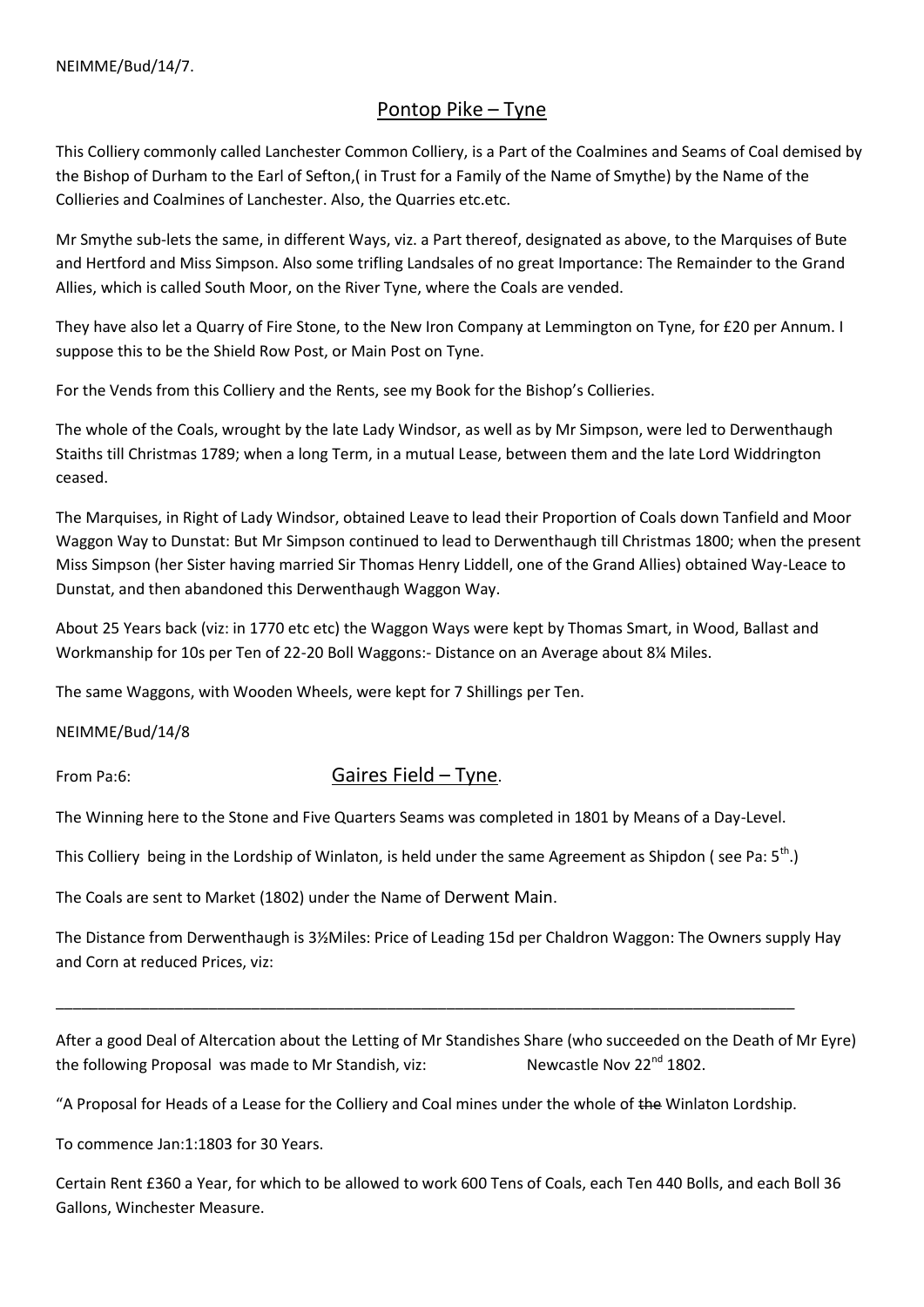# Pontop Pike – Tyne

This Colliery commonly called Lanchester Common Colliery, is a Part of the Coalmines and Seams of Coal demised by the Bishop of Durham to the Earl of Sefton,( in Trust for a Family of the Name of Smythe) by the Name of the Collieries and Coalmines of Lanchester. Also, the Quarries etc.etc.

Mr Smythe sub-lets the same, in different Ways, viz. a Part thereof, designated as above, to the Marquises of Bute and Hertford and Miss Simpson. Also some trifling Landsales of no great Importance: The Remainder to the Grand Allies, which is called South Moor, on the River Tyne, where the Coals are vended.

They have also let a Quarry of Fire Stone, to the New Iron Company at Lemmington on Tyne, for £20 per Annum. I suppose this to be the Shield Row Post, or Main Post on Tyne.

For the Vends from this Colliery and the Rents, see my Book for the Bishop's Collieries.

The whole of the Coals, wrought by the late Lady Windsor, as well as by Mr Simpson, were led to Derwenthaugh Staiths till Christmas 1789; when a long Term, in a mutual Lease, between them and the late Lord Widdrington ceased.

The Marquises, in Right of Lady Windsor, obtained Leave to lead their Proportion of Coals down Tanfield and Moor Waggon Way to Dunstat: But Mr Simpson continued to lead to Derwenthaugh till Christmas 1800; when the present Miss Simpson (her Sister having married Sir Thomas Henry Liddell, one of the Grand Allies) obtained Way-Leace to Dunstat, and then abandoned this Derwenthaugh Waggon Way.

About 25 Years back (viz: in 1770 etc etc) the Waggon Ways were kept by Thomas Smart, in Wood, Ballast and Workmanship for 10s per Ten of 22-20 Boll Waggons:- Distance on an Average about 8¼ Miles.

The same Waggons, with Wooden Wheels, were kept for 7 Shillings per Ten.

NEIMME/Bud/14/8

# From Pa:6: Gaires Field – Tyne.

The Winning here to the Stone and Five Quarters Seams was completed in 1801 by Means of a Day-Level.

This Colliery being in the Lordship of Winlaton, is held under the same Agreement as Shipdon (see Pa:  $5<sup>th</sup>$ .)

The Coals are sent to Market (1802) under the Name of Derwent Main.

The Distance from Derwenthaugh is 3½Miles: Price of Leading 15d per Chaldron Waggon: The Owners supply Hay and Corn at reduced Prices, viz:

After a good Deal of Altercation about the Letting of Mr Standishes Share (who succeeded on the Death of Mr Eyre) the following Proposal was made to Mr Standish, viz: Newcastle Nov  $22^{nd}$  1802.

"A Proposal for Heads of a Lease for the Colliery and Coal mines under the whole of the Winlaton Lordship.

\_\_\_\_\_\_\_\_\_\_\_\_\_\_\_\_\_\_\_\_\_\_\_\_\_\_\_\_\_\_\_\_\_\_\_\_\_\_\_\_\_\_\_\_\_\_\_\_\_\_\_\_\_\_\_\_\_\_\_\_\_\_\_\_\_\_\_\_\_\_\_\_\_\_\_\_\_\_\_\_\_\_\_\_\_\_\_

To commence Jan:1:1803 for 30 Years.

Certain Rent £360 a Year, for which to be allowed to work 600 Tens of Coals, each Ten 440 Bolls, and each Boll 36 Gallons, Winchester Measure.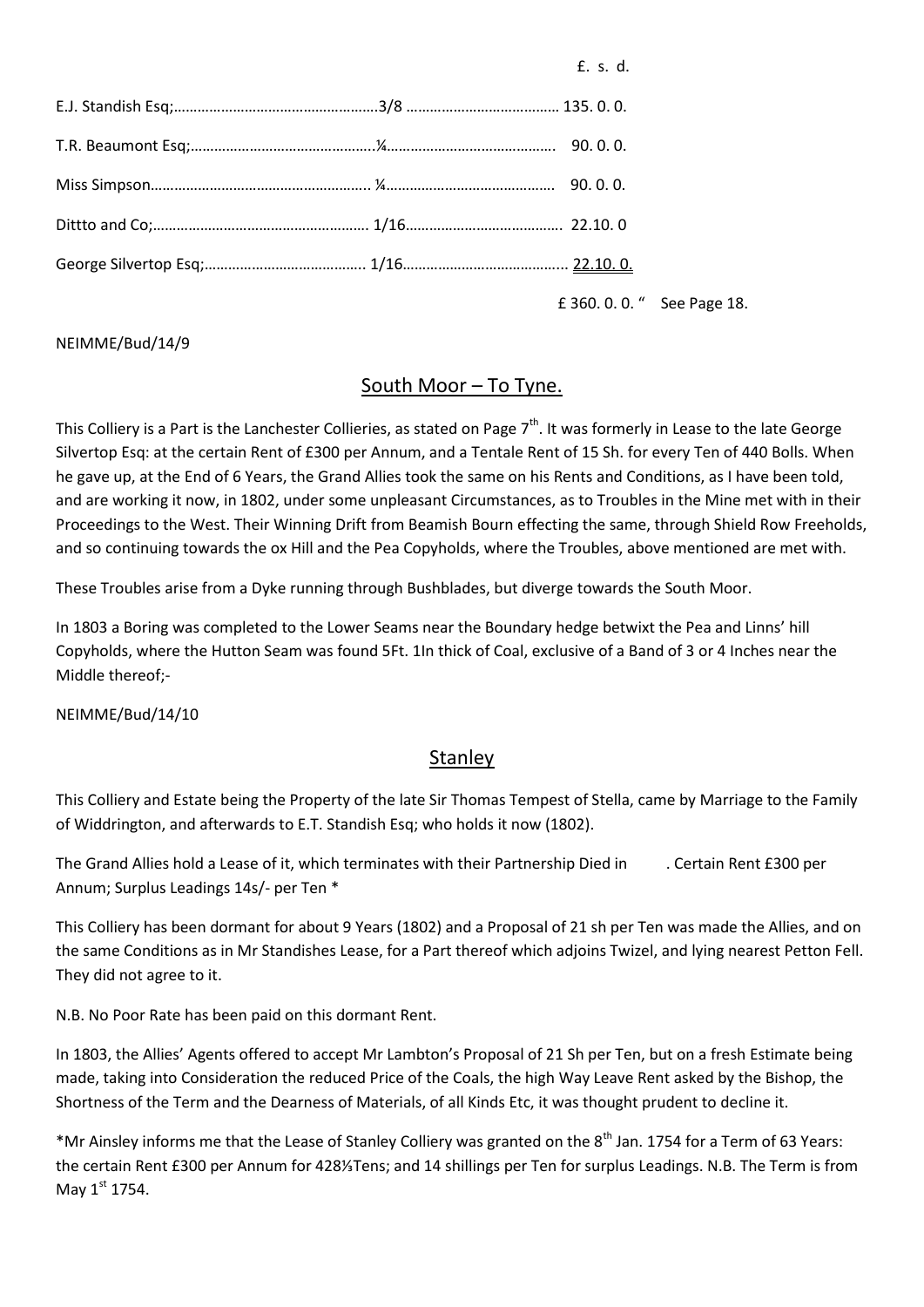£. s. d.

£ 360. 0. 0. " See Page 18.

#### NEIMME/Bud/14/9

#### South Moor – To Tyne.

This Colliery is a Part is the Lanchester Collieries, as stated on Page  $7<sup>th</sup>$ . It was formerly in Lease to the late George Silvertop Esq: at the certain Rent of £300 per Annum, and a Tentale Rent of 15 Sh. for every Ten of 440 Bolls. When he gave up, at the End of 6 Years, the Grand Allies took the same on his Rents and Conditions, as I have been told, and are working it now, in 1802, under some unpleasant Circumstances, as to Troubles in the Mine met with in their Proceedings to the West. Their Winning Drift from Beamish Bourn effecting the same, through Shield Row Freeholds, and so continuing towards the ox Hill and the Pea Copyholds, where the Troubles, above mentioned are met with.

These Troubles arise from a Dyke running through Bushblades, but diverge towards the South Moor.

In 1803 a Boring was completed to the Lower Seams near the Boundary hedge betwixt the Pea and Linns' hill Copyholds, where the Hutton Seam was found 5Ft. 1In thick of Coal, exclusive of a Band of 3 or 4 Inches near the Middle thereof;-

NEIMME/Bud/14/10

#### **Stanley**

This Colliery and Estate being the Property of the late Sir Thomas Tempest of Stella, came by Marriage to the Family of Widdrington, and afterwards to E.T. Standish Esq; who holds it now (1802).

The Grand Allies hold a Lease of it, which terminates with their Partnership Died in . Certain Rent £300 per Annum; Surplus Leadings 14s/- per Ten \*

This Colliery has been dormant for about 9 Years (1802) and a Proposal of 21 sh per Ten was made the Allies, and on the same Conditions as in Mr Standishes Lease, for a Part thereof which adjoins Twizel, and lying nearest Petton Fell. They did not agree to it.

N.B. No Poor Rate has been paid on this dormant Rent.

In 1803, the Allies' Agents offered to accept Mr Lambton's Proposal of 21 Sh per Ten, but on a fresh Estimate being made, taking into Consideration the reduced Price of the Coals, the high Way Leave Rent asked by the Bishop, the Shortness of the Term and the Dearness of Materials, of all Kinds Etc, it was thought prudent to decline it.

\*Mr Ainsley informs me that the Lease of Stanley Colliery was granted on the 8<sup>th</sup> Jan. 1754 for a Term of 63 Years: the certain Rent £300 per Annum for 428⅓Tens; and 14 shillings per Ten for surplus Leadings. N.B. The Term is from May  $1<sup>st</sup>$  1754.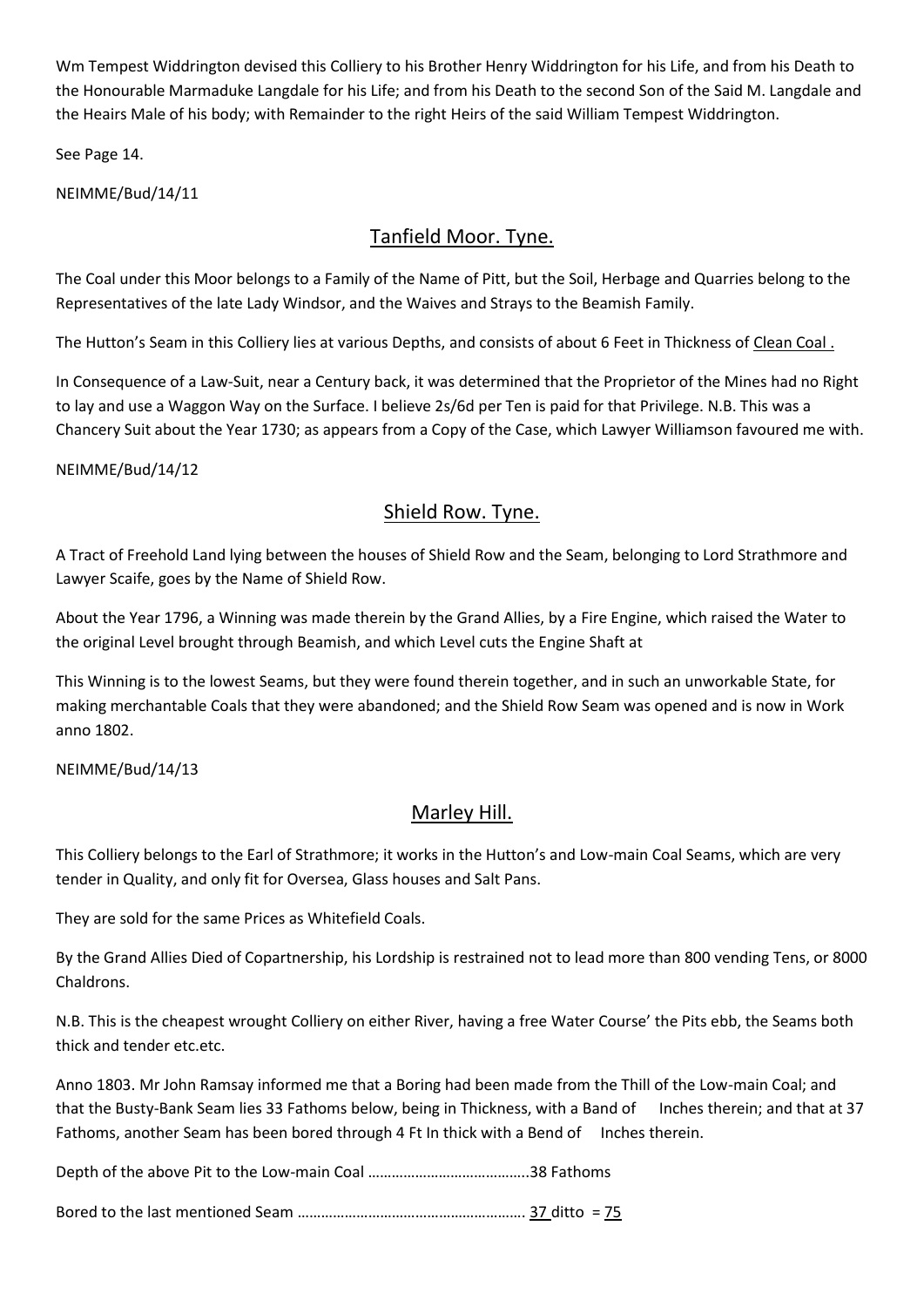Wm Tempest Widdrington devised this Colliery to his Brother Henry Widdrington for his Life, and from his Death to the Honourable Marmaduke Langdale for his Life; and from his Death to the second Son of the Said M. Langdale and the Heairs Male of his body; with Remainder to the right Heirs of the said William Tempest Widdrington.

See Page 14.

NEIMME/Bud/14/11

# Tanfield Moor. Tyne.

The Coal under this Moor belongs to a Family of the Name of Pitt, but the Soil, Herbage and Quarries belong to the Representatives of the late Lady Windsor, and the Waives and Strays to the Beamish Family.

The Hutton's Seam in this Colliery lies at various Depths, and consists of about 6 Feet in Thickness of Clean Coal .

In Consequence of a Law-Suit, near a Century back, it was determined that the Proprietor of the Mines had no Right to lay and use a Waggon Way on the Surface. I believe 2s/6d per Ten is paid for that Privilege. N.B. This was a Chancery Suit about the Year 1730; as appears from a Copy of the Case, which Lawyer Williamson favoured me with.

NEIMME/Bud/14/12

# Shield Row. Tyne.

A Tract of Freehold Land lying between the houses of Shield Row and the Seam, belonging to Lord Strathmore and Lawyer Scaife, goes by the Name of Shield Row.

About the Year 1796, a Winning was made therein by the Grand Allies, by a Fire Engine, which raised the Water to the original Level brought through Beamish, and which Level cuts the Engine Shaft at

This Winning is to the lowest Seams, but they were found therein together, and in such an unworkable State, for making merchantable Coals that they were abandoned; and the Shield Row Seam was opened and is now in Work anno 1802.

NEIMME/Bud/14/13

# Marley Hill.

This Colliery belongs to the Earl of Strathmore; it works in the Hutton's and Low-main Coal Seams, which are very tender in Quality, and only fit for Oversea, Glass houses and Salt Pans.

They are sold for the same Prices as Whitefield Coals.

By the Grand Allies Died of Copartnership, his Lordship is restrained not to lead more than 800 vending Tens, or 8000 Chaldrons.

N.B. This is the cheapest wrought Colliery on either River, having a free Water Course' the Pits ebb, the Seams both thick and tender etc.etc.

Anno 1803. Mr John Ramsay informed me that a Boring had been made from the Thill of the Low-main Coal; and that the Busty-Bank Seam lies 33 Fathoms below, being in Thickness, with a Band of Inches therein; and that at 37 Fathoms, another Seam has been bored through 4 Ft In thick with a Bend of Inches therein.

Depth of the above Pit to the Low-main Coal …………………………………..38 Fathoms

Bored to the last mentioned Seam …………………………………………………. 37 ditto = 75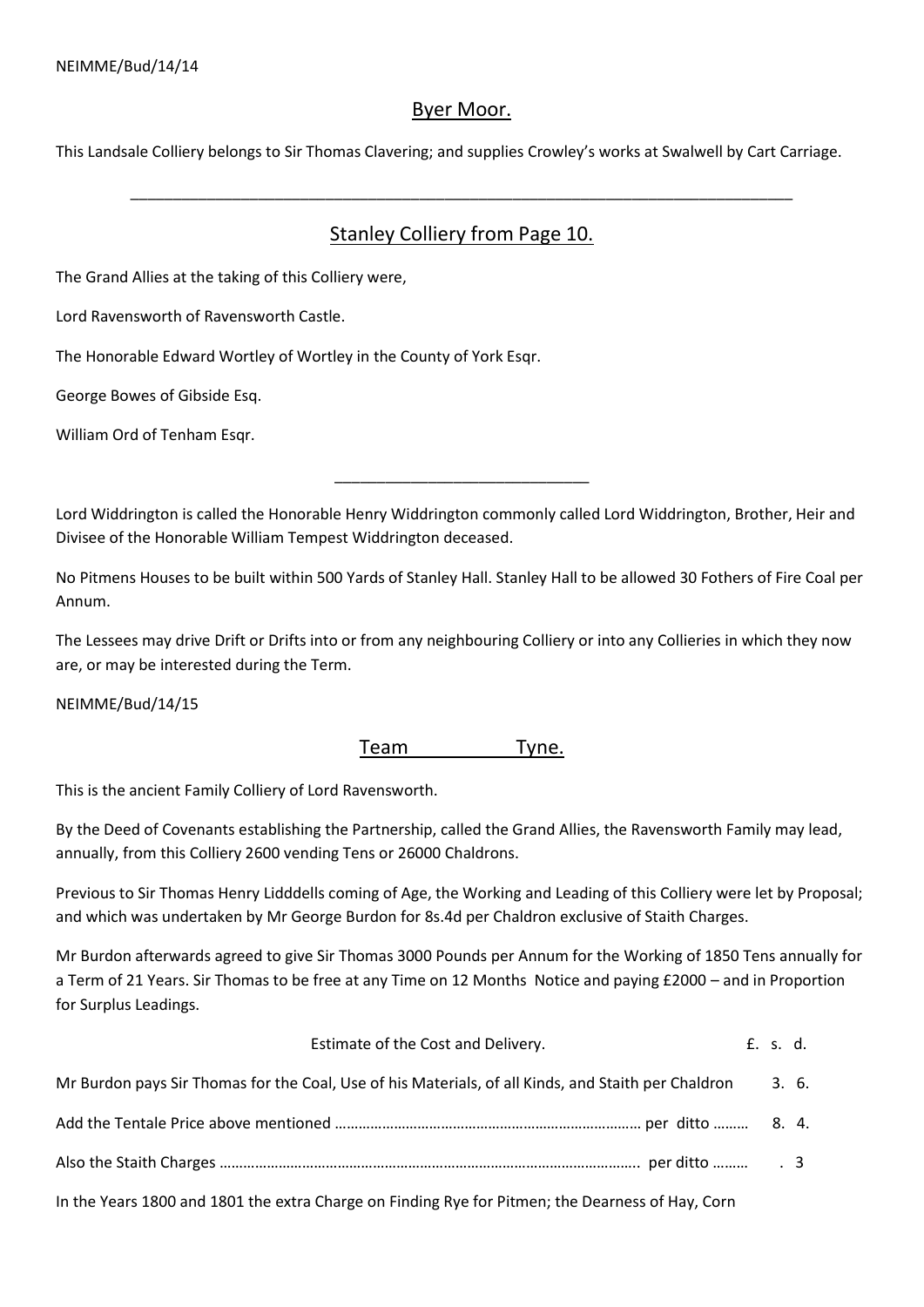# Byer Moor.

This Landsale Colliery belongs to Sir Thomas Clavering; and supplies Crowley's works at Swalwell by Cart Carriage.

# Stanley Colliery from Page 10.

\_\_\_\_\_\_\_\_\_\_\_\_\_\_\_\_\_\_\_\_\_\_\_\_\_\_\_\_\_\_\_\_\_\_\_\_\_\_\_\_\_\_\_\_\_\_\_\_\_\_\_\_\_\_\_\_\_\_\_\_\_\_\_\_\_\_\_\_\_\_\_\_\_\_\_\_\_\_

The Grand Allies at the taking of this Colliery were,

Lord Ravensworth of Ravensworth Castle.

The Honorable Edward Wortley of Wortley in the County of York Esqr.

George Bowes of Gibside Esq.

William Ord of Tenham Esqr.

Lord Widdrington is called the Honorable Henry Widdrington commonly called Lord Widdrington, Brother, Heir and Divisee of the Honorable William Tempest Widdrington deceased.

\_\_\_\_\_\_\_\_\_\_\_\_\_\_\_\_\_\_\_\_\_\_\_\_\_\_\_\_\_\_

No Pitmens Houses to be built within 500 Yards of Stanley Hall. Stanley Hall to be allowed 30 Fothers of Fire Coal per Annum.

The Lessees may drive Drift or Drifts into or from any neighbouring Colliery or into any Collieries in which they now are, or may be interested during the Term.

NEIMME/Bud/14/15

# Team Tyne.

This is the ancient Family Colliery of Lord Ravensworth.

By the Deed of Covenants establishing the Partnership, called the Grand Allies, the Ravensworth Family may lead, annually, from this Colliery 2600 vending Tens or 26000 Chaldrons.

Previous to Sir Thomas Henry Lidddells coming of Age, the Working and Leading of this Colliery were let by Proposal; and which was undertaken by Mr George Burdon for 8s.4d per Chaldron exclusive of Staith Charges.

Mr Burdon afterwards agreed to give Sir Thomas 3000 Pounds per Annum for the Working of 1850 Tens annually for a Term of 21 Years. Sir Thomas to be free at any Time on 12 Months Notice and paying £2000 – and in Proportion for Surplus Leadings.

Estimate of the Cost and Delivery. E. s. d.

| Mr Burdon pays Sir Thomas for the Coal, Use of his Materials, of all Kinds, and Staith per Chaldron | 3.6. |  |
|-----------------------------------------------------------------------------------------------------|------|--|
|                                                                                                     |      |  |
|                                                                                                     |      |  |
| In the Years 1800 and 1801 the extra Charge on Finding Rye for Pitmen; the Dearness of Hay, Corn    |      |  |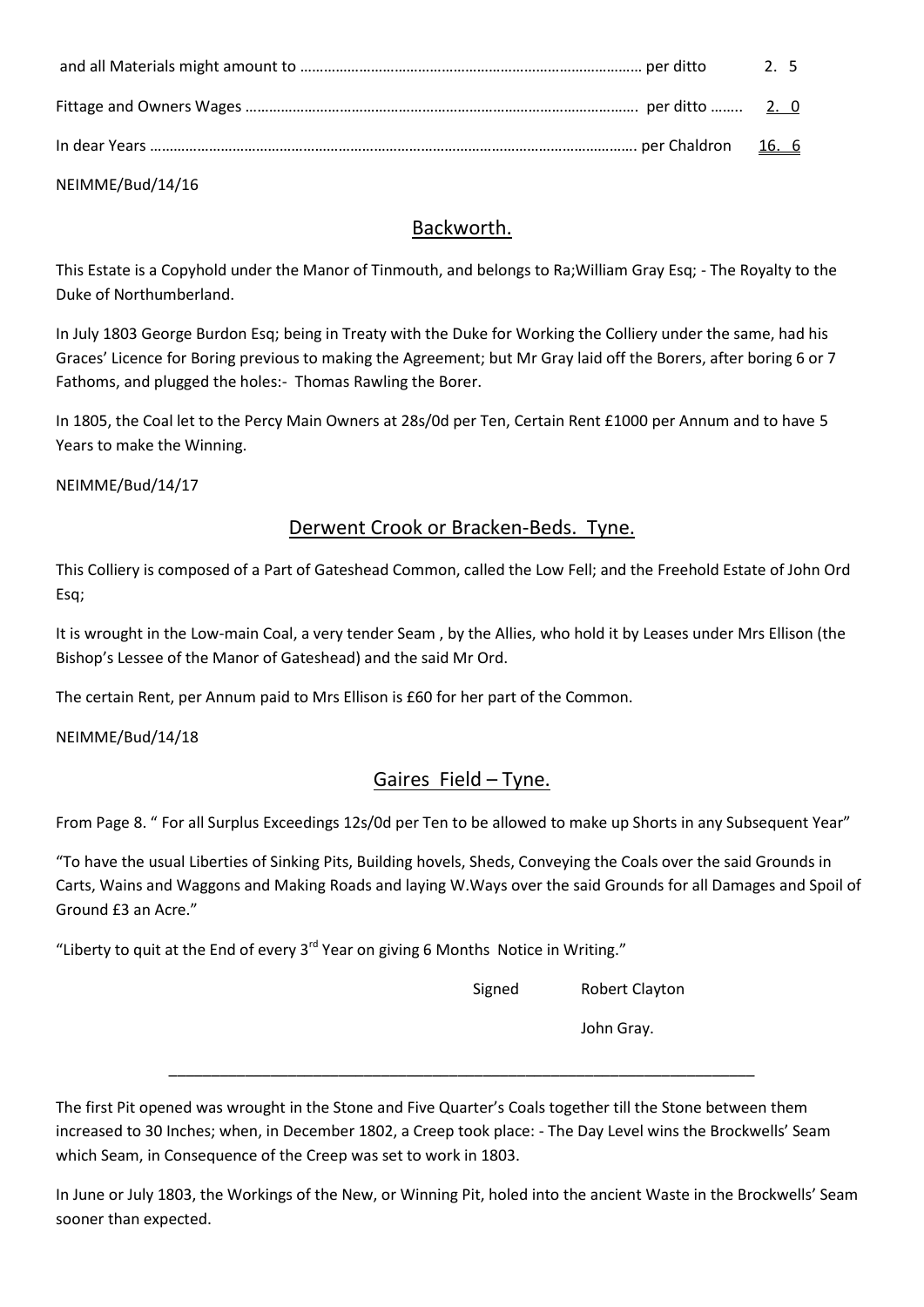|  | 2.5 |
|--|-----|
|  |     |
|  |     |

NEIMME/Bud/14/16

# Backworth.

This Estate is a Copyhold under the Manor of Tinmouth, and belongs to Ra;William Gray Esq; - The Royalty to the Duke of Northumberland.

In July 1803 George Burdon Esq; being in Treaty with the Duke for Working the Colliery under the same, had his Graces' Licence for Boring previous to making the Agreement; but Mr Gray laid off the Borers, after boring 6 or 7 Fathoms, and plugged the holes:- Thomas Rawling the Borer.

In 1805, the Coal let to the Percy Main Owners at 28s/0d per Ten, Certain Rent £1000 per Annum and to have 5 Years to make the Winning.

NEIMME/Bud/14/17

# Derwent Crook or Bracken-Beds. Tyne.

This Colliery is composed of a Part of Gateshead Common, called the Low Fell; and the Freehold Estate of John Ord Esq;

It is wrought in the Low-main Coal, a very tender Seam , by the Allies, who hold it by Leases under Mrs Ellison (the Bishop's Lessee of the Manor of Gateshead) and the said Mr Ord.

The certain Rent, per Annum paid to Mrs Ellison is £60 for her part of the Common.

NEIMME/Bud/14/18

# Gaires Field – Tyne.

From Page 8. " For all Surplus Exceedings 12s/0d per Ten to be allowed to make up Shorts in any Subsequent Year"

"To have the usual Liberties of Sinking Pits, Building hovels, Sheds, Conveying the Coals over the said Grounds in Carts, Wains and Waggons and Making Roads and laying W.Ways over the said Grounds for all Damages and Spoil of Ground £3 an Acre."

"Liberty to quit at the End of every  $3<sup>rd</sup>$  Year on giving 6 Months Notice in Writing."

Signed Robert Clayton

John Gray.

The first Pit opened was wrought in the Stone and Five Quarter's Coals together till the Stone between them increased to 30 Inches; when, in December 1802, a Creep took place: - The Day Level wins the Brockwells' Seam which Seam, in Consequence of the Creep was set to work in 1803.

\_\_\_\_\_\_\_\_\_\_\_\_\_\_\_\_\_\_\_\_\_\_\_\_\_\_\_\_\_\_\_\_\_\_\_\_\_\_\_\_\_\_\_\_\_\_\_\_\_\_\_\_\_\_\_\_\_\_\_\_\_\_\_\_\_\_\_\_\_

In June or July 1803, the Workings of the New, or Winning Pit, holed into the ancient Waste in the Brockwells' Seam sooner than expected.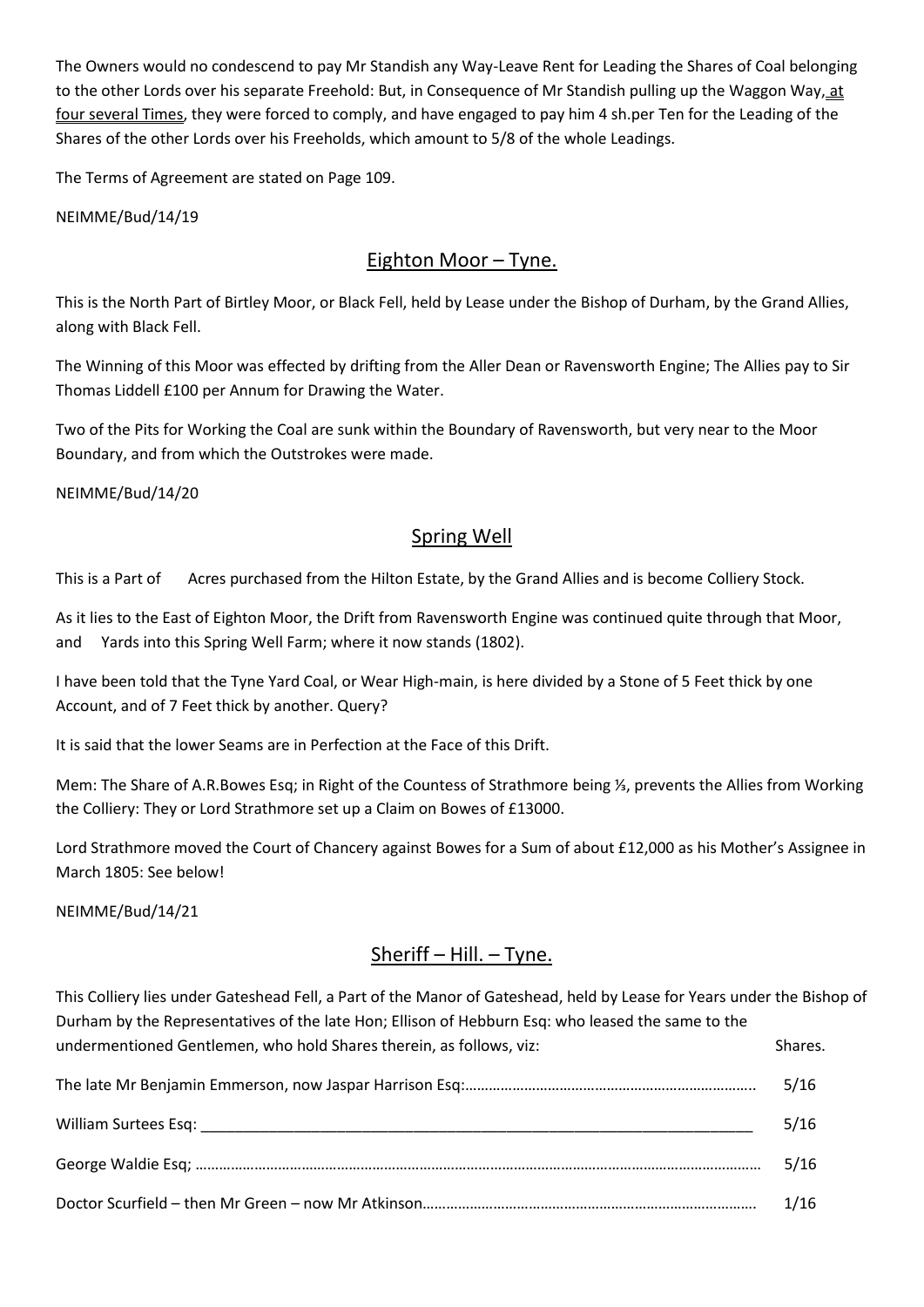The Owners would no condescend to pay Mr Standish any Way-Leave Rent for Leading the Shares of Coal belonging to the other Lords over his separate Freehold: But, in Consequence of Mr Standish pulling up the Waggon Way, at four several Times, they were forced to comply, and have engaged to pay him 4 sh.per Ten for the Leading of the Shares of the other Lords over his Freeholds, which amount to 5/8 of the whole Leadings.

The Terms of Agreement are stated on Page 109.

NEIMME/Bud/14/19

# Eighton Moor – Tyne.

This is the North Part of Birtley Moor, or Black Fell, held by Lease under the Bishop of Durham, by the Grand Allies, along with Black Fell.

The Winning of this Moor was effected by drifting from the Aller Dean or Ravensworth Engine; The Allies pay to Sir Thomas Liddell £100 per Annum for Drawing the Water.

Two of the Pits for Working the Coal are sunk within the Boundary of Ravensworth, but very near to the Moor Boundary, and from which the Outstrokes were made.

NEIMME/Bud/14/20

# Spring Well

This is a Part of Acres purchased from the Hilton Estate, by the Grand Allies and is become Colliery Stock.

As it lies to the East of Eighton Moor, the Drift from Ravensworth Engine was continued quite through that Moor, and Yards into this Spring Well Farm; where it now stands (1802).

I have been told that the Tyne Yard Coal, or Wear High-main, is here divided by a Stone of 5 Feet thick by one Account, and of 7 Feet thick by another. Query?

It is said that the lower Seams are in Perfection at the Face of this Drift.

Mem: The Share of A.R.Bowes Esq; in Right of the Countess of Strathmore being ⅓, prevents the Allies from Working the Colliery: They or Lord Strathmore set up a Claim on Bowes of £13000.

Lord Strathmore moved the Court of Chancery against Bowes for a Sum of about £12,000 as his Mother's Assignee in March 1805: See below!

NEIMME/Bud/14/21

# Sheriff – Hill. – Tyne.

This Colliery lies under Gateshead Fell, a Part of the Manor of Gateshead, held by Lease for Years under the Bishop of Durham by the Representatives of the late Hon; Ellison of Hebburn Esq: who leased the same to the undermentioned Gentlemen, who hold Shares therein, as follows, viz: Shares. The late Mr Benjamin Emmerson, now Jaspar Harrison Esq:……………………………………………………………….. 5/16

| The face ivir Benjamin Emmerson, now Jaspar Harrison Esg……………………………………………………………… | ס1 /כ |
|----------------------------------------------------------------------------------|-------|
|                                                                                  | 5/16  |
|                                                                                  | 5/16  |
|                                                                                  | 1/16  |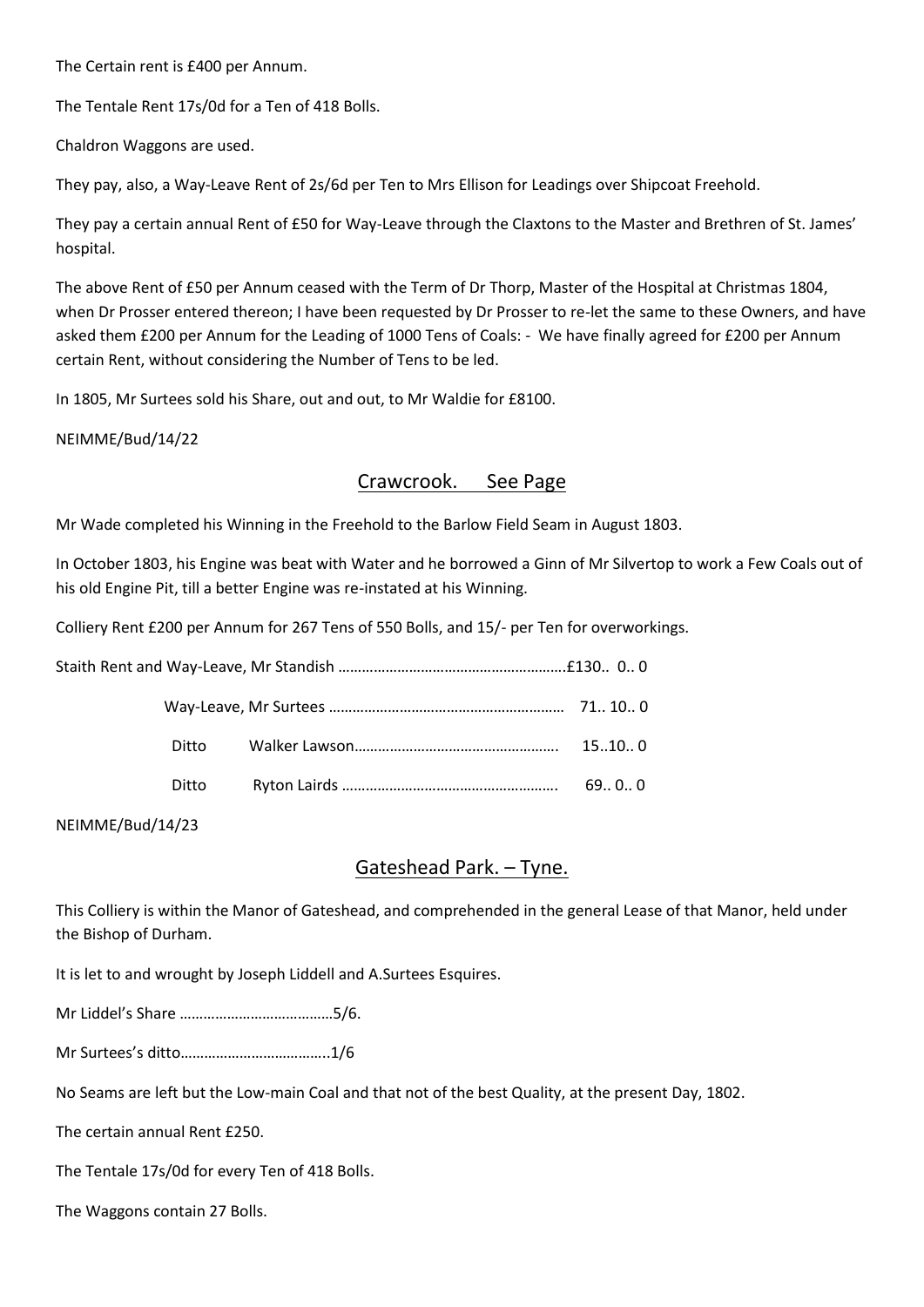The Certain rent is £400 per Annum.

The Tentale Rent 17s/0d for a Ten of 418 Bolls.

Chaldron Waggons are used.

They pay, also, a Way-Leave Rent of 2s/6d per Ten to Mrs Ellison for Leadings over Shipcoat Freehold.

They pay a certain annual Rent of £50 for Way-Leave through the Claxtons to the Master and Brethren of St. James' hospital.

The above Rent of £50 per Annum ceased with the Term of Dr Thorp, Master of the Hospital at Christmas 1804, when Dr Prosser entered thereon; I have been requested by Dr Prosser to re-let the same to these Owners, and have asked them £200 per Annum for the Leading of 1000 Tens of Coals: - We have finally agreed for £200 per Annum certain Rent, without considering the Number of Tens to be led.

In 1805, Mr Surtees sold his Share, out and out, to Mr Waldie for £8100.

NEIMME/Bud/14/22

### Crawcrook. See Page

Mr Wade completed his Winning in the Freehold to the Barlow Field Seam in August 1803.

In October 1803, his Engine was beat with Water and he borrowed a Ginn of Mr Silvertop to work a Few Coals out of his old Engine Pit, till a better Engine was re-instated at his Winning.

Colliery Rent £200 per Annum for 267 Tens of 550 Bolls, and 15/- per Ten for overworkings.

| Ditto | 15100 |
|-------|-------|
| Ditto | 6900  |

NEIMME/Bud/14/23

#### Gateshead Park. – Tyne.

This Colliery is within the Manor of Gateshead, and comprehended in the general Lease of that Manor, held under the Bishop of Durham.

It is let to and wrought by Joseph Liddell and A.Surtees Esquires.

Mr Liddel's Share …………………………………5/6.

Mr Surtees's ditto………………………………..1/6

No Seams are left but the Low-main Coal and that not of the best Quality, at the present Day, 1802.

The certain annual Rent £250.

The Tentale 17s/0d for every Ten of 418 Bolls.

The Waggons contain 27 Bolls.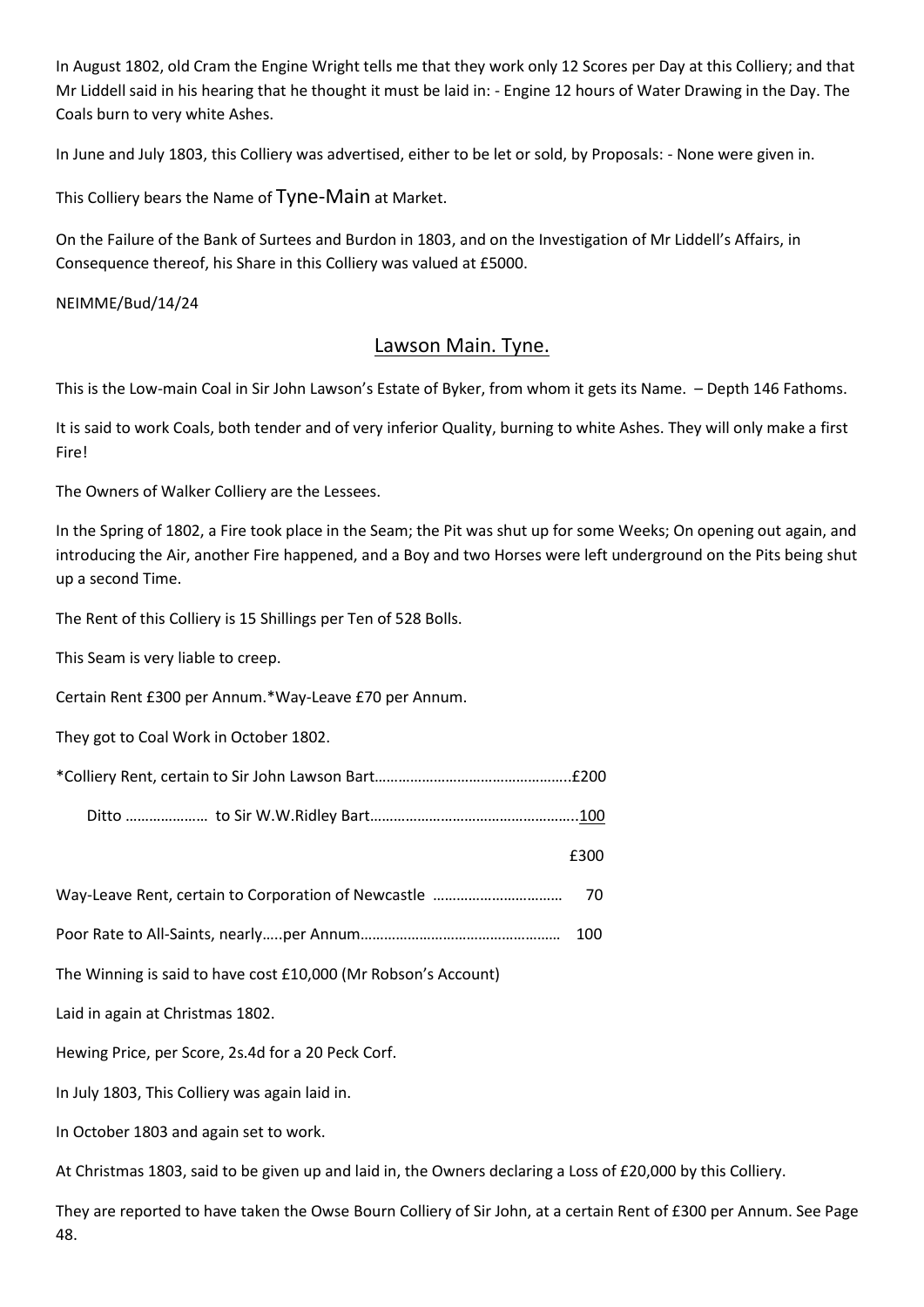In August 1802, old Cram the Engine Wright tells me that they work only 12 Scores per Day at this Colliery; and that Mr Liddell said in his hearing that he thought it must be laid in: - Engine 12 hours of Water Drawing in the Day. The Coals burn to very white Ashes.

In June and July 1803, this Colliery was advertised, either to be let or sold, by Proposals: - None were given in.

This Colliery bears the Name of Tyne-Main at Market.

On the Failure of the Bank of Surtees and Burdon in 1803, and on the Investigation of Mr Liddell's Affairs, in Consequence thereof, his Share in this Colliery was valued at £5000.

NEIMME/Bud/14/24

### Lawson Main. Tyne.

This is the Low-main Coal in Sir John Lawson's Estate of Byker, from whom it gets its Name. – Depth 146 Fathoms.

It is said to work Coals, both tender and of very inferior Quality, burning to white Ashes. They will only make a first Fire!

The Owners of Walker Colliery are the Lessees.

In the Spring of 1802, a Fire took place in the Seam; the Pit was shut up for some Weeks; On opening out again, and introducing the Air, another Fire happened, and a Boy and two Horses were left underground on the Pits being shut up a second Time.

The Rent of this Colliery is 15 Shillings per Ten of 528 Bolls.

This Seam is very liable to creep.

Certain Rent £300 per Annum.\*Way-Leave £70 per Annum.

They got to Coal Work in October 1802.

Ditto ………………… to Sir W.W.Ridley Bart……………………………………………..100

£300

```
Way-Leave Rent, certain to Corporation of Newcastle …………………………… 70
```
Poor Rate to All-Saints, nearly…..per Annum…………………………………………… 100

The Winning is said to have cost £10,000 (Mr Robson's Account)

Laid in again at Christmas 1802.

Hewing Price, per Score, 2s.4d for a 20 Peck Corf.

In July 1803, This Colliery was again laid in.

In October 1803 and again set to work.

At Christmas 1803, said to be given up and laid in, the Owners declaring a Loss of £20,000 by this Colliery.

They are reported to have taken the Owse Bourn Colliery of Sir John, at a certain Rent of £300 per Annum. See Page 48.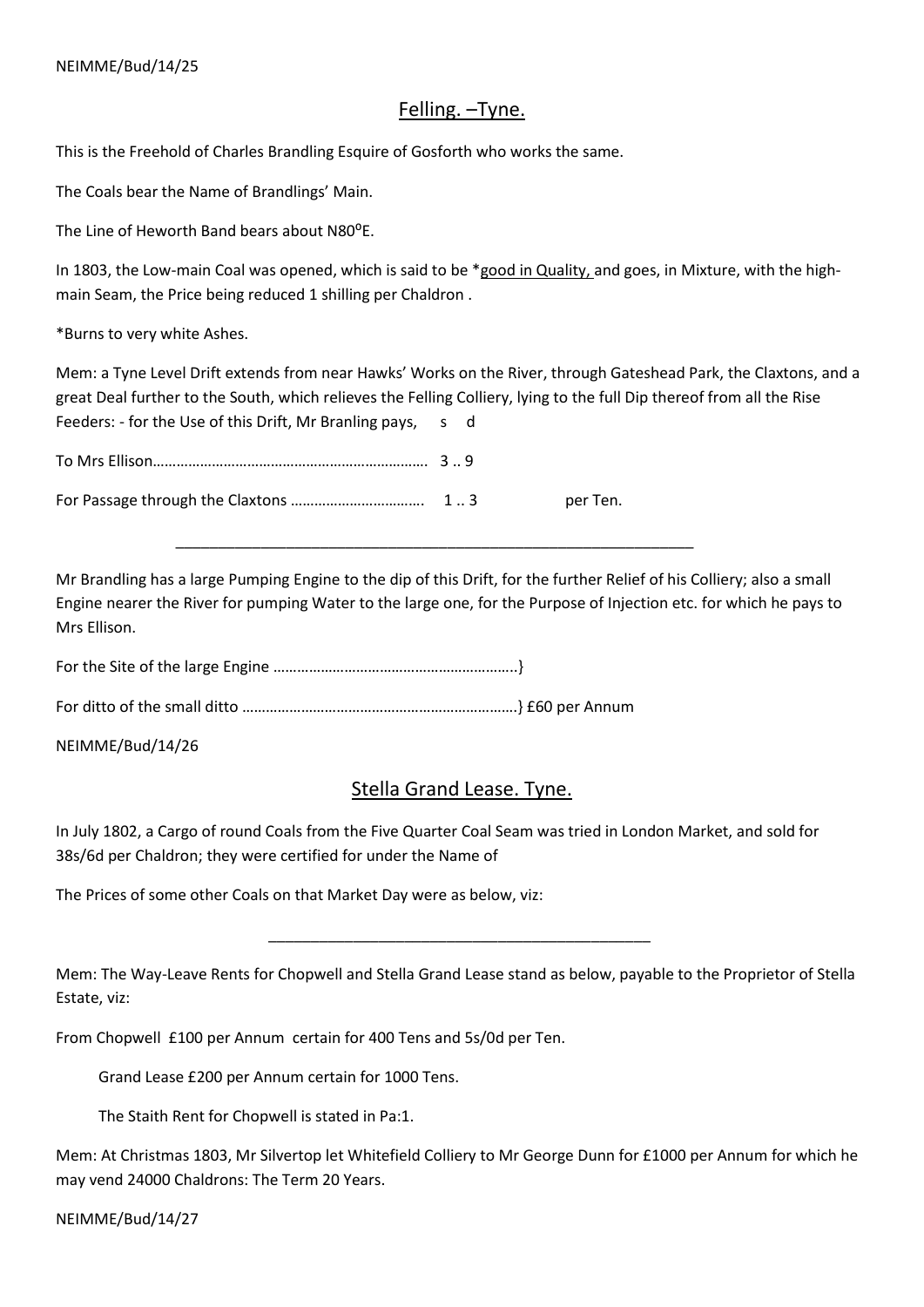### Felling. –Tyne.

This is the Freehold of Charles Brandling Esquire of Gosforth who works the same.

The Coals bear the Name of Brandlings' Main.

The Line of Heworth Band bears about N80<sup>o</sup>E.

In 1803, the Low-main Coal was opened, which is said to be \*good in Quality, and goes, in Mixture, with the highmain Seam, the Price being reduced 1 shilling per Chaldron .

\*Burns to very white Ashes.

Mem: a Tyne Level Drift extends from near Hawks' Works on the River, through Gateshead Park, the Claxtons, and a great Deal further to the South, which relieves the Felling Colliery, lying to the full Dip thereof from all the Rise Feeders: - for the Use of this Drift, Mr Branling pays, s d

|  | per Ten. |
|--|----------|

\_\_\_\_\_\_\_\_\_\_\_\_\_\_\_\_\_\_\_\_\_\_\_\_\_\_\_\_\_\_\_\_\_\_\_\_\_\_\_\_\_\_\_\_\_\_\_\_\_\_\_\_\_\_\_\_\_\_\_\_\_

Mr Brandling has a large Pumping Engine to the dip of this Drift, for the further Relief of his Colliery; also a small Engine nearer the River for pumping Water to the large one, for the Purpose of Injection etc. for which he pays to Mrs Ellison.

For the Site of the large Engine ……………………………………………………..}

For ditto of the small ditto …………………………………………………………….} £60 per Annum

 $\overline{\phantom{a}}$  ,  $\overline{\phantom{a}}$  ,  $\overline{\phantom{a}}$  ,  $\overline{\phantom{a}}$  ,  $\overline{\phantom{a}}$  ,  $\overline{\phantom{a}}$  ,  $\overline{\phantom{a}}$  ,  $\overline{\phantom{a}}$  ,  $\overline{\phantom{a}}$  ,  $\overline{\phantom{a}}$  ,  $\overline{\phantom{a}}$  ,  $\overline{\phantom{a}}$  ,  $\overline{\phantom{a}}$  ,  $\overline{\phantom{a}}$  ,  $\overline{\phantom{a}}$  ,  $\overline{\phantom{a}}$ 

NEIMME/Bud/14/26

# Stella Grand Lease. Tyne.

In July 1802, a Cargo of round Coals from the Five Quarter Coal Seam was tried in London Market, and sold for 38s/6d per Chaldron; they were certified for under the Name of

The Prices of some other Coals on that Market Day were as below, viz:

Mem: The Way-Leave Rents for Chopwell and Stella Grand Lease stand as below, payable to the Proprietor of Stella Estate, viz:

From Chopwell £100 per Annum certain for 400 Tens and 5s/0d per Ten.

Grand Lease £200 per Annum certain for 1000 Tens.

The Staith Rent for Chopwell is stated in Pa:1.

Mem: At Christmas 1803, Mr Silvertop let Whitefield Colliery to Mr George Dunn for £1000 per Annum for which he may vend 24000 Chaldrons: The Term 20 Years.

NEIMME/Bud/14/27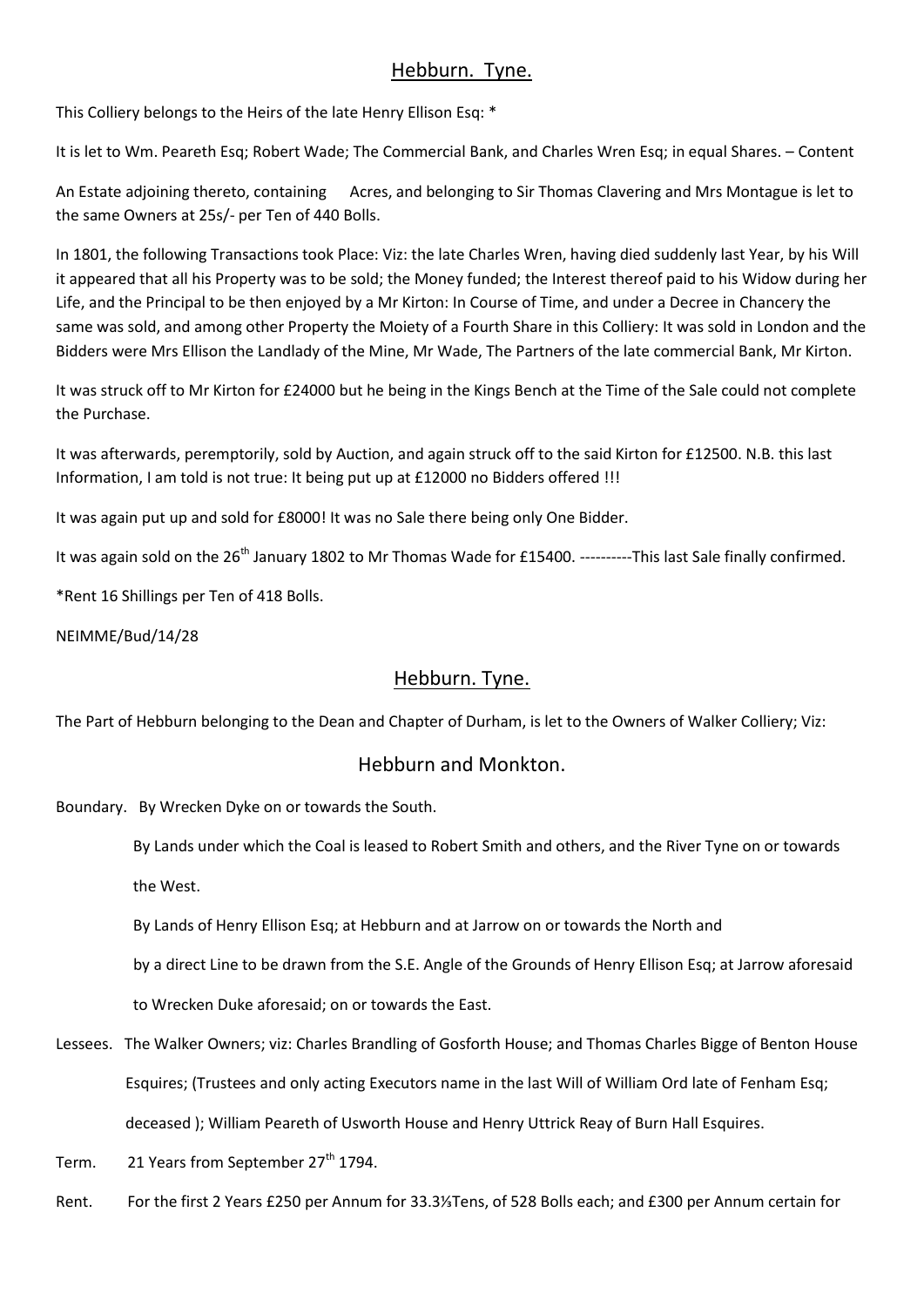# Hebburn. Tyne.

This Colliery belongs to the Heirs of the late Henry Ellison Esq: \*

It is let to Wm. Peareth Esq; Robert Wade; The Commercial Bank, and Charles Wren Esq; in equal Shares. – Content

An Estate adjoining thereto, containing Acres, and belonging to Sir Thomas Clavering and Mrs Montague is let to the same Owners at 25s/- per Ten of 440 Bolls.

In 1801, the following Transactions took Place: Viz: the late Charles Wren, having died suddenly last Year, by his Will it appeared that all his Property was to be sold; the Money funded; the Interest thereof paid to his Widow during her Life, and the Principal to be then enjoyed by a Mr Kirton: In Course of Time, and under a Decree in Chancery the same was sold, and among other Property the Moiety of a Fourth Share in this Colliery: It was sold in London and the Bidders were Mrs Ellison the Landlady of the Mine, Mr Wade, The Partners of the late commercial Bank, Mr Kirton.

It was struck off to Mr Kirton for £24000 but he being in the Kings Bench at the Time of the Sale could not complete the Purchase.

It was afterwards, peremptorily, sold by Auction, and again struck off to the said Kirton for £12500. N.B. this last Information, I am told is not true: It being put up at £12000 no Bidders offered !!!

It was again put up and sold for £8000! It was no Sale there being only One Bidder.

It was again sold on the 26<sup>th</sup> January 1802 to Mr Thomas Wade for £15400. ----------This last Sale finally confirmed.

\*Rent 16 Shillings per Ten of 418 Bolls.

NEIMME/Bud/14/28

# Hebburn. Tyne.

The Part of Hebburn belonging to the Dean and Chapter of Durham, is let to the Owners of Walker Colliery; Viz:

# Hebburn and Monkton.

Boundary. By Wrecken Dyke on or towards the South.

 By Lands under which the Coal is leased to Robert Smith and others, and the River Tyne on or towards the West.

By Lands of Henry Ellison Esq; at Hebburn and at Jarrow on or towards the North and

by a direct Line to be drawn from the S.E. Angle of the Grounds of Henry Ellison Esq; at Jarrow aforesaid

to Wrecken Duke aforesaid; on or towards the East.

Lessees. The Walker Owners; viz: Charles Brandling of Gosforth House; and Thomas Charles Bigge of Benton House Esquires; (Trustees and only acting Executors name in the last Will of William Ord late of Fenham Esq; deceased ); William Peareth of Usworth House and Henry Uttrick Reay of Burn Hall Esquires.

Term. 21 Years from September 27<sup>th</sup> 1794.

Rent. For the first 2 Years £250 per Annum for 33.3⅓Tens, of 528 Bolls each; and £300 per Annum certain for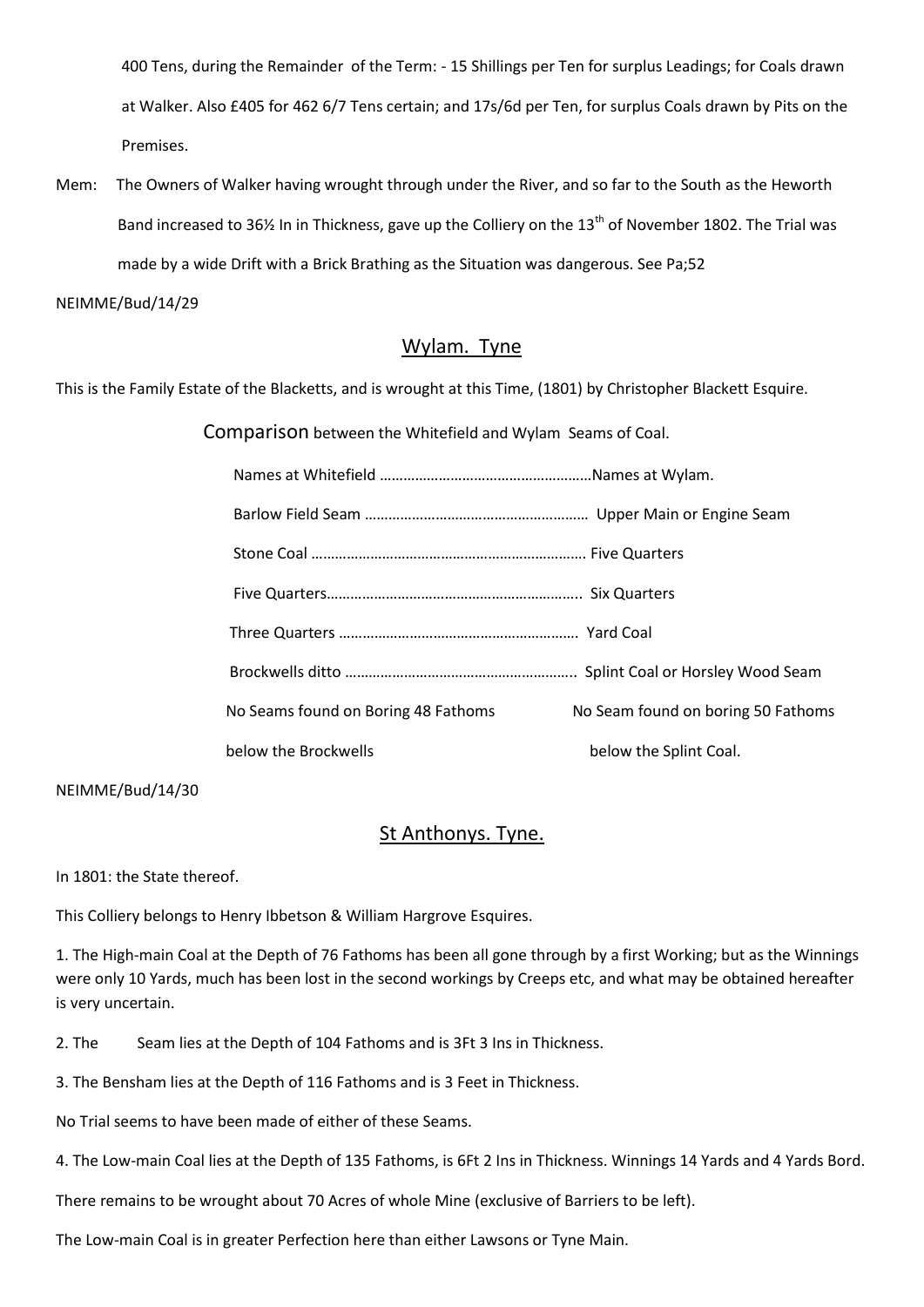400 Tens, during the Remainder of the Term: - 15 Shillings per Ten for surplus Leadings; for Coals drawn at Walker. Also £405 for 462 6/7 Tens certain; and 17s/6d per Ten, for surplus Coals drawn by Pits on the Premises.

Mem: The Owners of Walker having wrought through under the River, and so far to the South as the Heworth Band increased to 36% In in Thickness, gave up the Colliery on the 13<sup>th</sup> of November 1802. The Trial was made by a wide Drift with a Brick Brathing as the Situation was dangerous. See Pa;52

#### NEIMME/Bud/14/29

#### Wylam. Tyne

This is the Family Estate of the Blacketts, and is wrought at this Time, (1801) by Christopher Blackett Esquire.

Comparison between the Whitefield and Wylam Seams of Coal.

| No Seams found on Boring 48 Fathoms | No Seam found on boring 50 Fathoms |
|-------------------------------------|------------------------------------|
| below the Brockwells                | below the Splint Coal.             |

NEIMME/Bud/14/30

#### St Anthonys. Tyne.

In 1801: the State thereof.

This Colliery belongs to Henry Ibbetson & William Hargrove Esquires.

1. The High-main Coal at the Depth of 76 Fathoms has been all gone through by a first Working; but as the Winnings were only 10 Yards, much has been lost in the second workings by Creeps etc, and what may be obtained hereafter is very uncertain.

2. The Seam lies at the Depth of 104 Fathoms and is 3Ft 3 Ins in Thickness.

3. The Bensham lies at the Depth of 116 Fathoms and is 3 Feet in Thickness.

No Trial seems to have been made of either of these Seams.

4. The Low-main Coal lies at the Depth of 135 Fathoms, is 6Ft 2 Ins in Thickness. Winnings 14 Yards and 4 Yards Bord.

There remains to be wrought about 70 Acres of whole Mine (exclusive of Barriers to be left).

The Low-main Coal is in greater Perfection here than either Lawsons or Tyne Main.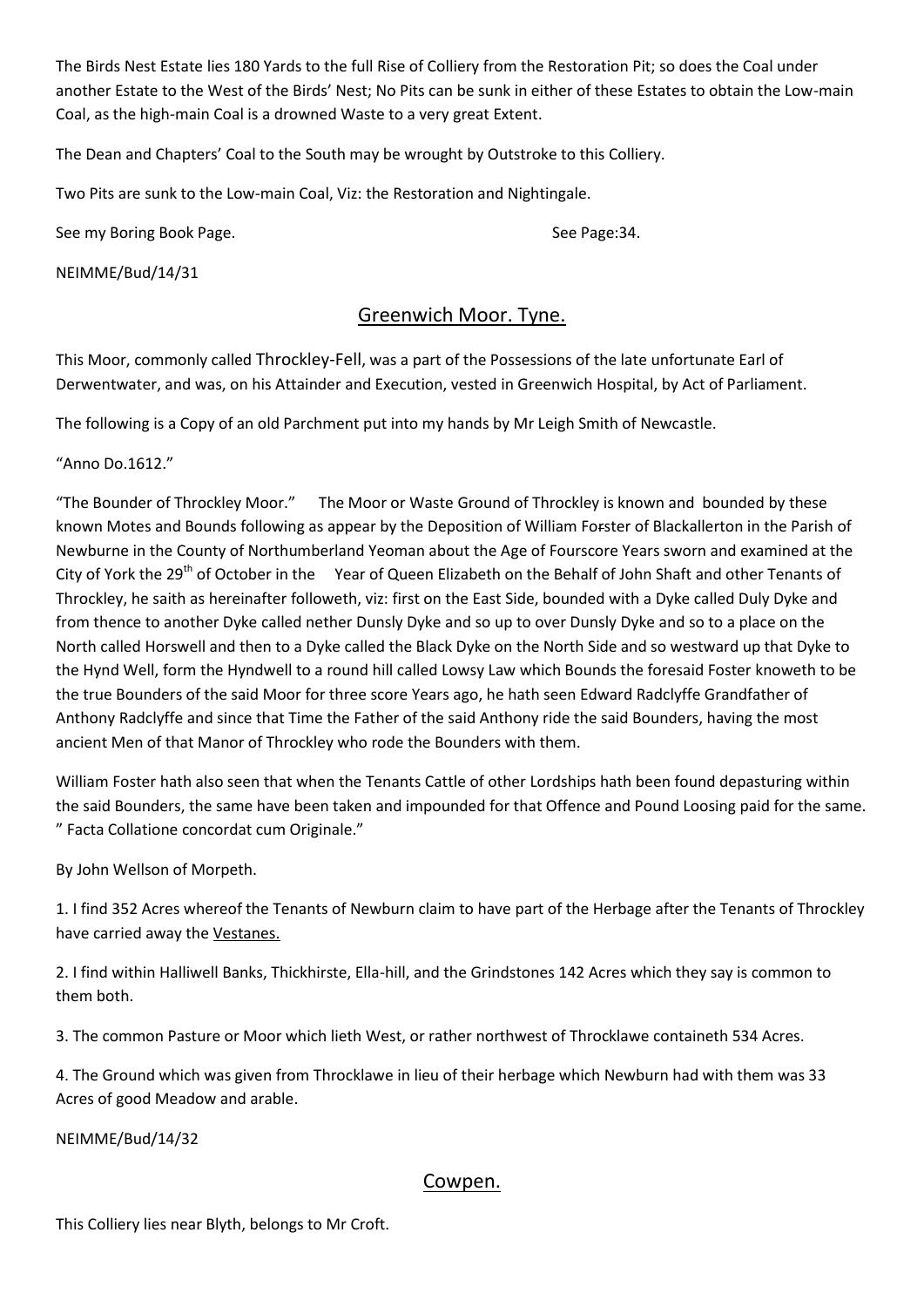The Birds Nest Estate lies 180 Yards to the full Rise of Colliery from the Restoration Pit; so does the Coal under another Estate to the West of the Birds' Nest; No Pits can be sunk in either of these Estates to obtain the Low-main Coal, as the high-main Coal is a drowned Waste to a very great Extent.

The Dean and Chapters' Coal to the South may be wrought by Outstroke to this Colliery.

Two Pits are sunk to the Low-main Coal, Viz: the Restoration and Nightingale.

See my Boring Book Page. See Page:34.

NEIMME/Bud/14/31

# Greenwich Moor. Tyne.

This Moor, commonly called Throckley-Fell, was a part of the Possessions of the late unfortunate Earl of Derwentwater, and was, on his Attainder and Execution, vested in Greenwich Hospital, by Act of Parliament.

The following is a Copy of an old Parchment put into my hands by Mr Leigh Smith of Newcastle.

"Anno Do.1612."

"The Bounder of Throckley Moor." The Moor or Waste Ground of Throckley is known and bounded by these known Motes and Bounds following as appear by the Deposition of William Forster of Blackallerton in the Parish of Newburne in the County of Northumberland Yeoman about the Age of Fourscore Years sworn and examined at the City of York the 29<sup>th</sup> of October in the Year of Queen Elizabeth on the Behalf of John Shaft and other Tenants of Throckley, he saith as hereinafter followeth, viz: first on the East Side, bounded with a Dyke called Duly Dyke and from thence to another Dyke called nether Dunsly Dyke and so up to over Dunsly Dyke and so to a place on the North called Horswell and then to a Dyke called the Black Dyke on the North Side and so westward up that Dyke to the Hynd Well, form the Hyndwell to a round hill called Lowsy Law which Bounds the foresaid Foster knoweth to be the true Bounders of the said Moor for three score Years ago, he hath seen Edward Radclyffe Grandfather of Anthony Radclyffe and since that Time the Father of the said Anthony ride the said Bounders, having the most ancient Men of that Manor of Throckley who rode the Bounders with them.

William Foster hath also seen that when the Tenants Cattle of other Lordships hath been found depasturing within the said Bounders, the same have been taken and impounded for that Offence and Pound Loosing paid for the same. " Facta Collatione concordat cum Originale."

By John Wellson of Morpeth.

1. I find 352 Acres whereof the Tenants of Newburn claim to have part of the Herbage after the Tenants of Throckley have carried away the Vestanes.

2. I find within Halliwell Banks, Thickhirste, Ella-hill, and the Grindstones 142 Acres which they say is common to them both.

3. The common Pasture or Moor which lieth West, or rather northwest of Throcklawe containeth 534 Acres.

4. The Ground which was given from Throcklawe in lieu of their herbage which Newburn had with them was 33 Acres of good Meadow and arable.

NEIMME/Bud/14/32

#### Cowpen.

This Colliery lies near Blyth, belongs to Mr Croft.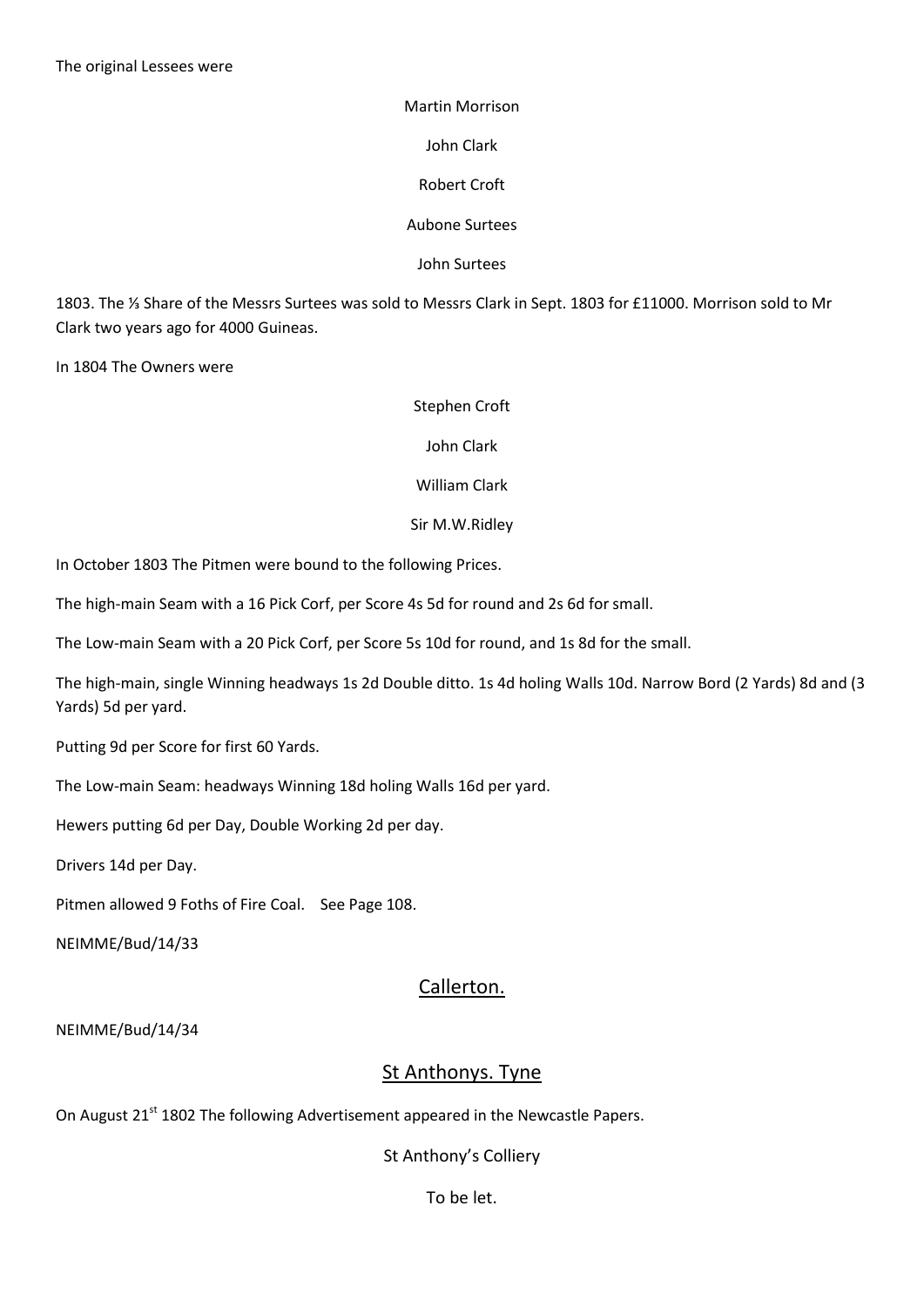Martin Morrison John Clark Robert Croft Aubone Surtees

John Surtees

1803. The ⅓ Share of the Messrs Surtees was sold to Messrs Clark in Sept. 1803 for £11000. Morrison sold to Mr Clark two years ago for 4000 Guineas.

In 1804 The Owners were

#### Stephen Croft

John Clark

William Clark

Sir M.W.Ridley

In October 1803 The Pitmen were bound to the following Prices.

The high-main Seam with a 16 Pick Corf, per Score 4s 5d for round and 2s 6d for small.

The Low-main Seam with a 20 Pick Corf, per Score 5s 10d for round, and 1s 8d for the small.

The high-main, single Winning headways 1s 2d Double ditto. 1s 4d holing Walls 10d. Narrow Bord (2 Yards) 8d and (3 Yards) 5d per yard.

Putting 9d per Score for first 60 Yards.

The Low-main Seam: headways Winning 18d holing Walls 16d per yard.

Hewers putting 6d per Day, Double Working 2d per day.

Drivers 14d per Day.

Pitmen allowed 9 Foths of Fire Coal. See Page 108.

NEIMME/Bud/14/33

#### Callerton.

NEIMME/Bud/14/34

#### St Anthonys. Tyne

On August 21<sup>st</sup> 1802 The following Advertisement appeared in the Newcastle Papers.

St Anthony's Colliery

To be let.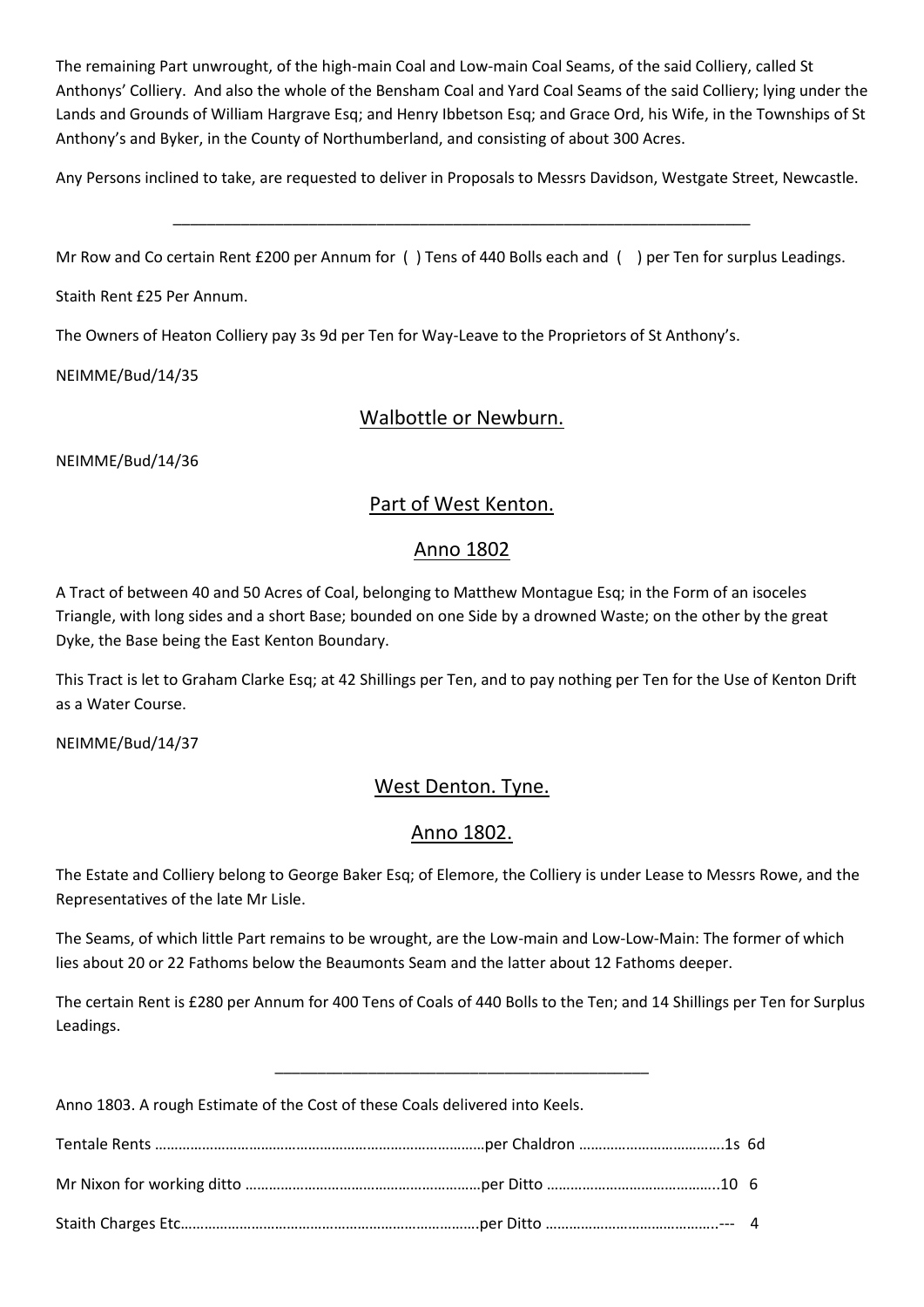The remaining Part unwrought, of the high-main Coal and Low-main Coal Seams, of the said Colliery, called St Anthonys' Colliery. And also the whole of the Bensham Coal and Yard Coal Seams of the said Colliery; lying under the Lands and Grounds of William Hargrave Esq; and Henry Ibbetson Esq; and Grace Ord, his Wife, in the Townships of St Anthony's and Byker, in the County of Northumberland, and consisting of about 300 Acres.

Any Persons inclined to take, are requested to deliver in Proposals to Messrs Davidson, Westgate Street, Newcastle.

\_\_\_\_\_\_\_\_\_\_\_\_\_\_\_\_\_\_\_\_\_\_\_\_\_\_\_\_\_\_\_\_\_\_\_\_\_\_\_\_\_\_\_\_\_\_\_\_\_\_\_\_\_\_\_\_\_\_\_\_\_\_\_\_\_\_\_\_

Mr Row and Co certain Rent £200 per Annum for ( ) Tens of 440 Bolls each and ( ) per Ten for surplus Leadings.

Staith Rent £25 Per Annum.

The Owners of Heaton Colliery pay 3s 9d per Ten for Way-Leave to the Proprietors of St Anthony's.

NEIMME/Bud/14/35

# Walbottle or Newburn.

NEIMME/Bud/14/36

# Part of West Kenton.

# Anno 1802

A Tract of between 40 and 50 Acres of Coal, belonging to Matthew Montague Esq; in the Form of an isoceles Triangle, with long sides and a short Base; bounded on one Side by a drowned Waste; on the other by the great Dyke, the Base being the East Kenton Boundary.

This Tract is let to Graham Clarke Esq; at 42 Shillings per Ten, and to pay nothing per Ten for the Use of Kenton Drift as a Water Course.

NEIMME/Bud/14/37

# West Denton. Tyne.

# Anno 1802.

The Estate and Colliery belong to George Baker Esq; of Elemore, the Colliery is under Lease to Messrs Rowe, and the Representatives of the late Mr Lisle.

The Seams, of which little Part remains to be wrought, are the Low-main and Low-Low-Main: The former of which lies about 20 or 22 Fathoms below the Beaumonts Seam and the latter about 12 Fathoms deeper.

The certain Rent is £280 per Annum for 400 Tens of Coals of 440 Bolls to the Ten; and 14 Shillings per Ten for Surplus Leadings.

\_\_\_\_\_\_\_\_\_\_\_\_\_\_\_\_\_\_\_\_\_\_\_\_\_\_\_\_\_\_\_\_\_\_\_\_\_\_\_\_\_\_\_\_

Anno 1803. A rough Estimate of the Cost of these Coals delivered into Keels.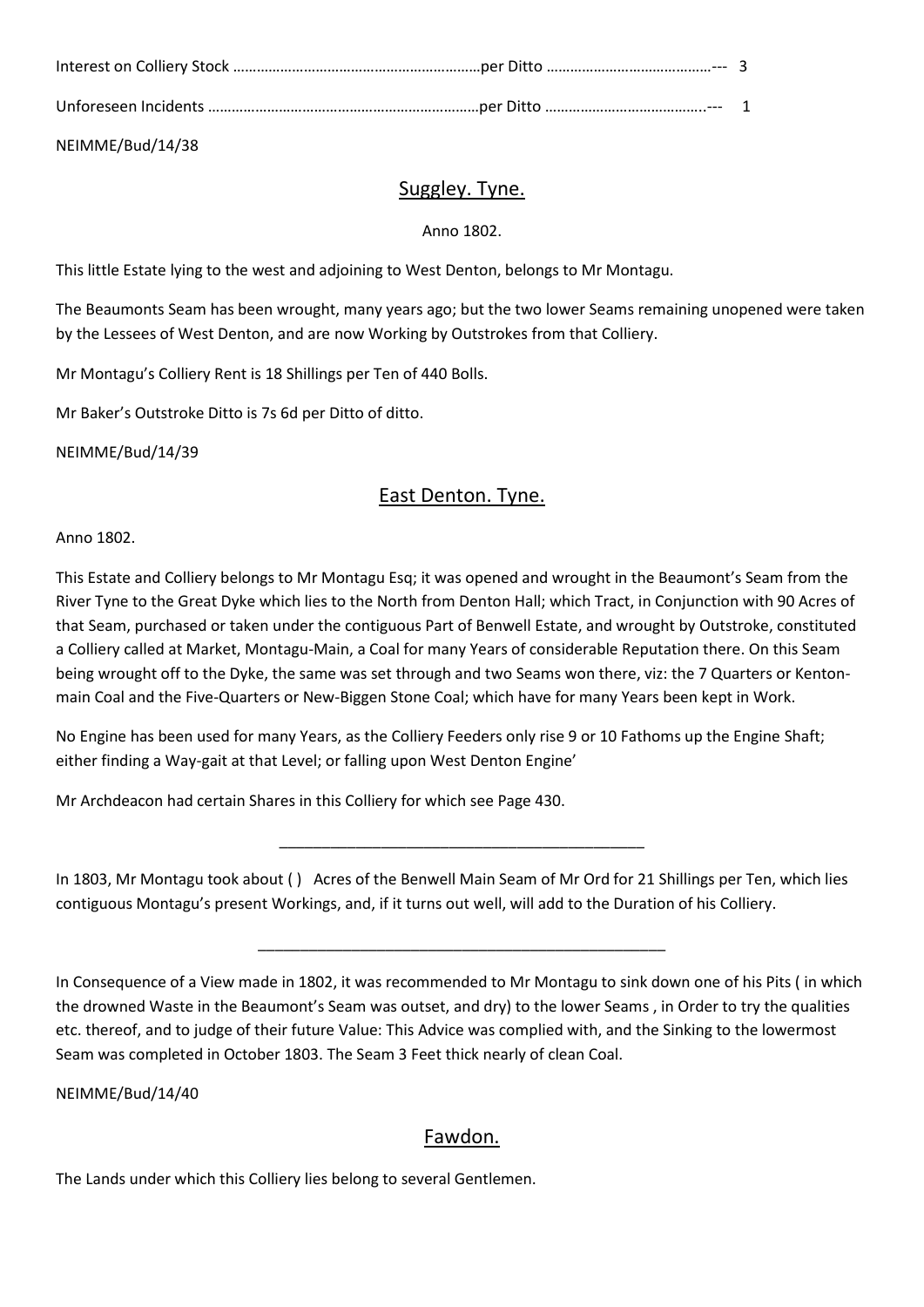NEIMME/Bud/14/38

# Suggley. Tyne.

#### Anno 1802.

This little Estate lying to the west and adjoining to West Denton, belongs to Mr Montagu.

The Beaumonts Seam has been wrought, many years ago; but the two lower Seams remaining unopened were taken by the Lessees of West Denton, and are now Working by Outstrokes from that Colliery.

Mr Montagu's Colliery Rent is 18 Shillings per Ten of 440 Bolls.

Mr Baker's Outstroke Ditto is 7s 6d per Ditto of ditto.

NEIMME/Bud/14/39

# East Denton. Tyne.

Anno 1802.

This Estate and Colliery belongs to Mr Montagu Esq; it was opened and wrought in the Beaumont's Seam from the River Tyne to the Great Dyke which lies to the North from Denton Hall; which Tract, in Conjunction with 90 Acres of that Seam, purchased or taken under the contiguous Part of Benwell Estate, and wrought by Outstroke, constituted a Colliery called at Market, Montagu-Main, a Coal for many Years of considerable Reputation there. On this Seam being wrought off to the Dyke, the same was set through and two Seams won there, viz: the 7 Quarters or Kentonmain Coal and the Five-Quarters or New-Biggen Stone Coal; which have for many Years been kept in Work.

No Engine has been used for many Years, as the Colliery Feeders only rise 9 or 10 Fathoms up the Engine Shaft; either finding a Way-gait at that Level; or falling upon West Denton Engine'

Mr Archdeacon had certain Shares in this Colliery for which see Page 430.

In 1803, Mr Montagu took about ( ) Acres of the Benwell Main Seam of Mr Ord for 21 Shillings per Ten, which lies contiguous Montagu's present Workings, and, if it turns out well, will add to the Duration of his Colliery.

\_\_\_\_\_\_\_\_\_\_\_\_\_\_\_\_\_\_\_\_\_\_\_\_\_\_\_\_\_\_\_\_\_\_\_\_\_\_\_\_\_\_\_

\_\_\_\_\_\_\_\_\_\_\_\_\_\_\_\_\_\_\_\_\_\_\_\_\_\_\_\_\_\_\_\_\_\_\_\_\_\_\_\_\_\_\_\_\_\_\_\_

NEIMME/Bud/14/40

# Fawdon.

The Lands under which this Colliery lies belong to several Gentlemen.

In Consequence of a View made in 1802, it was recommended to Mr Montagu to sink down one of his Pits ( in which the drowned Waste in the Beaumont's Seam was outset, and dry) to the lower Seams , in Order to try the qualities etc. thereof, and to judge of their future Value: This Advice was complied with, and the Sinking to the lowermost Seam was completed in October 1803. The Seam 3 Feet thick nearly of clean Coal.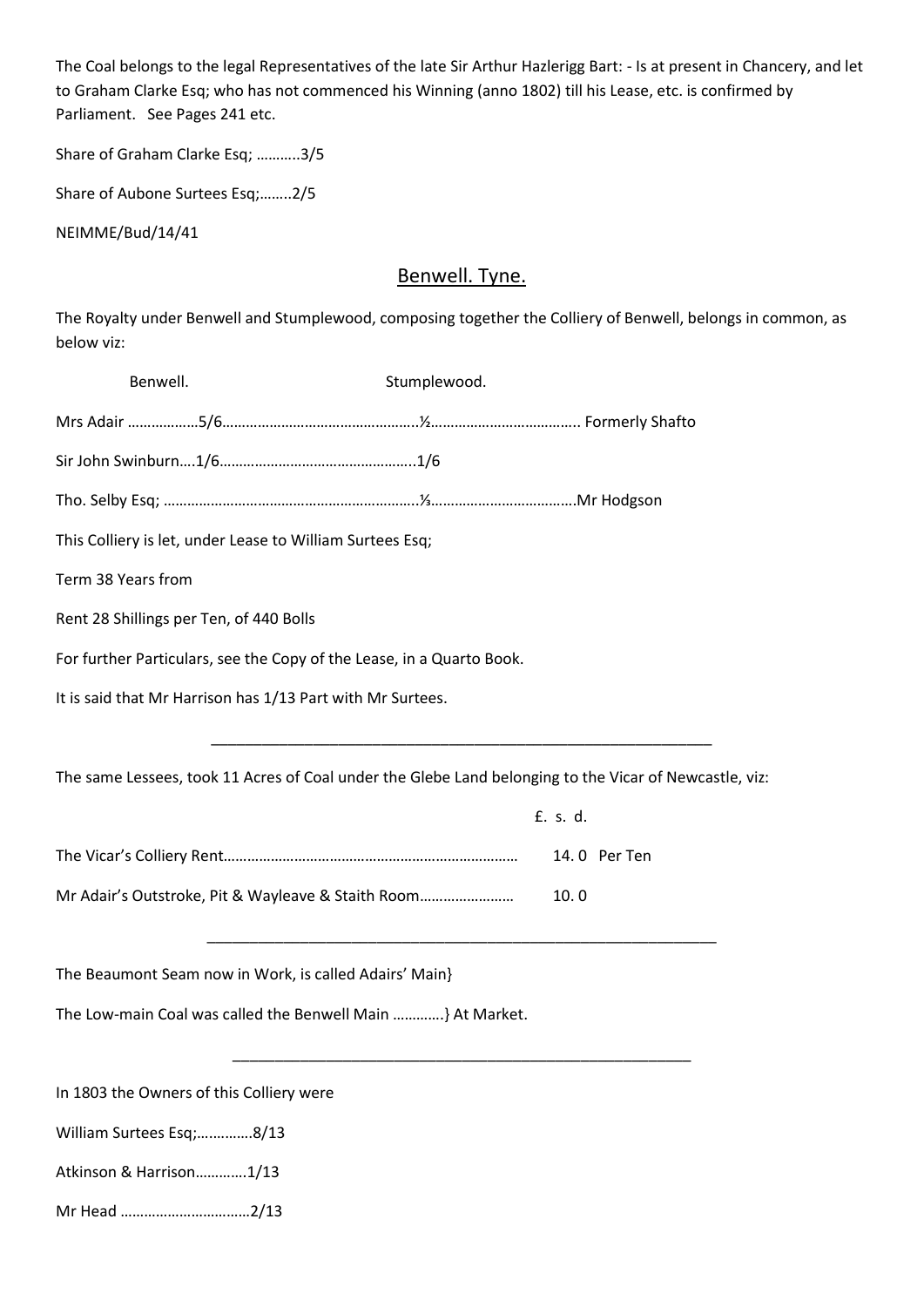The Coal belongs to the legal Representatives of the late Sir Arthur Hazlerigg Bart: - Is at present in Chancery, and let to Graham Clarke Esq; who has not commenced his Winning (anno 1802) till his Lease, etc. is confirmed by Parliament. See Pages 241 etc.

Share of Graham Clarke Esq; ………..3/5

Share of Aubone Surtees Esq;……..2/5

NEIMME/Bud/14/41

# Benwell. Tyne.

The Royalty under Benwell and Stumplewood, composing together the Colliery of Benwell, belongs in common, as below viz:

| Benwell.                                 |                                                                       | Stumplewood. |                                                                                                        |
|------------------------------------------|-----------------------------------------------------------------------|--------------|--------------------------------------------------------------------------------------------------------|
|                                          |                                                                       |              |                                                                                                        |
|                                          |                                                                       |              |                                                                                                        |
|                                          |                                                                       |              |                                                                                                        |
|                                          | This Colliery is let, under Lease to William Surtees Esq;             |              |                                                                                                        |
| Term 38 Years from                       |                                                                       |              |                                                                                                        |
| Rent 28 Shillings per Ten, of 440 Bolls  |                                                                       |              |                                                                                                        |
|                                          | For further Particulars, see the Copy of the Lease, in a Quarto Book. |              |                                                                                                        |
|                                          | It is said that Mr Harrison has 1/13 Part with Mr Surtees.            |              |                                                                                                        |
|                                          |                                                                       |              |                                                                                                        |
|                                          |                                                                       |              | The same Lessees, took 11 Acres of Coal under the Glebe Land belonging to the Vicar of Newcastle, viz: |
|                                          |                                                                       |              | £. s. d.                                                                                               |
|                                          |                                                                       |              | 14.0 Per Ten                                                                                           |
|                                          | Mr Adair's Outstroke, Pit & Wayleave & Staith Room                    |              | 10.0                                                                                                   |
|                                          |                                                                       |              |                                                                                                        |
|                                          | The Beaumont Seam now in Work, is called Adairs' Main}                |              |                                                                                                        |
|                                          | The Low-main Coal was called the Benwell Main } At Market.            |              |                                                                                                        |
|                                          |                                                                       |              |                                                                                                        |
| In 1803 the Owners of this Colliery were |                                                                       |              |                                                                                                        |
| William Surtees Esq;8/13                 |                                                                       |              |                                                                                                        |
| Atkinson & Harrison1/13                  |                                                                       |              |                                                                                                        |
| Mr Head 2/13                             |                                                                       |              |                                                                                                        |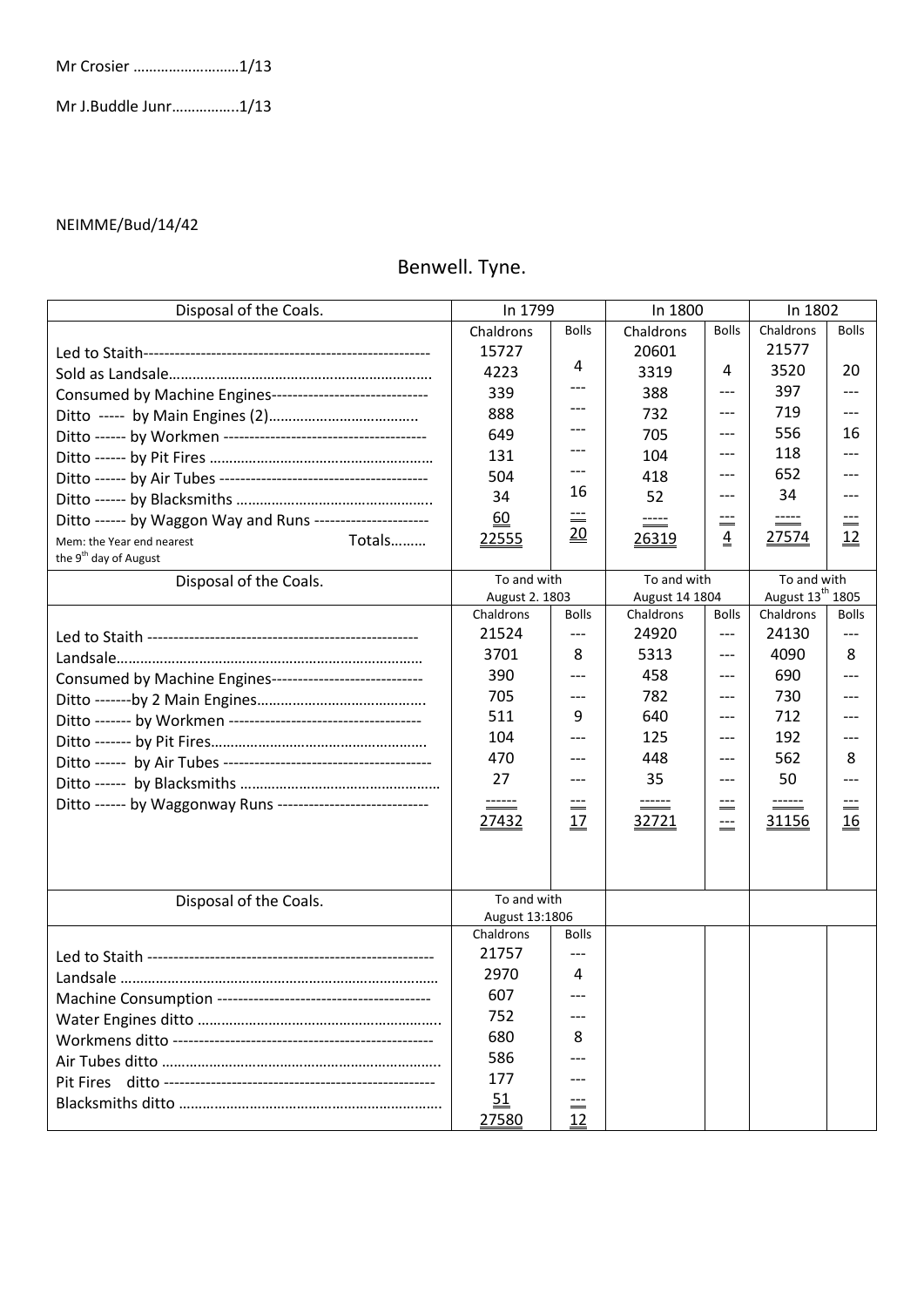Mr J.Buddle Junr……………..1/13

#### NEIMME/Bud/14/42

# Benwell. Tyne.

| Disposal of the Coals.                                      | In 1799                     |              | In 1800        |                | In 1802                      |              |
|-------------------------------------------------------------|-----------------------------|--------------|----------------|----------------|------------------------------|--------------|
|                                                             | Chaldrons                   | <b>Bolls</b> | Chaldrons      | <b>Bolls</b>   | Chaldrons                    | <b>Bolls</b> |
|                                                             | 15727                       |              | 20601          |                | 21577                        |              |
|                                                             | 4223                        | 4            | 3319           | 4              | 3520                         | 20           |
| Consumed by Machine Engines-----------------------------    | 339                         |              | 388            | $---$          | 397                          |              |
|                                                             | 888                         |              | 732            | $---$          | 719                          |              |
|                                                             | 649                         |              | 705            | $---$          | 556                          | 16           |
|                                                             | 131                         |              | 104            | $---$          | 118                          |              |
|                                                             | 504                         |              | 418            | $---$          | 652                          |              |
|                                                             | 34                          | 16           | 52             | $---$          | 34                           |              |
| Ditto ------ by Waggon Way and Runs ---------------------   | 60                          | $\equiv$     |                |                |                              |              |
| Totals<br>Mem: the Year end nearest                         | 22555                       | 20           | 26319          | $\overline{4}$ | 27574                        | <u> 12</u>   |
| the 9 <sup>th</sup> day of August                           |                             |              |                |                |                              |              |
| Disposal of the Coals.                                      | To and with                 |              | To and with    |                | To and with                  |              |
|                                                             | August 2. 1803              |              | August 14 1804 |                | August 13 <sup>th</sup> 1805 |              |
|                                                             | Chaldrons                   | <b>Bolls</b> | Chaldrons      | <b>Bolls</b>   | Chaldrons                    | <b>Bolls</b> |
|                                                             | 21524                       | $---$        | 24920          | $---$          | 24130                        | $---$        |
|                                                             | 3701                        | 8            | 5313           | ---            | 4090                         | 8            |
| Consumed by Machine Engines----------------------------     | 390                         | $---$        | 458            | $---$          | 690                          |              |
|                                                             | 705                         | $---$        | 782            | $---$          | 730                          |              |
|                                                             | 511                         | 9            | 640            | $---$          | 712                          |              |
|                                                             | 104                         |              | 125            | ---            | 192                          |              |
|                                                             | 470                         | $---$        | 448            | $---$          | 562                          | 8            |
|                                                             | 27                          | $---$        | 35             | $---$          | 50                           |              |
| Ditto ------ by Waggonway Runs ---------------------------- | $\equiv$                    | $\equiv$     |                | $---$<br>$=$   |                              |              |
|                                                             | 27432                       | 17           | 32721          | $---$          | 31156                        | 16           |
|                                                             |                             |              |                |                |                              |              |
|                                                             |                             |              |                |                |                              |              |
|                                                             |                             |              |                |                |                              |              |
| Disposal of the Coals.                                      | To and with                 |              |                |                |                              |              |
|                                                             | August 13:1806<br>Chaldrons | <b>Bolls</b> |                |                |                              |              |
|                                                             | 21757                       |              |                |                |                              |              |
|                                                             | 2970                        | 4            |                |                |                              |              |
|                                                             | 607                         |              |                |                |                              |              |
|                                                             | 752                         |              |                |                |                              |              |
|                                                             | 680                         | 8            |                |                |                              |              |
|                                                             | 586                         |              |                |                |                              |              |
|                                                             | 177                         |              |                |                |                              |              |
|                                                             |                             |              |                |                |                              |              |
|                                                             | <u>51</u>                   | $\equiv$     |                |                |                              |              |
|                                                             | 27580                       | 12           |                |                |                              |              |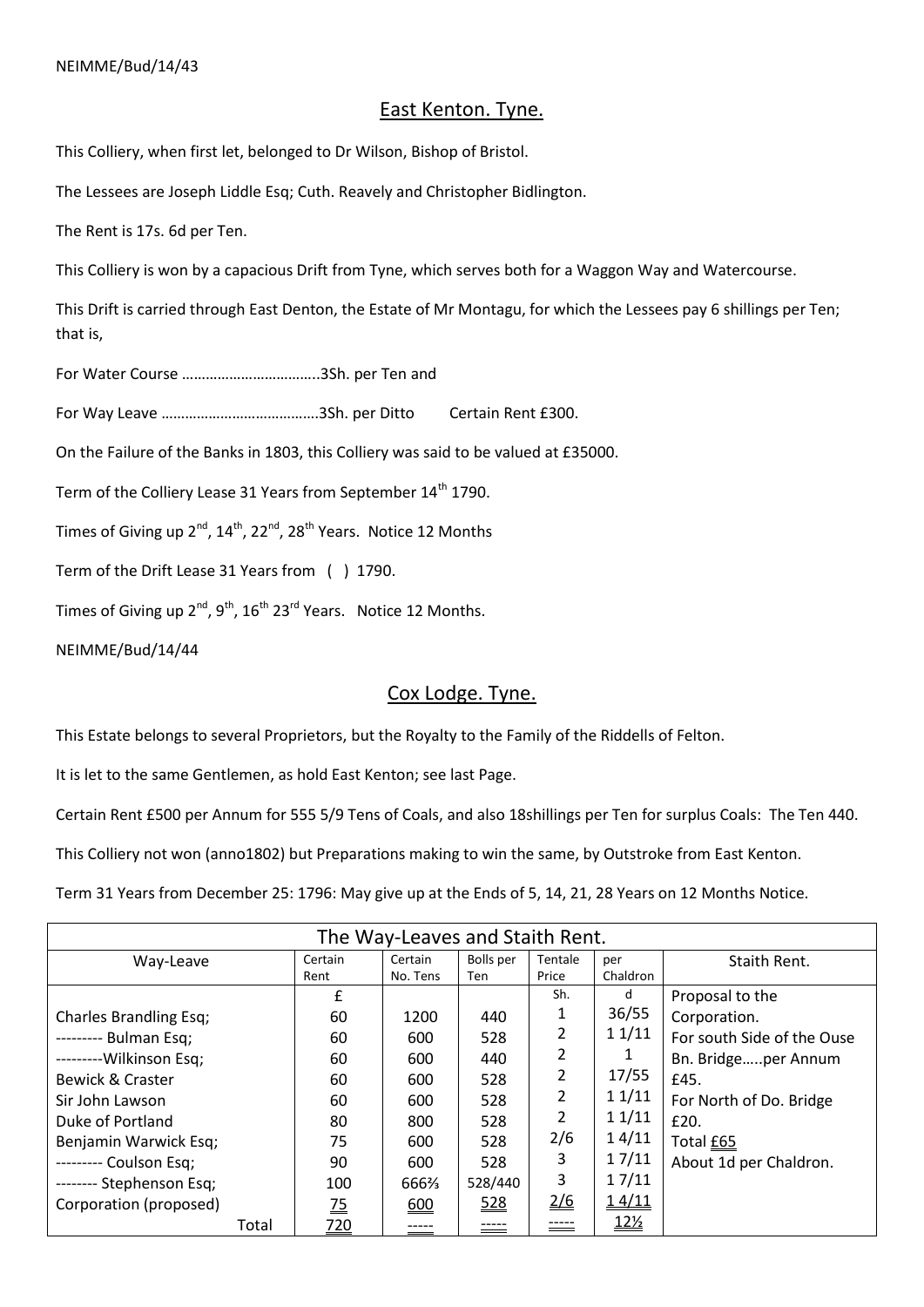### East Kenton. Tyne.

This Colliery, when first let, belonged to Dr Wilson, Bishop of Bristol.

The Lessees are Joseph Liddle Esq; Cuth. Reavely and Christopher Bidlington.

The Rent is 17s. 6d per Ten.

This Colliery is won by a capacious Drift from Tyne, which serves both for a Waggon Way and Watercourse.

This Drift is carried through East Denton, the Estate of Mr Montagu, for which the Lessees pay 6 shillings per Ten; that is,

For Water Course ……………………………..3Sh. per Ten and

For Way Leave ………………………………….3Sh. per Ditto Certain Rent £300.

On the Failure of the Banks in 1803, this Colliery was said to be valued at £35000.

Term of the Colliery Lease 31 Years from September 14<sup>th</sup> 1790.

Times of Giving up  $2^{nd}$ ,  $14^{th}$ ,  $22^{nd}$ ,  $28^{th}$  Years. Notice 12 Months

Term of the Drift Lease 31 Years from ( ) 1790.

Times of Giving up  $2^{nd}$ ,  $9^{th}$ ,  $16^{th}$   $23^{rd}$  Years. Notice 12 Months.

NEIMME/Bud/14/44

#### Cox Lodge. Tyne.

This Estate belongs to several Proprietors, but the Royalty to the Family of the Riddells of Felton.

It is let to the same Gentlemen, as hold East Kenton; see last Page.

Certain Rent £500 per Annum for 555 5/9 Tens of Coals, and also 18shillings per Ten for surplus Coals: The Ten 440.

This Colliery not won (anno1802) but Preparations making to win the same, by Outstroke from East Kenton.

Term 31 Years from December 25: 1796: May give up at the Ends of 5, 14, 21, 28 Years on 12 Months Notice.

| The Way-Leaves and Staith Rent. |                |          |           |               |            |                            |  |  |
|---------------------------------|----------------|----------|-----------|---------------|------------|----------------------------|--|--|
| Way-Leave                       | Certain        | Certain  | Bolls per | Tentale       | per        | Staith Rent.               |  |  |
|                                 | Rent           | No. Tens | Ten       | Price         | Chaldron   |                            |  |  |
|                                 | £              |          |           | Sh.           | d          | Proposal to the            |  |  |
| <b>Charles Brandling Esq;</b>   | 60             | 1200     | 440       | 1             | 36/55      | Corporation.               |  |  |
| --------- Bulman Esq;           | 60             | 600      | 528       | 2             | 11/11      | For south Side of the Ouse |  |  |
| ---------Wilkinson Esq;         | 60             | 600      | 440       | 2             |            | Bn. Bridgeper Annum        |  |  |
| Bewick & Craster                | 60             | 600      | 528       | 2             | 17/55      | £45.                       |  |  |
| Sir John Lawson                 | 60             | 600      | 528       | 2             | 11/11      | For North of Do. Bridge    |  |  |
| Duke of Portland                | 80             | 800      | 528       | 2             | 11/11      | £20.                       |  |  |
| Benjamin Warwick Esq;           | 75             | 600      | 528       | 2/6           | 14/11      | Total £65                  |  |  |
| --------- Coulson Esq;          | 90             | 600      | 528       | 3             | 17/11      | About 1d per Chaldron.     |  |  |
| -------- Stephenson Esq;        | 100            | 666%     | 528/440   | 3             | 17/11      |                            |  |  |
| Corporation (proposed)          | $\frac{75}{2}$ | 600      | 528       | $\frac{2}{6}$ | 14/11      |                            |  |  |
| Total                           | <u>720</u>     |          |           | -----         | <u>12½</u> |                            |  |  |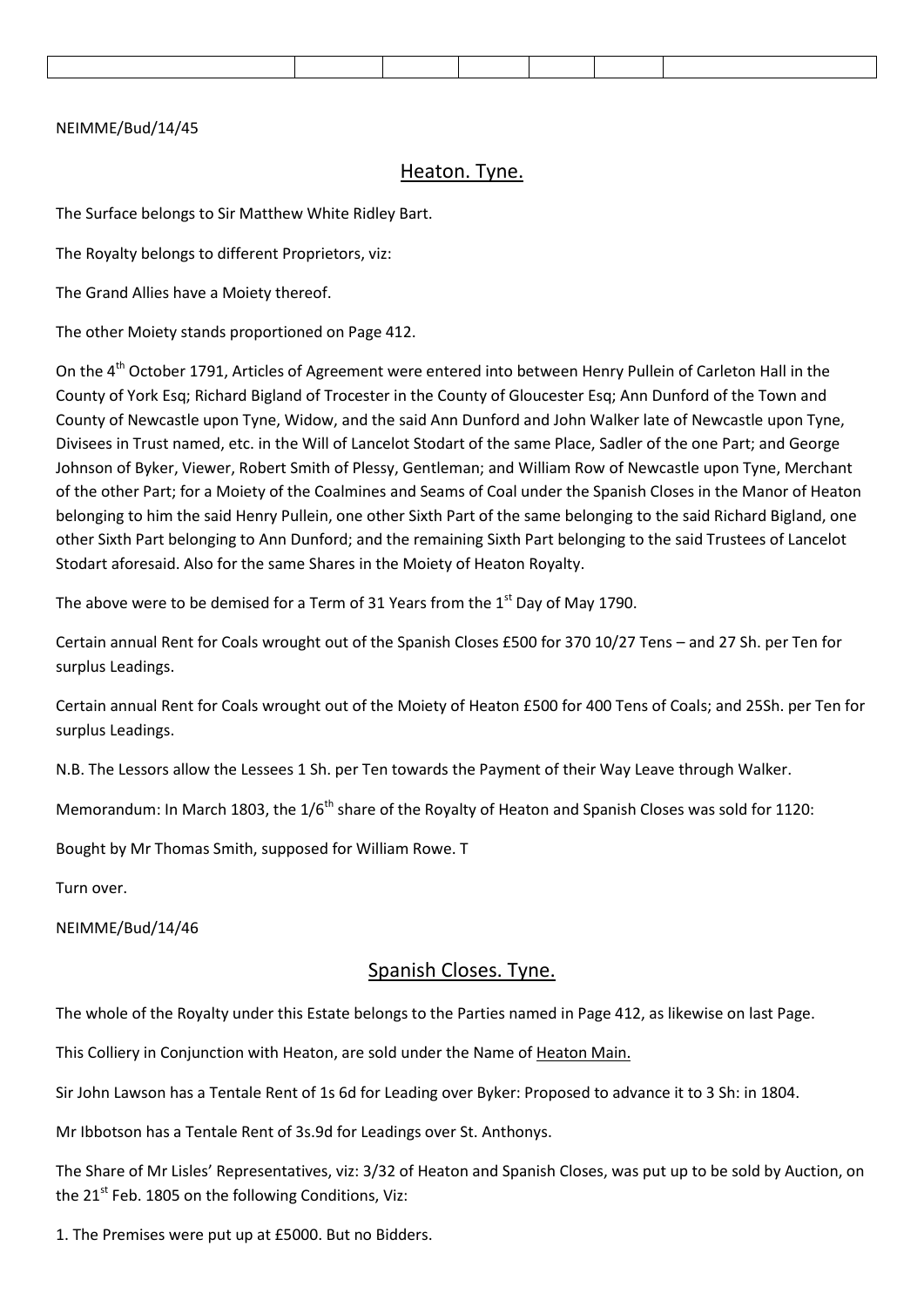#### NEIMME/Bud/14/45

#### Heaton. Tyne.

The Surface belongs to Sir Matthew White Ridley Bart.

The Royalty belongs to different Proprietors, viz:

The Grand Allies have a Moiety thereof.

The other Moiety stands proportioned on Page 412.

On the 4<sup>th</sup> October 1791, Articles of Agreement were entered into between Henry Pullein of Carleton Hall in the County of York Esq; Richard Bigland of Trocester in the County of Gloucester Esq; Ann Dunford of the Town and County of Newcastle upon Tyne, Widow, and the said Ann Dunford and John Walker late of Newcastle upon Tyne, Divisees in Trust named, etc. in the Will of Lancelot Stodart of the same Place, Sadler of the one Part; and George Johnson of Byker, Viewer, Robert Smith of Plessy, Gentleman; and William Row of Newcastle upon Tyne, Merchant of the other Part; for a Moiety of the Coalmines and Seams of Coal under the Spanish Closes in the Manor of Heaton belonging to him the said Henry Pullein, one other Sixth Part of the same belonging to the said Richard Bigland, one other Sixth Part belonging to Ann Dunford; and the remaining Sixth Part belonging to the said Trustees of Lancelot Stodart aforesaid. Also for the same Shares in the Moiety of Heaton Royalty.

The above were to be demised for a Term of 31 Years from the  $1<sup>st</sup>$  Day of May 1790.

Certain annual Rent for Coals wrought out of the Spanish Closes £500 for 370 10/27 Tens – and 27 Sh. per Ten for surplus Leadings.

Certain annual Rent for Coals wrought out of the Moiety of Heaton £500 for 400 Tens of Coals; and 25Sh. per Ten for surplus Leadings.

N.B. The Lessors allow the Lessees 1 Sh. per Ten towards the Payment of their Way Leave through Walker.

Memorandum: In March 1803, the 1/6<sup>th</sup> share of the Royalty of Heaton and Spanish Closes was sold for 1120:

Bought by Mr Thomas Smith, supposed for William Rowe. T

Turn over.

NEIMME/Bud/14/46

#### Spanish Closes. Tyne.

The whole of the Royalty under this Estate belongs to the Parties named in Page 412, as likewise on last Page.

This Colliery in Conjunction with Heaton, are sold under the Name of Heaton Main.

Sir John Lawson has a Tentale Rent of 1s 6d for Leading over Byker: Proposed to advance it to 3 Sh: in 1804.

Mr Ibbotson has a Tentale Rent of 3s.9d for Leadings over St. Anthonys.

The Share of Mr Lisles' Representatives, viz: 3/32 of Heaton and Spanish Closes, was put up to be sold by Auction, on the  $21^{st}$  Feb. 1805 on the following Conditions, Viz:

1. The Premises were put up at £5000. But no Bidders.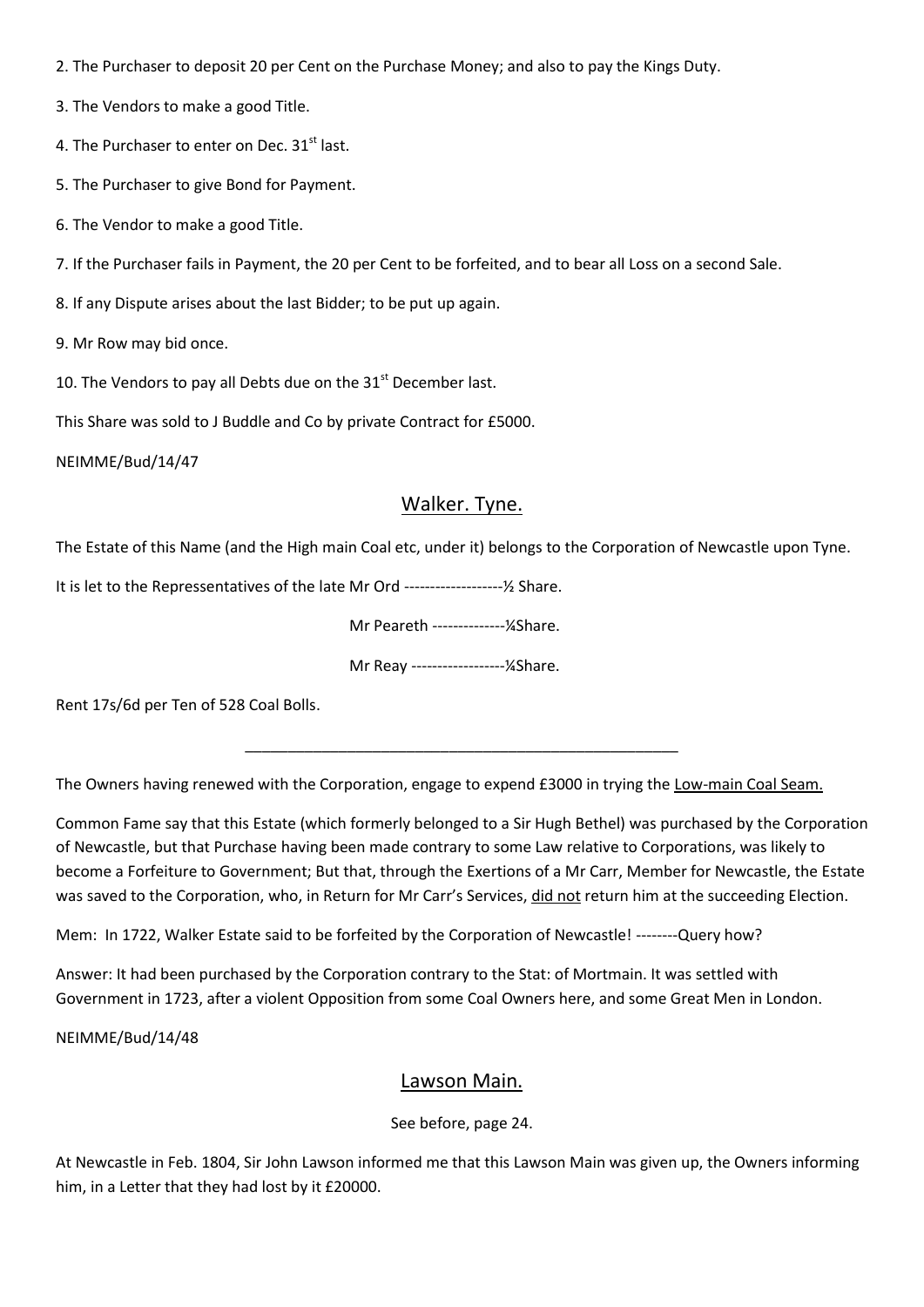2. The Purchaser to deposit 20 per Cent on the Purchase Money; and also to pay the Kings Duty.

3. The Vendors to make a good Title.

4. The Purchaser to enter on Dec. 31<sup>st</sup> last.

5. The Purchaser to give Bond for Payment.

6. The Vendor to make a good Title.

7. If the Purchaser fails in Payment, the 20 per Cent to be forfeited, and to bear all Loss on a second Sale.

8. If any Dispute arises about the last Bidder; to be put up again.

9. Mr Row may bid once.

10. The Vendors to pay all Debts due on the  $31<sup>st</sup>$  December last.

This Share was sold to J Buddle and Co by private Contract for £5000.

NEIMME/Bud/14/47

### Walker. Tyne.

The Estate of this Name (and the High main Coal etc, under it) belongs to the Corporation of Newcastle upon Tyne.

It is let to the Repressentatives of the late Mr Ord -------------------½ Share.

Mr Peareth --------------¼Share.

Mr Reay ------------------¼Share.

\_\_\_\_\_\_\_\_\_\_\_\_\_\_\_\_\_\_\_\_\_\_\_\_\_\_\_\_\_\_\_\_\_\_\_\_\_\_\_\_\_\_\_\_\_\_\_\_\_\_\_

Rent 17s/6d per Ten of 528 Coal Bolls.

The Owners having renewed with the Corporation, engage to expend £3000 in trying the Low-main Coal Seam.

Common Fame say that this Estate (which formerly belonged to a Sir Hugh Bethel) was purchased by the Corporation of Newcastle, but that Purchase having been made contrary to some Law relative to Corporations, was likely to become a Forfeiture to Government; But that, through the Exertions of a Mr Carr, Member for Newcastle, the Estate was saved to the Corporation, who, in Return for Mr Carr's Services, did not return him at the succeeding Election.

Mem: In 1722, Walker Estate said to be forfeited by the Corporation of Newcastle! --------Query how?

Answer: It had been purchased by the Corporation contrary to the Stat: of Mortmain. It was settled with Government in 1723, after a violent Opposition from some Coal Owners here, and some Great Men in London.

NEIMME/Bud/14/48

#### Lawson Main.

See before, page 24.

At Newcastle in Feb. 1804, Sir John Lawson informed me that this Lawson Main was given up, the Owners informing him, in a Letter that they had lost by it £20000.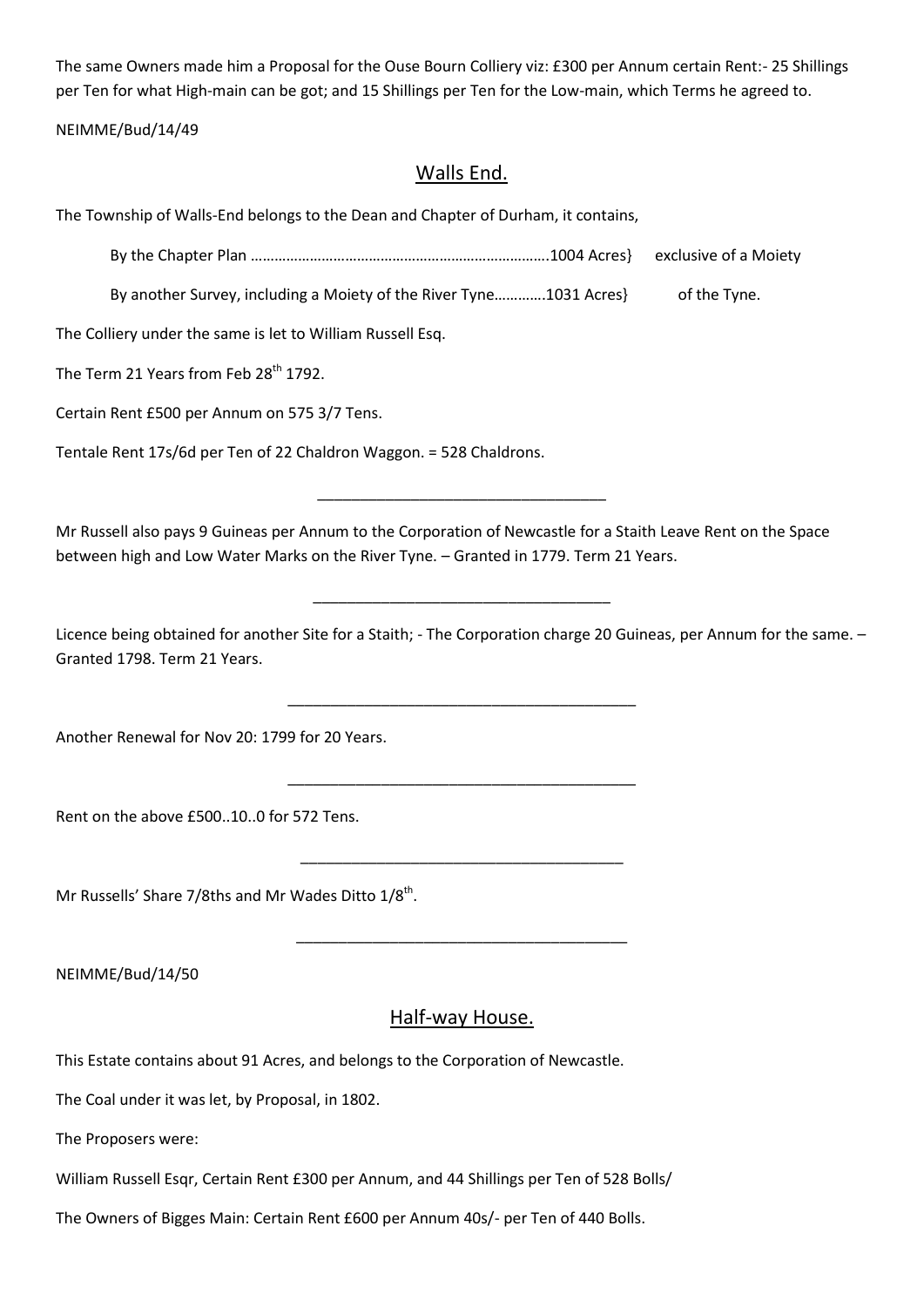The same Owners made him a Proposal for the Ouse Bourn Colliery viz: £300 per Annum certain Rent:- 25 Shillings per Ten for what High-main can be got; and 15 Shillings per Ten for the Low-main, which Terms he agreed to.

NEIMME/Bud/14/49

### Walls End.

The Township of Walls-End belongs to the Dean and Chapter of Durham, it contains,

By the Chapter Plan ………………………………………………………………….1004 Acres} exclusive of a Moiety

By another Survey, including a Moiety of the River Tyne.............1031 Acres} of the Tyne.

The Colliery under the same is let to William Russell Esq.

The Term 21 Years from Feb 28<sup>th</sup> 1792.

Certain Rent £500 per Annum on 575 3/7 Tens.

Tentale Rent 17s/6d per Ten of 22 Chaldron Waggon. = 528 Chaldrons.

Mr Russell also pays 9 Guineas per Annum to the Corporation of Newcastle for a Staith Leave Rent on the Space between high and Low Water Marks on the River Tyne. – Granted in 1779. Term 21 Years.

\_\_\_\_\_\_\_\_\_\_\_\_\_\_\_\_\_\_\_\_\_\_\_\_\_\_\_\_\_\_\_\_\_\_

Licence being obtained for another Site for a Staith; - The Corporation charge 20 Guineas, per Annum for the same. – Granted 1798. Term 21 Years.

\_\_\_\_\_\_\_\_\_\_\_\_\_\_\_\_\_\_\_\_\_\_\_\_\_\_\_\_\_\_\_\_\_\_\_\_\_\_\_\_\_

\_\_\_\_\_\_\_\_\_\_\_\_\_\_\_\_\_\_\_\_\_\_\_\_\_\_\_\_\_\_\_\_\_\_\_\_\_\_\_\_\_

\_\_\_\_\_\_\_\_\_\_\_\_\_\_\_\_\_\_\_\_\_\_\_\_\_\_\_\_\_\_\_\_\_\_\_\_\_\_

\_\_\_\_\_\_\_\_\_\_\_\_\_\_\_\_\_\_\_\_\_\_\_\_\_\_\_\_\_\_\_\_\_\_\_\_\_\_\_

\_\_\_\_\_\_\_\_\_\_\_\_\_\_\_\_\_\_\_\_\_\_\_\_\_\_\_\_\_\_\_\_\_\_\_

Another Renewal for Nov 20: 1799 for 20 Years.

Rent on the above £500..10..0 for 572 Tens.

Mr Russells' Share 7/8ths and Mr Wades Ditto 1/8<sup>th</sup>.

NEIMME/Bud/14/50

#### Half-way House.

This Estate contains about 91 Acres, and belongs to the Corporation of Newcastle.

The Coal under it was let, by Proposal, in 1802.

The Proposers were:

William Russell Esqr, Certain Rent £300 per Annum, and 44 Shillings per Ten of 528 Bolls/

The Owners of Bigges Main: Certain Rent £600 per Annum 40s/- per Ten of 440 Bolls.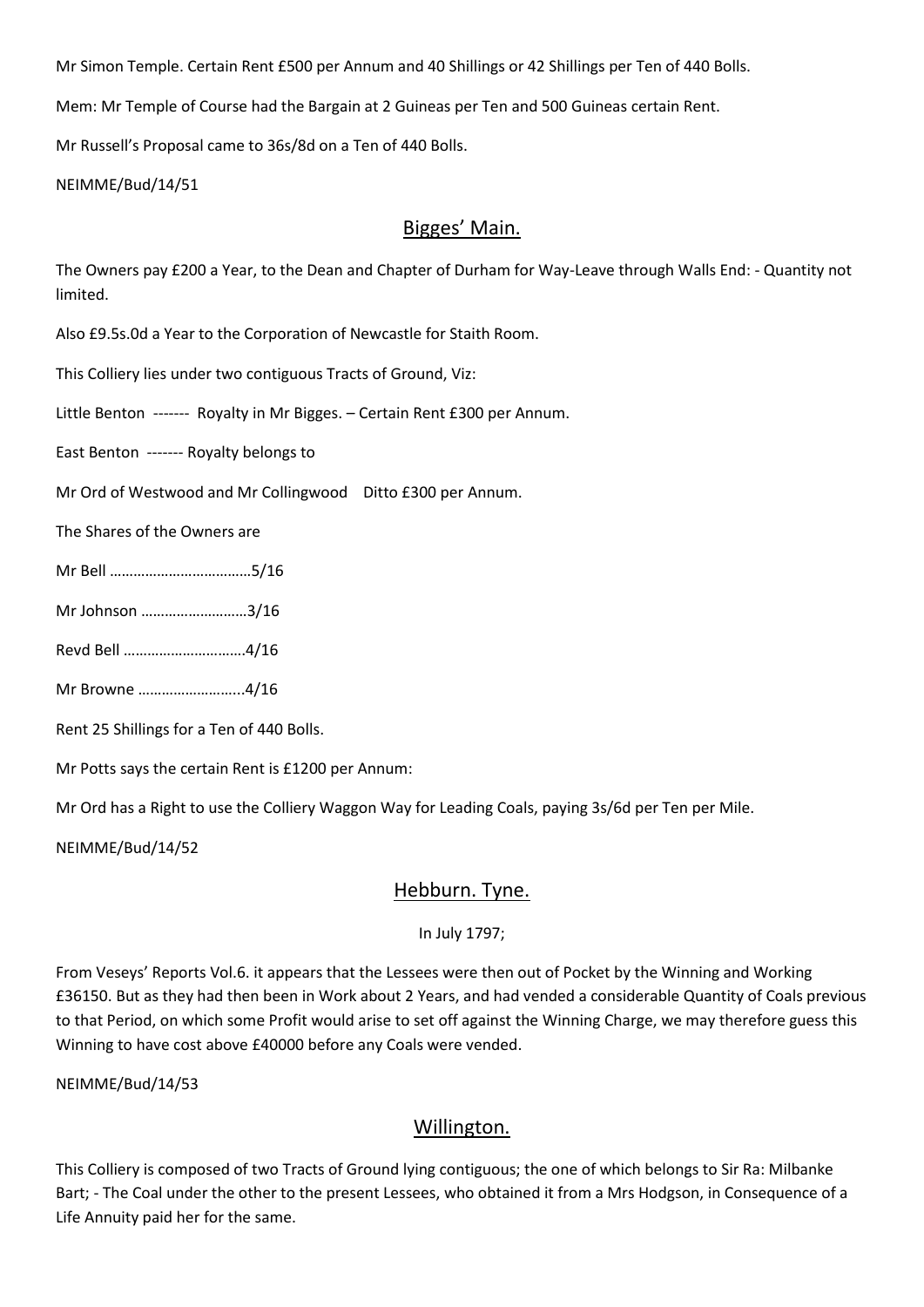Mr Simon Temple. Certain Rent £500 per Annum and 40 Shillings or 42 Shillings per Ten of 440 Bolls.

Mem: Mr Temple of Course had the Bargain at 2 Guineas per Ten and 500 Guineas certain Rent.

Mr Russell's Proposal came to 36s/8d on a Ten of 440 Bolls.

NEIMME/Bud/14/51

#### Bigges' Main.

The Owners pay £200 a Year, to the Dean and Chapter of Durham for Way-Leave through Walls End: - Quantity not limited.

Also £9.5s.0d a Year to the Corporation of Newcastle for Staith Room.

This Colliery lies under two contiguous Tracts of Ground, Viz:

Little Benton ------- Royalty in Mr Bigges. – Certain Rent £300 per Annum.

East Benton ------- Royalty belongs to

Mr Ord of Westwood and Mr Collingwood Ditto £300 per Annum.

The Shares of the Owners are

- Mr Bell ………………………………5/16
- Mr Johnson ………………………3/16
- Revd Bell ………………………….4/16
- Mr Browne ……………………...4/16

Rent 25 Shillings for a Ten of 440 Bolls.

Mr Potts says the certain Rent is £1200 per Annum:

Mr Ord has a Right to use the Colliery Waggon Way for Leading Coals, paying 3s/6d per Ten per Mile.

NEIMME/Bud/14/52

#### Hebburn. Tyne.

#### In July 1797;

From Veseys' Reports Vol.6. it appears that the Lessees were then out of Pocket by the Winning and Working £36150. But as they had then been in Work about 2 Years, and had vended a considerable Quantity of Coals previous to that Period, on which some Profit would arise to set off against the Winning Charge, we may therefore guess this Winning to have cost above £40000 before any Coals were vended.

NEIMME/Bud/14/53

# Willington.

This Colliery is composed of two Tracts of Ground lying contiguous; the one of which belongs to Sir Ra: Milbanke Bart; - The Coal under the other to the present Lessees, who obtained it from a Mrs Hodgson, in Consequence of a Life Annuity paid her for the same.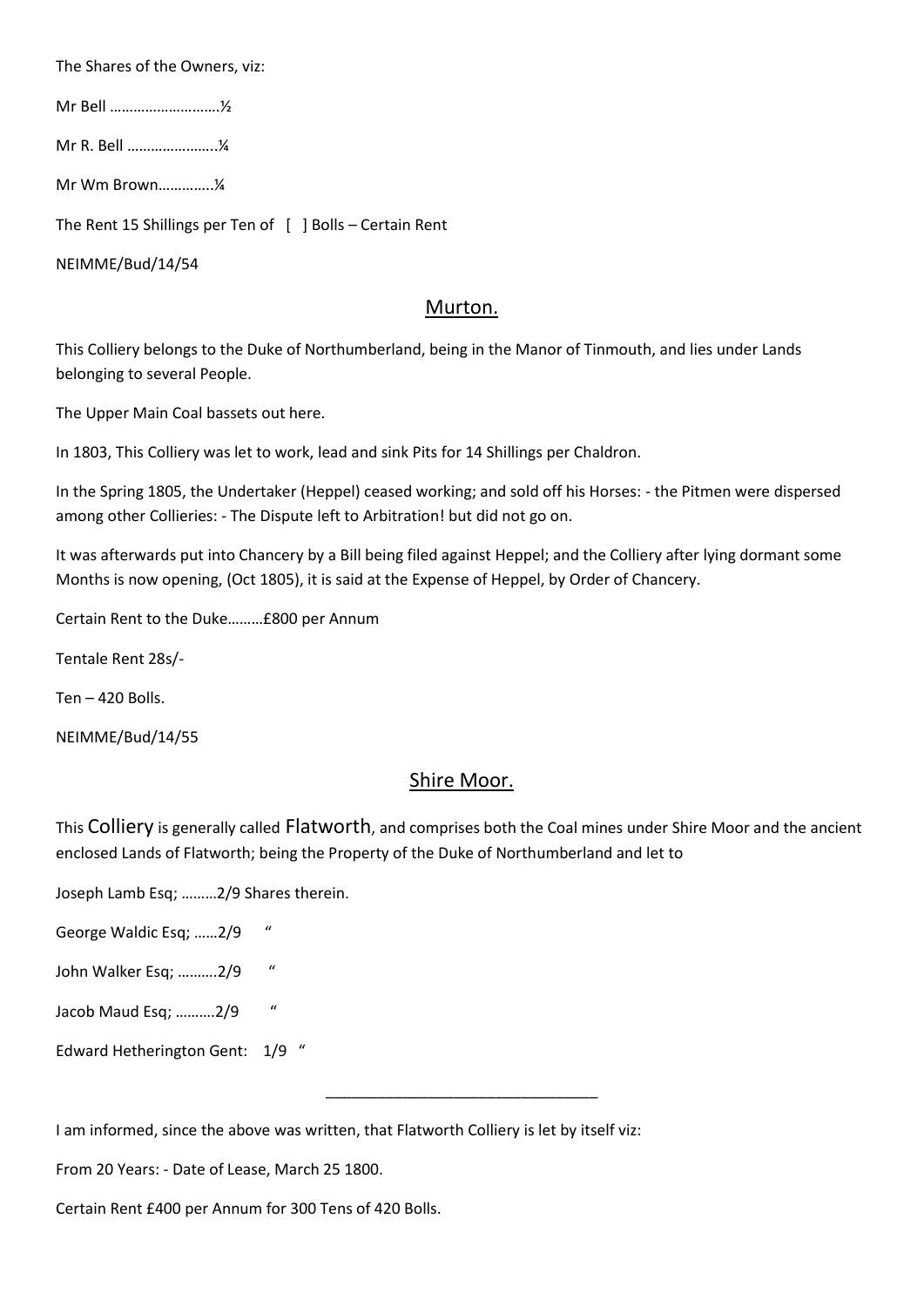The Shares of the Owners, viz:

Mr Bell ……………………….½

Mr R. Bell …………………..¼

Mr Wm Brown…………..¼

The Rent 15 Shillings per Ten of [ ] Bolls – Certain Rent

NEIMME/Bud/14/54

#### Murton.

This Colliery belongs to the Duke of Northumberland, being in the Manor of Tinmouth, and lies under Lands belonging to several People.

The Upper Main Coal bassets out here.

In 1803, This Colliery was let to work, lead and sink Pits for 14 Shillings per Chaldron.

In the Spring 1805, the Undertaker (Heppel) ceased working; and sold off his Horses: - the Pitmen were dispersed among other Collieries: - The Dispute left to Arbitration! but did not go on.

It was afterwards put into Chancery by a Bill being filed against Heppel; and the Colliery after lying dormant some Months is now opening, (Oct 1805), it is said at the Expense of Heppel, by Order of Chancery.

Certain Rent to the Duke………£800 per Annum

Tentale Rent 28s/-

Ten – 420 Bolls.

NEIMME/Bud/14/55

#### Shire Moor.

This Colliery is generally called Flatworth, and comprises both the Coal mines under Shire Moor and the ancient enclosed Lands of Flatworth; being the Property of the Duke of Northumberland and let to

\_\_\_\_\_\_\_\_\_\_\_\_\_\_\_\_\_\_\_\_\_\_\_\_\_\_\_\_\_\_\_\_

Joseph Lamb Esq; ………2/9 Shares therein.

George Waldic Esq; ……2/9 "

John Walker Esq; ..........2/9 "

Jacob Maud Esq; ……….2/9 "

Edward Hetherington Gent: 1/9 "

I am informed, since the above was written, that Flatworth Colliery is let by itself viz:

From 20 Years: - Date of Lease, March 25 1800.

Certain Rent £400 per Annum for 300 Tens of 420 Bolls.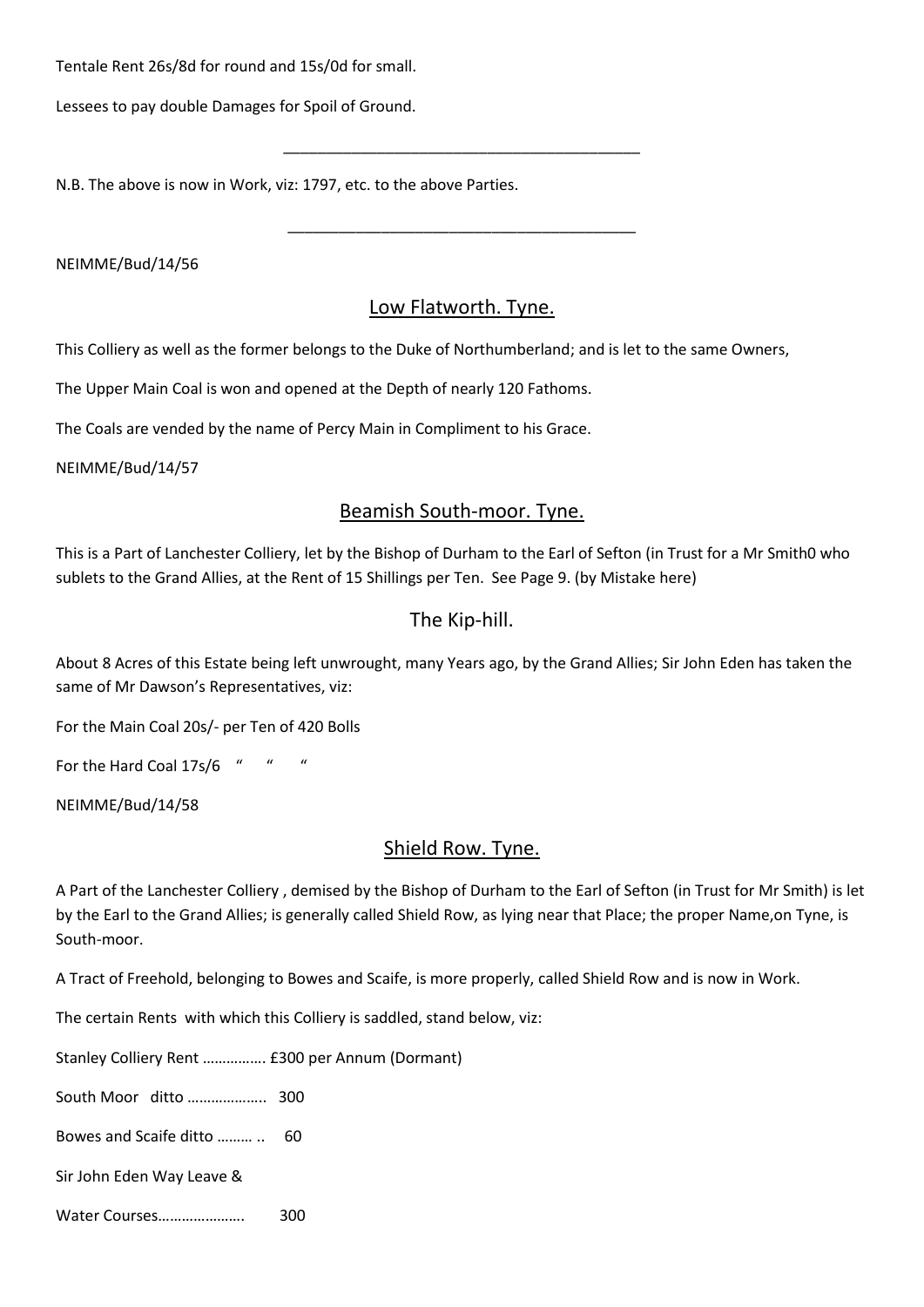Tentale Rent 26s/8d for round and 15s/0d for small.

Lessees to pay double Damages for Spoil of Ground.

N.B. The above is now in Work, viz: 1797, etc. to the above Parties.

NEIMME/Bud/14/56

# Low Flatworth. Tyne.

\_\_\_\_\_\_\_\_\_\_\_\_\_\_\_\_\_\_\_\_\_\_\_\_\_\_\_\_\_\_\_\_\_\_\_\_\_\_\_\_\_\_

\_\_\_\_\_\_\_\_\_\_\_\_\_\_\_\_\_\_\_\_\_\_\_\_\_\_\_\_\_\_\_\_\_\_\_\_\_\_\_\_\_

This Colliery as well as the former belongs to the Duke of Northumberland; and is let to the same Owners,

The Upper Main Coal is won and opened at the Depth of nearly 120 Fathoms.

The Coals are vended by the name of Percy Main in Compliment to his Grace.

NEIMME/Bud/14/57

#### Beamish South-moor. Tyne.

This is a Part of Lanchester Colliery, let by the Bishop of Durham to the Earl of Sefton (in Trust for a Mr Smith0 who sublets to the Grand Allies, at the Rent of 15 Shillings per Ten. See Page 9. (by Mistake here)

### The Kip-hill.

About 8 Acres of this Estate being left unwrought, many Years ago, by the Grand Allies; Sir John Eden has taken the same of Mr Dawson's Representatives, viz:

For the Main Coal 20s/- per Ten of 420 Bolls

For the Hard Coal 17s/6 " " "

NEIMME/Bud/14/58

#### Shield Row. Tyne.

A Part of the Lanchester Colliery , demised by the Bishop of Durham to the Earl of Sefton (in Trust for Mr Smith) is let by the Earl to the Grand Allies; is generally called Shield Row, as lying near that Place; the proper Name,on Tyne, is South-moor.

A Tract of Freehold, belonging to Bowes and Scaife, is more properly, called Shield Row and is now in Work.

The certain Rents with which this Colliery is saddled, stand below, viz:

Stanley Colliery Rent ……………. £300 per Annum (Dormant)

South Moor ditto ……………….. 300

Bowes and Scaife ditto ……… .. 60

Sir John Eden Way Leave &

Water Courses…………………. 300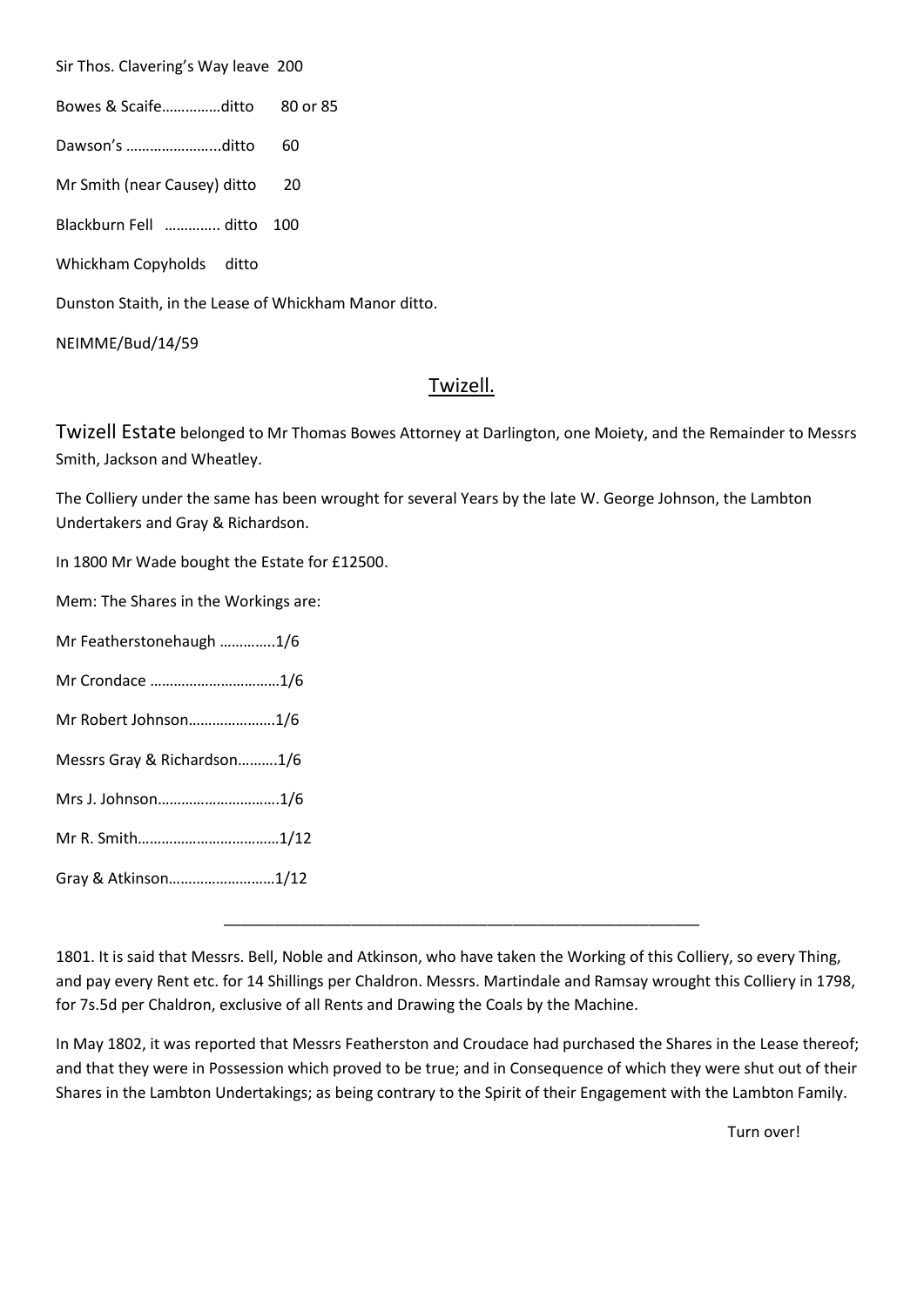Sir Thos. Clavering's Way leave 200

- Bowes & Scaife……………ditto 80 or 85
- Dawson's …………………...ditto 60
- Mr Smith (near Causey) ditto 20
- Blackburn Fell ………….. ditto 100
- Whickham Copyholds ditto

Dunston Staith, in the Lease of Whickham Manor ditto.

NEIMME/Bud/14/59

# Twizell.

Twizell Estate belonged to Mr Thomas Bowes Attorney at Darlington, one Moiety, and the Remainder to Messrs Smith, Jackson and Wheatley.

The Colliery under the same has been wrought for several Years by the late W. George Johnson, the Lambton Undertakers and Gray & Richardson.

In 1800 Mr Wade bought the Estate for £12500.

Mem: The Shares in the Workings are:

- Mr Featherstonehaugh …………..1/6
- Mr Crondace ……………………………1/6
- Mr Robert Johnson………………….1/6
- Messrs Gray & Richardson……….1/6
- Mrs J. Johnson………………………….1/6
- Mr R. Smith………………………………1/12

Gray & Atkinson………………………1/12

\_\_\_\_\_\_\_\_\_\_\_\_\_\_\_\_\_\_\_\_\_\_\_\_\_\_\_\_\_\_\_\_\_\_\_\_\_\_\_\_\_\_\_\_\_\_\_\_\_\_\_\_\_\_\_\_

In May 1802, it was reported that Messrs Featherston and Croudace had purchased the Shares in the Lease thereof; and that they were in Possession which proved to be true; and in Consequence of which they were shut out of their Shares in the Lambton Undertakings; as being contrary to the Spirit of their Engagement with the Lambton Family.

<sup>1801.</sup> It is said that Messrs. Bell, Noble and Atkinson, who have taken the Working of this Colliery, so every Thing, and pay every Rent etc. for 14 Shillings per Chaldron. Messrs. Martindale and Ramsay wrought this Colliery in 1798, for 7s.5d per Chaldron, exclusive of all Rents and Drawing the Coals by the Machine.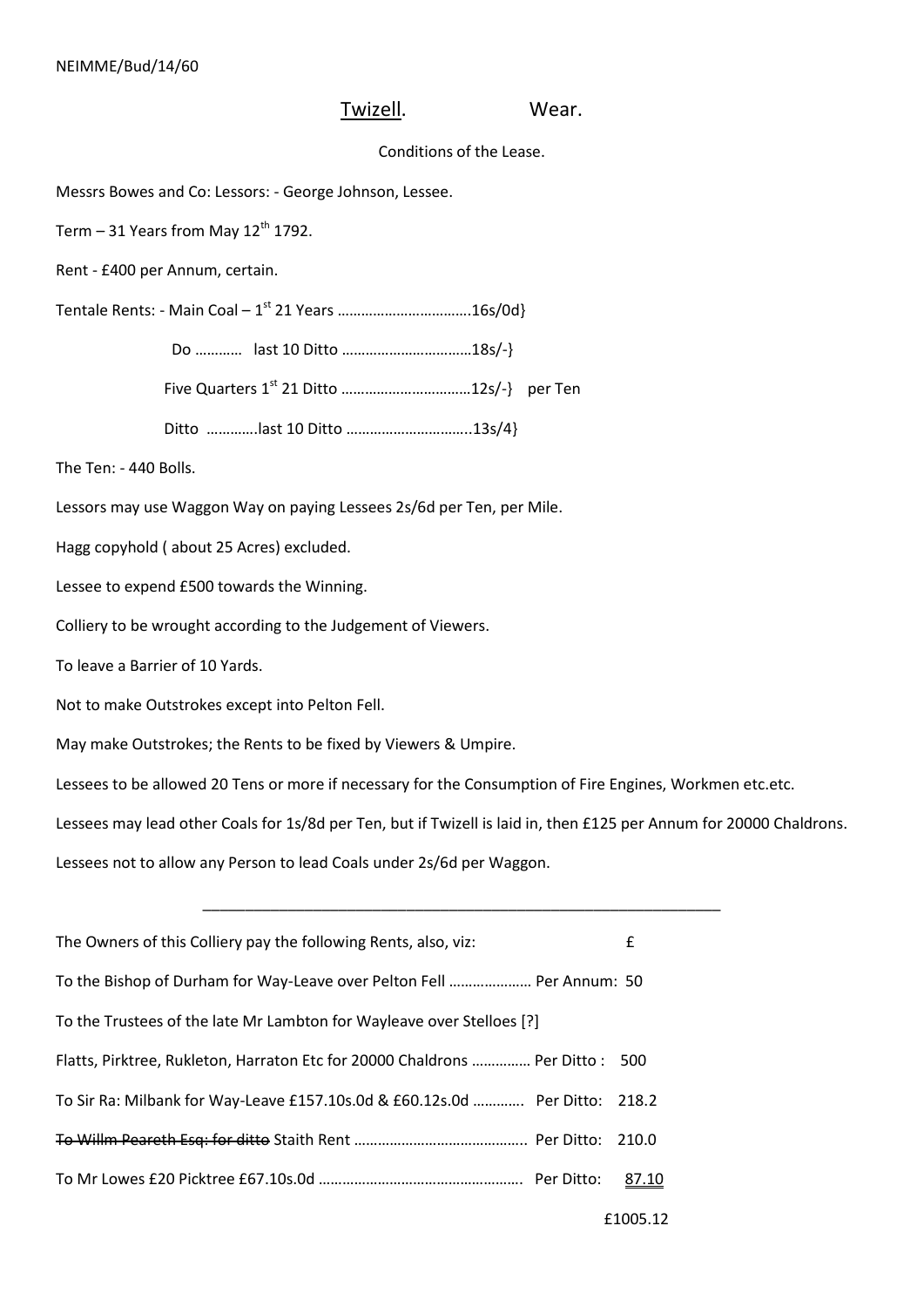# Twizell. Wear.

#### Conditions of the Lease.

Messrs Bowes and Co: Lessors: - George Johnson, Lessee.

Term  $-31$  Years from May  $12<sup>th</sup>$  1792.

Rent - £400 per Annum, certain.

Tentale Rents: - Main Coal – 1<sup>st</sup> 21 Years .................................16s/0d}

Do ………… last 10 Ditto ……………………………18s/-}

Five Quarters 1st 21 Ditto ……………………………12s/-} per Ten

Ditto ………….last 10 Ditto …………………………..13s/4}

The Ten: - 440 Bolls.

Lessors may use Waggon Way on paying Lessees 2s/6d per Ten, per Mile.

Hagg copyhold ( about 25 Acres) excluded.

Lessee to expend £500 towards the Winning.

Colliery to be wrought according to the Judgement of Viewers.

To leave a Barrier of 10 Yards.

Not to make Outstrokes except into Pelton Fell.

May make Outstrokes; the Rents to be fixed by Viewers & Umpire.

Lessees to be allowed 20 Tens or more if necessary for the Consumption of Fire Engines, Workmen etc.etc.

Lessees may lead other Coals for 1s/8d per Ten, but if Twizell is laid in, then £125 per Annum for 20000 Chaldrons.

\_\_\_\_\_\_\_\_\_\_\_\_\_\_\_\_\_\_\_\_\_\_\_\_\_\_\_\_\_\_\_\_\_\_\_\_\_\_\_\_\_\_\_\_\_\_\_\_\_\_\_\_\_\_\_\_\_\_\_\_\_

Lessees not to allow any Person to lead Coals under 2s/6d per Waggon.

| The Owners of this Colliery pay the following Rents, also, viz:              | £     |
|------------------------------------------------------------------------------|-------|
| To the Bishop of Durham for Way-Leave over Pelton Fell  Per Annum: 50        |       |
| To the Trustees of the late Mr Lambton for Wayleave over Stelloes [?]        |       |
| Flatts, Pirktree, Rukleton, Harraton Etc for 20000 Chaldrons  Per Ditto: 500 |       |
| To Sir Ra: Milbank for Way-Leave £157.10s.0d & £60.12s.0d  Per Ditto: 218.2  |       |
|                                                                              |       |
|                                                                              | 87.10 |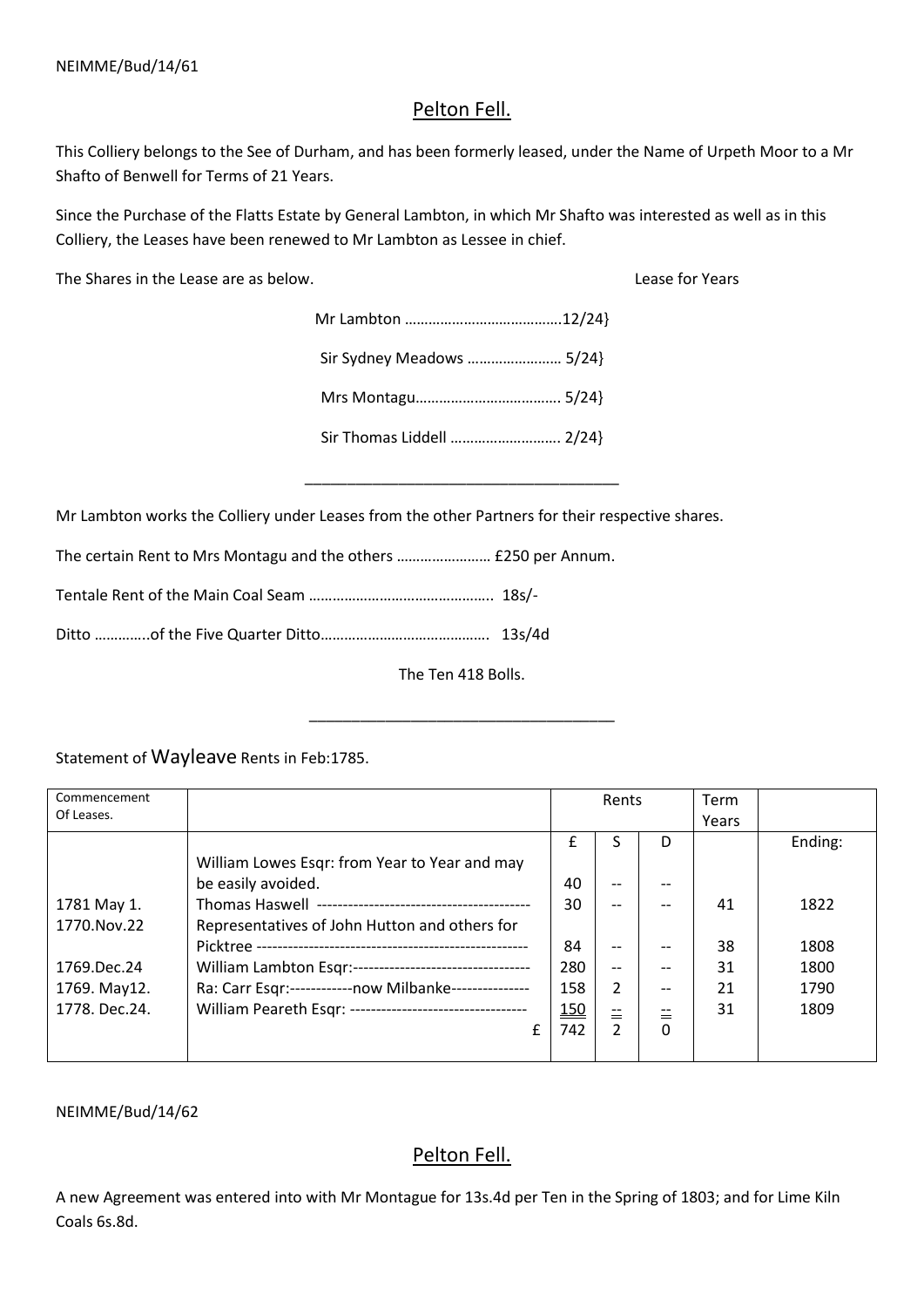# Pelton Fell.

This Colliery belongs to the See of Durham, and has been formerly leased, under the Name of Urpeth Moor to a Mr Shafto of Benwell for Terms of 21 Years.

Since the Purchase of the Flatts Estate by General Lambton, in which Mr Shafto was interested as well as in this Colliery, the Leases have been renewed to Mr Lambton as Lessee in chief.

The Shares in the Lease are as below. Lease for Years

| Sir Sydney Meadows  5/24} |  |
|---------------------------|--|
|                           |  |
| Sir Thomas Liddell  2/24} |  |

\_\_\_\_\_\_\_\_\_\_\_\_\_\_\_\_\_\_\_\_\_\_\_\_\_\_\_\_\_\_\_\_\_\_\_\_\_

Mr Lambton works the Colliery under Leases from the other Partners for their respective shares.

The certain Rent to Mrs Montagu and the others …………………… £250 per Annum.

Tentale Rent of the Main Coal Seam ……………………………………….. 18s/-

Ditto …………..of the Five Quarter Ditto……………………………………. 13s/4d

The Ten 418 Bolls.

\_\_\_\_\_\_\_\_\_\_\_\_\_\_\_\_\_\_\_\_\_\_\_\_\_\_\_\_\_\_\_\_\_\_\_\_

Statement of Wayleave Rents in Feb:1785.

| Commencement  |                                                          |            | Rents |          | <b>Term</b> |         |
|---------------|----------------------------------------------------------|------------|-------|----------|-------------|---------|
| Of Leases.    |                                                          |            |       |          | Years       |         |
|               |                                                          | f          |       | D        |             | Ending: |
|               | William Lowes Esqr: from Year to Year and may            |            |       |          |             |         |
|               | be easily avoided.                                       | 40         |       |          |             |         |
| 1781 May 1.   |                                                          | 30         |       |          | 41          | 1822    |
| 1770.Nov.22   | Representatives of John Hutton and others for            |            |       |          |             |         |
|               |                                                          | 84         |       |          | 38          | 1808    |
| 1769.Dec.24   | William Lambton Esqr:----------------------------------  | 280        | $-$   | $-$      | 31          | 1800    |
| 1769. May12.  | Ra: Carr Esqr:------------now Milbanke---------------    | 158        | 2     | $- -$    | 21          | 1790    |
| 1778. Dec.24. | William Peareth Esqr: ---------------------------------- | <u>150</u> | 兰     | 兰        | 31          | 1809    |
|               | f                                                        | 742        |       | $\Omega$ |             |         |
|               |                                                          |            |       |          |             |         |

NEIMME/Bud/14/62

# Pelton Fell.

A new Agreement was entered into with Mr Montague for 13s.4d per Ten in the Spring of 1803; and for Lime Kiln Coals 6s.8d.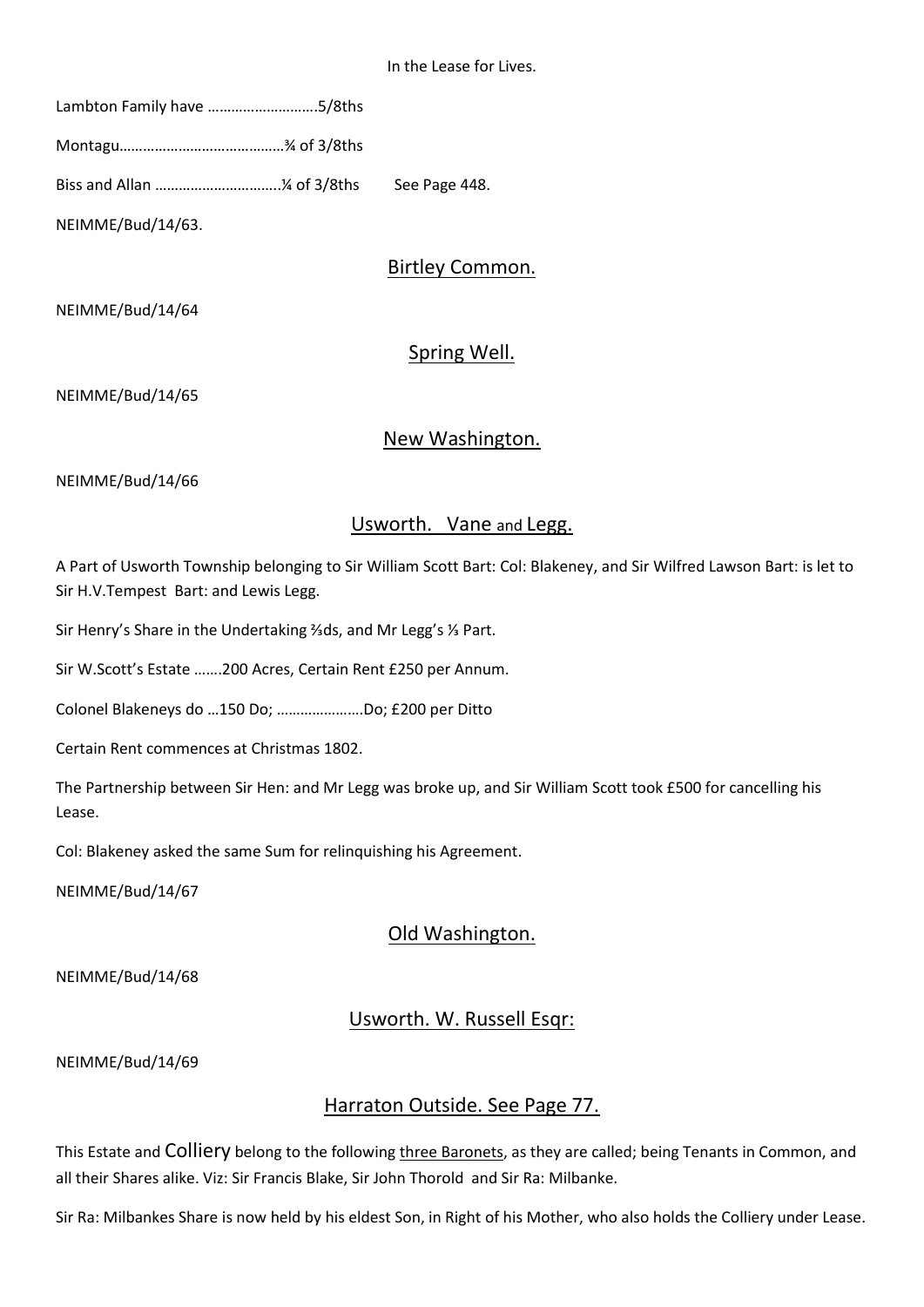| Lambton Family have 5/8ths |  |
|----------------------------|--|
|                            |  |
|                            |  |
| NEIMME/Bud/14/63.          |  |

### Birtley Common.

NEIMME/Bud/14/64

# Spring Well.

NEIMME/Bud/14/65

#### New Washington.

NEIMME/Bud/14/66

#### Usworth. Vane and Legg.

A Part of Usworth Township belonging to Sir William Scott Bart: Col: Blakeney, and Sir Wilfred Lawson Bart: is let to Sir H.V.Tempest Bart: and Lewis Legg.

Sir Henry's Share in the Undertaking ⅔ds, and Mr Legg's ⅓ Part.

Sir W.Scott's Estate …….200 Acres, Certain Rent £250 per Annum.

Colonel Blakeneys do …150 Do; ………………….Do; £200 per Ditto

Certain Rent commences at Christmas 1802.

The Partnership between Sir Hen: and Mr Legg was broke up, and Sir William Scott took £500 for cancelling his Lease.

Col: Blakeney asked the same Sum for relinquishing his Agreement.

NEIMME/Bud/14/67

# Old Washington.

NEIMME/Bud/14/68

# Usworth. W. Russell Esqr:

NEIMME/Bud/14/69

#### Harraton Outside. See Page 77.

This Estate and Colliery belong to the following three Baronets, as they are called; being Tenants in Common, and all their Shares alike. Viz: Sir Francis Blake, Sir John Thorold and Sir Ra: Milbanke.

Sir Ra: Milbankes Share is now held by his eldest Son, in Right of his Mother, who also holds the Colliery under Lease.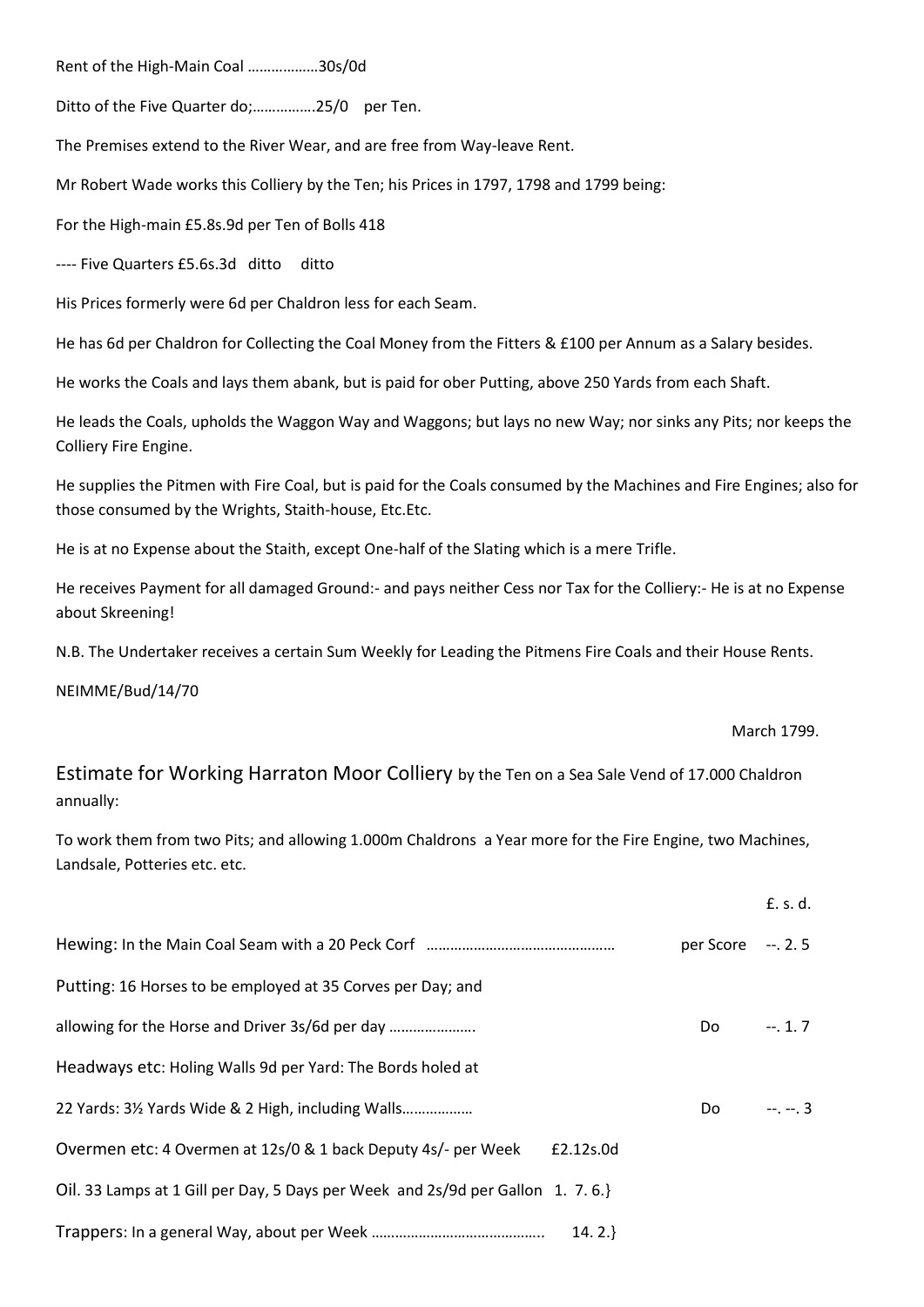Rent of the High-Main Coal ………………30s/0d

Ditto of the Five Quarter do;................25/0 per Ten.

The Premises extend to the River Wear, and are free from Way-leave Rent.

Mr Robert Wade works this Colliery by the Ten; his Prices in 1797, 1798 and 1799 being:

For the High-main £5.8s.9d per Ten of Bolls 418

---- Five Quarters £5.6s.3d ditto ditto

His Prices formerly were 6d per Chaldron less for each Seam.

He has 6d per Chaldron for Collecting the Coal Money from the Fitters & £100 per Annum as a Salary besides.

He works the Coals and lays them abank, but is paid for ober Putting, above 250 Yards from each Shaft.

He leads the Coals, upholds the Waggon Way and Waggons; but lays no new Way; nor sinks any Pits; nor keeps the Colliery Fire Engine.

He supplies the Pitmen with Fire Coal, but is paid for the Coals consumed by the Machines and Fire Engines; also for those consumed by the Wrights, Staith-house, Etc.Etc.

He is at no Expense about the Staith, except One-half of the Slating which is a mere Trifle.

He receives Payment for all damaged Ground:- and pays neither Cess nor Tax for the Colliery:- He is at no Expense about Skreening!

N.B. The Undertaker receives a certain Sum Weekly for Leading the Pitmens Fire Coals and their House Rents.

NEIMME/Bud/14/70

March 1799.

Estimate for Working Harraton Moor Colliery by the Ten on a Sea Sale Vend of 17.000 Chaldron annually:

To work them from two Pits; and allowing 1.000m Chaldrons a Year more for the Fire Engine, two Machines, Landsale, Potteries etc. etc.

|                                                                                |                    | £. s. d. |
|--------------------------------------------------------------------------------|--------------------|----------|
|                                                                                | per Score -- . 2.5 |          |
| Putting: 16 Horses to be employed at 35 Corves per Day; and                    |                    |          |
|                                                                                | Do                 | $-.1.7$  |
| Headways etc: Holing Walls 9d per Yard: The Bords holed at                     |                    |          |
| 22 Yards: 3½ Yards Wide & 2 High, including Walls                              | Do.                | $-2 - 3$ |
| Overmen etc: 4 Overmen at 12s/0 & 1 back Deputy 4s/- per Week<br>£2.12s.0d     |                    |          |
| Oil. 33 Lamps at 1 Gill per Day, 5 Days per Week and 2s/9d per Gallon 1. 7.6.} |                    |          |
| $14.2.\}$                                                                      |                    |          |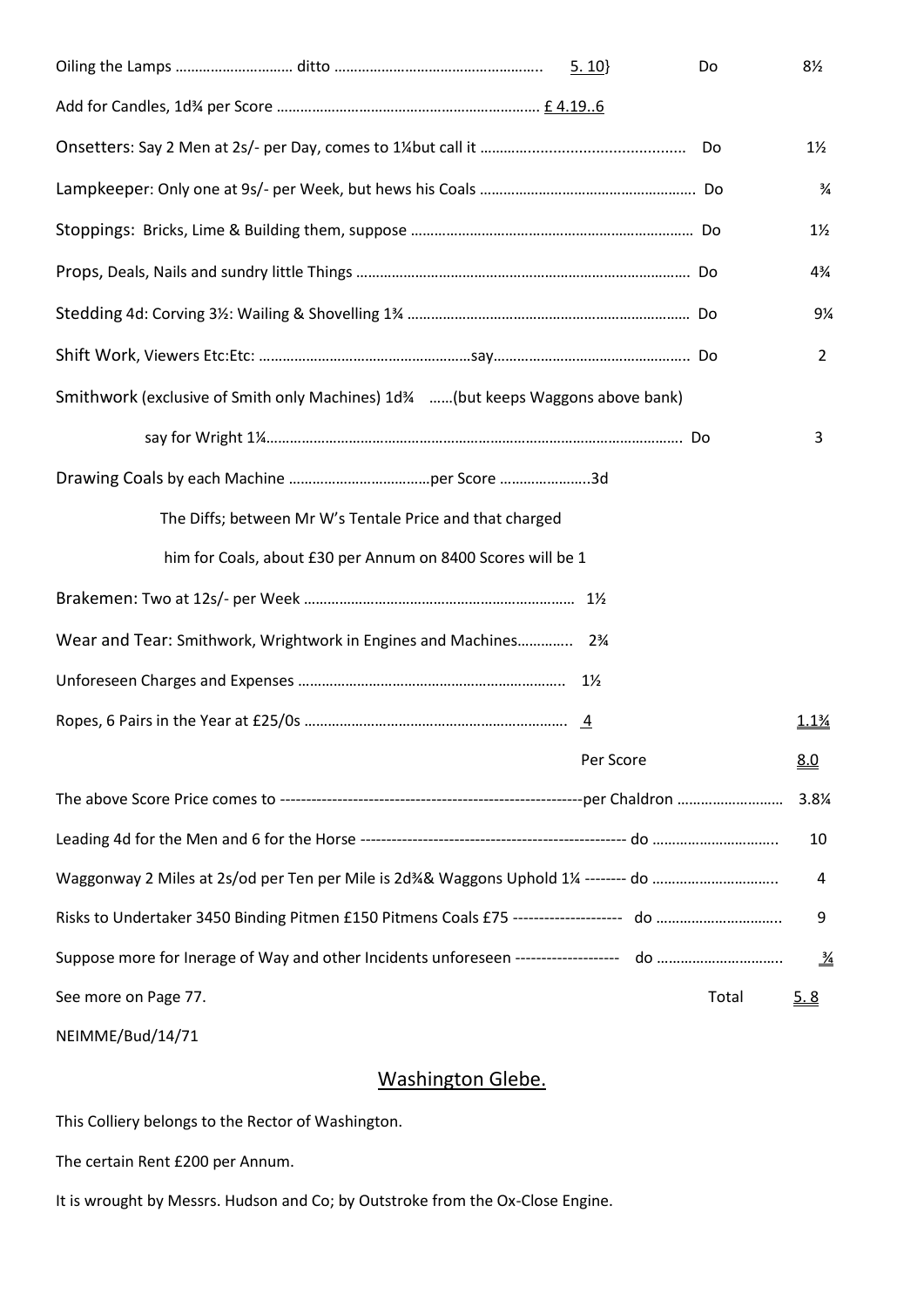|                                                                                  | 5.10           | Do    | 8½             |
|----------------------------------------------------------------------------------|----------------|-------|----------------|
|                                                                                  |                |       |                |
|                                                                                  |                |       | $1\frac{1}{2}$ |
|                                                                                  |                |       | $\frac{3}{4}$  |
|                                                                                  |                |       | $1\frac{1}{2}$ |
|                                                                                  |                |       | $4\frac{3}{4}$ |
|                                                                                  |                |       | 9¼             |
|                                                                                  |                |       | $\overline{2}$ |
| Smithwork (exclusive of Smith only Machines) 1d34 (but keeps Waggons above bank) |                |       |                |
|                                                                                  |                |       | 3              |
|                                                                                  |                |       |                |
| The Diffs; between Mr W's Tentale Price and that charged                         |                |       |                |
| him for Coals, about £30 per Annum on 8400 Scores will be 1                      |                |       |                |
|                                                                                  |                |       |                |
| Wear and Tear: Smithwork, Wrightwork in Engines and Machines 23/4                |                |       |                |
|                                                                                  | $1\frac{1}{2}$ |       |                |
|                                                                                  |                |       | 1.1%           |
|                                                                                  | Per Score      |       | <u>8.0</u>     |
|                                                                                  |                |       | 3.8%           |
|                                                                                  |                |       | 10             |
|                                                                                  |                |       | 4              |
|                                                                                  |                |       | 9              |
|                                                                                  |                |       | $\frac{3}{4}$  |
| See more on Page 77.                                                             |                | Total | <u>5.8</u>     |

NEIMME/Bud/14/71

# Washington Glebe.

This Colliery belongs to the Rector of Washington.

The certain Rent £200 per Annum.

It is wrought by Messrs. Hudson and Co; by Outstroke from the Ox-Close Engine.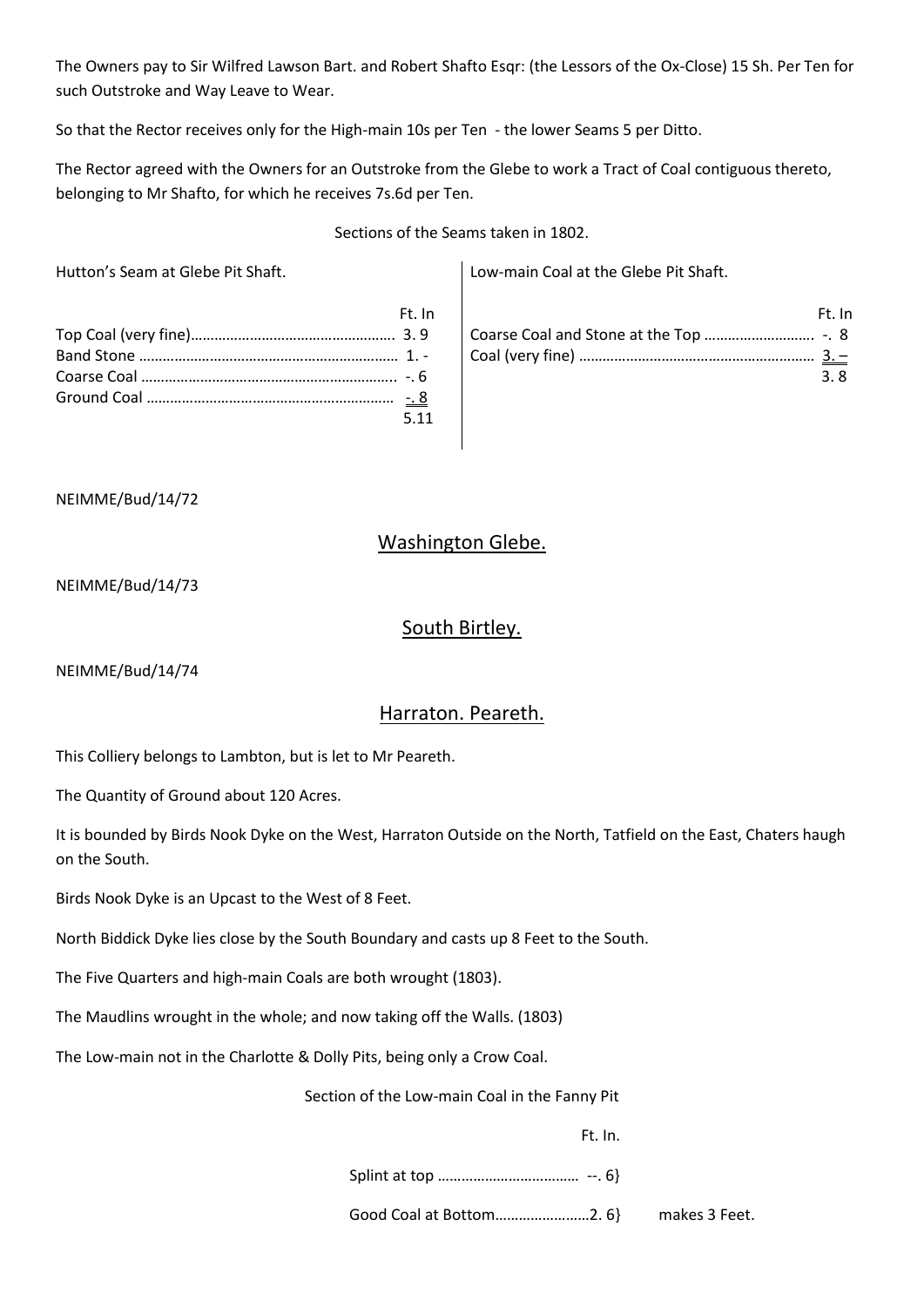The Owners pay to Sir Wilfred Lawson Bart. and Robert Shafto Esqr: (the Lessors of the Ox-Close) 15 Sh. Per Ten for such Outstroke and Way Leave to Wear.

So that the Rector receives only for the High-main 10s per Ten - the lower Seams 5 per Ditto.

The Rector agreed with the Owners for an Outstroke from the Glebe to work a Tract of Coal contiguous thereto, belonging to Mr Shafto, for which he receives 7s.6d per Ten.

Sections of the Seams taken in 1802.

Hutton's Seam at Glebe Pit Shaft. Low-main Coal at the Glebe Pit Shaft.

| Ft. In |                             |
|--------|-----------------------------|
|        | $\vert$ Co                  |
|        | $\overline{\phantom{a}}$ Co |
|        |                             |
| $-8$   |                             |
| 5.11   |                             |

|      | Ft. In |
|------|--------|
|      |        |
|      |        |
| -3.8 |        |

#### NEIMME/Bud/14/72

# Washington Glebe.

NEIMME/Bud/14/73

### South Birtley.

NEIMME/Bud/14/74

# Harraton. Peareth.

This Colliery belongs to Lambton, but is let to Mr Peareth.

The Quantity of Ground about 120 Acres.

It is bounded by Birds Nook Dyke on the West, Harraton Outside on the North, Tatfield on the East, Chaters haugh on the South.

Birds Nook Dyke is an Upcast to the West of 8 Feet.

North Biddick Dyke lies close by the South Boundary and casts up 8 Feet to the South.

The Five Quarters and high-main Coals are both wrought (1803).

The Maudlins wrought in the whole; and now taking off the Walls. (1803)

The Low-main not in the Charlotte & Dolly Pits, being only a Crow Coal.

Section of the Low-main Coal in the Fanny Pit

Ft. In.

Splint at top ……………………………… --. 6}

Good Coal at Bottom……………………2. 6} makes 3 Feet.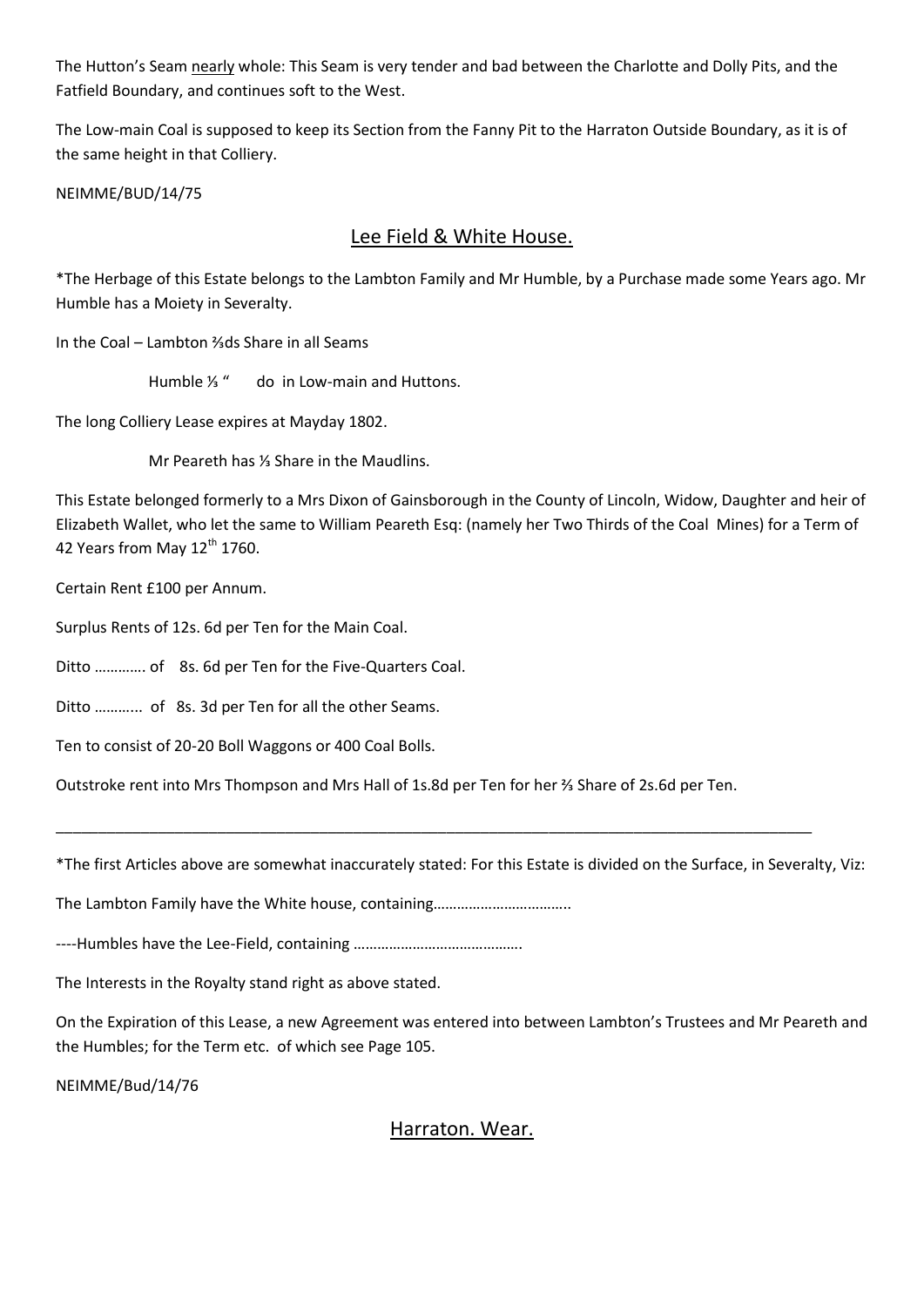The Hutton's Seam nearly whole: This Seam is very tender and bad between the Charlotte and Dolly Pits, and the Fatfield Boundary, and continues soft to the West.

The Low-main Coal is supposed to keep its Section from the Fanny Pit to the Harraton Outside Boundary, as it is of the same height in that Colliery.

NEIMME/BUD/14/75

# Lee Field & White House.

\*The Herbage of this Estate belongs to the Lambton Family and Mr Humble, by a Purchase made some Years ago. Mr Humble has a Moiety in Severalty.

In the Coal – Lambton ⅔ds Share in all Seams

Humble ⅓ " do in Low-main and Huttons.

The long Colliery Lease expires at Mayday 1802.

Mr Peareth has ⅓ Share in the Maudlins.

This Estate belonged formerly to a Mrs Dixon of Gainsborough in the County of Lincoln, Widow, Daughter and heir of Elizabeth Wallet, who let the same to William Peareth Esq: (namely her Two Thirds of the Coal Mines) for a Term of 42 Years from May 12<sup>th</sup> 1760.

Certain Rent £100 per Annum.

Surplus Rents of 12s. 6d per Ten for the Main Coal.

Ditto …………. of 8s. 6d per Ten for the Five-Quarters Coal.

Ditto ………... of 8s. 3d per Ten for all the other Seams.

Ten to consist of 20-20 Boll Waggons or 400 Coal Bolls.

Outstroke rent into Mrs Thompson and Mrs Hall of 1s.8d per Ten for her ⅔ Share of 2s.6d per Ten.

\*The first Articles above are somewhat inaccurately stated: For this Estate is divided on the Surface, in Severalty, Viz:

\_\_\_\_\_\_\_\_\_\_\_\_\_\_\_\_\_\_\_\_\_\_\_\_\_\_\_\_\_\_\_\_\_\_\_\_\_\_\_\_\_\_\_\_\_\_\_\_\_\_\_\_\_\_\_\_\_\_\_\_\_\_\_\_\_\_\_\_\_\_\_\_\_\_\_\_\_\_\_\_\_\_\_\_\_\_\_\_\_

The Lambton Family have the White house, containing……………………………..

----Humbles have the Lee-Field, containing …………………………………….

The Interests in the Royalty stand right as above stated.

On the Expiration of this Lease, a new Agreement was entered into between Lambton's Trustees and Mr Peareth and the Humbles; for the Term etc. of which see Page 105.

NEIMME/Bud/14/76

Harraton. Wear.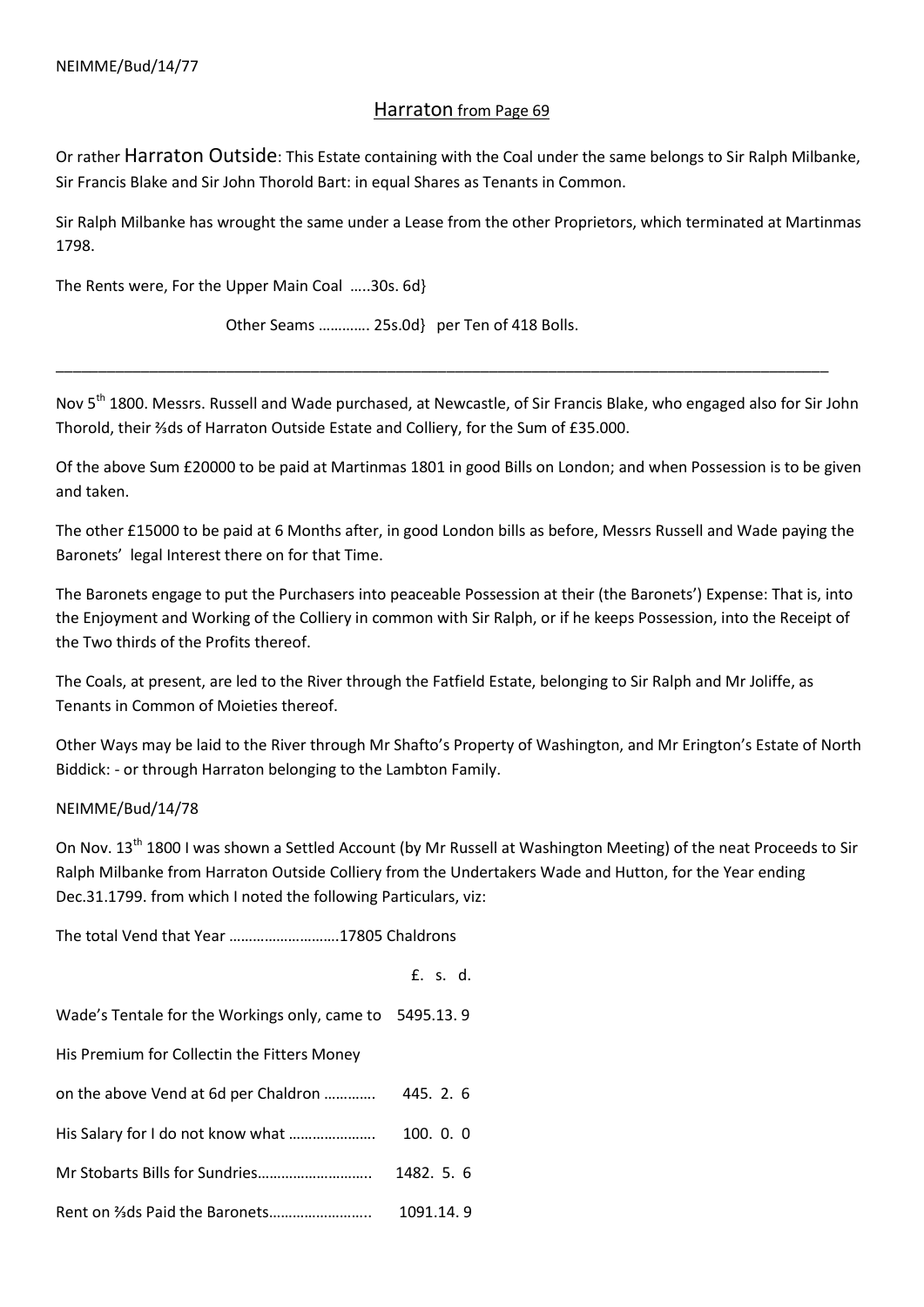## Harraton from Page 69

Or rather Harraton Outside: This Estate containing with the Coal under the same belongs to Sir Ralph Milbanke, Sir Francis Blake and Sir John Thorold Bart: in equal Shares as Tenants in Common.

Sir Ralph Milbanke has wrought the same under a Lease from the other Proprietors, which terminated at Martinmas 1798.

The Rents were, For the Upper Main Coal …..30s. 6d}

Other Seams …………. 25s.0d} per Ten of 418 Bolls.

Nov 5<sup>th</sup> 1800. Messrs. Russell and Wade purchased, at Newcastle, of Sir Francis Blake, who engaged also for Sir John Thorold, their ⅔ds of Harraton Outside Estate and Colliery, for the Sum of £35.000.

\_\_\_\_\_\_\_\_\_\_\_\_\_\_\_\_\_\_\_\_\_\_\_\_\_\_\_\_\_\_\_\_\_\_\_\_\_\_\_\_\_\_\_\_\_\_\_\_\_\_\_\_\_\_\_\_\_\_\_\_\_\_\_\_\_\_\_\_\_\_\_\_\_\_\_\_\_\_\_\_\_\_\_\_\_\_\_\_\_\_\_

Of the above Sum £20000 to be paid at Martinmas 1801 in good Bills on London; and when Possession is to be given and taken.

The other £15000 to be paid at 6 Months after, in good London bills as before, Messrs Russell and Wade paying the Baronets' legal Interest there on for that Time.

The Baronets engage to put the Purchasers into peaceable Possession at their (the Baronets') Expense: That is, into the Enjoyment and Working of the Colliery in common with Sir Ralph, or if he keeps Possession, into the Receipt of the Two thirds of the Profits thereof.

The Coals, at present, are led to the River through the Fatfield Estate, belonging to Sir Ralph and Mr Joliffe, as Tenants in Common of Moieties thereof.

Other Ways may be laid to the River through Mr Shafto's Property of Washington, and Mr Erington's Estate of North Biddick: - or through Harraton belonging to the Lambton Family.

### NEIMME/Bud/14/78

On Nov. 13<sup>th</sup> 1800 I was shown a Settled Account (by Mr Russell at Washington Meeting) of the neat Proceeds to Sir Ralph Milbanke from Harraton Outside Colliery from the Undertakers Wade and Hutton, for the Year ending Dec.31.1799. from which I noted the following Particulars, viz:

The total Vend that Year ……………………….17805 Chaldrons

|                                                         | £. s. d.   |
|---------------------------------------------------------|------------|
| Wade's Tentale for the Workings only, came to 5495.13.9 |            |
| His Premium for Collectin the Fitters Money             |            |
| on the above Vend at 6d per Chaldron                    | 445. 2. 6  |
| His Salary for I do not know what                       | 100.0.0    |
|                                                         | 1482. 5. 6 |
|                                                         | 1091.14.9  |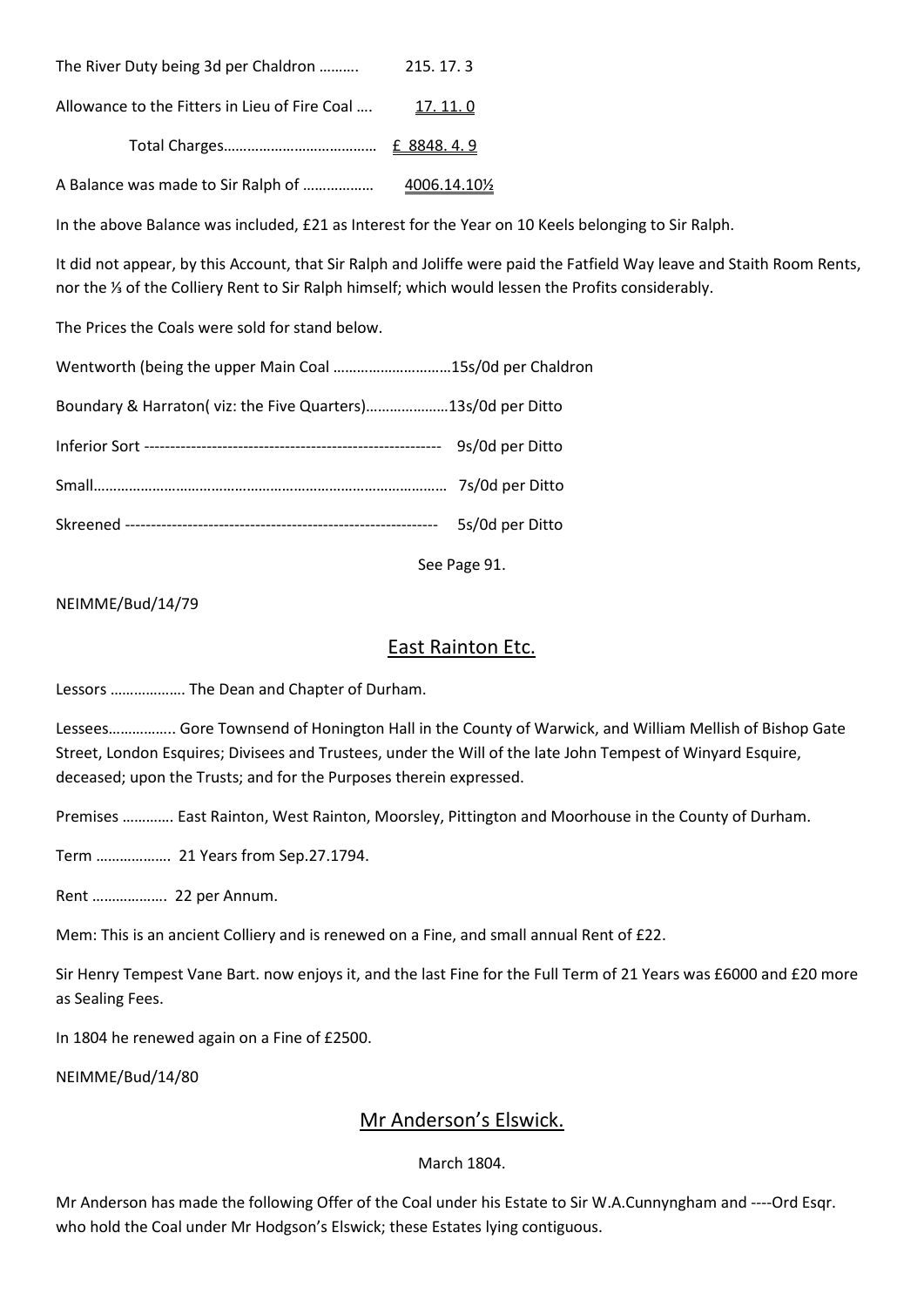| The River Duty being 3d per Chaldron                   | 215.17.3 |
|--------------------------------------------------------|----------|
| Allowance to the Fitters in Lieu of Fire Coal  17.11.0 |          |
|                                                        |          |
|                                                        |          |

In the above Balance was included, £21 as Interest for the Year on 10 Keels belonging to Sir Ralph.

It did not appear, by this Account, that Sir Ralph and Joliffe were paid the Fatfield Way leave and Staith Room Rents, nor the ⅓ of the Colliery Rent to Sir Ralph himself; which would lessen the Profits considerably.

The Prices the Coals were sold for stand below.

| Wentworth (being the upper Main Coal 15s/0d per Chaldron    |                 |
|-------------------------------------------------------------|-----------------|
| Boundary & Harraton(viz: the Five Quarters)13s/0d per Ditto |                 |
|                                                             |                 |
|                                                             |                 |
|                                                             | 5s/0d per Ditto |
|                                                             |                 |

See Page 91.

NEIMME/Bud/14/79

# East Rainton Etc.

Lessors ………………. The Dean and Chapter of Durham.

Lessees…………….. Gore Townsend of Honington Hall in the County of Warwick, and William Mellish of Bishop Gate Street, London Esquires; Divisees and Trustees, under the Will of the late John Tempest of Winyard Esquire, deceased; upon the Trusts; and for the Purposes therein expressed.

Premises …………. East Rainton, West Rainton, Moorsley, Pittington and Moorhouse in the County of Durham.

Term ………………. 21 Years from Sep.27.1794.

Rent ………………. 22 per Annum.

Mem: This is an ancient Colliery and is renewed on a Fine, and small annual Rent of £22.

Sir Henry Tempest Vane Bart. now enjoys it, and the last Fine for the Full Term of 21 Years was £6000 and £20 more as Sealing Fees.

In 1804 he renewed again on a Fine of £2500.

NEIMME/Bud/14/80

# Mr Anderson's Elswick.

### March 1804.

Mr Anderson has made the following Offer of the Coal under his Estate to Sir W.A.Cunnyngham and ----Ord Esqr. who hold the Coal under Mr Hodgson's Elswick; these Estates lying contiguous.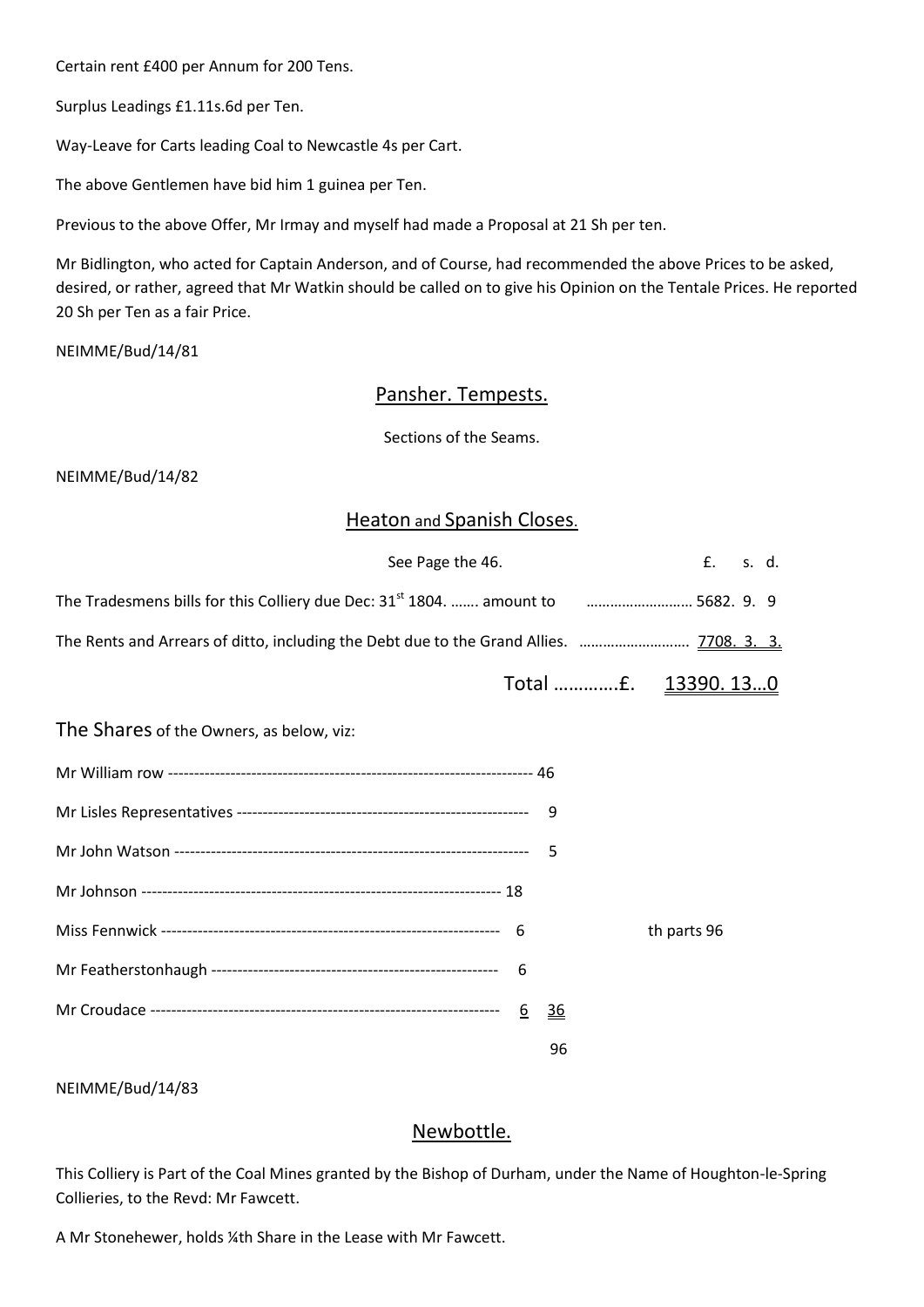Certain rent £400 per Annum for 200 Tens.

Surplus Leadings £1.11s.6d per Ten.

Way-Leave for Carts leading Coal to Newcastle 4s per Cart.

The above Gentlemen have bid him 1 guinea per Ten.

Previous to the above Offer, Mr Irmay and myself had made a Proposal at 21 Sh per ten.

Mr Bidlington, who acted for Captain Anderson, and of Course, had recommended the above Prices to be asked, desired, or rather, agreed that Mr Watkin should be called on to give his Opinion on the Tentale Prices. He reported 20 Sh per Ten as a fair Price.

NEIMME/Bud/14/81

# Pansher. Tempests.

Sections of the Seams.

NEIMME/Bud/14/82

## Heaton and Spanish Closes.

| See Page the 46.                                                                                              |                 |             | $f_{\rm{max}}$ | s. d. |  |
|---------------------------------------------------------------------------------------------------------------|-----------------|-------------|----------------|-------|--|
| The Tradesmens bills for this Colliery due Dec: 31 <sup>st</sup> 1804.  amount to <i>manumano 1682</i> . 9. 9 |                 |             |                |       |  |
| The Rents and Arrears of ditto, including the Debt due to the Grand Allies.  7708. 3. 3.                      |                 |             |                |       |  |
|                                                                                                               |                 |             |                |       |  |
| The Shares of the Owners, as below, viz:                                                                      |                 |             |                |       |  |
|                                                                                                               |                 |             |                |       |  |
|                                                                                                               |                 |             |                |       |  |
|                                                                                                               |                 |             |                |       |  |
|                                                                                                               |                 |             |                |       |  |
|                                                                                                               |                 | th parts 96 |                |       |  |
|                                                                                                               |                 |             |                |       |  |
|                                                                                                               | $\overline{36}$ |             |                |       |  |
|                                                                                                               | 96              |             |                |       |  |

NEIMME/Bud/14/83

## Newbottle.

This Colliery is Part of the Coal Mines granted by the Bishop of Durham, under the Name of Houghton-le-Spring Collieries, to the Revd: Mr Fawcett.

A Mr Stonehewer, holds ¼th Share in the Lease with Mr Fawcett.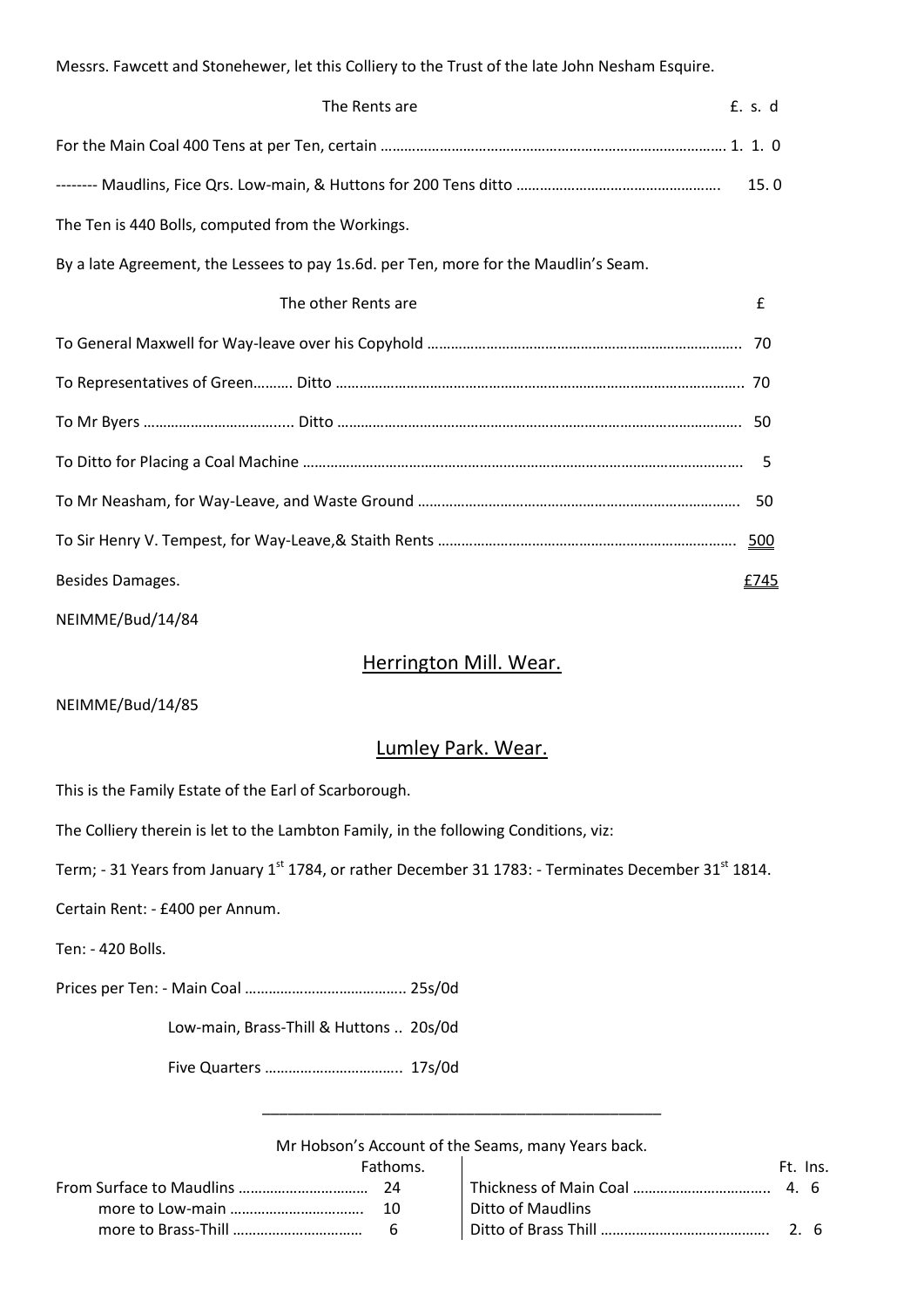Messrs. Fawcett and Stonehewer, let this Colliery to the Trust of the late John Nesham Esquire. The Rents are **E.** s. d

|                                                                                      |   | 15.0 |
|--------------------------------------------------------------------------------------|---|------|
| The Ten is 440 Bolls, computed from the Workings.                                    |   |      |
| By a late Agreement, the Lessees to pay 1s.6d. per Ten, more for the Maudlin's Seam. |   |      |
| The other Rents are                                                                  | £ |      |
|                                                                                      |   |      |
|                                                                                      |   |      |
|                                                                                      |   |      |
|                                                                                      |   |      |
|                                                                                      |   |      |
|                                                                                      |   |      |
| Besides Damages.                                                                     |   | £745 |
|                                                                                      |   |      |

NEIMME/Bud/14/84

# Herrington Mill. Wear.

NEIMME/Bud/14/85

# Lumley Park. Wear.

This is the Family Estate of the Earl of Scarborough.

The Colliery therein is let to the Lambton Family, in the following Conditions, viz:

Term; - 31 Years from January 1<sup>st</sup> 1784, or rather December 31 1783: - Terminates December 31<sup>st</sup> 1814.

Certain Rent: - £400 per Annum.

Ten: - 420 Bolls.

Prices per Ten: - Main Coal ………………………………….. 25s/0d

Low-main, Brass-Thill & Huttons .. 20s/0d

Five Quarters …………………………….. 17s/0d

Mr Hobson's Account of the Seams, many Years back.

\_\_\_\_\_\_\_\_\_\_\_\_\_\_\_\_\_\_\_\_\_\_\_\_\_\_\_\_\_\_\_\_\_\_\_\_\_\_\_\_\_\_\_\_\_\_\_

| Fathoms. |                   | Ft. Ins. |
|----------|-------------------|----------|
|          |                   |          |
| 10       | Ditto of Maudlins |          |
|          |                   |          |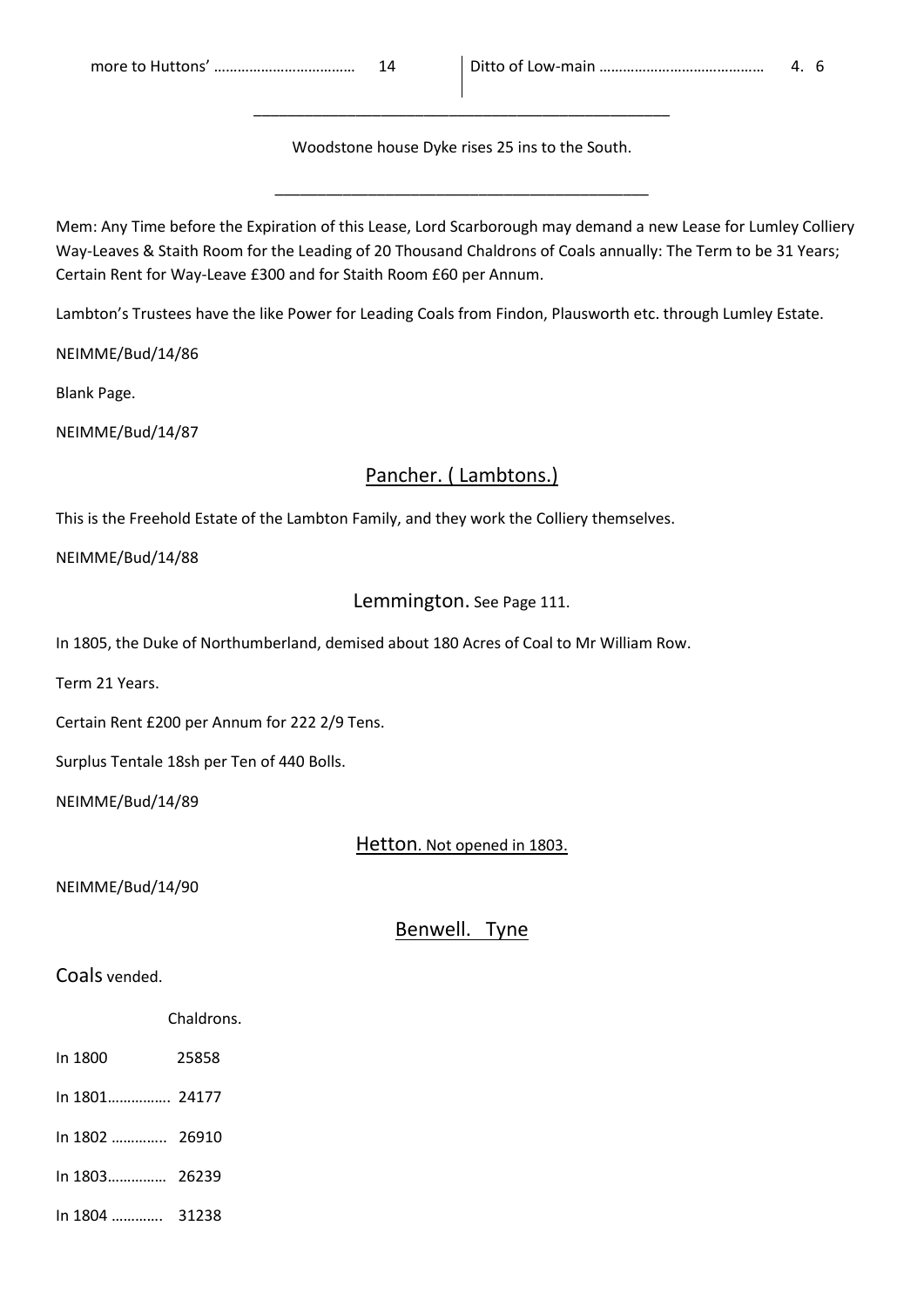Woodstone house Dyke rises 25 ins to the South.

\_\_\_\_\_\_\_\_\_\_\_\_\_\_\_\_\_\_\_\_\_\_\_\_\_\_\_\_\_\_\_\_\_\_\_\_\_\_\_\_\_\_\_\_

\_\_\_\_\_\_\_\_\_\_\_\_\_\_\_\_\_\_\_\_\_\_\_\_\_\_\_\_\_\_\_\_\_\_\_\_\_\_\_\_\_\_\_\_\_\_\_\_\_

Mem: Any Time before the Expiration of this Lease, Lord Scarborough may demand a new Lease for Lumley Colliery Way-Leaves & Staith Room for the Leading of 20 Thousand Chaldrons of Coals annually: The Term to be 31 Years; Certain Rent for Way-Leave £300 and for Staith Room £60 per Annum.

Lambton's Trustees have the like Power for Leading Coals from Findon, Plausworth etc. through Lumley Estate.

NEIMME/Bud/14/86

Blank Page.

NEIMME/Bud/14/87

# Pancher. ( Lambtons.)

This is the Freehold Estate of the Lambton Family, and they work the Colliery themselves.

NEIMME/Bud/14/88

# Lemmington. See Page 111.

In 1805, the Duke of Northumberland, demised about 180 Acres of Coal to Mr William Row.

Term 21 Years.

Certain Rent £200 per Annum for 222 2/9 Tens.

Surplus Tentale 18sh per Ten of 440 Bolls.

NEIMME/Bud/14/89

## Hetton. Not opened in 1803.

NEIMME/Bud/14/90

Benwell. Tyne

## Coals vended.

| Chaldrons. |
|------------|
|            |

- In 1800 25858
- In 1801……………. 24177
- In 1802 ………….. 26910
- In 1803…………… 26239
- In 1804 …………. 31238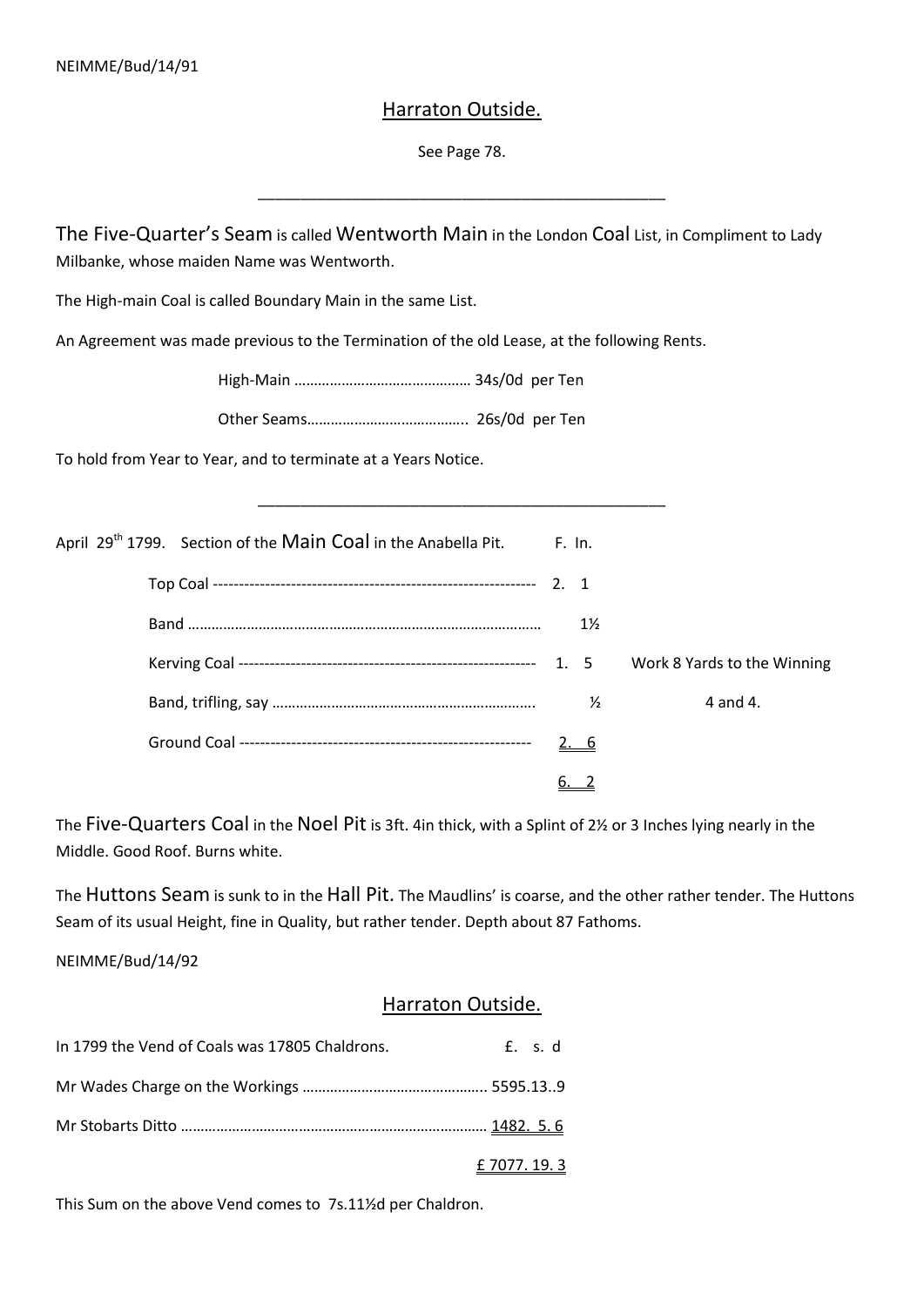# Harraton Outside.

See Page 78.

\_\_\_\_\_\_\_\_\_\_\_\_\_\_\_\_\_\_\_\_\_\_\_\_\_\_\_\_\_\_\_\_\_\_\_\_\_\_\_\_\_\_\_\_\_\_\_\_

The Five-Quarter's Seam is called Wentworth Main in the London Coal List, in Compliment to Lady Milbanke, whose maiden Name was Wentworth.

The High-main Coal is called Boundary Main in the same List.

An Agreement was made previous to the Termination of the old Lease, at the following Rents.

High-Main ……………………………………… 34s/0d per Ten

Other Seams………………………………….. 26s/0d per Ten

To hold from Year to Year, and to terminate at a Years Notice.

| April 29 <sup>th</sup> 1799. Section of the Main Coal in the Anabella Pit. | F. In.         |                             |
|----------------------------------------------------------------------------|----------------|-----------------------------|
|                                                                            |                |                             |
|                                                                            | $1\frac{1}{2}$ |                             |
|                                                                            |                | Work 8 Yards to the Winning |
|                                                                            | $\frac{1}{2}$  | 4 and 4.                    |
|                                                                            | <u>2. 6</u>    |                             |
|                                                                            |                |                             |

\_\_\_\_\_\_\_\_\_\_\_\_\_\_\_\_\_\_\_\_\_\_\_\_\_\_\_\_\_\_\_\_\_\_\_\_\_\_\_\_\_\_\_\_\_\_\_\_

The Five-Quarters Coal in the Noel Pit is 3ft. 4in thick, with a Splint of 2½ or 3 Inches lying nearly in the Middle. Good Roof. Burns white.

The Huttons Seam is sunk to in the Hall Pit. The Maudlins' is coarse, and the other rather tender. The Huttons Seam of its usual Height, fine in Quality, but rather tender. Depth about 87 Fathoms.

NEIMME/Bud/14/92

## Harraton Outside.

| In 1799 the Vend of Coals was 17805 Chaldrons. | f. s.d               |  |
|------------------------------------------------|----------------------|--|
|                                                |                      |  |
|                                                |                      |  |
|                                                | <u>£ 7077. 19. 3</u> |  |

This Sum on the above Vend comes to 7s.11½d per Chaldron.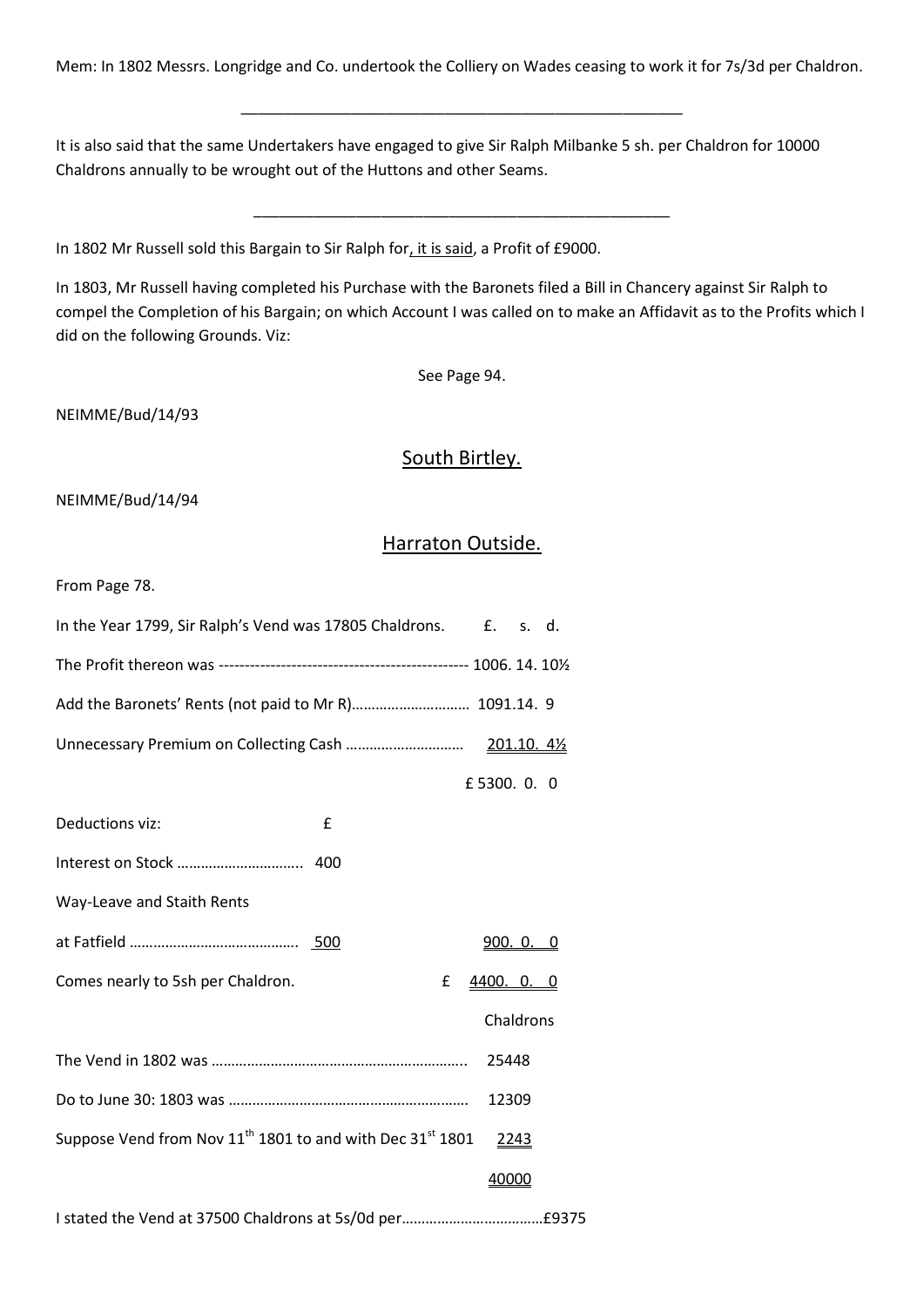Mem: In 1802 Messrs. Longridge and Co. undertook the Colliery on Wades ceasing to work it for 7s/3d per Chaldron.

\_\_\_\_\_\_\_\_\_\_\_\_\_\_\_\_\_\_\_\_\_\_\_\_\_\_\_\_\_\_\_\_\_\_\_\_\_\_\_\_\_\_\_\_\_\_\_\_\_\_\_\_

It is also said that the same Undertakers have engaged to give Sir Ralph Milbanke 5 sh. per Chaldron for 10000 Chaldrons annually to be wrought out of the Huttons and other Seams.

In 1802 Mr Russell sold this Bargain to Sir Ralph for, it is said, a Profit of £9000.

In 1803, Mr Russell having completed his Purchase with the Baronets filed a Bill in Chancery against Sir Ralph to compel the Completion of his Bargain; on which Account I was called on to make an Affidavit as to the Profits which I did on the following Grounds. Viz:

\_\_\_\_\_\_\_\_\_\_\_\_\_\_\_\_\_\_\_\_\_\_\_\_\_\_\_\_\_\_\_\_\_\_\_\_\_\_\_\_\_\_\_\_\_\_\_\_\_

See Page 94.

NEIMME/Bud/14/93

## South Birtley.

NEIMME/Bud/14/94

## Harraton Outside.

From Page 78.

| In the Year 1799, Sir Ralph's Vend was 17805 Chaldrons.<br>f. s. d.                       |
|-------------------------------------------------------------------------------------------|
|                                                                                           |
| Add the Baronets' Rents (not paid to Mr R) 1091.14. 9                                     |
|                                                                                           |
| £5300.0.0                                                                                 |
| Deductions viz:<br>£                                                                      |
|                                                                                           |
| Way-Leave and Staith Rents                                                                |
| <u>900. O. O</u>                                                                          |
| Comes nearly to 5sh per Chaldron.<br>£<br>4400. 0. 0                                      |
| Chaldrons                                                                                 |
| 25448                                                                                     |
| 12309                                                                                     |
| Suppose Vend from Nov 11 <sup>th</sup> 1801 to and with Dec 31 <sup>st</sup> 1801<br>2243 |
| 40000                                                                                     |
|                                                                                           |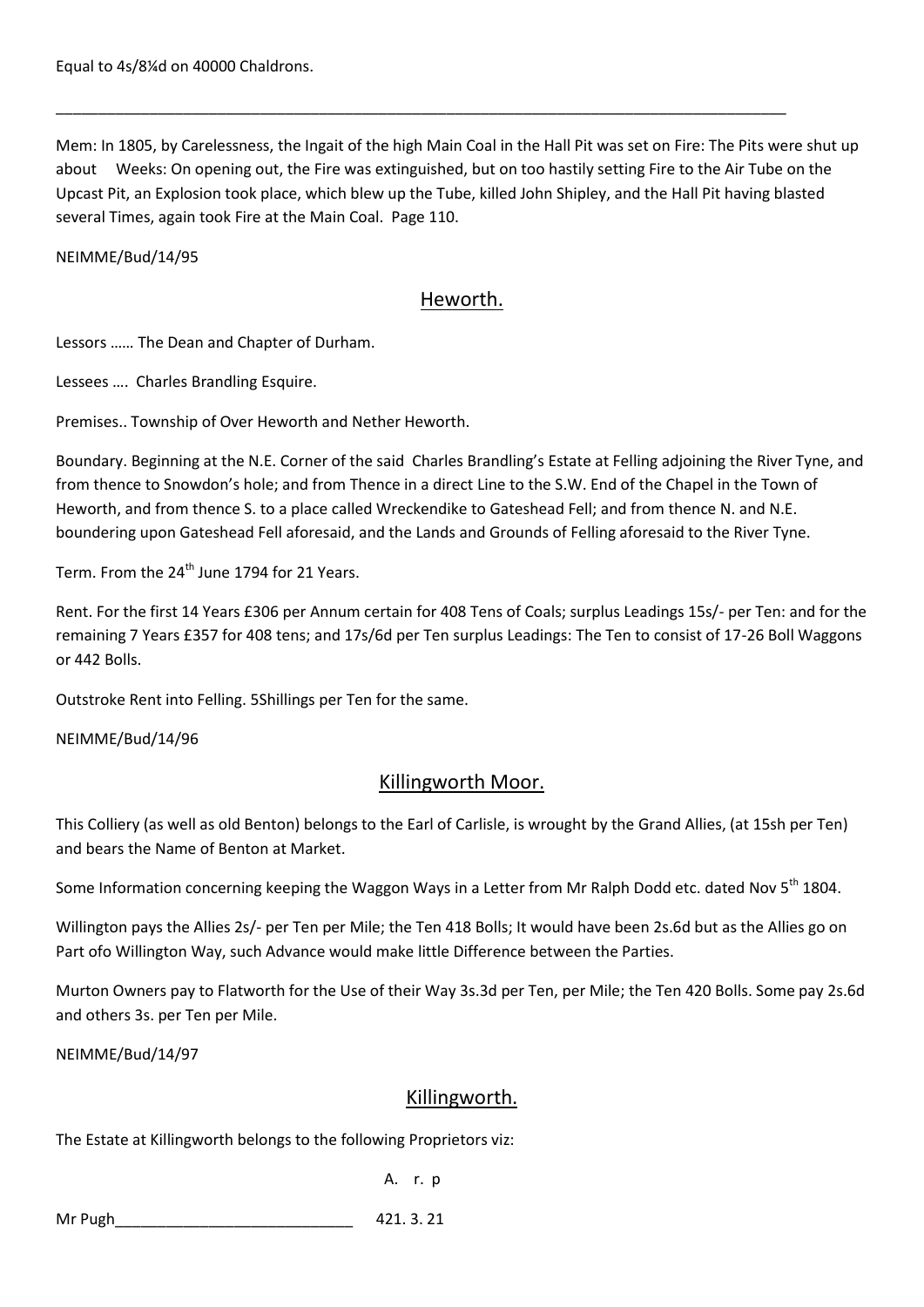Mem: In 1805, by Carelessness, the Ingait of the high Main Coal in the Hall Pit was set on Fire: The Pits were shut up about Weeks: On opening out, the Fire was extinguished, but on too hastily setting Fire to the Air Tube on the Upcast Pit, an Explosion took place, which blew up the Tube, killed John Shipley, and the Hall Pit having blasted several Times, again took Fire at the Main Coal. Page 110.

\_\_\_\_\_\_\_\_\_\_\_\_\_\_\_\_\_\_\_\_\_\_\_\_\_\_\_\_\_\_\_\_\_\_\_\_\_\_\_\_\_\_\_\_\_\_\_\_\_\_\_\_\_\_\_\_\_\_\_\_\_\_\_\_\_\_\_\_\_\_\_\_\_\_\_\_\_\_\_\_\_\_\_\_\_\_

### NEIMME/Bud/14/95

# Heworth.

Lessors …… The Dean and Chapter of Durham.

Lessees …. Charles Brandling Esquire.

Premises.. Township of Over Heworth and Nether Heworth.

Boundary. Beginning at the N.E. Corner of the said Charles Brandling's Estate at Felling adjoining the River Tyne, and from thence to Snowdon's hole; and from Thence in a direct Line to the S.W. End of the Chapel in the Town of Heworth, and from thence S. to a place called Wreckendike to Gateshead Fell; and from thence N. and N.E. boundering upon Gateshead Fell aforesaid, and the Lands and Grounds of Felling aforesaid to the River Tyne.

Term. From the 24<sup>th</sup> June 1794 for 21 Years.

Rent. For the first 14 Years £306 per Annum certain for 408 Tens of Coals; surplus Leadings 15s/- per Ten: and for the remaining 7 Years £357 for 408 tens; and 17s/6d per Ten surplus Leadings: The Ten to consist of 17-26 Boll Waggons or 442 Bolls.

Outstroke Rent into Felling. 5Shillings per Ten for the same.

NEIMME/Bud/14/96

# Killingworth Moor.

This Colliery (as well as old Benton) belongs to the Earl of Carlisle, is wrought by the Grand Allies, (at 15sh per Ten) and bears the Name of Benton at Market.

Some Information concerning keeping the Waggon Ways in a Letter from Mr Ralph Dodd etc. dated Nov 5<sup>th</sup> 1804.

Willington pays the Allies 2s/- per Ten per Mile; the Ten 418 Bolls; It would have been 2s.6d but as the Allies go on Part ofo Willington Way, such Advance would make little Difference between the Parties.

Murton Owners pay to Flatworth for the Use of their Way 3s.3d per Ten, per Mile; the Ten 420 Bolls. Some pay 2s.6d and others 3s. per Ten per Mile.

NEIMME/Bud/14/97

## Killingworth.

The Estate at Killingworth belongs to the following Proprietors viz:

A. r. p

Mr Pugh **Matter Contract 201. 3. 21**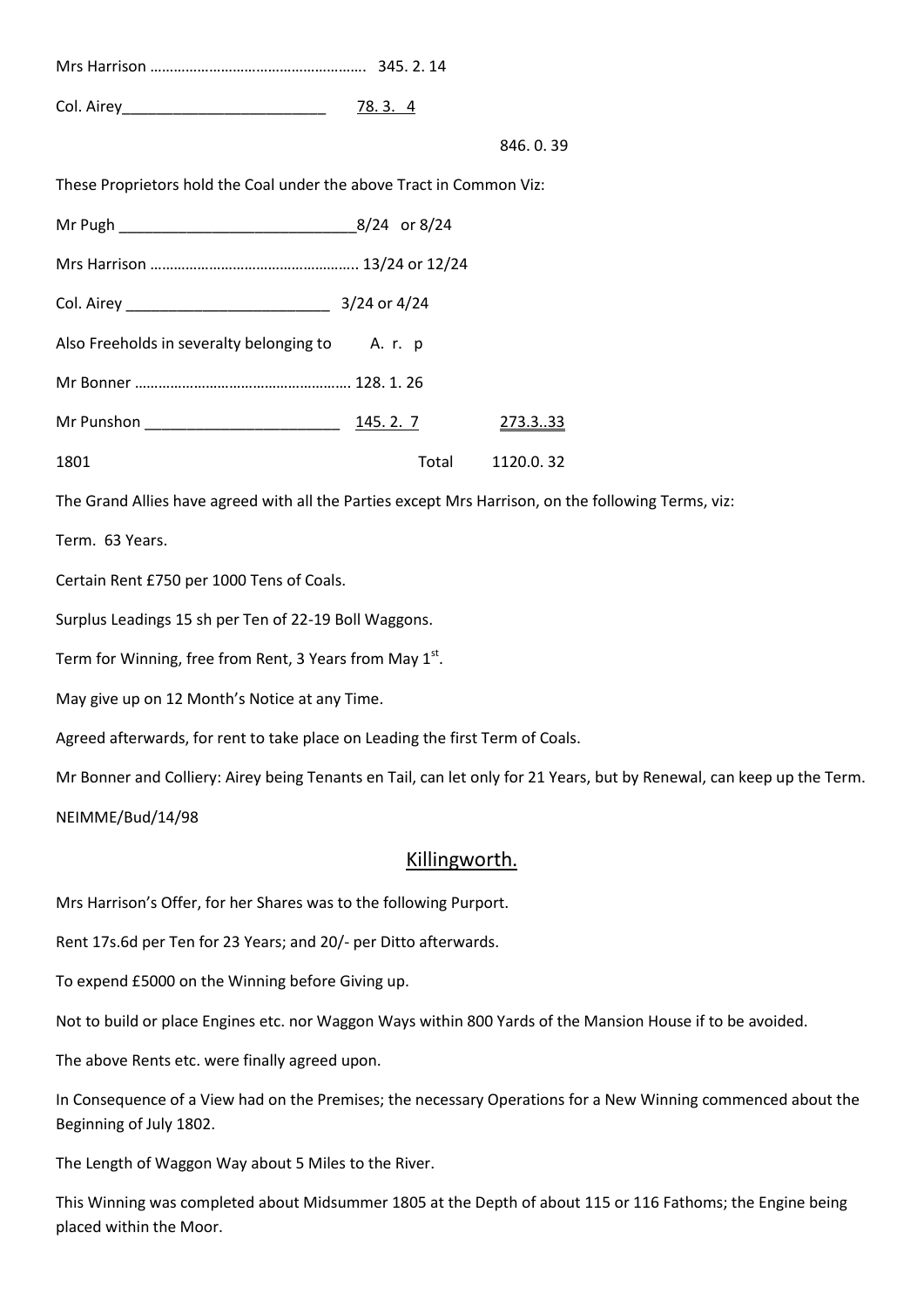| Col. Airey <b>Collection Collection Collection</b> | 78.3.4 |  |
|----------------------------------------------------|--------|--|

#### 846. 0. 39

These Proprietors hold the Coal under the above Tract in Common Viz:

|                                                  |                  | $8/24$ or $8/24$ |                 |
|--------------------------------------------------|------------------|------------------|-----------------|
|                                                  |                  |                  |                 |
| Col. Airey _________________________________     | $3/24$ or $4/24$ |                  |                 |
| Also Freeholds in severalty belonging to A. r. p |                  |                  |                 |
|                                                  |                  |                  |                 |
| Mr Punshon _______________________________       | 145.2.7          |                  | 273.333         |
| 1801                                             |                  |                  | Total 1120.0.32 |

The Grand Allies have agreed with all the Parties except Mrs Harrison, on the following Terms, viz:

Term. 63 Years.

Certain Rent £750 per 1000 Tens of Coals.

Surplus Leadings 15 sh per Ten of 22-19 Boll Waggons.

Term for Winning, free from Rent, 3 Years from May 1st.

May give up on 12 Month's Notice at any Time.

Agreed afterwards, for rent to take place on Leading the first Term of Coals.

Mr Bonner and Colliery: Airey being Tenants en Tail, can let only for 21 Years, but by Renewal, can keep up the Term.

NEIMME/Bud/14/98

### Killingworth.

Mrs Harrison's Offer, for her Shares was to the following Purport.

Rent 17s.6d per Ten for 23 Years; and 20/- per Ditto afterwards.

To expend £5000 on the Winning before Giving up.

Not to build or place Engines etc. nor Waggon Ways within 800 Yards of the Mansion House if to be avoided.

The above Rents etc. were finally agreed upon.

In Consequence of a View had on the Premises; the necessary Operations for a New Winning commenced about the Beginning of July 1802.

The Length of Waggon Way about 5 Miles to the River.

This Winning was completed about Midsummer 1805 at the Depth of about 115 or 116 Fathoms; the Engine being placed within the Moor.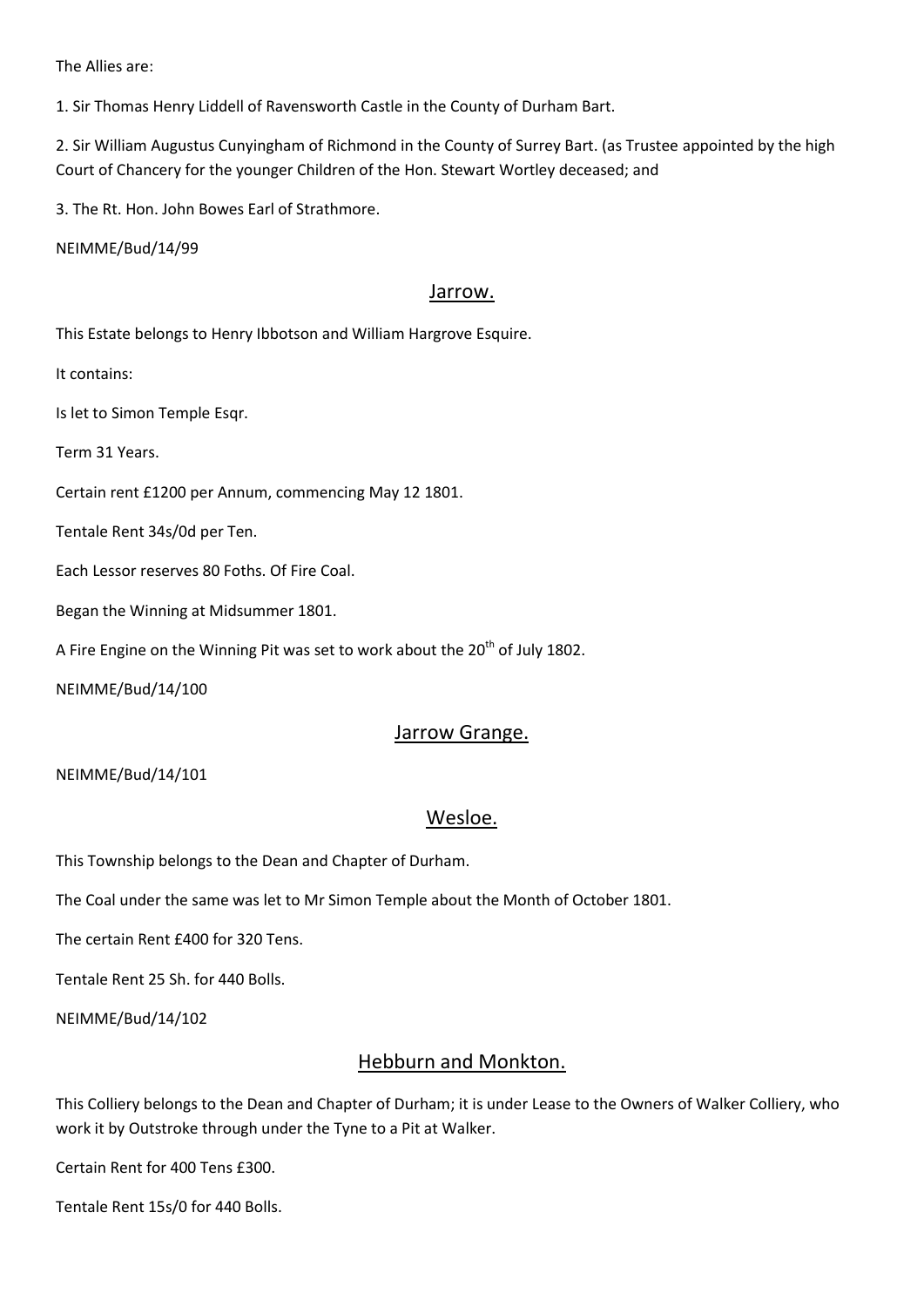The Allies are:

1. Sir Thomas Henry Liddell of Ravensworth Castle in the County of Durham Bart.

2. Sir William Augustus Cunyingham of Richmond in the County of Surrey Bart. (as Trustee appointed by the high Court of Chancery for the younger Children of the Hon. Stewart Wortley deceased; and

3. The Rt. Hon. John Bowes Earl of Strathmore.

NEIMME/Bud/14/99

### Jarrow.

This Estate belongs to Henry Ibbotson and William Hargrove Esquire.

It contains:

Is let to Simon Temple Esqr.

Term 31 Years.

Certain rent £1200 per Annum, commencing May 12 1801.

Tentale Rent 34s/0d per Ten.

Each Lessor reserves 80 Foths. Of Fire Coal.

Began the Winning at Midsummer 1801.

A Fire Engine on the Winning Pit was set to work about the  $20<sup>th</sup>$  of July 1802.

NEIMME/Bud/14/100

### Jarrow Grange.

NEIMME/Bud/14/101

## Wesloe.

This Township belongs to the Dean and Chapter of Durham.

The Coal under the same was let to Mr Simon Temple about the Month of October 1801.

The certain Rent £400 for 320 Tens.

Tentale Rent 25 Sh. for 440 Bolls.

NEIMME/Bud/14/102

## Hebburn and Monkton.

This Colliery belongs to the Dean and Chapter of Durham; it is under Lease to the Owners of Walker Colliery, who work it by Outstroke through under the Tyne to a Pit at Walker.

Certain Rent for 400 Tens £300.

Tentale Rent 15s/0 for 440 Bolls.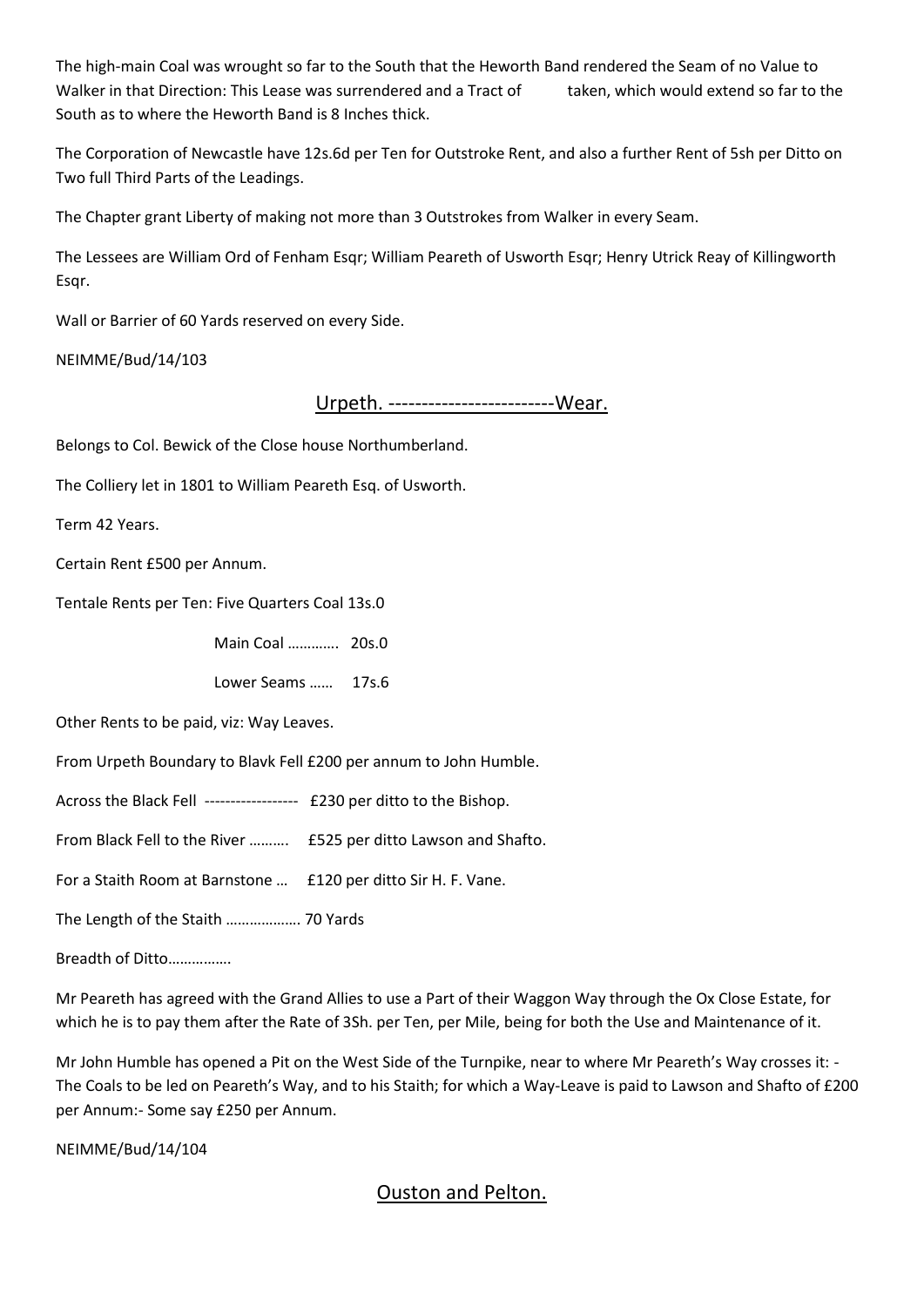The high-main Coal was wrought so far to the South that the Heworth Band rendered the Seam of no Value to Walker in that Direction: This Lease was surrendered and a Tract of taken, which would extend so far to the South as to where the Heworth Band is 8 Inches thick.

The Corporation of Newcastle have 12s.6d per Ten for Outstroke Rent, and also a further Rent of 5sh per Ditto on Two full Third Parts of the Leadings.

The Chapter grant Liberty of making not more than 3 Outstrokes from Walker in every Seam.

The Lessees are William Ord of Fenham Esqr; William Peareth of Usworth Esqr; Henry Utrick Reay of Killingworth Esqr.

Wall or Barrier of 60 Yards reserved on every Side.

NEIMME/Bud/14/103

Urpeth. -------------------------Wear.

Belongs to Col. Bewick of the Close house Northumberland.

The Colliery let in 1801 to William Peareth Esq. of Usworth.

Term 42 Years.

Certain Rent £500 per Annum.

Tentale Rents per Ten: Five Quarters Coal 13s.0

Main Coal …………. 20s.0

Lower Seams …… 17s.6

Other Rents to be paid, viz: Way Leaves.

From Urpeth Boundary to Blavk Fell £200 per annum to John Humble.

Across the Black Fell ------------------ £230 per ditto to the Bishop.

From Black Fell to the River ………. £525 per ditto Lawson and Shafto.

For a Staith Room at Barnstone … £120 per ditto Sir H. F. Vane.

The Length of the Staith ………………. 70 Yards

Breadth of Ditto…………….

Mr Peareth has agreed with the Grand Allies to use a Part of their Waggon Way through the Ox Close Estate, for which he is to pay them after the Rate of 3Sh. per Ten, per Mile, being for both the Use and Maintenance of it.

Mr John Humble has opened a Pit on the West Side of the Turnpike, near to where Mr Peareth's Way crosses it: - The Coals to be led on Peareth's Way, and to his Staith; for which a Way-Leave is paid to Lawson and Shafto of £200 per Annum:- Some say £250 per Annum.

NEIMME/Bud/14/104

# Ouston and Pelton.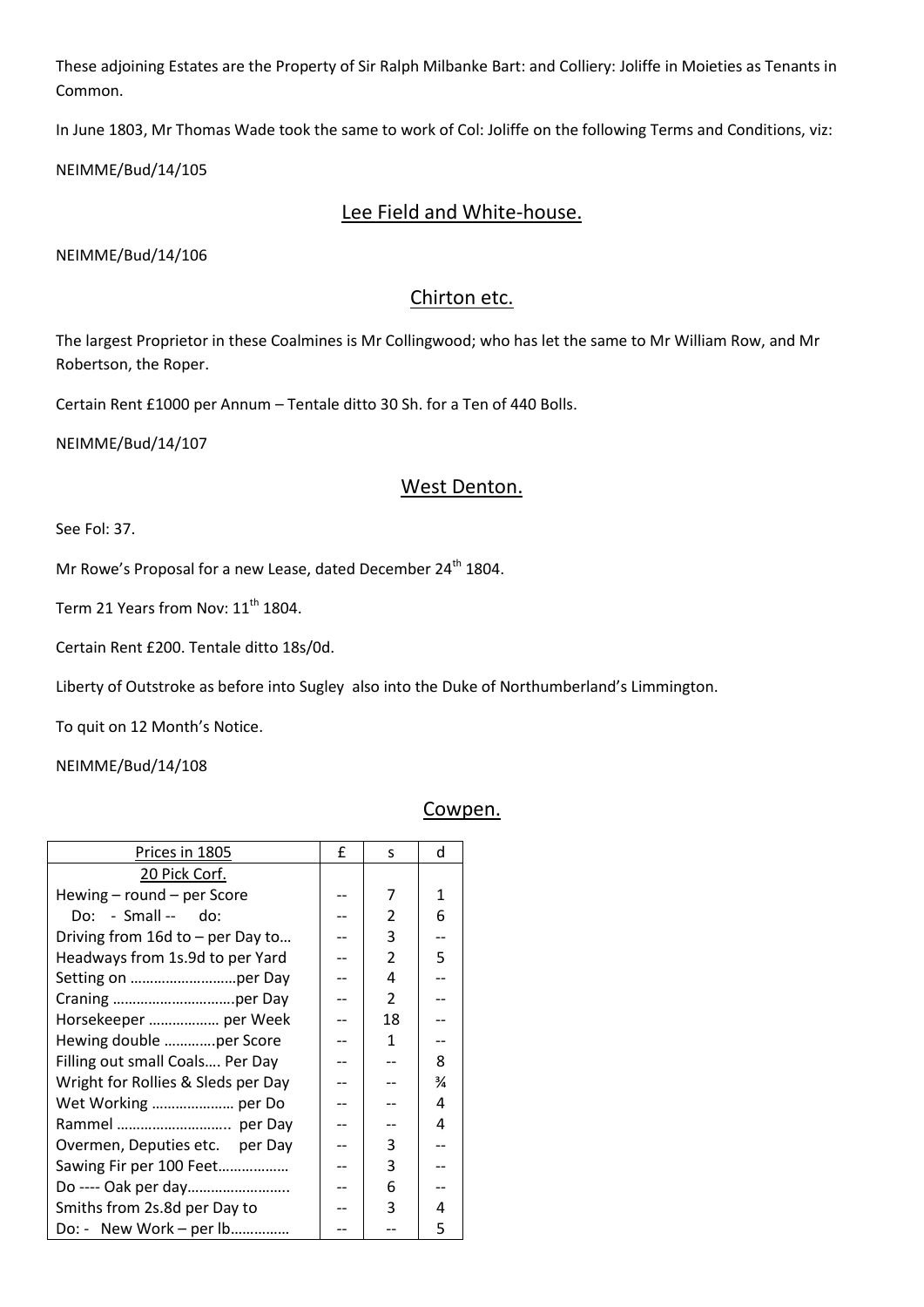These adjoining Estates are the Property of Sir Ralph Milbanke Bart: and Colliery: Joliffe in Moieties as Tenants in Common.

In June 1803, Mr Thomas Wade took the same to work of Col: Joliffe on the following Terms and Conditions, viz:

NEIMME/Bud/14/105

# Lee Field and White-house.

NEIMME/Bud/14/106

# Chirton etc.

The largest Proprietor in these Coalmines is Mr Collingwood; who has let the same to Mr William Row, and Mr Robertson, the Roper.

Certain Rent £1000 per Annum – Tentale ditto 30 Sh. for a Ten of 440 Bolls.

NEIMME/Bud/14/107

## West Denton.

See Fol: 37.

Mr Rowe's Proposal for a new Lease, dated December 24<sup>th</sup> 1804.

Term 21 Years from Nov: 11<sup>th</sup> 1804.

Certain Rent £200. Tentale ditto 18s/0d.

Liberty of Outstroke as before into Sugley also into the Duke of Northumberland's Limmington.

To quit on 12 Month's Notice.

NEIMME/Bud/14/108

### Cowpen.

| Prices in 1805                       | £ | S.             | d |
|--------------------------------------|---|----------------|---|
| 20 Pick Corf.                        |   |                |   |
| Hewing - round - per Score           |   | 7              | 1 |
| $Do: - Small -- do:$                 |   | $\overline{2}$ | 6 |
| Driving from $16d$ to $-$ per Day to |   | 3              |   |
| Headways from 1s.9d to per Yard      |   | $\overline{2}$ | 5 |
|                                      |   | 4              |   |
|                                      |   | 2              |   |
| Horsekeeper  per Week                |   | 18             |   |
| Hewing double per Score              |   | 1              |   |
| Filling out small Coals Per Day      |   |                | 8 |
| Wright for Rollies & Sleds per Day   |   |                | ¾ |
| Wet Working  per Do                  |   |                | 4 |
| Rammel  per Day                      |   |                | 4 |
| Overmen, Deputies etc. per Day       |   | 3              |   |
| Sawing Fir per 100 Feet              |   | 3              |   |
| Do ---- Oak per day                  |   | 6              |   |
| Smiths from 2s.8d per Day to         |   | 3              | 4 |
| Do: - New Work – per lb              |   |                | 5 |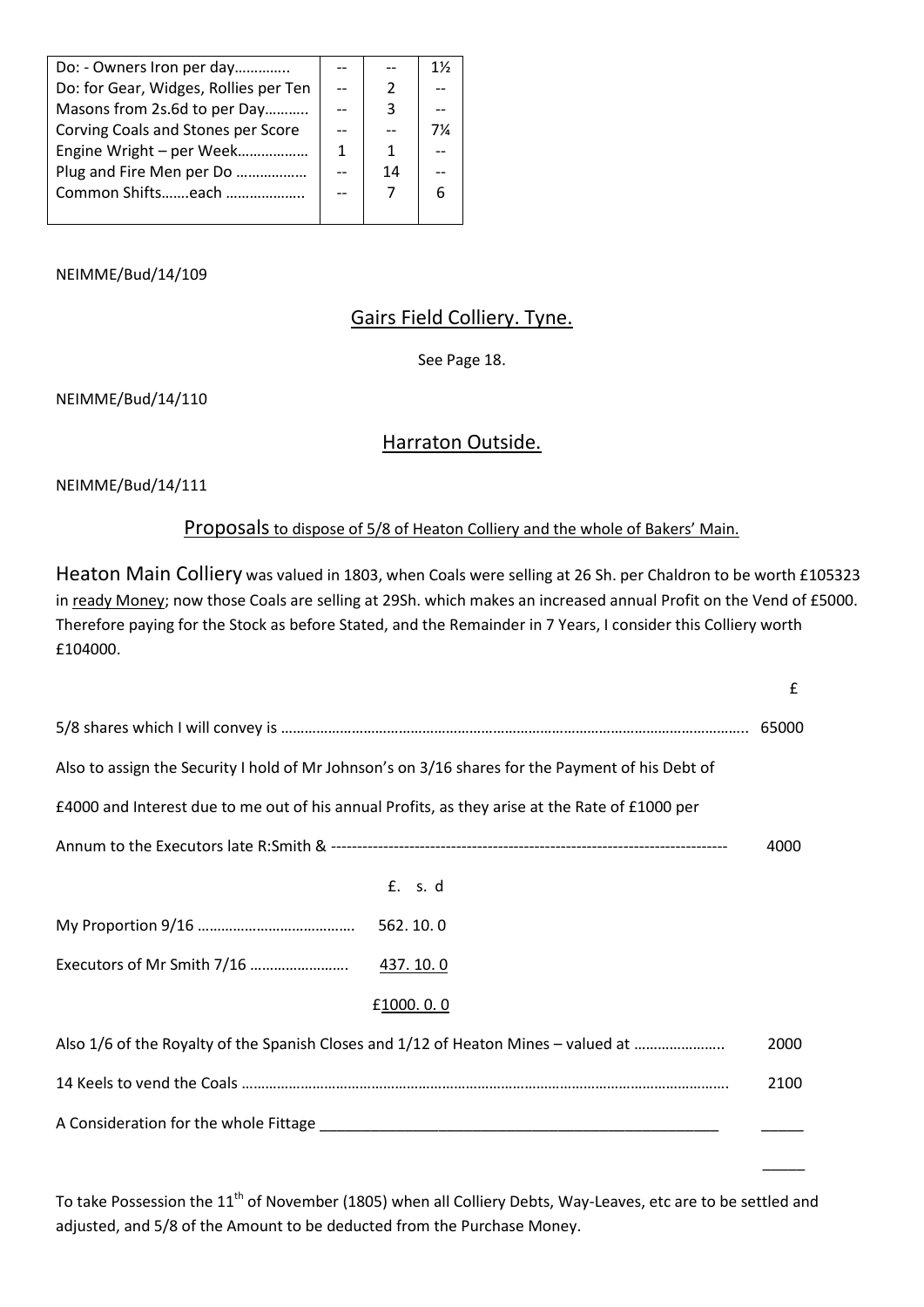| Do: - Owners Iron per day             |   |    | 1½ |
|---------------------------------------|---|----|----|
| Do: for Gear, Widges, Rollies per Ten |   | 2  |    |
| Masons from 2s.6d to per Day          |   | 3  |    |
| Corving Coals and Stones per Score    |   |    | 7¼ |
| Engine Wright - per Week              | 1 | 1  |    |
| Plug and Fire Men per Do              |   | 14 |    |
| Common Shiftseach                     |   |    |    |
|                                       |   |    |    |

# Gairs Field Colliery. Tyne.

See Page 18.

NEIMME/Bud/14/110

# Harraton Outside.

NEIMME/Bud/14/111

## Proposals to dispose of 5/8 of Heaton Colliery and the whole of Bakers' Main.

Heaton Main Colliery was valued in 1803, when Coals were selling at 26 Sh. per Chaldron to be worth £105323 in ready Money; now those Coals are selling at 29Sh. which makes an increased annual Profit on the Vend of £5000. Therefore paying for the Stock as before Stated, and the Remainder in 7 Years, I consider this Colliery worth £104000.

|                                                                                                  | $\mathbf{f}$ |
|--------------------------------------------------------------------------------------------------|--------------|
|                                                                                                  | 65000        |
| Also to assign the Security I hold of Mr Johnson's on 3/16 shares for the Payment of his Debt of |              |
| £4000 and Interest due to me out of his annual Profits, as they arise at the Rate of £1000 per   |              |
|                                                                                                  | 4000         |
| £. s. d                                                                                          |              |
| 562.10.0                                                                                         |              |
| 437.10.0                                                                                         |              |
| £1000.0.0                                                                                        |              |
| Also 1/6 of the Royalty of the Spanish Closes and 1/12 of Heaton Mines - valued at               | 2000         |
|                                                                                                  | 2100         |
|                                                                                                  |              |

To take Possession the 11<sup>th</sup> of November (1805) when all Colliery Debts, Way-Leaves, etc are to be settled and adjusted, and 5/8 of the Amount to be deducted from the Purchase Money.

 $\mathcal{L}_\mathcal{L}$  , the contract of the contract of the contract of the contract of the contract of the contract of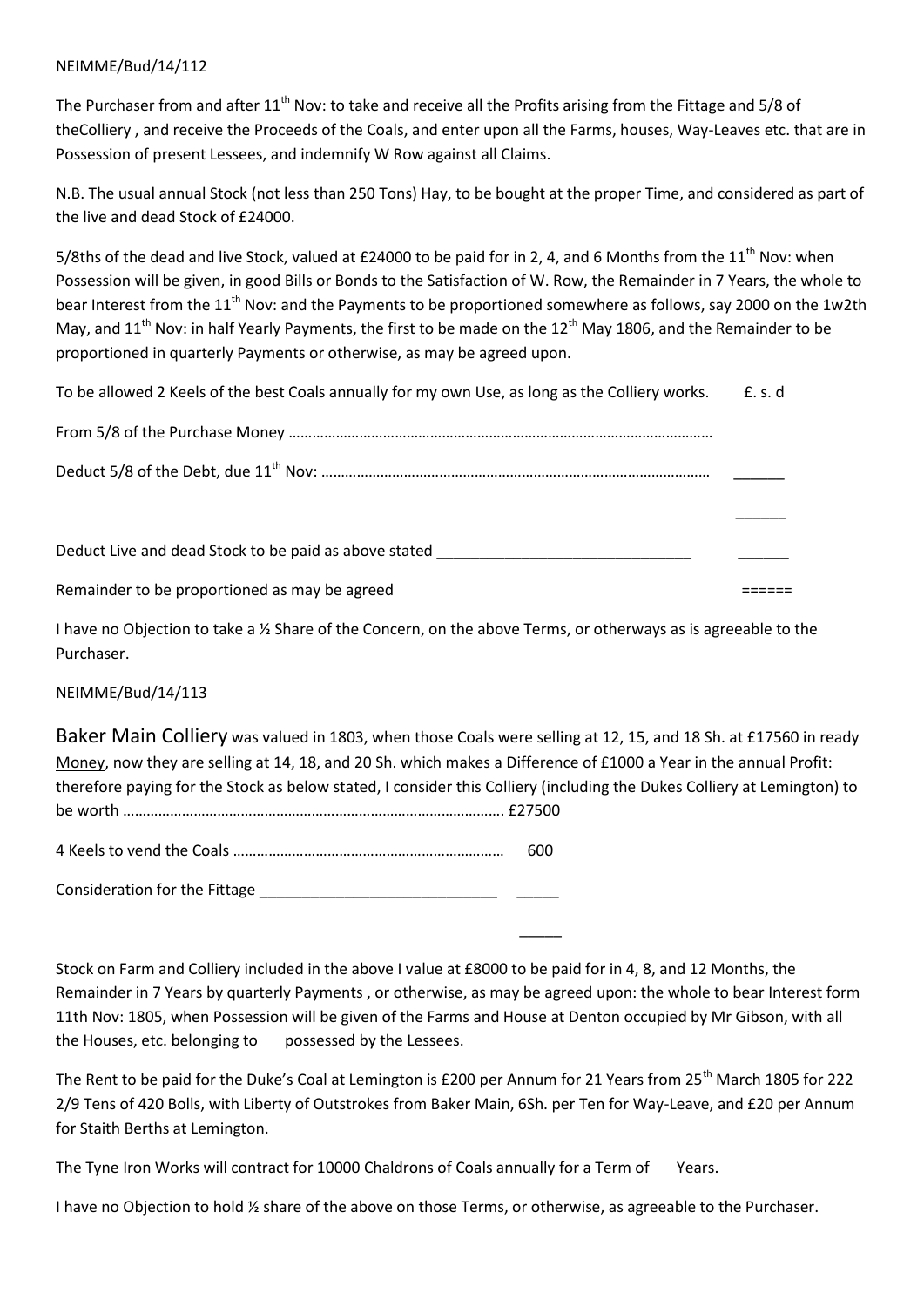The Purchaser from and after 11<sup>th</sup> Nov: to take and receive all the Profits arising from the Fittage and 5/8 of theColliery , and receive the Proceeds of the Coals, and enter upon all the Farms, houses, Way-Leaves etc. that are in Possession of present Lessees, and indemnify W Row against all Claims.

N.B. The usual annual Stock (not less than 250 Tons) Hay, to be bought at the proper Time, and considered as part of the live and dead Stock of £24000.

5/8ths of the dead and live Stock, valued at £24000 to be paid for in 2, 4, and 6 Months from the 11<sup>th</sup> Nov: when Possession will be given, in good Bills or Bonds to the Satisfaction of W. Row, the Remainder in 7 Years, the whole to bear Interest from the 11<sup>th</sup> Nov: and the Payments to be proportioned somewhere as follows, say 2000 on the 1w2th May, and 11<sup>th</sup> Nov: in half Yearly Payments, the first to be made on the 12<sup>th</sup> May 1806, and the Remainder to be proportioned in quarterly Payments or otherwise, as may be agreed upon.

To be allowed 2 Keels of the best Coals annually for my own Use, as long as the Colliery works. E.s. d

| Deduct Live and dead Stock to be paid as above stated <b>Exercise 2018</b> |  |
|----------------------------------------------------------------------------|--|
|                                                                            |  |

Remainder to be proportioned as may be agreed ======

I have no Objection to take a ½ Share of the Concern, on the above Terms, or otherways as is agreeable to the Purchaser.

NEIMME/Bud/14/113

Baker Main Colliery was valued in 1803, when those Coals were selling at 12, 15, and 18 Sh. at £17560 in ready Money, now they are selling at 14, 18, and 20 Sh. which makes a Difference of £1000 a Year in the annual Profit: therefore paying for the Stock as below stated, I consider this Colliery (including the Dukes Colliery at Lemington) to be worth ……………………………………………………………………………………. £27500

4 Keels to vend the Coals …………………………………………………………… 600

Consideration for the Fittage \_\_\_\_\_\_\_\_\_\_\_\_\_\_\_\_\_\_\_\_\_\_\_\_\_\_\_\_ \_\_\_\_\_

\_\_\_\_\_

Stock on Farm and Colliery included in the above I value at £8000 to be paid for in 4, 8, and 12 Months, the Remainder in 7 Years by quarterly Payments , or otherwise, as may be agreed upon: the whole to bear Interest form 11th Nov: 1805, when Possession will be given of the Farms and House at Denton occupied by Mr Gibson, with all the Houses, etc. belonging to possessed by the Lessees.

The Rent to be paid for the Duke's Coal at Lemington is £200 per Annum for 21 Years from 25<sup>th</sup> March 1805 for 222 2/9 Tens of 420 Bolls, with Liberty of Outstrokes from Baker Main, 6Sh. per Ten for Way-Leave, and £20 per Annum for Staith Berths at Lemington.

The Tyne Iron Works will contract for 10000 Chaldrons of Coals annually for a Term of Years.

I have no Objection to hold ½ share of the above on those Terms, or otherwise, as agreeable to the Purchaser.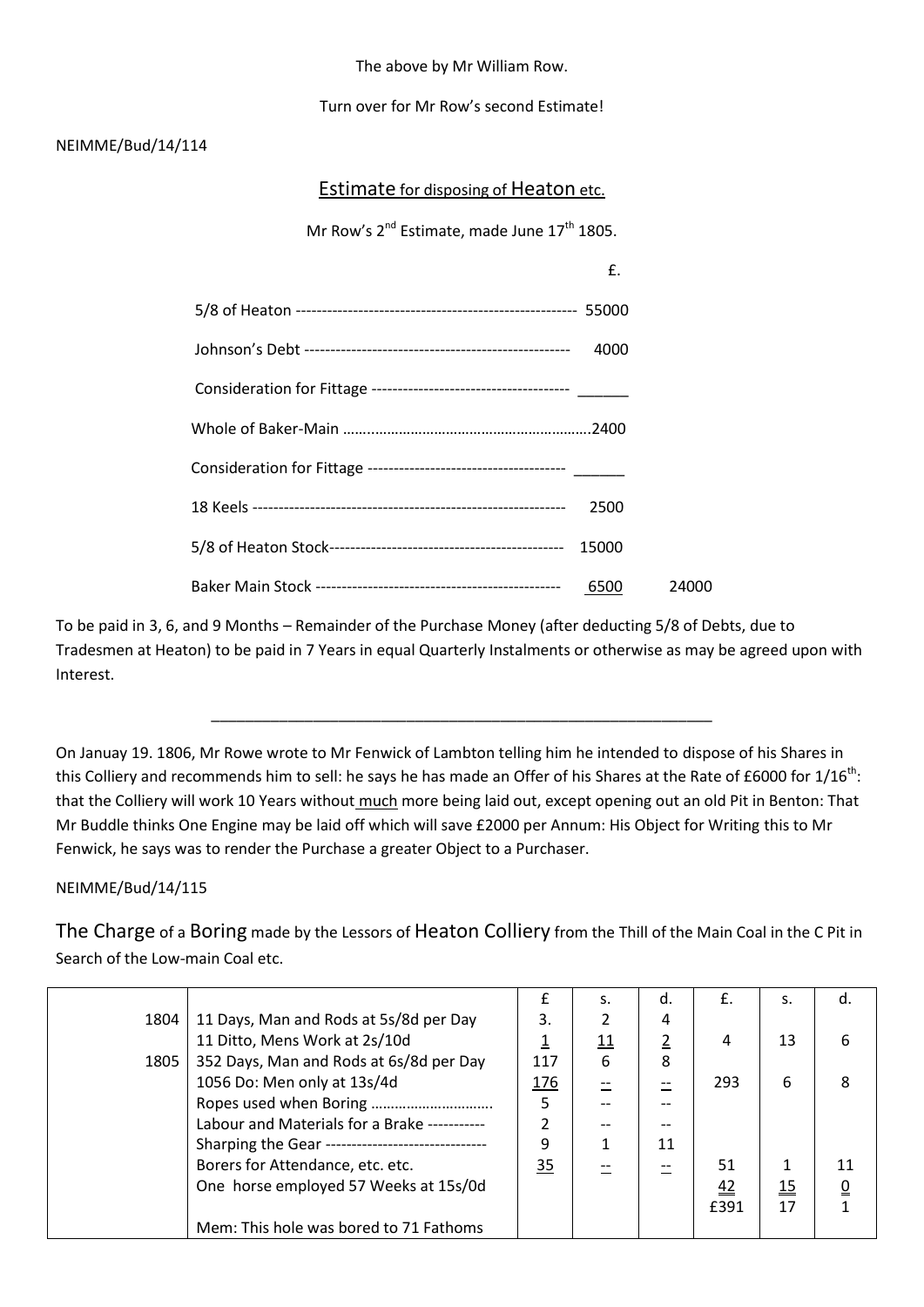The above by Mr William Row.

Turn over for Mr Row's second Estimate!

## NEIMME/Bud/14/114

Estimate for disposing of Heaton etc.

Mr Row's  $2^{nd}$  Estimate, made June  $17^{th}$  1805.

| £.    |       |
|-------|-------|
|       |       |
| 4000  |       |
|       |       |
| .2400 |       |
|       |       |
| 2500  |       |
| 15000 |       |
| 6500  | 24000 |

To be paid in 3, 6, and 9 Months – Remainder of the Purchase Money (after deducting 5/8 of Debts, due to Tradesmen at Heaton) to be paid in 7 Years in equal Quarterly Instalments or otherwise as may be agreed upon with Interest.

\_\_\_\_\_\_\_\_\_\_\_\_\_\_\_\_\_\_\_\_\_\_\_\_\_\_\_\_\_\_\_\_\_\_\_\_\_\_\_\_\_\_\_\_\_\_\_\_\_\_\_\_\_\_\_\_\_\_\_

On Januay 19. 1806, Mr Rowe wrote to Mr Fenwick of Lambton telling him he intended to dispose of his Shares in this Colliery and recommends him to sell: he says he has made an Offer of his Shares at the Rate of £6000 for  $1/16$ <sup>th</sup>: that the Colliery will work 10 Years without much more being laid out, except opening out an old Pit in Benton: That Mr Buddle thinks One Engine may be laid off which will save £2000 per Annum: His Object for Writing this to Mr Fenwick, he says was to render the Purchase a greater Object to a Purchaser.

NEIMME/Bud/14/115

The Charge of a Boring made by the Lessors of Heaton Colliery from the Thill of the Main Coal in the C Pit in Search of the Low-main Coal etc.

|      |                                                   | f          | S.         | d. | £.   | S.                           | d. |
|------|---------------------------------------------------|------------|------------|----|------|------------------------------|----|
| 1804 | 11 Days, Man and Rods at 5s/8d per Day            | 3.         |            | 4  |      |                              |    |
|      | 11 Ditto, Mens Work at 2s/10d                     |            | <u> 11</u> | 2  | 4    | 13                           |    |
| 1805 | 352 Days, Man and Rods at 6s/8d per Day           | 117        | 6          | 8  |      |                              |    |
|      | 1056 Do: Men only at 13s/4d                       | <u>176</u> |            |    | 293  | 6                            |    |
|      |                                                   | 5          |            |    |      |                              |    |
|      | Labour and Materials for a Brake -----------      |            | --         |    |      |                              |    |
|      | Sharping the Gear ------------------------------- | q          |            | 11 |      |                              |    |
|      | Borers for Attendance, etc. etc.                  | 35         |            |    | 51   |                              |    |
|      | One horse employed 57 Weeks at 15s/0d             |            |            |    | 42   | $\underline{\underline{15}}$ |    |
|      |                                                   |            |            |    | £391 | 17                           |    |
|      | Mem: This hole was bored to 71 Fathoms            |            |            |    |      |                              |    |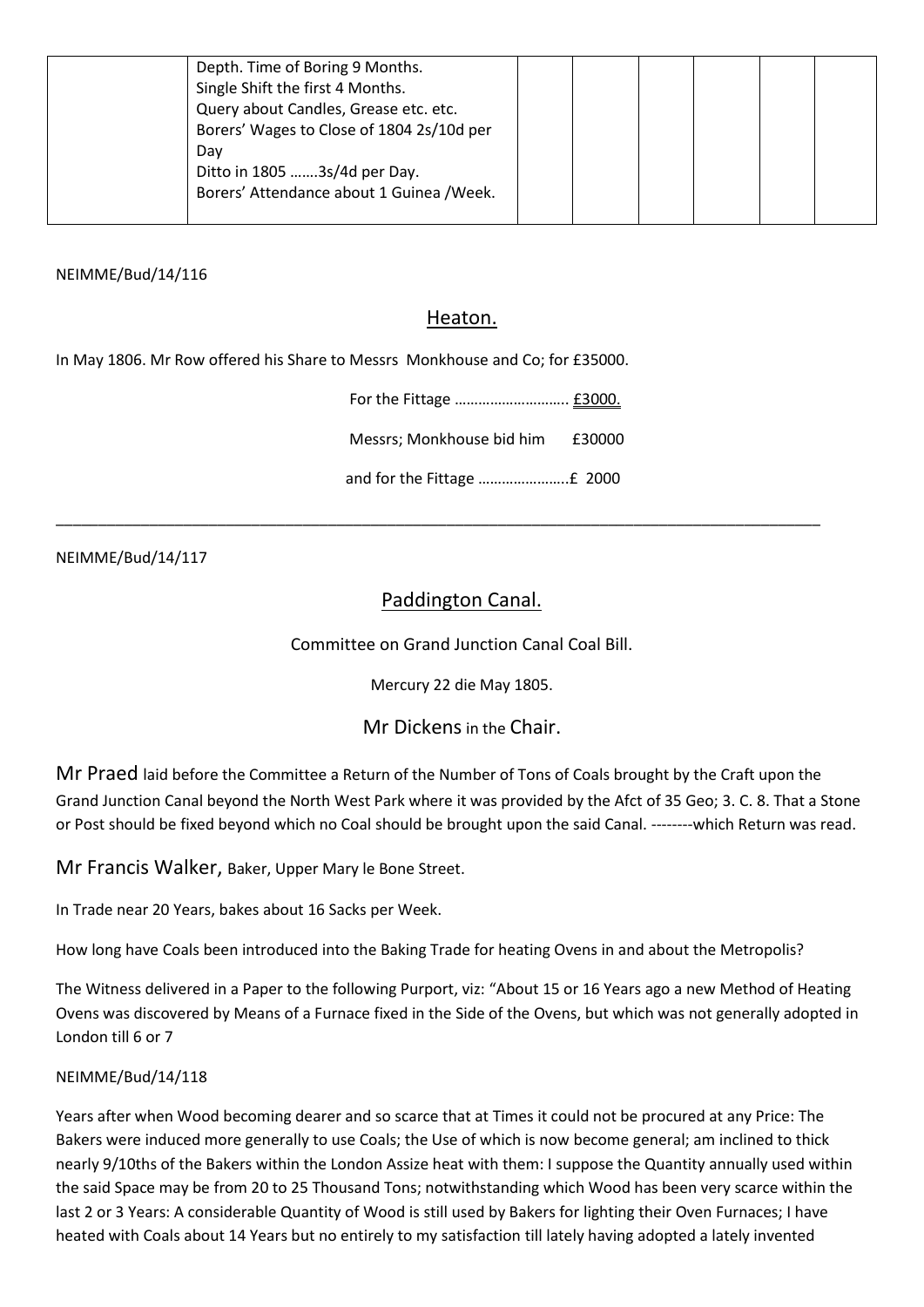| Depth. Time of Boring 9 Months.           |  |  |  |
|-------------------------------------------|--|--|--|
| Single Shift the first 4 Months.          |  |  |  |
| Query about Candles, Grease etc. etc.     |  |  |  |
| Borers' Wages to Close of 1804 2s/10d per |  |  |  |
| Day                                       |  |  |  |
| Ditto in 1805 3s/4d per Day.              |  |  |  |
| Borers' Attendance about 1 Guinea / Week. |  |  |  |
|                                           |  |  |  |

## Heaton.

In May 1806. Mr Row offered his Share to Messrs Monkhouse and Co; for £35000.

| Messrs: Monkhouse bid him £30000 |  |
|----------------------------------|--|
|                                  |  |

NEIMME/Bud/14/117

# Paddington Canal.

\_\_\_\_\_\_\_\_\_\_\_\_\_\_\_\_\_\_\_\_\_\_\_\_\_\_\_\_\_\_\_\_\_\_\_\_\_\_\_\_\_\_\_\_\_\_\_\_\_\_\_\_\_\_\_\_\_\_\_\_\_\_\_\_\_\_\_\_\_\_\_\_\_\_\_\_\_\_\_\_\_\_\_\_\_\_\_\_\_\_

Committee on Grand Junction Canal Coal Bill.

Mercury 22 die May 1805.

Mr Dickens in the Chair.

Mr Praed laid before the Committee a Return of the Number of Tons of Coals brought by the Craft upon the Grand Junction Canal beyond the North West Park where it was provided by the Afct of 35 Geo; 3. C. 8. That a Stone or Post should be fixed beyond which no Coal should be brought upon the said Canal. --------which Return was read.

Mr Francis Walker, Baker, Upper Mary le Bone Street.

In Trade near 20 Years, bakes about 16 Sacks per Week.

How long have Coals been introduced into the Baking Trade for heating Ovens in and about the Metropolis?

The Witness delivered in a Paper to the following Purport, viz: "About 15 or 16 Years ago a new Method of Heating Ovens was discovered by Means of a Furnace fixed in the Side of the Ovens, but which was not generally adopted in London till 6 or 7

### NEIMME/Bud/14/118

Years after when Wood becoming dearer and so scarce that at Times it could not be procured at any Price: The Bakers were induced more generally to use Coals; the Use of which is now become general; am inclined to thick nearly 9/10ths of the Bakers within the London Assize heat with them: I suppose the Quantity annually used within the said Space may be from 20 to 25 Thousand Tons; notwithstanding which Wood has been very scarce within the last 2 or 3 Years: A considerable Quantity of Wood is still used by Bakers for lighting their Oven Furnaces; I have heated with Coals about 14 Years but no entirely to my satisfaction till lately having adopted a lately invented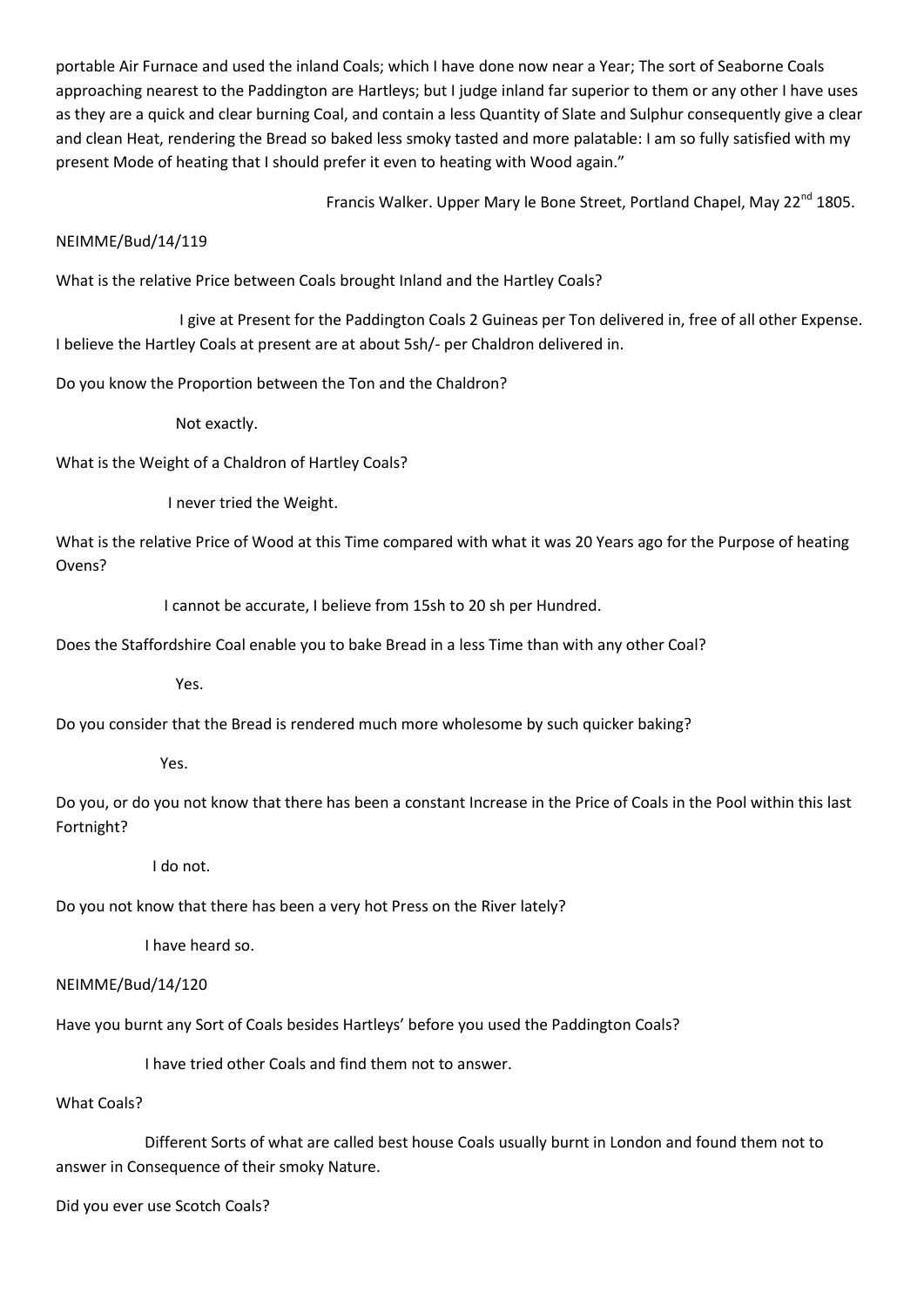portable Air Furnace and used the inland Coals; which I have done now near a Year; The sort of Seaborne Coals approaching nearest to the Paddington are Hartleys; but I judge inland far superior to them or any other I have uses as they are a quick and clear burning Coal, and contain a less Quantity of Slate and Sulphur consequently give a clear and clean Heat, rendering the Bread so baked less smoky tasted and more palatable: I am so fully satisfied with my present Mode of heating that I should prefer it even to heating with Wood again."

Francis Walker. Upper Mary le Bone Street, Portland Chapel. Mav 22<sup>nd</sup> 1805.

### NEIMME/Bud/14/119

What is the relative Price between Coals brought Inland and the Hartley Coals?

 I give at Present for the Paddington Coals 2 Guineas per Ton delivered in, free of all other Expense. I believe the Hartley Coals at present are at about 5sh/- per Chaldron delivered in.

Do you know the Proportion between the Ton and the Chaldron?

Not exactly.

What is the Weight of a Chaldron of Hartley Coals?

I never tried the Weight.

What is the relative Price of Wood at this Time compared with what it was 20 Years ago for the Purpose of heating Ovens?

I cannot be accurate, I believe from 15sh to 20 sh per Hundred.

Does the Staffordshire Coal enable you to bake Bread in a less Time than with any other Coal?

Yes.

Do you consider that the Bread is rendered much more wholesome by such quicker baking?

### Yes.

Do you, or do you not know that there has been a constant Increase in the Price of Coals in the Pool within this last Fortnight?

I do not.

Do you not know that there has been a very hot Press on the River lately?

I have heard so.

### NEIMME/Bud/14/120

Have you burnt any Sort of Coals besides Hartleys' before you used the Paddington Coals?

I have tried other Coals and find them not to answer.

### What Coals?

 Different Sorts of what are called best house Coals usually burnt in London and found them not to answer in Consequence of their smoky Nature.

Did you ever use Scotch Coals?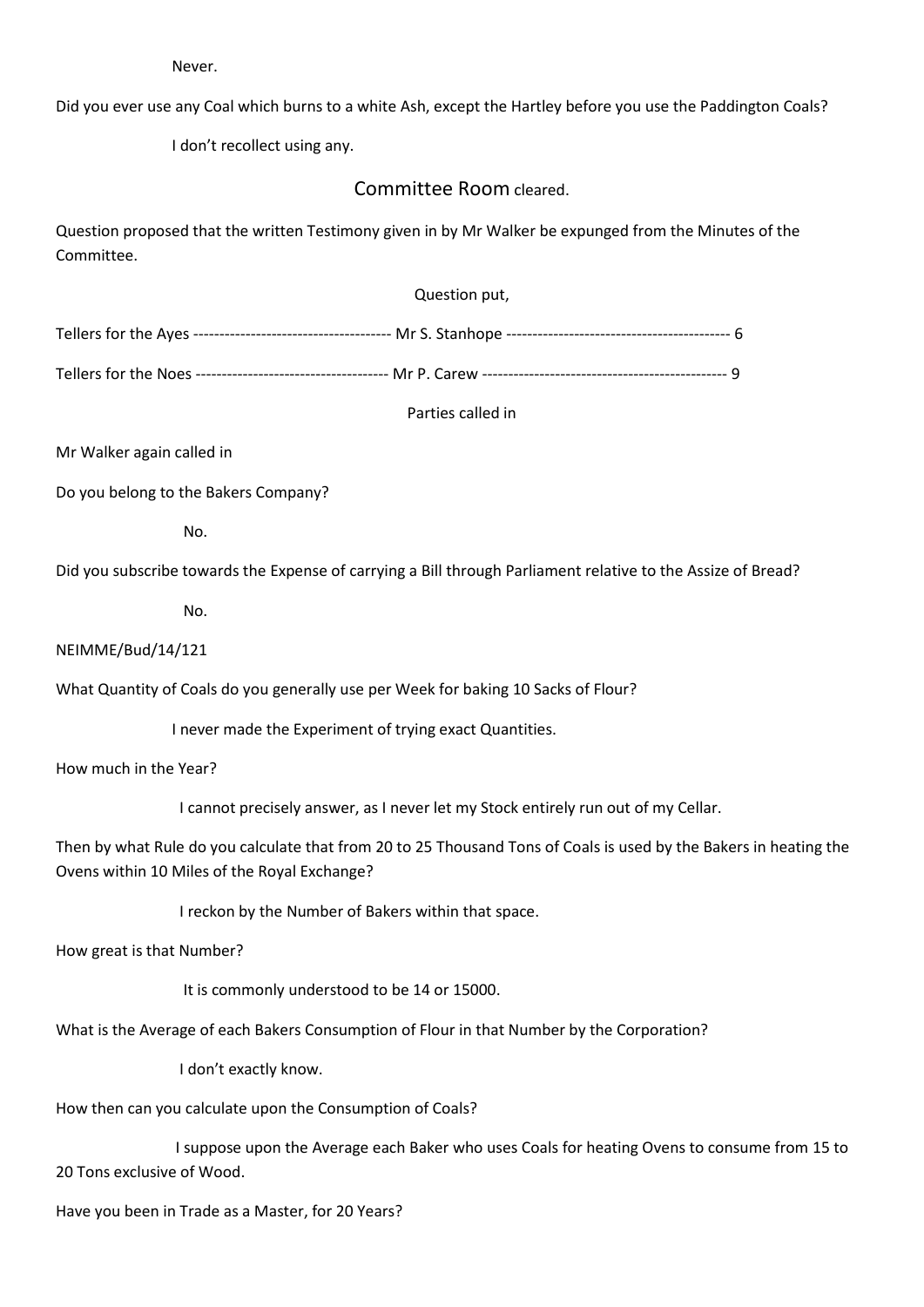Never.

Did you ever use any Coal which burns to a white Ash, except the Hartley before you use the Paddington Coals?

I don't recollect using any.

## Committee Room cleared.

Question proposed that the written Testimony given in by Mr Walker be expunged from the Minutes of the Committee.

| Question put, |  |
|---------------|--|
|               |  |

Tellers for the Noes ------------------------------------- Mr P. Carew ----------------------------------------------- 9

Parties called in

Mr Walker again called in

Do you belong to the Bakers Company?

No.

Did you subscribe towards the Expense of carrying a Bill through Parliament relative to the Assize of Bread?

No.

#### NEIMME/Bud/14/121

What Quantity of Coals do you generally use per Week for baking 10 Sacks of Flour?

I never made the Experiment of trying exact Quantities.

How much in the Year?

I cannot precisely answer, as I never let my Stock entirely run out of my Cellar.

Then by what Rule do you calculate that from 20 to 25 Thousand Tons of Coals is used by the Bakers in heating the Ovens within 10 Miles of the Royal Exchange?

I reckon by the Number of Bakers within that space.

How great is that Number?

It is commonly understood to be 14 or 15000.

What is the Average of each Bakers Consumption of Flour in that Number by the Corporation?

I don't exactly know.

How then can you calculate upon the Consumption of Coals?

 I suppose upon the Average each Baker who uses Coals for heating Ovens to consume from 15 to 20 Tons exclusive of Wood.

Have you been in Trade as a Master, for 20 Years?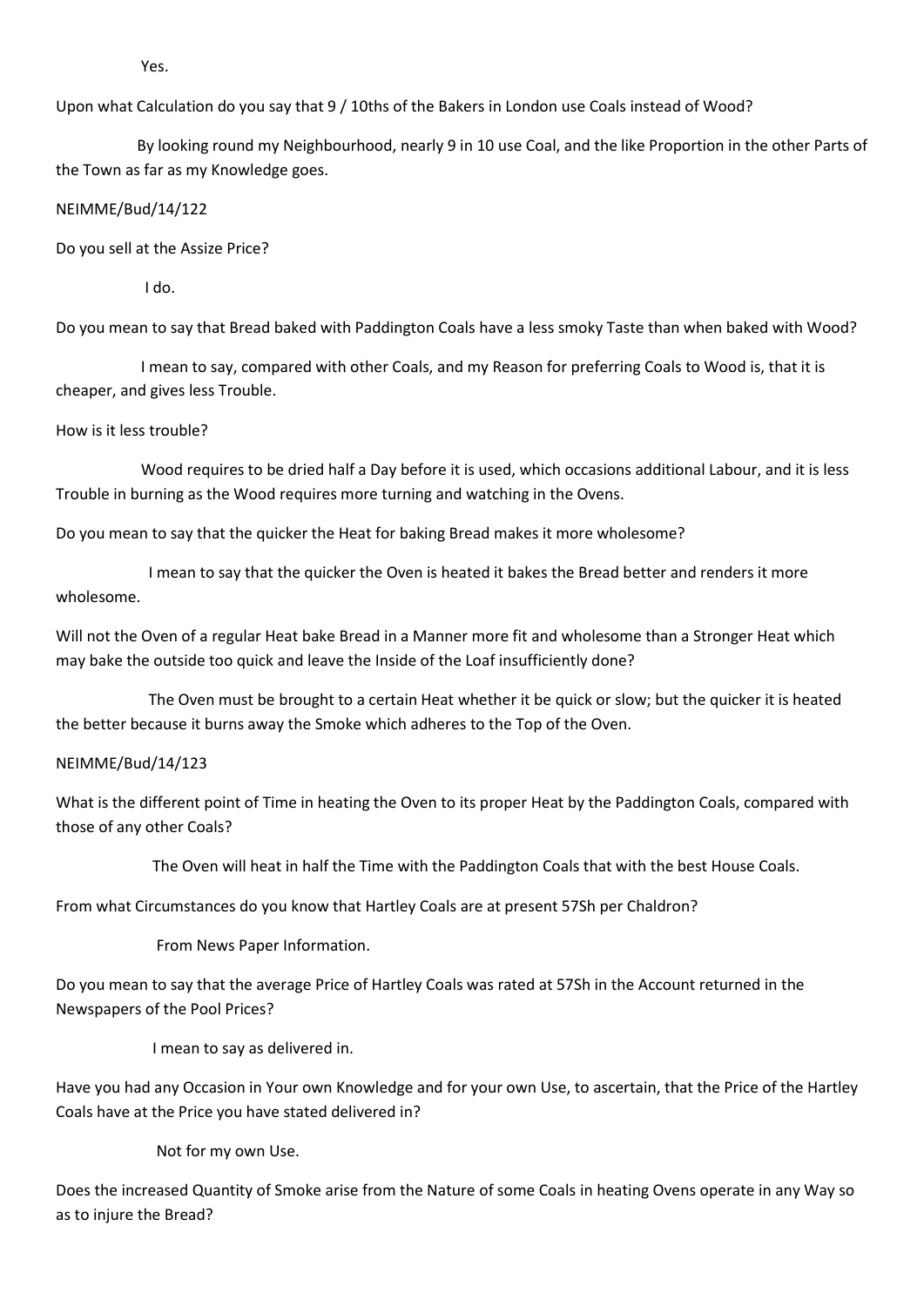Yes.

Upon what Calculation do you say that 9 / 10ths of the Bakers in London use Coals instead of Wood?

 By looking round my Neighbourhood, nearly 9 in 10 use Coal, and the like Proportion in the other Parts of the Town as far as my Knowledge goes.

#### NEIMME/Bud/14/122

Do you sell at the Assize Price?

I do.

Do you mean to say that Bread baked with Paddington Coals have a less smoky Taste than when baked with Wood?

 I mean to say, compared with other Coals, and my Reason for preferring Coals to Wood is, that it is cheaper, and gives less Trouble.

#### How is it less trouble?

 Wood requires to be dried half a Day before it is used, which occasions additional Labour, and it is less Trouble in burning as the Wood requires more turning and watching in the Ovens.

Do you mean to say that the quicker the Heat for baking Bread makes it more wholesome?

 I mean to say that the quicker the Oven is heated it bakes the Bread better and renders it more wholesome.

Will not the Oven of a regular Heat bake Bread in a Manner more fit and wholesome than a Stronger Heat which may bake the outside too quick and leave the Inside of the Loaf insufficiently done?

 The Oven must be brought to a certain Heat whether it be quick or slow; but the quicker it is heated the better because it burns away the Smoke which adheres to the Top of the Oven.

#### NEIMME/Bud/14/123

What is the different point of Time in heating the Oven to its proper Heat by the Paddington Coals, compared with those of any other Coals?

The Oven will heat in half the Time with the Paddington Coals that with the best House Coals.

From what Circumstances do you know that Hartley Coals are at present 57Sh per Chaldron?

From News Paper Information.

Do you mean to say that the average Price of Hartley Coals was rated at 57Sh in the Account returned in the Newspapers of the Pool Prices?

I mean to say as delivered in.

Have you had any Occasion in Your own Knowledge and for your own Use, to ascertain, that the Price of the Hartley Coals have at the Price you have stated delivered in?

Not for my own Use.

Does the increased Quantity of Smoke arise from the Nature of some Coals in heating Ovens operate in any Way so as to injure the Bread?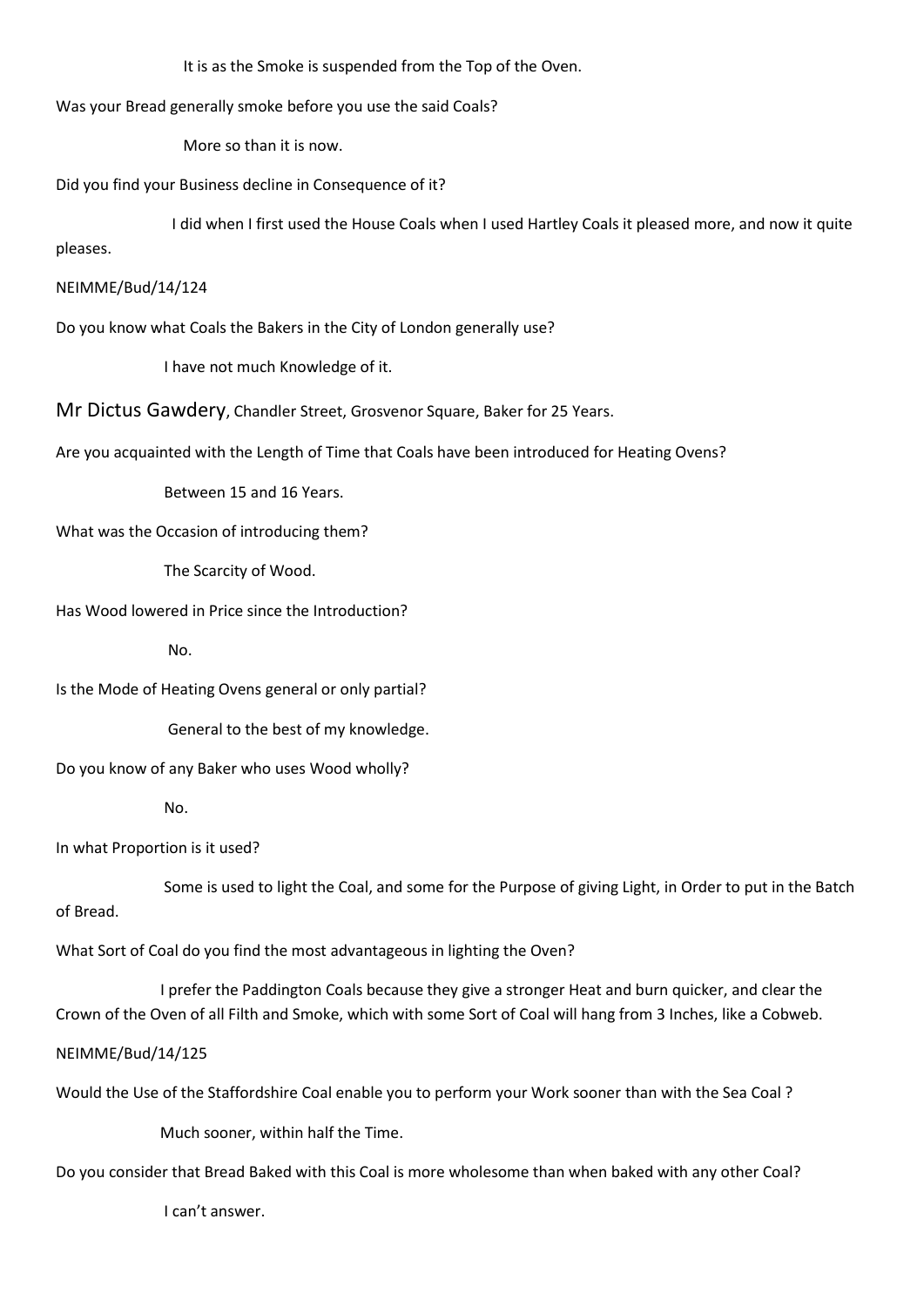It is as the Smoke is suspended from the Top of the Oven.

Was your Bread generally smoke before you use the said Coals?

More so than it is now.

Did you find your Business decline in Consequence of it?

 I did when I first used the House Coals when I used Hartley Coals it pleased more, and now it quite pleases.

#### NEIMME/Bud/14/124

Do you know what Coals the Bakers in the City of London generally use?

I have not much Knowledge of it.

Mr Dictus Gawdery, Chandler Street, Grosvenor Square, Baker for 25 Years.

Are you acquainted with the Length of Time that Coals have been introduced for Heating Ovens?

Between 15 and 16 Years.

What was the Occasion of introducing them?

The Scarcity of Wood.

Has Wood lowered in Price since the Introduction?

No.

Is the Mode of Heating Ovens general or only partial?

General to the best of my knowledge.

Do you know of any Baker who uses Wood wholly?

No.

In what Proportion is it used?

 Some is used to light the Coal, and some for the Purpose of giving Light, in Order to put in the Batch of Bread.

What Sort of Coal do you find the most advantageous in lighting the Oven?

 I prefer the Paddington Coals because they give a stronger Heat and burn quicker, and clear the Crown of the Oven of all Filth and Smoke, which with some Sort of Coal will hang from 3 Inches, like a Cobweb.

#### NEIMME/Bud/14/125

Would the Use of the Staffordshire Coal enable you to perform your Work sooner than with the Sea Coal ?

Much sooner, within half the Time.

Do you consider that Bread Baked with this Coal is more wholesome than when baked with any other Coal?

I can't answer.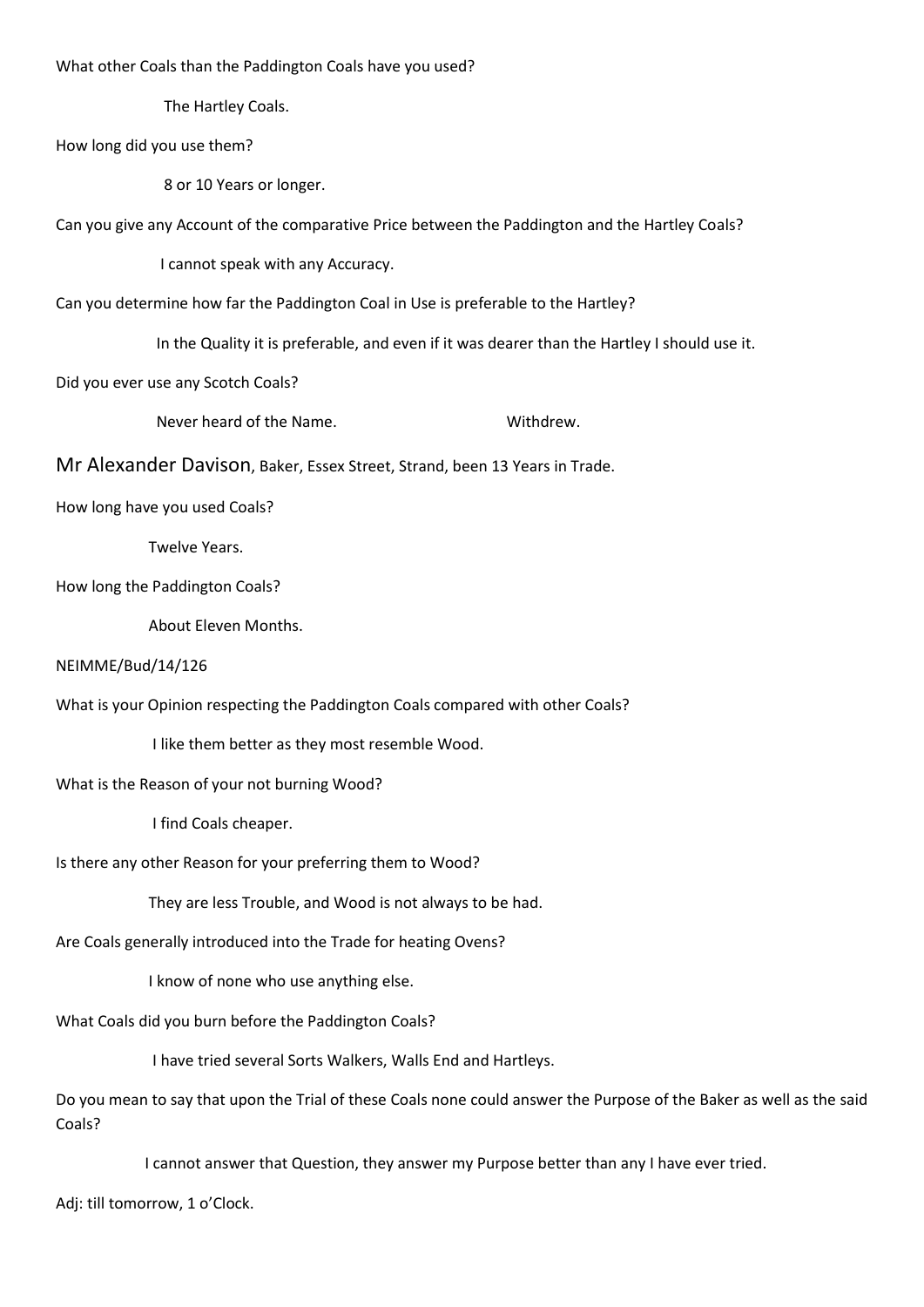What other Coals than the Paddington Coals have you used?

The Hartley Coals.

How long did you use them?

8 or 10 Years or longer.

Can you give any Account of the comparative Price between the Paddington and the Hartley Coals?

I cannot speak with any Accuracy.

Can you determine how far the Paddington Coal in Use is preferable to the Hartley?

In the Quality it is preferable, and even if it was dearer than the Hartley I should use it.

Did you ever use any Scotch Coals?

Never heard of the Name.<br>
Withdrew.

Mr Alexander Davison, Baker, Essex Street, Strand, been 13 Years in Trade.

How long have you used Coals?

Twelve Years.

How long the Paddington Coals?

About Eleven Months.

#### NEIMME/Bud/14/126

What is your Opinion respecting the Paddington Coals compared with other Coals?

I like them better as they most resemble Wood.

What is the Reason of your not burning Wood?

I find Coals cheaper.

Is there any other Reason for your preferring them to Wood?

They are less Trouble, and Wood is not always to be had.

Are Coals generally introduced into the Trade for heating Ovens?

I know of none who use anything else.

What Coals did you burn before the Paddington Coals?

I have tried several Sorts Walkers, Walls End and Hartleys.

Do you mean to say that upon the Trial of these Coals none could answer the Purpose of the Baker as well as the said Coals?

I cannot answer that Question, they answer my Purpose better than any I have ever tried.

Adj: till tomorrow, 1 o'Clock.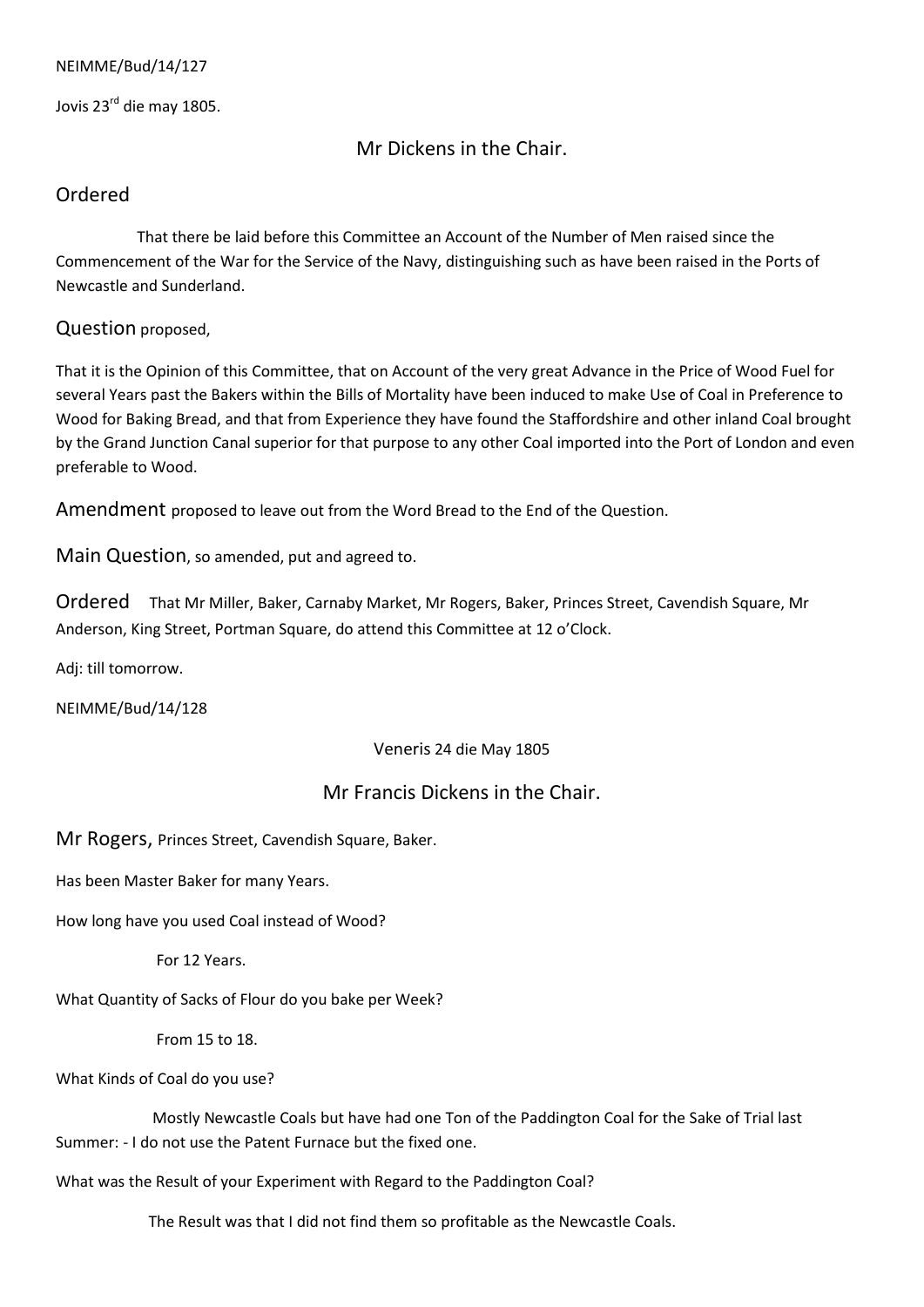Jovis 23rd die may 1805.

Mr Dickens in the Chair.

# Ordered

 That there be laid before this Committee an Account of the Number of Men raised since the Commencement of the War for the Service of the Navy, distinguishing such as have been raised in the Ports of Newcastle and Sunderland.

## Question proposed,

That it is the Opinion of this Committee, that on Account of the very great Advance in the Price of Wood Fuel for several Years past the Bakers within the Bills of Mortality have been induced to make Use of Coal in Preference to Wood for Baking Bread, and that from Experience they have found the Staffordshire and other inland Coal brought by the Grand Junction Canal superior for that purpose to any other Coal imported into the Port of London and even preferable to Wood.

Amendment proposed to leave out from the Word Bread to the End of the Question.

Main Question, so amended, put and agreed to.

Ordered That Mr Miller, Baker, Carnaby Market, Mr Rogers, Baker, Princes Street, Cavendish Square, Mr Anderson, King Street, Portman Square, do attend this Committee at 12 o'Clock.

Adj: till tomorrow.

NEIMME/Bud/14/128

Veneris 24 die May 1805

# Mr Francis Dickens in the Chair.

Mr Rogers, Princes Street, Cavendish Square, Baker.

Has been Master Baker for many Years.

How long have you used Coal instead of Wood?

For 12 Years.

What Quantity of Sacks of Flour do you bake per Week?

From 15 to 18.

### What Kinds of Coal do you use?

 Mostly Newcastle Coals but have had one Ton of the Paddington Coal for the Sake of Trial last Summer: - I do not use the Patent Furnace but the fixed one.

What was the Result of your Experiment with Regard to the Paddington Coal?

The Result was that I did not find them so profitable as the Newcastle Coals.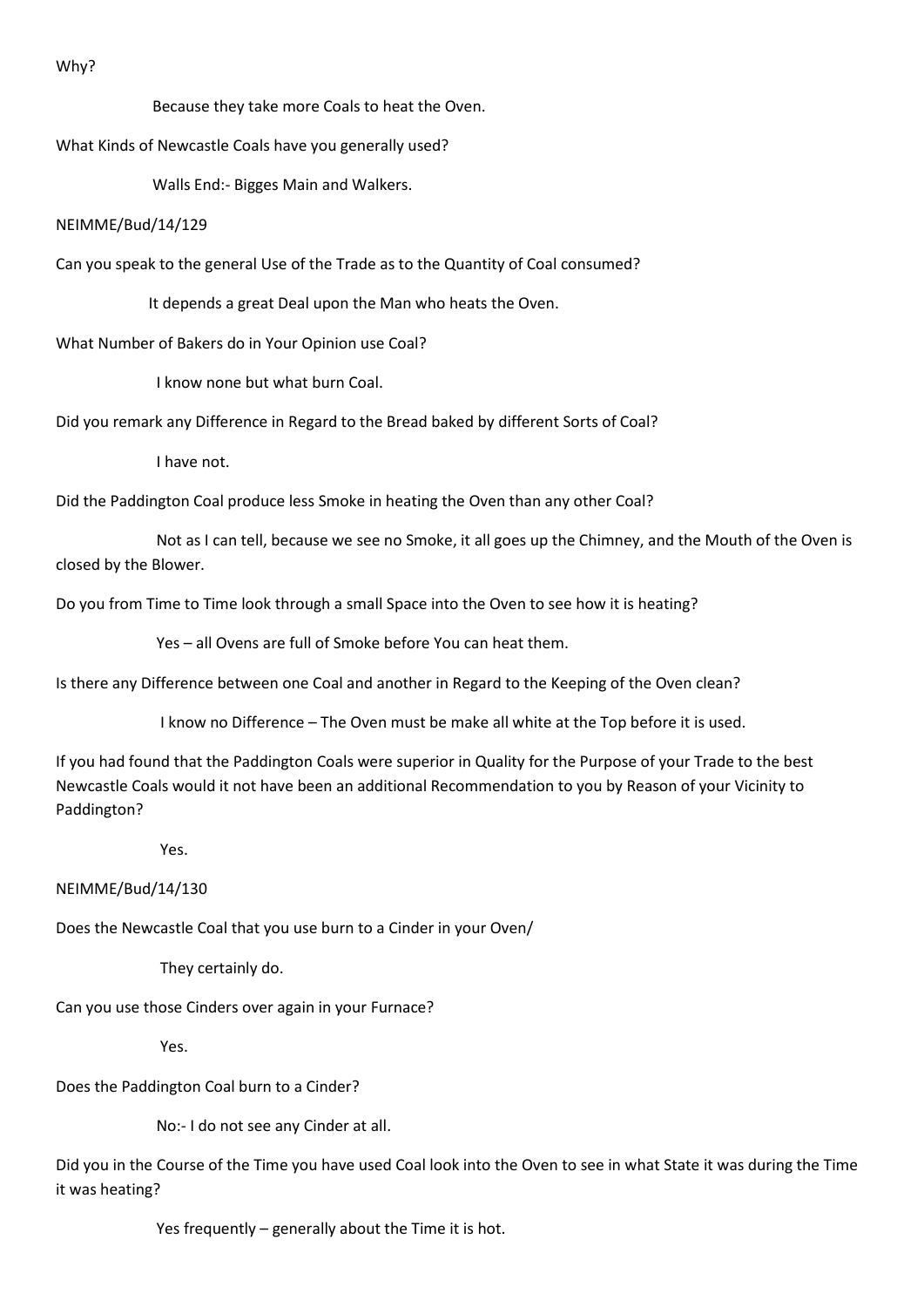Why?

Because they take more Coals to heat the Oven.

What Kinds of Newcastle Coals have you generally used?

Walls End:- Bigges Main and Walkers.

### NEIMME/Bud/14/129

Can you speak to the general Use of the Trade as to the Quantity of Coal consumed?

It depends a great Deal upon the Man who heats the Oven.

What Number of Bakers do in Your Opinion use Coal?

I know none but what burn Coal.

Did you remark any Difference in Regard to the Bread baked by different Sorts of Coal?

I have not.

Did the Paddington Coal produce less Smoke in heating the Oven than any other Coal?

 Not as I can tell, because we see no Smoke, it all goes up the Chimney, and the Mouth of the Oven is closed by the Blower.

Do you from Time to Time look through a small Space into the Oven to see how it is heating?

Yes – all Ovens are full of Smoke before You can heat them.

Is there any Difference between one Coal and another in Regard to the Keeping of the Oven clean?

I know no Difference – The Oven must be make all white at the Top before it is used.

If you had found that the Paddington Coals were superior in Quality for the Purpose of your Trade to the best Newcastle Coals would it not have been an additional Recommendation to you by Reason of your Vicinity to Paddington?

Yes.

NEIMME/Bud/14/130

Does the Newcastle Coal that you use burn to a Cinder in your Oven/

They certainly do.

Can you use those Cinders over again in your Furnace?

Yes.

Does the Paddington Coal burn to a Cinder?

No:- I do not see any Cinder at all.

Did you in the Course of the Time you have used Coal look into the Oven to see in what State it was during the Time it was heating?

Yes frequently – generally about the Time it is hot.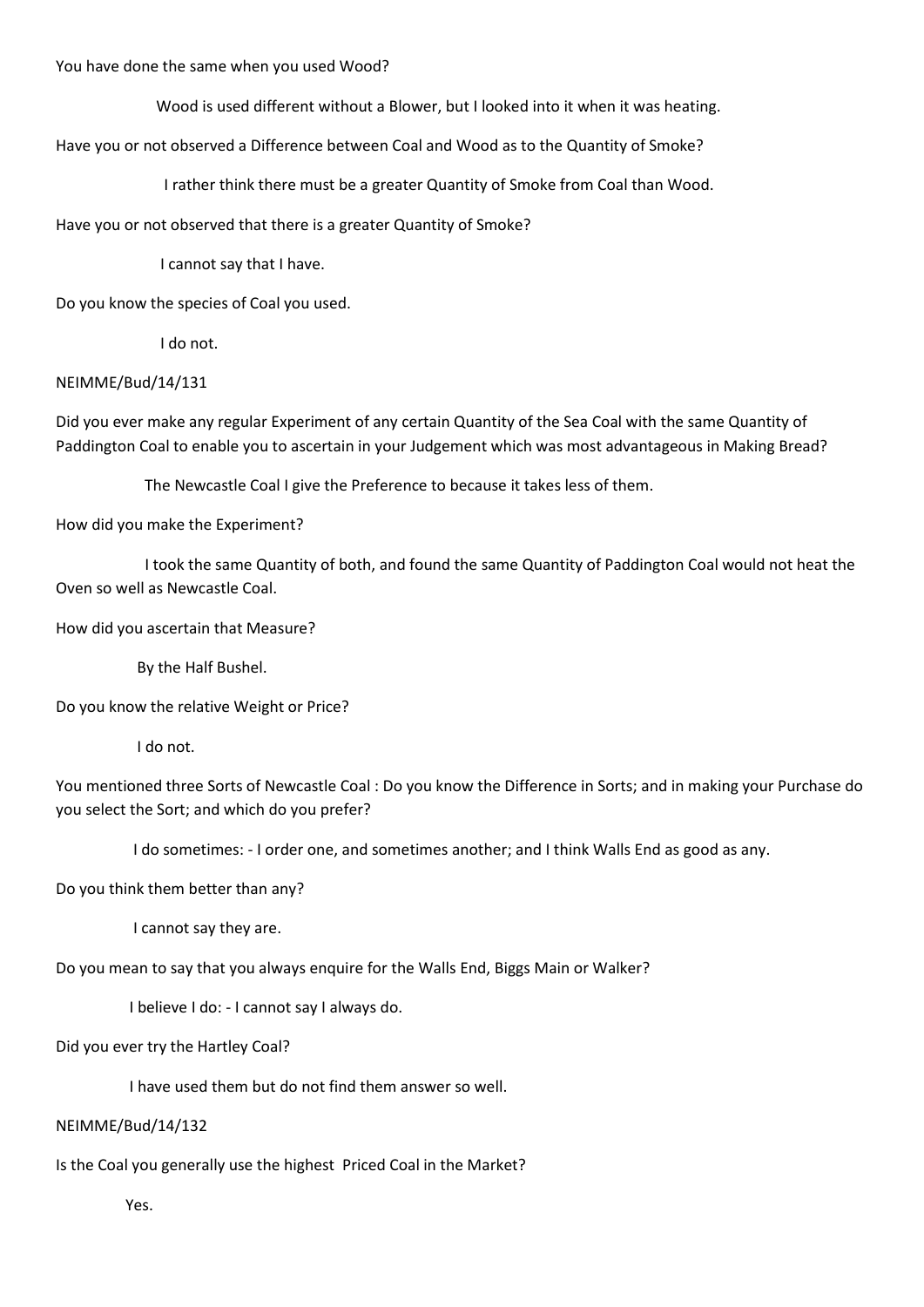You have done the same when you used Wood?

Wood is used different without a Blower, but I looked into it when it was heating.

Have you or not observed a Difference between Coal and Wood as to the Quantity of Smoke?

I rather think there must be a greater Quantity of Smoke from Coal than Wood.

Have you or not observed that there is a greater Quantity of Smoke?

I cannot say that I have.

Do you know the species of Coal you used.

I do not.

### NEIMME/Bud/14/131

Did you ever make any regular Experiment of any certain Quantity of the Sea Coal with the same Quantity of Paddington Coal to enable you to ascertain in your Judgement which was most advantageous in Making Bread?

The Newcastle Coal I give the Preference to because it takes less of them.

How did you make the Experiment?

 I took the same Quantity of both, and found the same Quantity of Paddington Coal would not heat the Oven so well as Newcastle Coal.

How did you ascertain that Measure?

By the Half Bushel.

Do you know the relative Weight or Price?

I do not.

You mentioned three Sorts of Newcastle Coal : Do you know the Difference in Sorts; and in making your Purchase do you select the Sort; and which do you prefer?

I do sometimes: - I order one, and sometimes another; and I think Walls End as good as any.

### Do you think them better than any?

I cannot say they are.

Do you mean to say that you always enquire for the Walls End, Biggs Main or Walker?

I believe I do: - I cannot say I always do.

Did you ever try the Hartley Coal?

I have used them but do not find them answer so well.

### NEIMME/Bud/14/132

Is the Coal you generally use the highest Priced Coal in the Market?

Yes.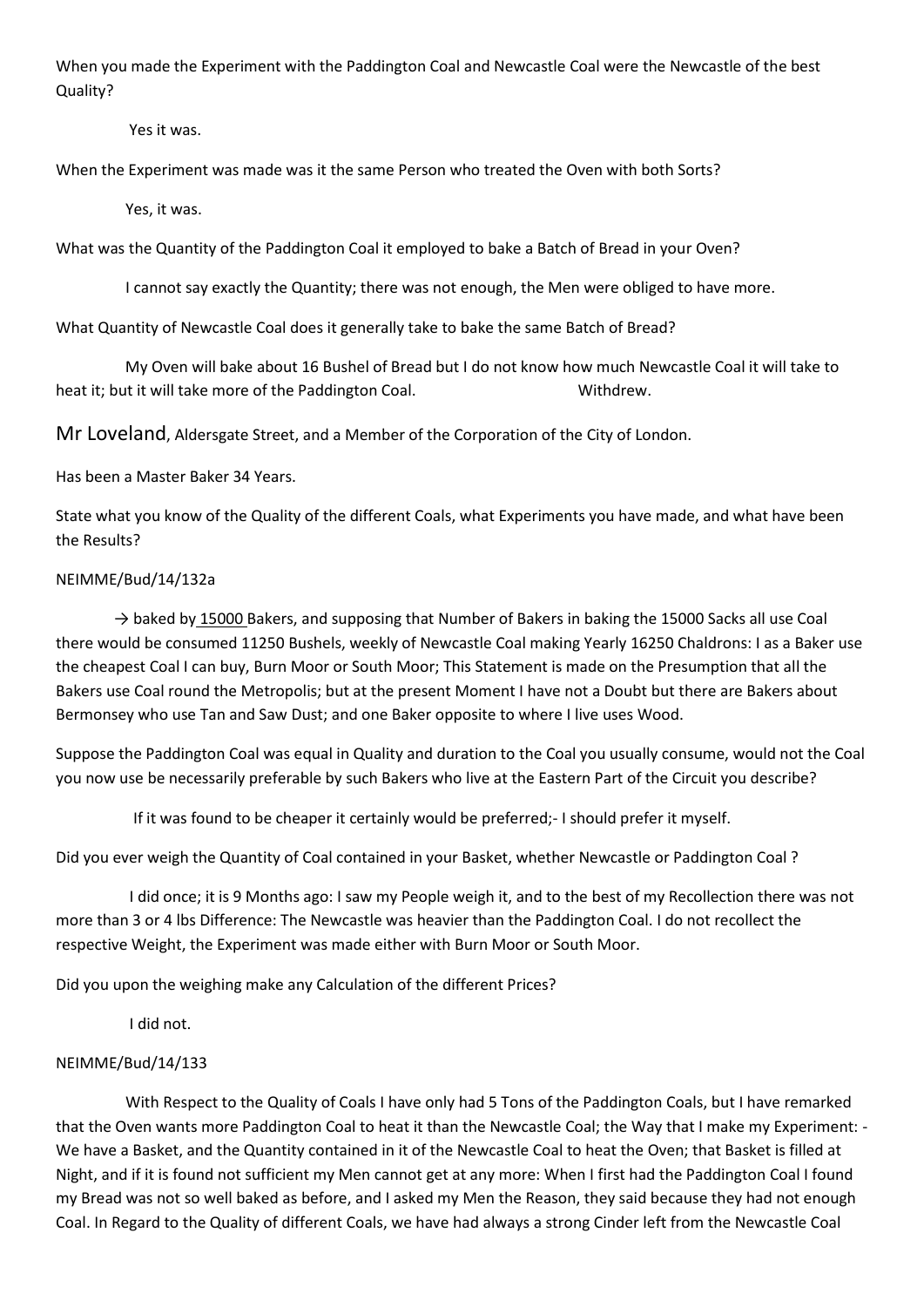When you made the Experiment with the Paddington Coal and Newcastle Coal were the Newcastle of the best Quality?

Yes it was.

When the Experiment was made was it the same Person who treated the Oven with both Sorts?

Yes, it was.

What was the Quantity of the Paddington Coal it employed to bake a Batch of Bread in your Oven?

I cannot say exactly the Quantity; there was not enough, the Men were obliged to have more.

What Quantity of Newcastle Coal does it generally take to bake the same Batch of Bread?

 My Oven will bake about 16 Bushel of Bread but I do not know how much Newcastle Coal it will take to heat it; but it will take more of the Paddington Coal. Withdrew.

Mr Loveland, Aldersgate Street, and a Member of the Corporation of the City of London.

Has been a Master Baker 34 Years.

State what you know of the Quality of the different Coals, what Experiments you have made, and what have been the Results?

### NEIMME/Bud/14/132a

 $\rightarrow$  baked by 15000 Bakers, and supposing that Number of Bakers in baking the 15000 Sacks all use Coal there would be consumed 11250 Bushels, weekly of Newcastle Coal making Yearly 16250 Chaldrons: I as a Baker use the cheapest Coal I can buy, Burn Moor or South Moor; This Statement is made on the Presumption that all the Bakers use Coal round the Metropolis; but at the present Moment I have not a Doubt but there are Bakers about Bermonsey who use Tan and Saw Dust; and one Baker opposite to where I live uses Wood.

Suppose the Paddington Coal was equal in Quality and duration to the Coal you usually consume, would not the Coal you now use be necessarily preferable by such Bakers who live at the Eastern Part of the Circuit you describe?

If it was found to be cheaper it certainly would be preferred;- I should prefer it myself.

Did you ever weigh the Quantity of Coal contained in your Basket, whether Newcastle or Paddington Coal ?

 I did once; it is 9 Months ago: I saw my People weigh it, and to the best of my Recollection there was not more than 3 or 4 lbs Difference: The Newcastle was heavier than the Paddington Coal. I do not recollect the respective Weight, the Experiment was made either with Burn Moor or South Moor.

Did you upon the weighing make any Calculation of the different Prices?

I did not.

### NEIMME/Bud/14/133

 With Respect to the Quality of Coals I have only had 5 Tons of the Paddington Coals, but I have remarked that the Oven wants more Paddington Coal to heat it than the Newcastle Coal; the Way that I make my Experiment: - We have a Basket, and the Quantity contained in it of the Newcastle Coal to heat the Oven; that Basket is filled at Night, and if it is found not sufficient my Men cannot get at any more: When I first had the Paddington Coal I found my Bread was not so well baked as before, and I asked my Men the Reason, they said because they had not enough Coal. In Regard to the Quality of different Coals, we have had always a strong Cinder left from the Newcastle Coal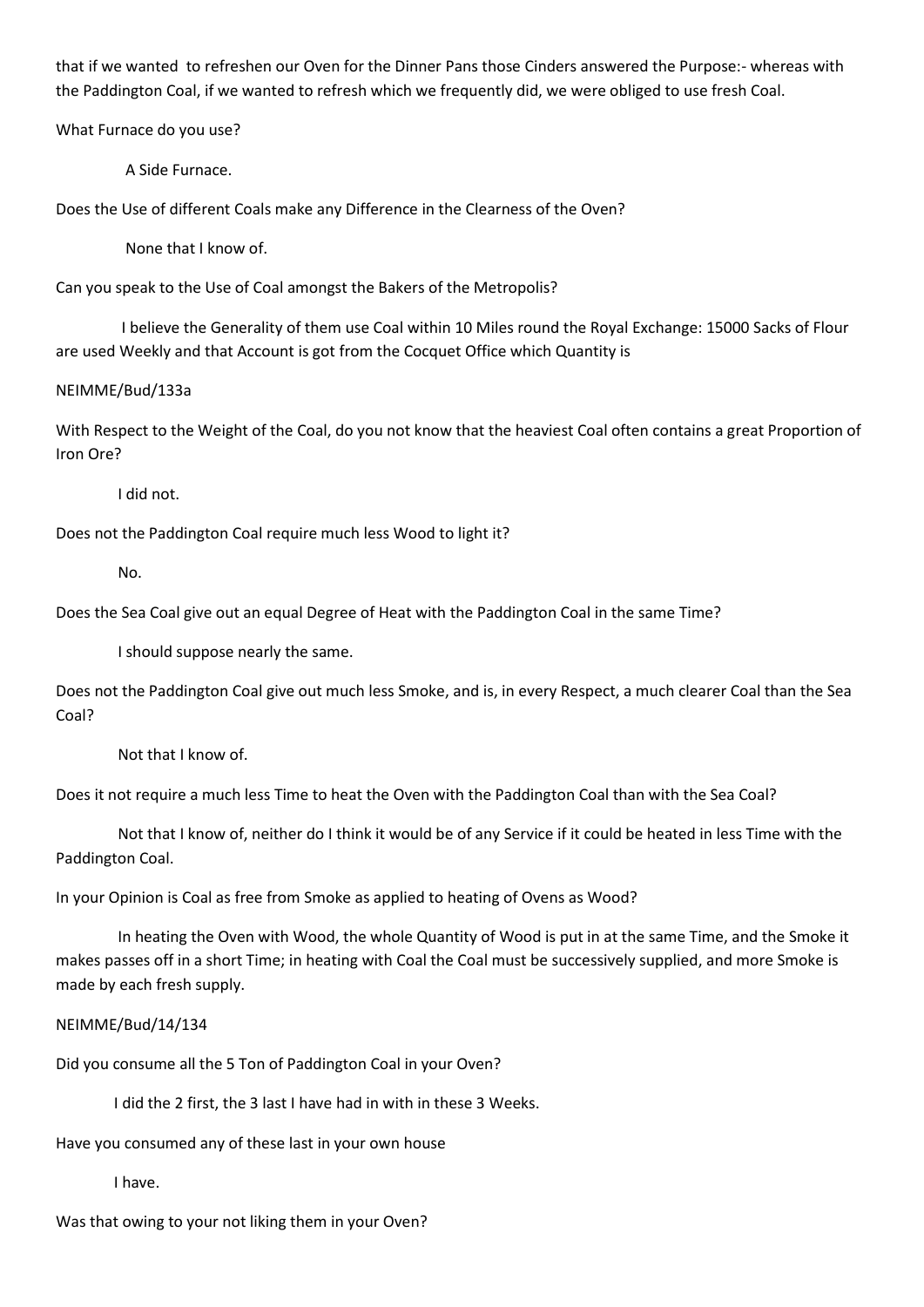that if we wanted to refreshen our Oven for the Dinner Pans those Cinders answered the Purpose:- whereas with the Paddington Coal, if we wanted to refresh which we frequently did, we were obliged to use fresh Coal.

What Furnace do you use?

A Side Furnace.

Does the Use of different Coals make any Difference in the Clearness of the Oven?

None that I know of.

Can you speak to the Use of Coal amongst the Bakers of the Metropolis?

 I believe the Generality of them use Coal within 10 Miles round the Royal Exchange: 15000 Sacks of Flour are used Weekly and that Account is got from the Cocquet Office which Quantity is

NEIMME/Bud/133a

With Respect to the Weight of the Coal, do you not know that the heaviest Coal often contains a great Proportion of Iron Ore?

I did not.

Does not the Paddington Coal require much less Wood to light it?

No.

Does the Sea Coal give out an equal Degree of Heat with the Paddington Coal in the same Time?

I should suppose nearly the same.

Does not the Paddington Coal give out much less Smoke, and is, in every Respect, a much clearer Coal than the Sea Coal?

Not that I know of.

Does it not require a much less Time to heat the Oven with the Paddington Coal than with the Sea Coal?

 Not that I know of, neither do I think it would be of any Service if it could be heated in less Time with the Paddington Coal.

In your Opinion is Coal as free from Smoke as applied to heating of Ovens as Wood?

 In heating the Oven with Wood, the whole Quantity of Wood is put in at the same Time, and the Smoke it makes passes off in a short Time; in heating with Coal the Coal must be successively supplied, and more Smoke is made by each fresh supply.

### NEIMME/Bud/14/134

Did you consume all the 5 Ton of Paddington Coal in your Oven?

I did the 2 first, the 3 last I have had in with in these 3 Weeks.

Have you consumed any of these last in your own house

I have.

Was that owing to your not liking them in your Oven?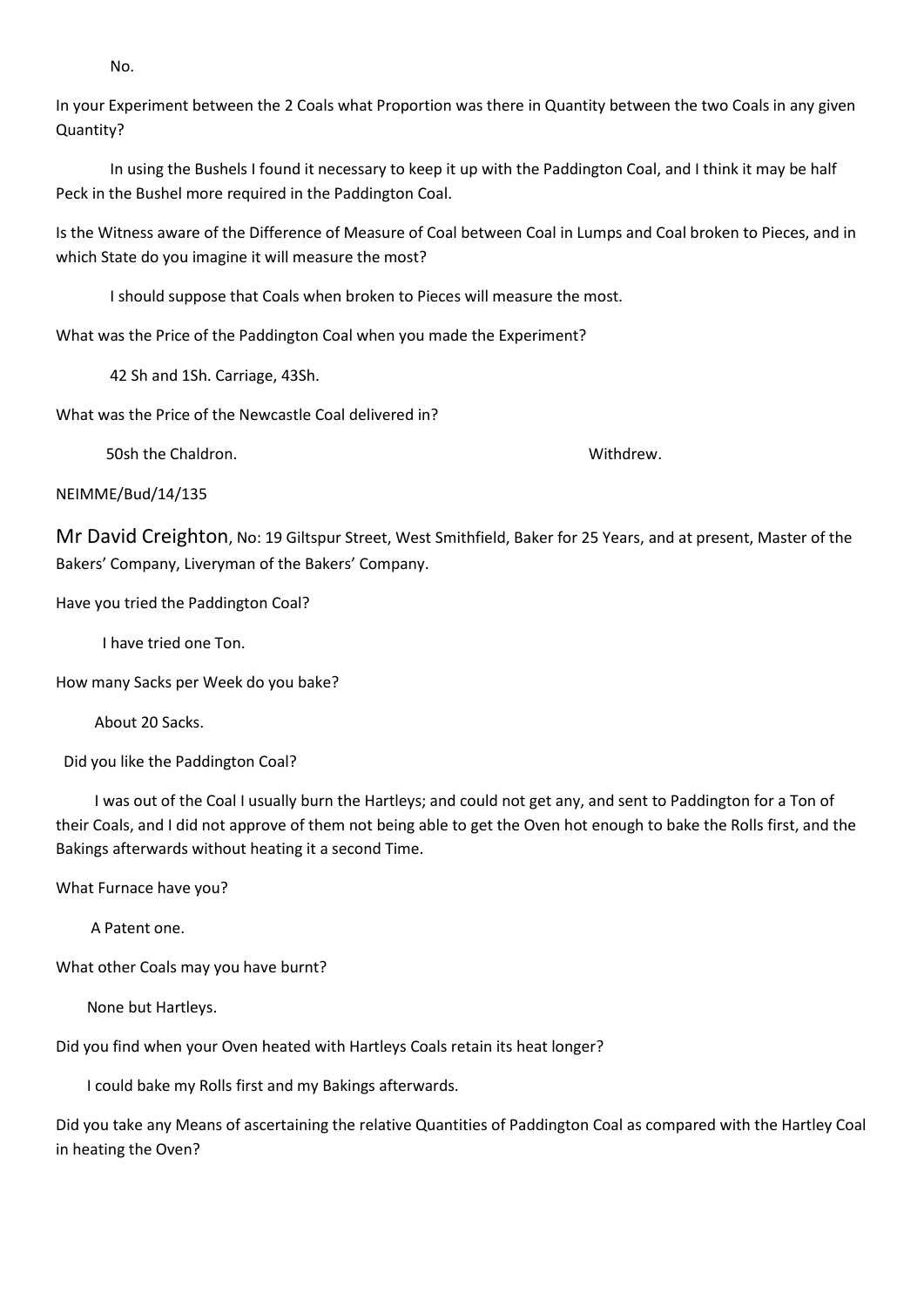No.

In your Experiment between the 2 Coals what Proportion was there in Quantity between the two Coals in any given Quantity?

 In using the Bushels I found it necessary to keep it up with the Paddington Coal, and I think it may be half Peck in the Bushel more required in the Paddington Coal.

Is the Witness aware of the Difference of Measure of Coal between Coal in Lumps and Coal broken to Pieces, and in which State do you imagine it will measure the most?

I should suppose that Coals when broken to Pieces will measure the most.

What was the Price of the Paddington Coal when you made the Experiment?

42 Sh and 1Sh. Carriage, 43Sh.

What was the Price of the Newcastle Coal delivered in?

50sh the Chaldron. Withdrew.

NEIMME/Bud/14/135

Mr David Creighton, No: 19 Giltspur Street, West Smithfield, Baker for 25 Years, and at present, Master of the Bakers' Company, Liveryman of the Bakers' Company.

Have you tried the Paddington Coal?

I have tried one Ton.

How many Sacks per Week do you bake?

About 20 Sacks.

Did you like the Paddington Coal?

 I was out of the Coal I usually burn the Hartleys; and could not get any, and sent to Paddington for a Ton of their Coals, and I did not approve of them not being able to get the Oven hot enough to bake the Rolls first, and the Bakings afterwards without heating it a second Time.

What Furnace have you?

A Patent one.

What other Coals may you have burnt?

None but Hartleys.

Did you find when your Oven heated with Hartleys Coals retain its heat longer?

I could bake my Rolls first and my Bakings afterwards.

Did you take any Means of ascertaining the relative Quantities of Paddington Coal as compared with the Hartley Coal in heating the Oven?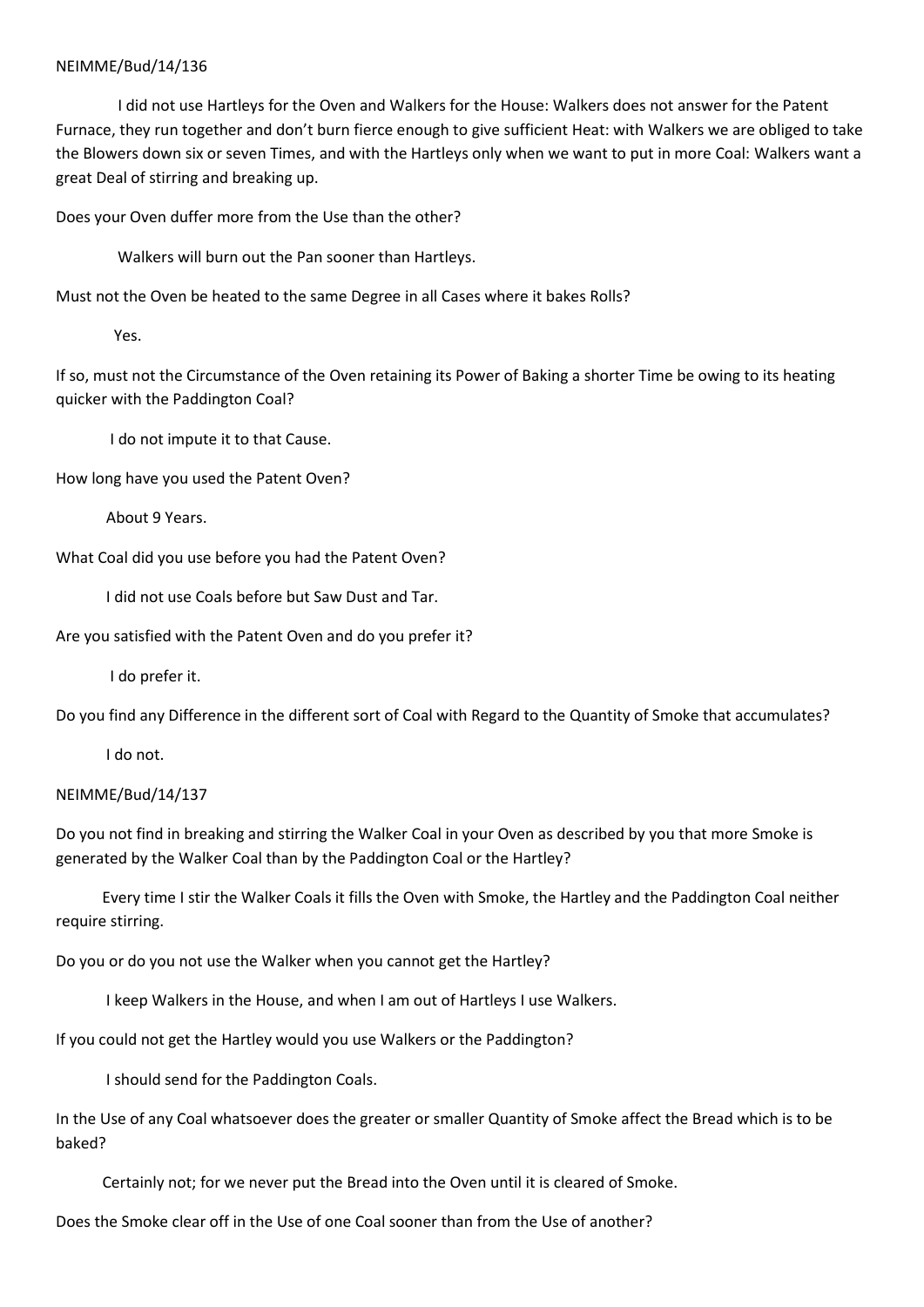I did not use Hartleys for the Oven and Walkers for the House: Walkers does not answer for the Patent Furnace, they run together and don't burn fierce enough to give sufficient Heat: with Walkers we are obliged to take the Blowers down six or seven Times, and with the Hartleys only when we want to put in more Coal: Walkers want a great Deal of stirring and breaking up.

Does your Oven duffer more from the Use than the other?

Walkers will burn out the Pan sooner than Hartleys.

Must not the Oven be heated to the same Degree in all Cases where it bakes Rolls?

Yes.

If so, must not the Circumstance of the Oven retaining its Power of Baking a shorter Time be owing to its heating quicker with the Paddington Coal?

I do not impute it to that Cause.

How long have you used the Patent Oven?

About 9 Years.

What Coal did you use before you had the Patent Oven?

I did not use Coals before but Saw Dust and Tar.

Are you satisfied with the Patent Oven and do you prefer it?

I do prefer it.

Do you find any Difference in the different sort of Coal with Regard to the Quantity of Smoke that accumulates?

I do not.

### NEIMME/Bud/14/137

Do you not find in breaking and stirring the Walker Coal in your Oven as described by you that more Smoke is generated by the Walker Coal than by the Paddington Coal or the Hartley?

 Every time I stir the Walker Coals it fills the Oven with Smoke, the Hartley and the Paddington Coal neither require stirring.

Do you or do you not use the Walker when you cannot get the Hartley?

I keep Walkers in the House, and when I am out of Hartleys I use Walkers.

If you could not get the Hartley would you use Walkers or the Paddington?

I should send for the Paddington Coals.

In the Use of any Coal whatsoever does the greater or smaller Quantity of Smoke affect the Bread which is to be baked?

Certainly not; for we never put the Bread into the Oven until it is cleared of Smoke.

Does the Smoke clear off in the Use of one Coal sooner than from the Use of another?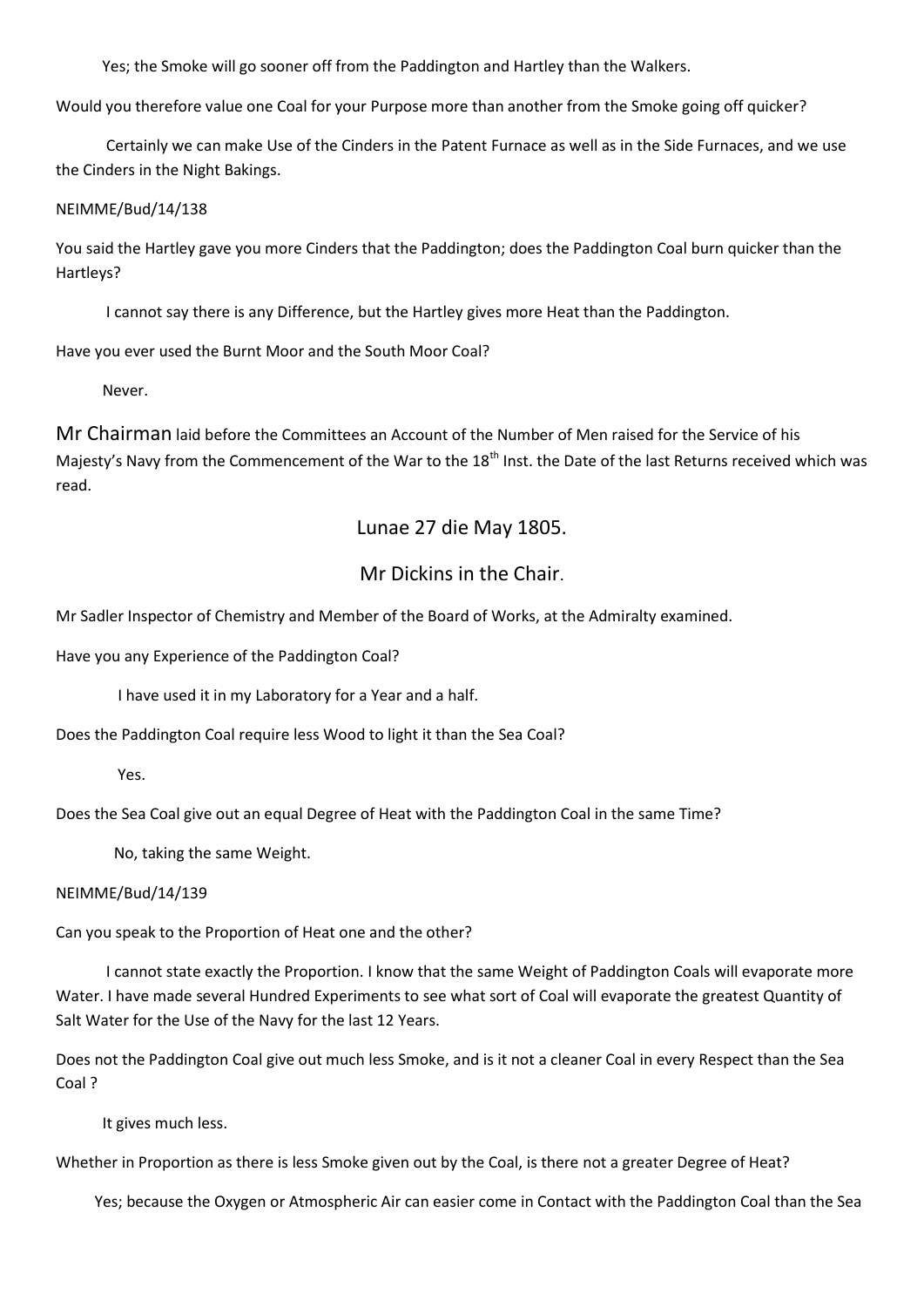Yes; the Smoke will go sooner off from the Paddington and Hartley than the Walkers.

Would you therefore value one Coal for your Purpose more than another from the Smoke going off quicker?

 Certainly we can make Use of the Cinders in the Patent Furnace as well as in the Side Furnaces, and we use the Cinders in the Night Bakings.

NEIMME/Bud/14/138

You said the Hartley gave you more Cinders that the Paddington; does the Paddington Coal burn quicker than the Hartleys?

I cannot say there is any Difference, but the Hartley gives more Heat than the Paddington.

Have you ever used the Burnt Moor and the South Moor Coal?

Never.

Mr Chairman laid before the Committees an Account of the Number of Men raised for the Service of his Majesty's Navy from the Commencement of the War to the 18<sup>th</sup> Inst. the Date of the last Returns received which was read.

# Lunae 27 die May 1805.

# Mr Dickins in the Chair.

Mr Sadler Inspector of Chemistry and Member of the Board of Works, at the Admiralty examined.

Have you any Experience of the Paddington Coal?

I have used it in my Laboratory for a Year and a half.

Does the Paddington Coal require less Wood to light it than the Sea Coal?

Yes.

Does the Sea Coal give out an equal Degree of Heat with the Paddington Coal in the same Time?

No, taking the same Weight.

### NEIMME/Bud/14/139

Can you speak to the Proportion of Heat one and the other?

 I cannot state exactly the Proportion. I know that the same Weight of Paddington Coals will evaporate more Water. I have made several Hundred Experiments to see what sort of Coal will evaporate the greatest Quantity of Salt Water for the Use of the Navy for the last 12 Years.

Does not the Paddington Coal give out much less Smoke, and is it not a cleaner Coal in every Respect than the Sea Coal ?

It gives much less.

Whether in Proportion as there is less Smoke given out by the Coal, is there not a greater Degree of Heat?

Yes; because the Oxygen or Atmospheric Air can easier come in Contact with the Paddington Coal than the Sea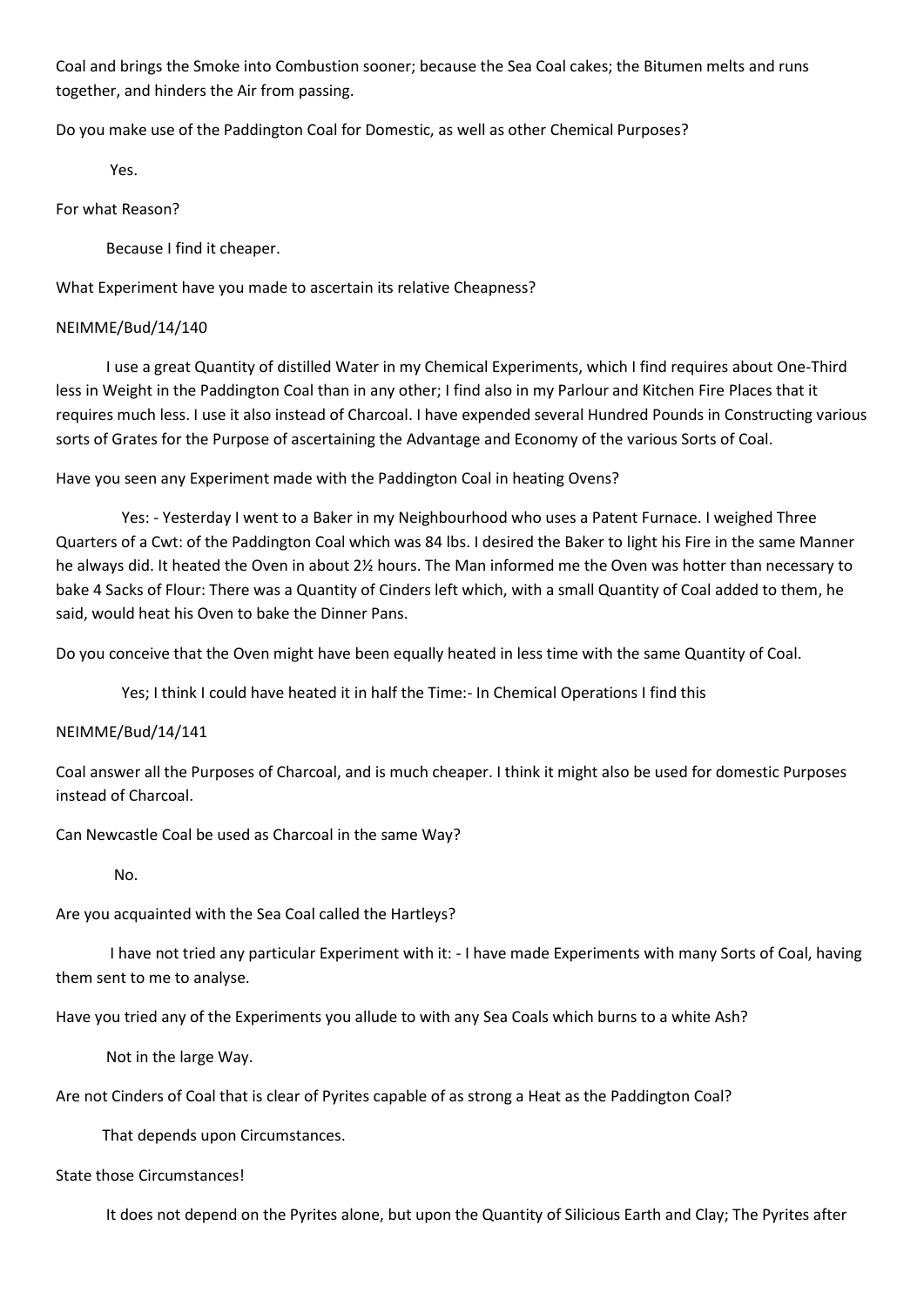Coal and brings the Smoke into Combustion sooner; because the Sea Coal cakes; the Bitumen melts and runs together, and hinders the Air from passing.

Do you make use of the Paddington Coal for Domestic, as well as other Chemical Purposes?

Yes.

For what Reason?

Because I find it cheaper.

What Experiment have you made to ascertain its relative Cheapness?

### NEIMME/Bud/14/140

 I use a great Quantity of distilled Water in my Chemical Experiments, which I find requires about One-Third less in Weight in the Paddington Coal than in any other; I find also in my Parlour and Kitchen Fire Places that it requires much less. I use it also instead of Charcoal. I have expended several Hundred Pounds in Constructing various sorts of Grates for the Purpose of ascertaining the Advantage and Economy of the various Sorts of Coal.

Have you seen any Experiment made with the Paddington Coal in heating Ovens?

 Yes: - Yesterday I went to a Baker in my Neighbourhood who uses a Patent Furnace. I weighed Three Quarters of a Cwt: of the Paddington Coal which was 84 lbs. I desired the Baker to light his Fire in the same Manner he always did. It heated the Oven in about 2½ hours. The Man informed me the Oven was hotter than necessary to bake 4 Sacks of Flour: There was a Quantity of Cinders left which, with a small Quantity of Coal added to them, he said, would heat his Oven to bake the Dinner Pans.

Do you conceive that the Oven might have been equally heated in less time with the same Quantity of Coal.

Yes; I think I could have heated it in half the Time:- In Chemical Operations I find this

### NEIMME/Bud/14/141

Coal answer all the Purposes of Charcoal, and is much cheaper. I think it might also be used for domestic Purposes instead of Charcoal.

Can Newcastle Coal be used as Charcoal in the same Way?

No.

Are you acquainted with the Sea Coal called the Hartleys?

 I have not tried any particular Experiment with it: - I have made Experiments with many Sorts of Coal, having them sent to me to analyse.

Have you tried any of the Experiments you allude to with any Sea Coals which burns to a white Ash?

Not in the large Way.

Are not Cinders of Coal that is clear of Pyrites capable of as strong a Heat as the Paddington Coal?

That depends upon Circumstances.

### State those Circumstances!

It does not depend on the Pyrites alone, but upon the Quantity of Silicious Earth and Clay; The Pyrites after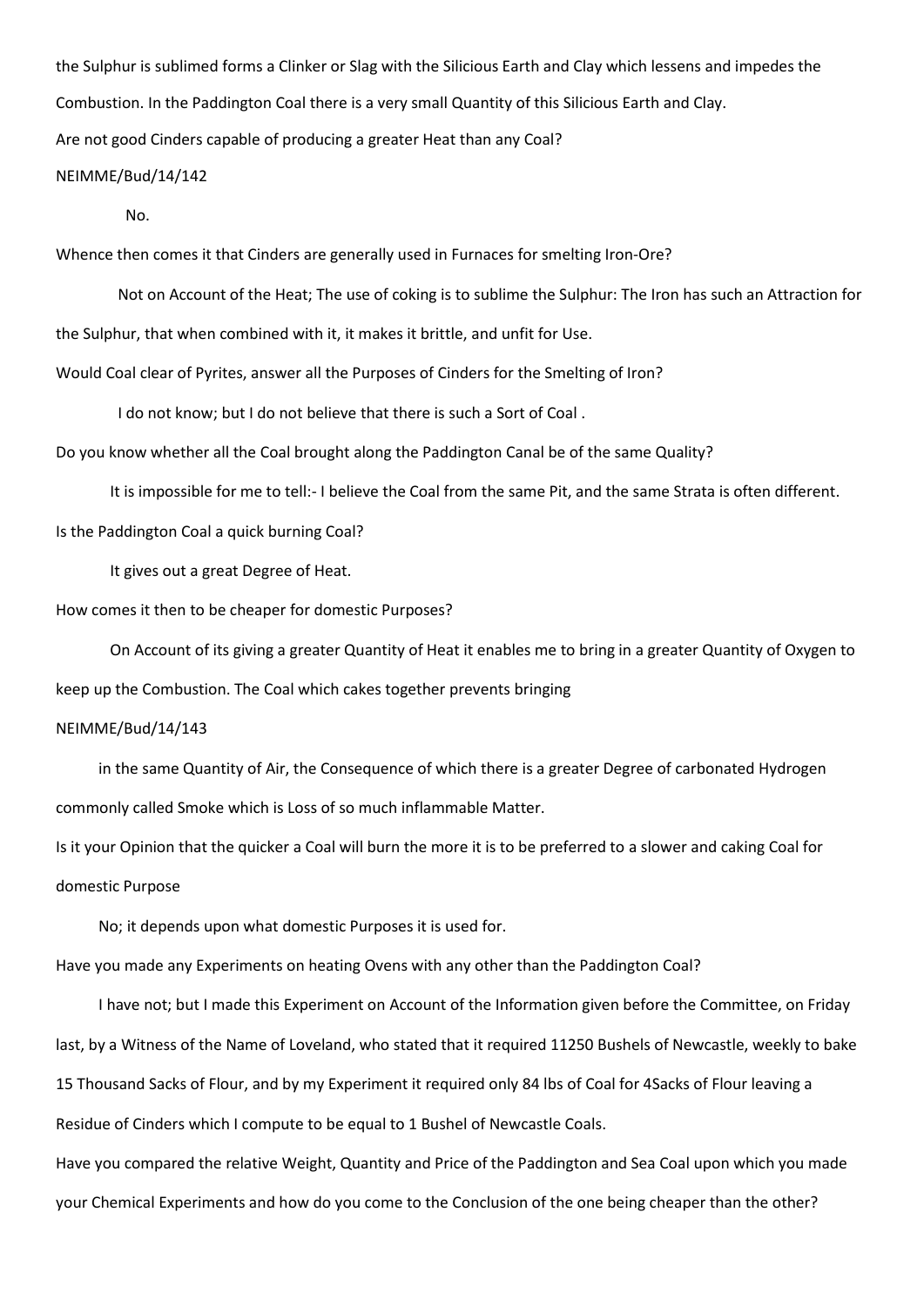the Sulphur is sublimed forms a Clinker or Slag with the Silicious Earth and Clay which lessens and impedes the Combustion. In the Paddington Coal there is a very small Quantity of this Silicious Earth and Clay. Are not good Cinders capable of producing a greater Heat than any Coal?

### NEIMME/Bud/14/142

No.

Whence then comes it that Cinders are generally used in Furnaces for smelting Iron-Ore?

 Not on Account of the Heat; The use of coking is to sublime the Sulphur: The Iron has such an Attraction for the Sulphur, that when combined with it, it makes it brittle, and unfit for Use. Would Coal clear of Pyrites, answer all the Purposes of Cinders for the Smelting of Iron?

I do not know; but I do not believe that there is such a Sort of Coal .

Do you know whether all the Coal brought along the Paddington Canal be of the same Quality?

It is impossible for me to tell:- I believe the Coal from the same Pit, and the same Strata is often different.

Is the Paddington Coal a quick burning Coal?

It gives out a great Degree of Heat.

How comes it then to be cheaper for domestic Purposes?

 On Account of its giving a greater Quantity of Heat it enables me to bring in a greater Quantity of Oxygen to keep up the Combustion. The Coal which cakes together prevents bringing

#### NEIMME/Bud/14/143

 in the same Quantity of Air, the Consequence of which there is a greater Degree of carbonated Hydrogen commonly called Smoke which is Loss of so much inflammable Matter.

Is it your Opinion that the quicker a Coal will burn the more it is to be preferred to a slower and caking Coal for domestic Purpose

No; it depends upon what domestic Purposes it is used for.

Have you made any Experiments on heating Ovens with any other than the Paddington Coal?

 I have not; but I made this Experiment on Account of the Information given before the Committee, on Friday last, by a Witness of the Name of Loveland, who stated that it required 11250 Bushels of Newcastle, weekly to bake 15 Thousand Sacks of Flour, and by my Experiment it required only 84 lbs of Coal for 4Sacks of Flour leaving a Residue of Cinders which I compute to be equal to 1 Bushel of Newcastle Coals. Have you compared the relative Weight, Quantity and Price of the Paddington and Sea Coal upon which you made your Chemical Experiments and how do you come to the Conclusion of the one being cheaper than the other?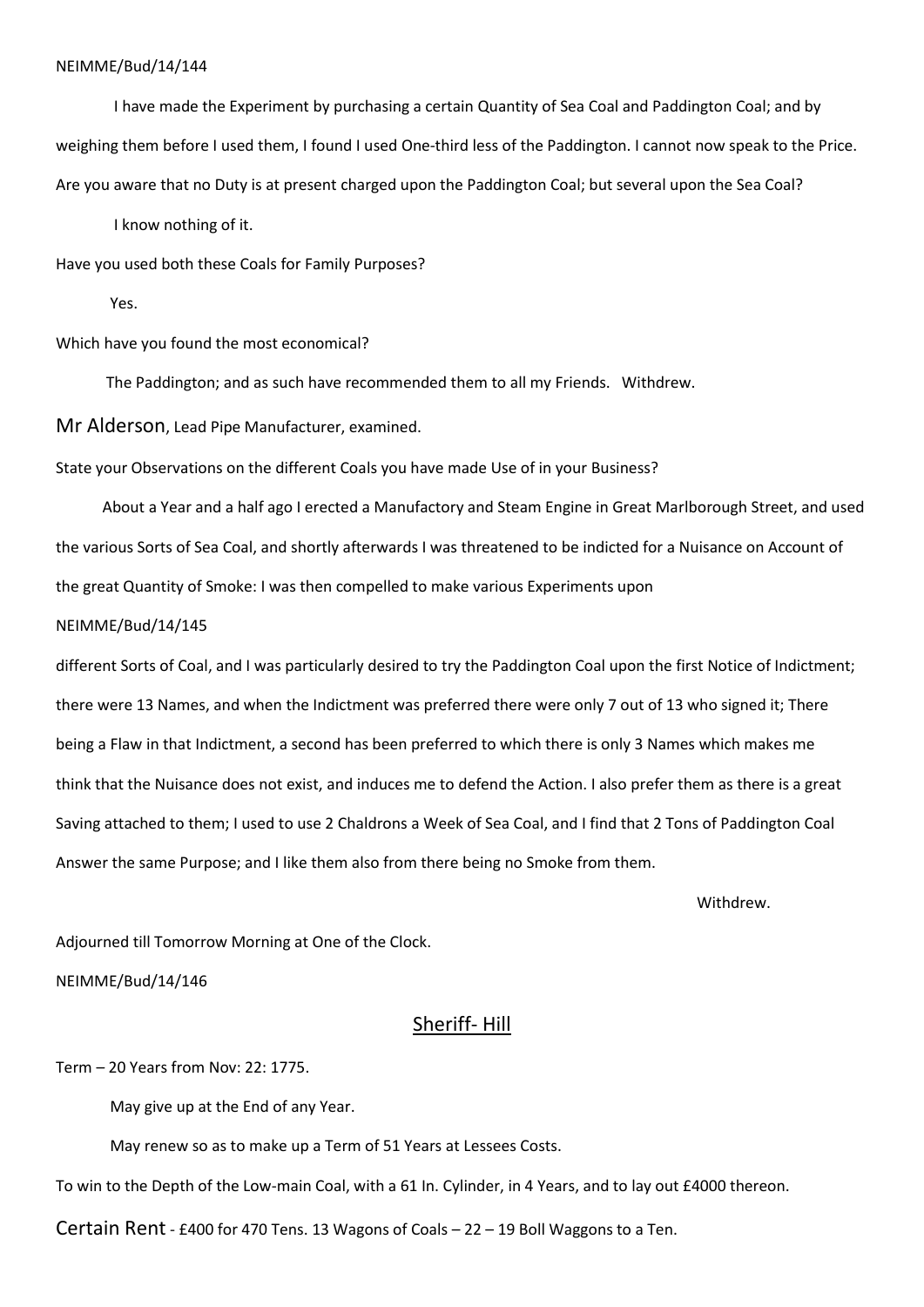I have made the Experiment by purchasing a certain Quantity of Sea Coal and Paddington Coal; and by weighing them before I used them, I found I used One-third less of the Paddington. I cannot now speak to the Price. Are you aware that no Duty is at present charged upon the Paddington Coal; but several upon the Sea Coal?

I know nothing of it.

Have you used both these Coals for Family Purposes?

Yes.

Which have you found the most economical?

The Paddington; and as such have recommended them to all my Friends. Withdrew.

Mr Alderson, Lead Pipe Manufacturer, examined.

State your Observations on the different Coals you have made Use of in your Business?

 About a Year and a half ago I erected a Manufactory and Steam Engine in Great Marlborough Street, and used the various Sorts of Sea Coal, and shortly afterwards I was threatened to be indicted for a Nuisance on Account of the great Quantity of Smoke: I was then compelled to make various Experiments upon

NEIMME/Bud/14/145

different Sorts of Coal, and I was particularly desired to try the Paddington Coal upon the first Notice of Indictment; there were 13 Names, and when the Indictment was preferred there were only 7 out of 13 who signed it; There being a Flaw in that Indictment, a second has been preferred to which there is only 3 Names which makes me think that the Nuisance does not exist, and induces me to defend the Action. I also prefer them as there is a great Saving attached to them; I used to use 2 Chaldrons a Week of Sea Coal, and I find that 2 Tons of Paddington Coal Answer the same Purpose; and I like them also from there being no Smoke from them.

withdrew.

Adjourned till Tomorrow Morning at One of the Clock.

NEIMME/Bud/14/146

Sheriff- Hill

Term – 20 Years from Nov: 22: 1775.

May give up at the End of any Year.

May renew so as to make up a Term of 51 Years at Lessees Costs.

To win to the Depth of the Low-main Coal, with a 61 In. Cylinder, in 4 Years, and to lay out £4000 thereon.

Certain Rent - £400 for 470 Tens. 13 Wagons of Coals – 22 – 19 Boll Waggons to a Ten.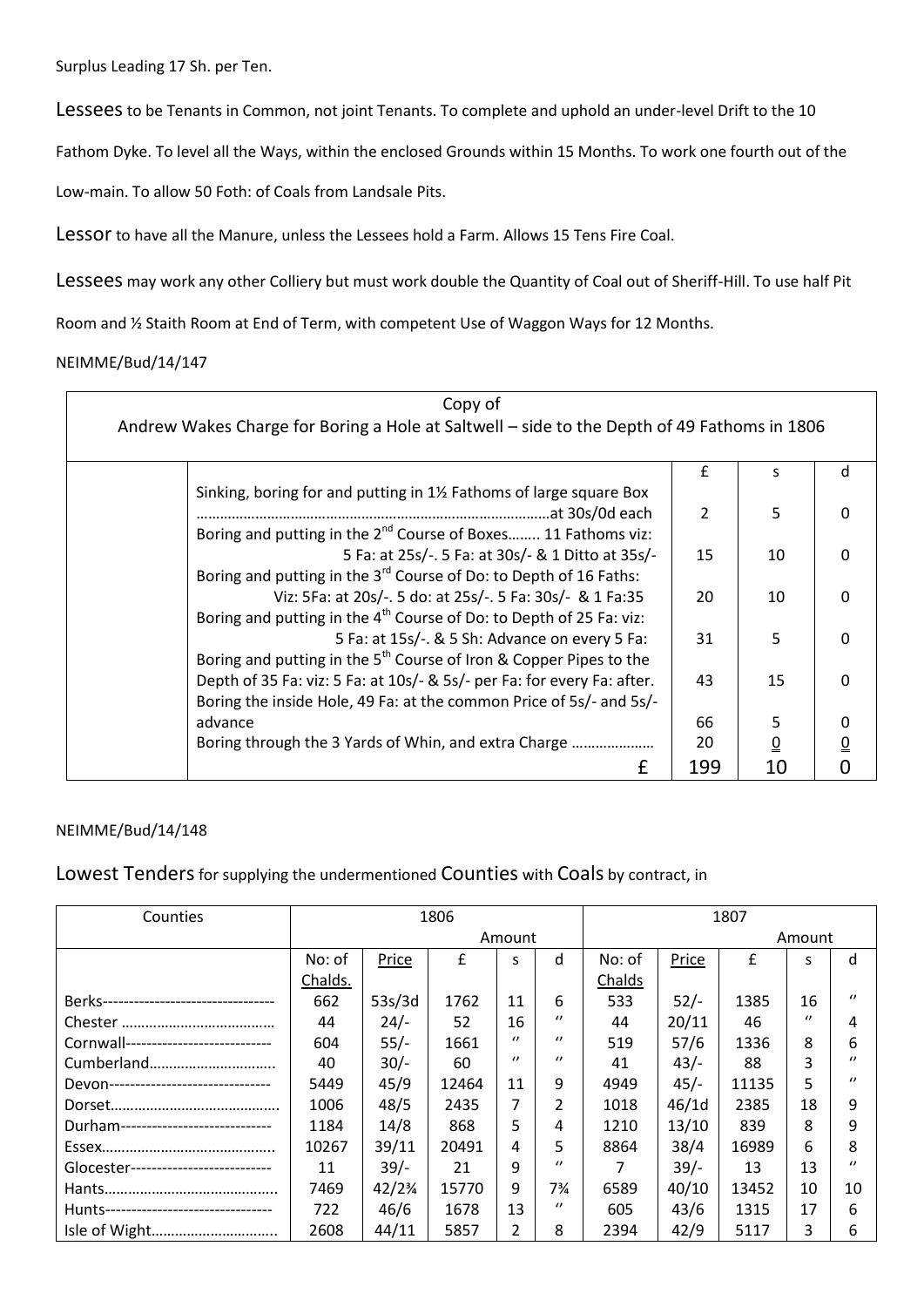Surplus Leading 17 Sh. per Ten.

Lessees to be Tenants in Common, not joint Tenants. To complete and uphold an under-level Drift to the 10

Fathom Dyke. To level all the Ways, within the enclosed Grounds within 15 Months. To work one fourth out of the

Low-main. To allow 50 Foth: of Coals from Landsale Pits.

Lessor to have all the Manure, unless the Lessees hold a Farm. Allows 15 Tens Fire Coal.

Lessees may work any other Colliery but must work double the Quantity of Coal out of Sheriff-Hill. To use half Pit

Room and ½ Staith Room at End of Term, with competent Use of Waggon Ways for 12 Months.

### NEIMME/Bud/14/147

| Copy of                                                                                     |                |                 |                             |  |  |  |  |
|---------------------------------------------------------------------------------------------|----------------|-----------------|-----------------------------|--|--|--|--|
| Andrew Wakes Charge for Boring a Hole at Saltwell - side to the Depth of 49 Fathoms in 1806 |                |                 |                             |  |  |  |  |
|                                                                                             |                |                 |                             |  |  |  |  |
|                                                                                             | £              | S               | d                           |  |  |  |  |
| Sinking, boring for and putting in 1% Fathoms of large square Box                           |                |                 |                             |  |  |  |  |
|                                                                                             | $\overline{2}$ | 5               | $\mathbf{0}$                |  |  |  |  |
| Boring and putting in the 2 <sup>nd</sup> Course of Boxes 11 Fathoms viz:                   |                |                 |                             |  |  |  |  |
| 5 Fa: at 25s/-. 5 Fa: at 30s/- & 1 Ditto at 35s/-                                           | 15             | 10              | $\mathbf{0}$                |  |  |  |  |
| Boring and putting in the 3 <sup>rd</sup> Course of Do: to Depth of 16 Faths:               |                |                 |                             |  |  |  |  |
| Viz: 5Fa: at 20s/-. 5 do: at 25s/-. 5 Fa: 30s/- & 1 Fa: 35                                  | 20             | 10              | $\mathbf{0}$                |  |  |  |  |
| Boring and putting in the 4 <sup>th</sup> Course of Do: to Depth of 25 Fa: viz:             |                |                 |                             |  |  |  |  |
| 5 Fa: at 15s/-. & 5 Sh: Advance on every 5 Fa:                                              | 31             | 5               | $\mathbf{0}$                |  |  |  |  |
| Boring and putting in the $5^{th}$ Course of Iron & Copper Pipes to the                     |                |                 |                             |  |  |  |  |
| Depth of 35 Fa: viz: 5 Fa: at 10s/- & 5s/- per Fa: for every Fa: after.                     | 43             | 15              | $\mathbf{0}$                |  |  |  |  |
| Boring the inside Hole, 49 Fa: at the common Price of 5s/- and 5s/-                         |                |                 |                             |  |  |  |  |
| advance                                                                                     | 66             | 5               | 0                           |  |  |  |  |
| Boring through the 3 Yards of Whin, and extra Charge                                        | 20             | $\underline{0}$ | $\underline{\underline{0}}$ |  |  |  |  |
| £                                                                                           | 199            | 10              | $\overline{0}$              |  |  |  |  |

### NEIMME/Bud/14/148

Lowest Tenders for supplying the undermentioned Counties with Coals by contract, in

| Counties                                | 1806    |        |       |          | 1807           |        |        |       |          |          |
|-----------------------------------------|---------|--------|-------|----------|----------------|--------|--------|-------|----------|----------|
|                                         |         |        |       | Amount   |                |        |        |       | Amount   |          |
|                                         | No: of  | Price  | £     | S        | d              | No: of | Price  | £     | S        | d        |
|                                         | Chalds. |        |       |          |                | Chalds |        |       |          |          |
| Berks---------------------------------- | 662     | 53s/3d | 1762  | 11       | 6              | 533    | $52/-$ | 1385  | 16       | $\prime$ |
|                                         | 44      | $24/-$ | 52    | 16       | $\prime$       | 44     | 20/11  | 46    | $\prime$ | 4        |
| Cornwall----------------------------    | 604     | $55/-$ | 1661  | $\prime$ | $\prime$       | 519    | 57/6   | 1336  | 8        | 6        |
| Cumberland                              | 40      | $30/-$ | 60    | $\prime$ | $\prime$       | 41     | $43/-$ | 88    | 3        | $\prime$ |
| Devon-------------------------------    | 5449    | 45/9   | 12464 | 11       | 9              | 4949   | $45/-$ | 11135 | 5        | $\prime$ |
|                                         | 1006    | 48/5   | 2435  | 7        | $\mathfrak{p}$ | 1018   | 46/1d  | 2385  | 18       | 9        |
| Durham-----------------------------     | 1184    | 14/8   | 868   | 5.       | 4              | 1210   | 13/10  | 839   | 8        | 9        |
|                                         | 10267   | 39/11  | 20491 | 4        | 5              | 8864   | 38/4   | 16989 | 6        | 8        |
| Glocester----------------------------   | 11      | $39/-$ | 21    | 9        | $\prime$       |        | $39/-$ | 13    | 13       | $\prime$ |
|                                         | 7469    | 42/2%  | 15770 | 9        | 7%             | 6589   | 40/10  | 13452 | 10       | 10       |
| Hunts---------------------------------  | 722     | 46/6   | 1678  | 13       | $\prime$       | 605    | 43/6   | 1315  | 17       | 6        |
| Isle of Wight                           | 2608    | 44/11  | 5857  | 2        | 8              | 2394   | 42/9   | 5117  | 3        | 6        |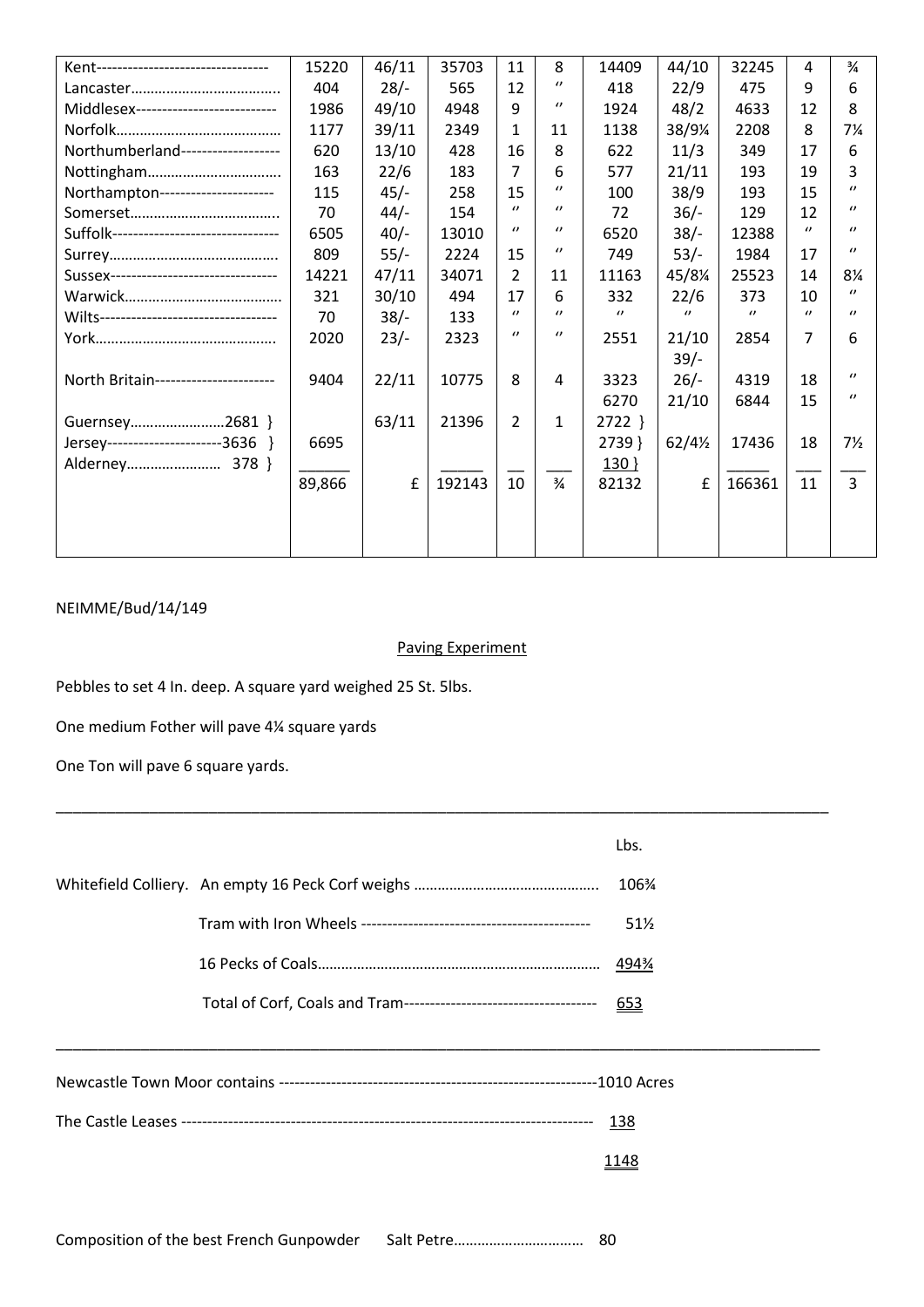| Kent---------------------------------   | 15220  | 46/11  | 35703  | 11             | 8                 | 14409    | 44/10             | 32245          | 4        | $\frac{3}{4}$  |
|-----------------------------------------|--------|--------|--------|----------------|-------------------|----------|-------------------|----------------|----------|----------------|
|                                         | 404    | $28/-$ | 565    | 12             | $\prime\prime$    | 418      | 22/9              | 475            | 9        | 6              |
| Middlesex---------------------------    | 1986   | 49/10  | 4948   | 9              | $\prime\prime$    | 1924     | 48/2              | 4633           | 12       | 8              |
|                                         | 1177   | 39/11  | 2349   | 1              | 11                | 1138     | 38/9¼             | 2208           | 8        | 7¼             |
| Northumberland-------------------       | 620    | 13/10  | 428    | 16             | 8                 | 622      | 11/3              | 349            | 17       | 6              |
|                                         | 163    | 22/6   | 183    | 7              | 6                 | 577      | 21/11             | 193            | 19       | 3              |
| Northampton---------------------        | 115    | $45/-$ | 258    | 15             | $^{\prime\prime}$ | 100      | 38/9              | 193            | 15       | $\prime$       |
|                                         | 70     | $44/-$ | 154    | $\prime$       | $\prime$          | 72       | $36/-$            | 129            | 12       | $\prime$       |
| Suffolk-------------------------------- | 6505   | $40/-$ | 13010  | $\prime$       | $\prime$          | 6520     | $38/-$            | 12388          | $\prime$ | $\prime$       |
|                                         | 809    | $55/-$ | 2224   | 15             | $\prime$          | 749      | $53/-$            | 1984           | 17       | $\prime$       |
| Sussex--------------------------------  | 14221  | 47/11  | 34071  | 2              | 11                | 11163    | 45/8¼             | 25523          | 14       | 8¼             |
|                                         | 321    | 30/10  | 494    | 17             | 6                 | 332      | 22/6              | 373            | 10       | $\prime$       |
| Wilts---------------------------------- | 70     | $38/-$ | 133    | $\prime\prime$ | $\theta$          | $\prime$ | $\prime$          | $\prime\prime$ | $\prime$ | $\prime$       |
|                                         | 2020   | $23/-$ | 2323   | $\prime\prime$ | $\prime$          | 2551     | 21/10             | 2854           | 7        | 6              |
|                                         |        |        |        |                |                   |          | $39/-$            |                |          |                |
| North Britain-----------------------    | 9404   | 22/11  | 10775  | 8              | 4                 | 3323     | $26/-$            | 4319           | 18       | $\prime$       |
|                                         |        |        |        |                |                   | 6270     | 21/10             | 6844           | 15       | $\prime$       |
| Guernsey2681 }                          |        | 63/11  | 21396  | $\overline{2}$ | $\mathbf{1}$      | $2722$ } |                   |                |          |                |
| Jersey-----------------------3636 }     | 6695   |        |        |                |                   | 2739     | $62/4\frac{1}{2}$ | 17436          | 18       | $7\frac{1}{2}$ |
|                                         |        |        |        |                |                   | $130$ }  |                   |                |          |                |
|                                         | 89,866 | £      | 192143 | 10             | $\frac{3}{4}$     | 82132    | £                 | 166361         | 11       | $\overline{3}$ |
|                                         |        |        |        |                |                   |          |                   |                |          |                |
|                                         |        |        |        |                |                   |          |                   |                |          |                |
|                                         |        |        |        |                |                   |          |                   |                |          |                |

### Paving Experiment

Pebbles to set 4 In. deep. A square yard weighed 25 St. 5lbs.

One medium Fother will pave 4¼ square yards

One Ton will pave 6 square yards.

|  |  | Lbs. |
|--|--|------|
|  |  | 106¾ |
|  |  | 51½  |
|  |  | 494% |
|  |  | 653  |
|  |  |      |
|  |  |      |
|  |  | 138  |
|  |  | 1148 |
|  |  |      |

\_\_\_\_\_\_\_\_\_\_\_\_\_\_\_\_\_\_\_\_\_\_\_\_\_\_\_\_\_\_\_\_\_\_\_\_\_\_\_\_\_\_\_\_\_\_\_\_\_\_\_\_\_\_\_\_\_\_\_\_\_\_\_\_\_\_\_\_\_\_\_\_\_\_\_\_\_\_\_\_\_\_\_\_\_\_\_\_\_\_\_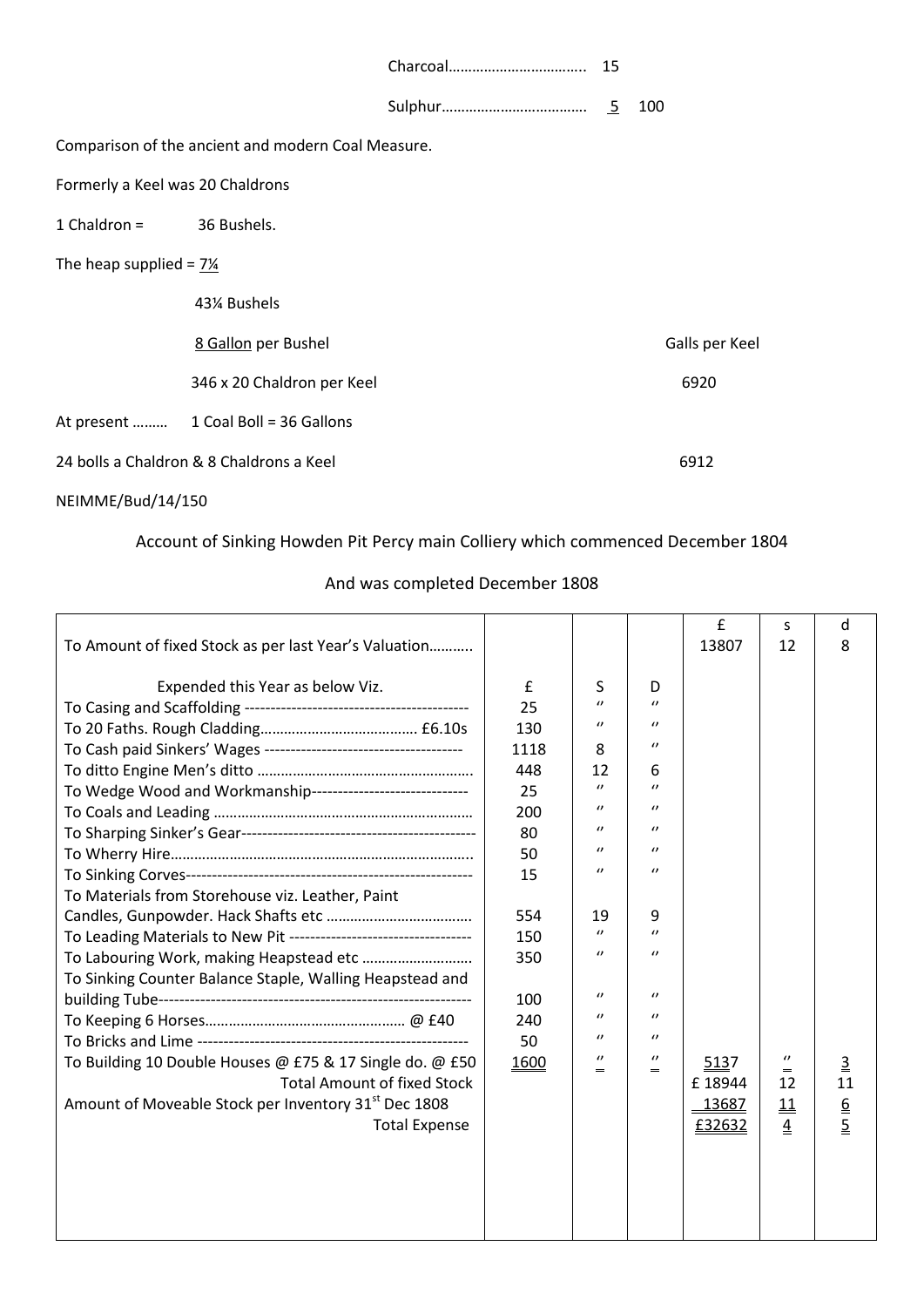|                                                    |                                      |  |  | 100            |  |  |  |  |
|----------------------------------------------------|--------------------------------------|--|--|----------------|--|--|--|--|
| Comparison of the ancient and modern Coal Measure. |                                      |  |  |                |  |  |  |  |
| Formerly a Keel was 20 Chaldrons                   |                                      |  |  |                |  |  |  |  |
| $1$ Chaldron = $36$ Bushels.                       |                                      |  |  |                |  |  |  |  |
| The heap supplied = $7\frac{1}{4}$                 |                                      |  |  |                |  |  |  |  |
|                                                    | 43¼ Bushels                          |  |  |                |  |  |  |  |
|                                                    | 8 Gallon per Bushel                  |  |  | Galls per Keel |  |  |  |  |
|                                                    | 346 x 20 Chaldron per Keel           |  |  | 6920           |  |  |  |  |
|                                                    | At present  1 Coal Boll = 36 Gallons |  |  |                |  |  |  |  |
| 24 bolls a Chaldron & 8 Chaldrons a Keel           |                                      |  |  | 6912           |  |  |  |  |

# Account of Sinking Howden Pit Percy main Colliery which commenced December 1804

# And was completed December 1808

|                                                                    |      |                    |                       | £      | S              | d               |
|--------------------------------------------------------------------|------|--------------------|-----------------------|--------|----------------|-----------------|
| To Amount of fixed Stock as per last Year's Valuation              |      |                    |                       | 13807  | 12             | 8               |
|                                                                    |      |                    |                       |        |                |                 |
| Expended this Year as below Viz.                                   | £    | S                  | D                     |        |                |                 |
|                                                                    | 25   | $\theta$           | $\prime$              |        |                |                 |
|                                                                    | 130  | $\prime$           | $\prime$              |        |                |                 |
|                                                                    | 1118 | 8                  | $\prime$              |        |                |                 |
|                                                                    | 448  | 12                 | 6                     |        |                |                 |
| To Wedge Wood and Workmanship-----------------------------         | 25   | $\boldsymbol{U}$   | $\prime$              |        |                |                 |
|                                                                    | 200  | $\prime$           | $\prime$              |        |                |                 |
|                                                                    | 80   | $\prime$           | $\prime\prime$        |        |                |                 |
|                                                                    | 50   | $\prime$           | $\prime$              |        |                |                 |
|                                                                    | 15   | $\prime$           | $\prime$              |        |                |                 |
| To Materials from Storehouse viz. Leather, Paint                   |      |                    |                       |        |                |                 |
|                                                                    | 554  | 19                 | 9                     |        |                |                 |
| To Leading Materials to New Pit ---------------------------------- | 150  | $\prime$           | $\prime$              |        |                |                 |
| To Labouring Work, making Heapstead etc                            | 350  | $\prime\prime$     | $\prime\prime$        |        |                |                 |
| To Sinking Counter Balance Staple, Walling Heapstead and           |      |                    |                       |        |                |                 |
|                                                                    | 100  | $\prime$           | $\prime$              |        |                |                 |
|                                                                    | 240  | $\prime$           | $\prime$              |        |                |                 |
|                                                                    | 50   | $\theta$           | $\prime$              |        |                |                 |
| To Building 10 Double Houses @ £75 & 17 Single do. @ £50           | 1600 | $\prime$<br>$\sim$ | $\prime\prime$<br>$=$ | 5137   | $\prime\prime$ | $\underline{3}$ |
| <b>Total Amount of fixed Stock</b>                                 |      |                    |                       | £18944 | 12             | 11              |
| Amount of Moveable Stock per Inventory 31st Dec 1808               |      |                    |                       | 13687  | 11             |                 |
| <b>Total Expense</b>                                               |      |                    |                       | £32632 | $\overline{4}$ | $rac{6}{5}$     |
|                                                                    |      |                    |                       |        |                |                 |
|                                                                    |      |                    |                       |        |                |                 |
|                                                                    |      |                    |                       |        |                |                 |
|                                                                    |      |                    |                       |        |                |                 |
|                                                                    |      |                    |                       |        |                |                 |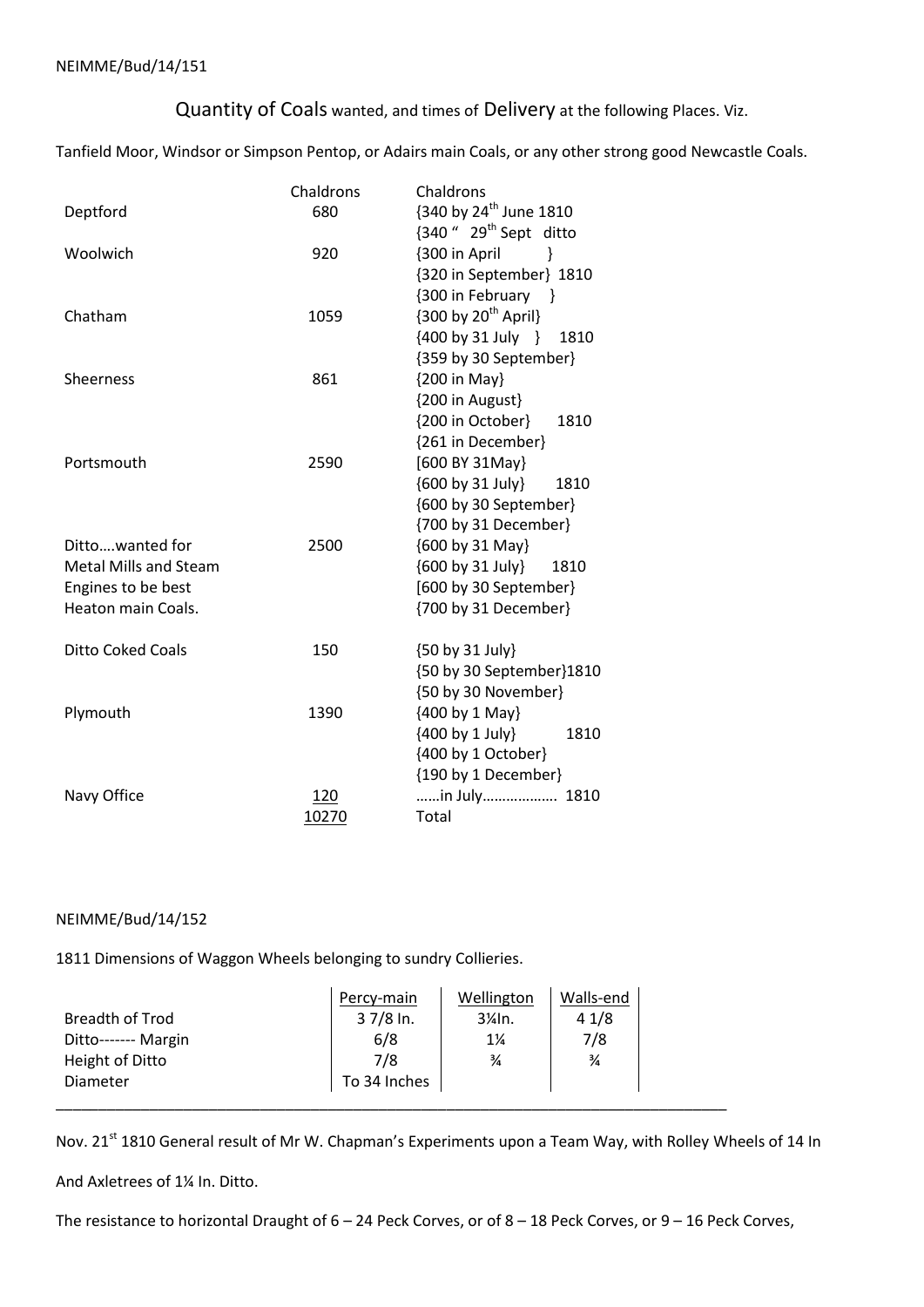Quantity of Coals wanted, and times of Delivery at the following Places. Viz.

Tanfield Moor, Windsor or Simpson Pentop, or Adairs main Coals, or any other strong good Newcastle Coals.

|                              | Chaldrons | Chaldrons                                                  |  |  |  |  |  |
|------------------------------|-----------|------------------------------------------------------------|--|--|--|--|--|
| Deptford                     | 680       | {340 by 24 <sup>th</sup> June 1810                         |  |  |  |  |  |
|                              |           | $\{340\text{ }^{\prime\prime}$ 29 <sup>th</sup> Sept ditto |  |  |  |  |  |
| Woolwich                     | 920       | {300 in April<br>$\}$                                      |  |  |  |  |  |
|                              |           | {320 in September} 1810                                    |  |  |  |  |  |
|                              |           | {300 in February }                                         |  |  |  |  |  |
| Chatham                      | 1059      | ${300 \text{ by } 20^{\text{th}}}$ April}                  |  |  |  |  |  |
|                              |           | ${400 by 31 July}$<br>1810                                 |  |  |  |  |  |
|                              |           | {359 by 30 September}                                      |  |  |  |  |  |
| <b>Sheerness</b>             | 861       | {200 in May}                                               |  |  |  |  |  |
|                              |           | {200 in August}                                            |  |  |  |  |  |
|                              |           | {200 in October}<br>1810                                   |  |  |  |  |  |
|                              |           | {261 in December}                                          |  |  |  |  |  |
| Portsmouth                   | 2590      | [600 BY 31May]                                             |  |  |  |  |  |
|                              |           | {600 by 31 July}<br>1810                                   |  |  |  |  |  |
|                              |           | {600 by 30 September}                                      |  |  |  |  |  |
|                              |           | {700 by 31 December}                                       |  |  |  |  |  |
| Dittowanted for              | 2500      | {600 by 31 May}                                            |  |  |  |  |  |
| <b>Metal Mills and Steam</b> |           | {600 by 31 July}<br>1810                                   |  |  |  |  |  |
| Engines to be best           |           | [600 by 30 September]                                      |  |  |  |  |  |
| <b>Heaton main Coals.</b>    |           | {700 by 31 December}                                       |  |  |  |  |  |
| <b>Ditto Coked Coals</b>     | 150       | {50 by 31 July}                                            |  |  |  |  |  |
|                              |           | {50 by 30 September}1810                                   |  |  |  |  |  |
|                              |           | {50 by 30 November}                                        |  |  |  |  |  |
| Plymouth                     | 1390      | {400 by 1 May}                                             |  |  |  |  |  |
|                              |           | {400 by 1 July}<br>1810                                    |  |  |  |  |  |
|                              |           | {400 by 1 October}                                         |  |  |  |  |  |
|                              |           | {190 by 1 December}                                        |  |  |  |  |  |
| Navy Office                  | 120       | in July 1810                                               |  |  |  |  |  |
|                              | 10270     | Total                                                      |  |  |  |  |  |

### NEIMME/Bud/14/152

1811 Dimensions of Waggon Wheels belonging to sundry Collieries.

|                     | Percy-main   | Wellington                  | Walls-end     |  |
|---------------------|--------------|-----------------------------|---------------|--|
| Breadth of Trod     | $37/8$ ln.   | $3\frac{\cancel{1}}{4}$ ln. | 41/8          |  |
| Ditto------- Margin | 6/8          | $1\frac{1}{4}$              | 7/8           |  |
| Height of Ditto     | 7/8          | $\frac{3}{4}$               | $\frac{3}{4}$ |  |
| Diameter            | To 34 Inches |                             |               |  |
|                     |              |                             |               |  |

Nov. 21<sup>st</sup> 1810 General result of Mr W. Chapman's Experiments upon a Team Way, with Rolley Wheels of 14 In

And Axletrees of 1¼ In. Ditto.

The resistance to horizontal Draught of 6 – 24 Peck Corves, or of 8 – 18 Peck Corves, or 9 – 16 Peck Corves,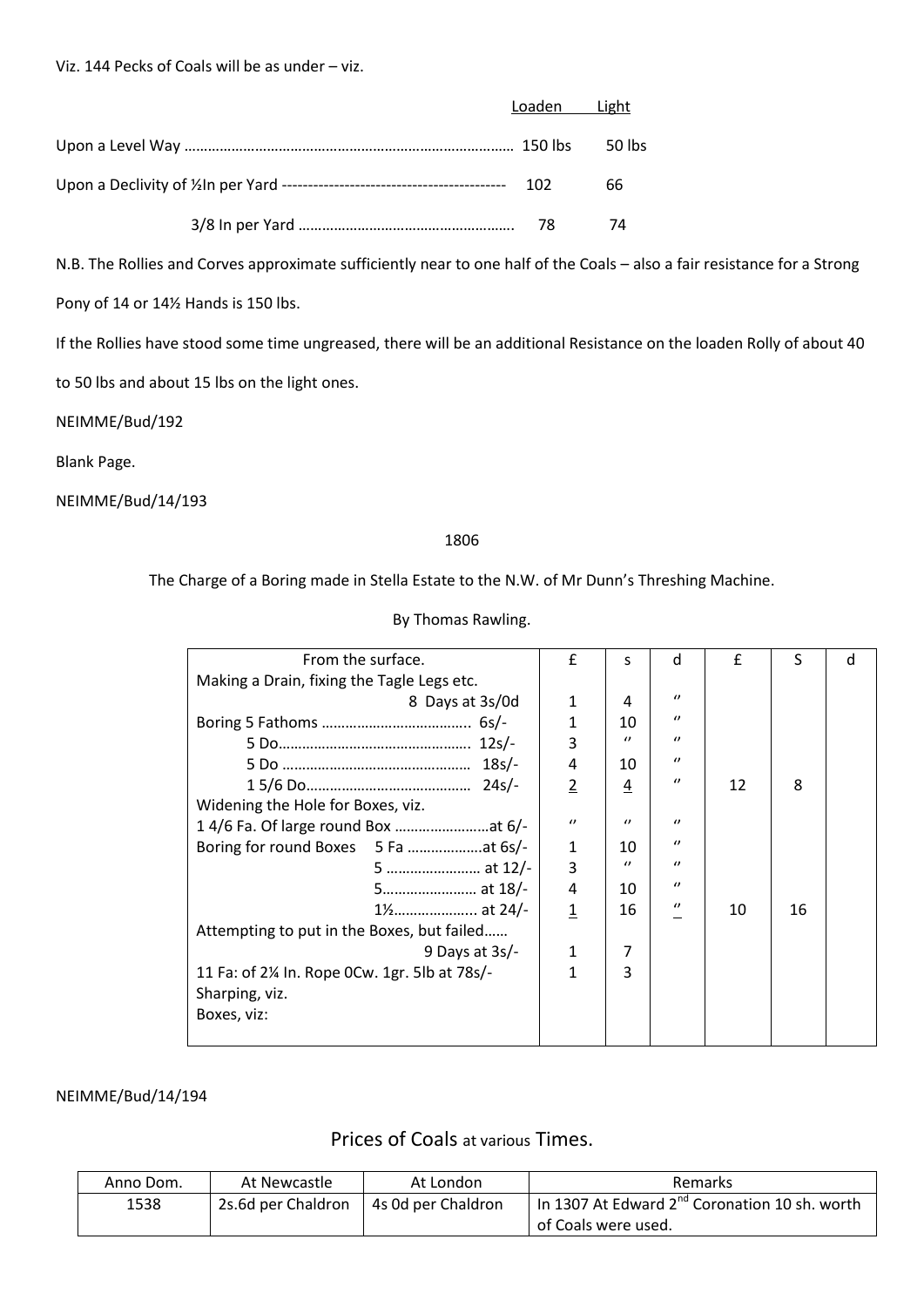| Loaden Light |    |
|--------------|----|
|              |    |
|              | 66 |
|              | 74 |

N.B. The Rollies and Corves approximate sufficiently near to one half of the Coals – also a fair resistance for a Strong

Pony of 14 or 14½ Hands is 150 lbs.

If the Rollies have stood some time ungreased, there will be an additional Resistance on the loaden Rolly of about 40

to 50 lbs and about 15 lbs on the light ones.

NEIMME/Bud/192

Blank Page.

NEIMME/Bud/14/193

#### 1806

The Charge of a Boring made in Stella Estate to the N.W. of Mr Dunn's Threshing Machine.

| By Thomas Rawling. |  |
|--------------------|--|
|--------------------|--|

| From the surface.                            | f            | S        | d              | $\mathbf{f}$ | S  | d |
|----------------------------------------------|--------------|----------|----------------|--------------|----|---|
| Making a Drain, fixing the Tagle Legs etc.   |              |          |                |              |    |   |
| 8 Days at 3s/0d                              | 1            | 4        | $\prime$       |              |    |   |
|                                              | 1            | 10       | $\prime$       |              |    |   |
|                                              | 3            | $\prime$ | $\prime$       |              |    |   |
|                                              | 4            | 10       | $\theta$       |              |    |   |
|                                              | 2            | 4        | $\prime$       | 12           | 8  |   |
| Widening the Hole for Boxes, viz.            |              |          |                |              |    |   |
|                                              | $\prime$     | $\prime$ | $\prime$       |              |    |   |
|                                              | $\mathbf{1}$ | 10       | $\prime$       |              |    |   |
| 5  at 12/-                                   | 3            | $\prime$ | $\prime$       |              |    |   |
| 5 at 18/-                                    | 4            | 10       | $\theta$       |              |    |   |
| 1 <sup>/2</sup> at 24/-                      | $\mathbf{1}$ | 16       | $\prime\prime$ | 10           | 16 |   |
| Attempting to put in the Boxes, but failed   |              |          |                |              |    |   |
| 9 Days at $3s$ .                             | 1            | 7        |                |              |    |   |
| 11 Fa: of 2¼ In. Rope 0Cw. 1gr. 5lb at 78s/- | 1            | 3        |                |              |    |   |
| Sharping, viz.                               |              |          |                |              |    |   |
| Boxes, viz:                                  |              |          |                |              |    |   |
|                                              |              |          |                |              |    |   |

#### NEIMME/Bud/14/194

## Prices of Coals at various Times.

| Anno Dom. | At Newcastle       | At London          | Remarks                                                   |  |  |  |  |  |
|-----------|--------------------|--------------------|-----------------------------------------------------------|--|--|--|--|--|
| 1538      | 2s.6d per Chaldron | 4s 0d per Chaldron | In 1307 At Edward 2 <sup>nd</sup> Coronation 10 sh. worth |  |  |  |  |  |
|           |                    |                    | of Coals were used.                                       |  |  |  |  |  |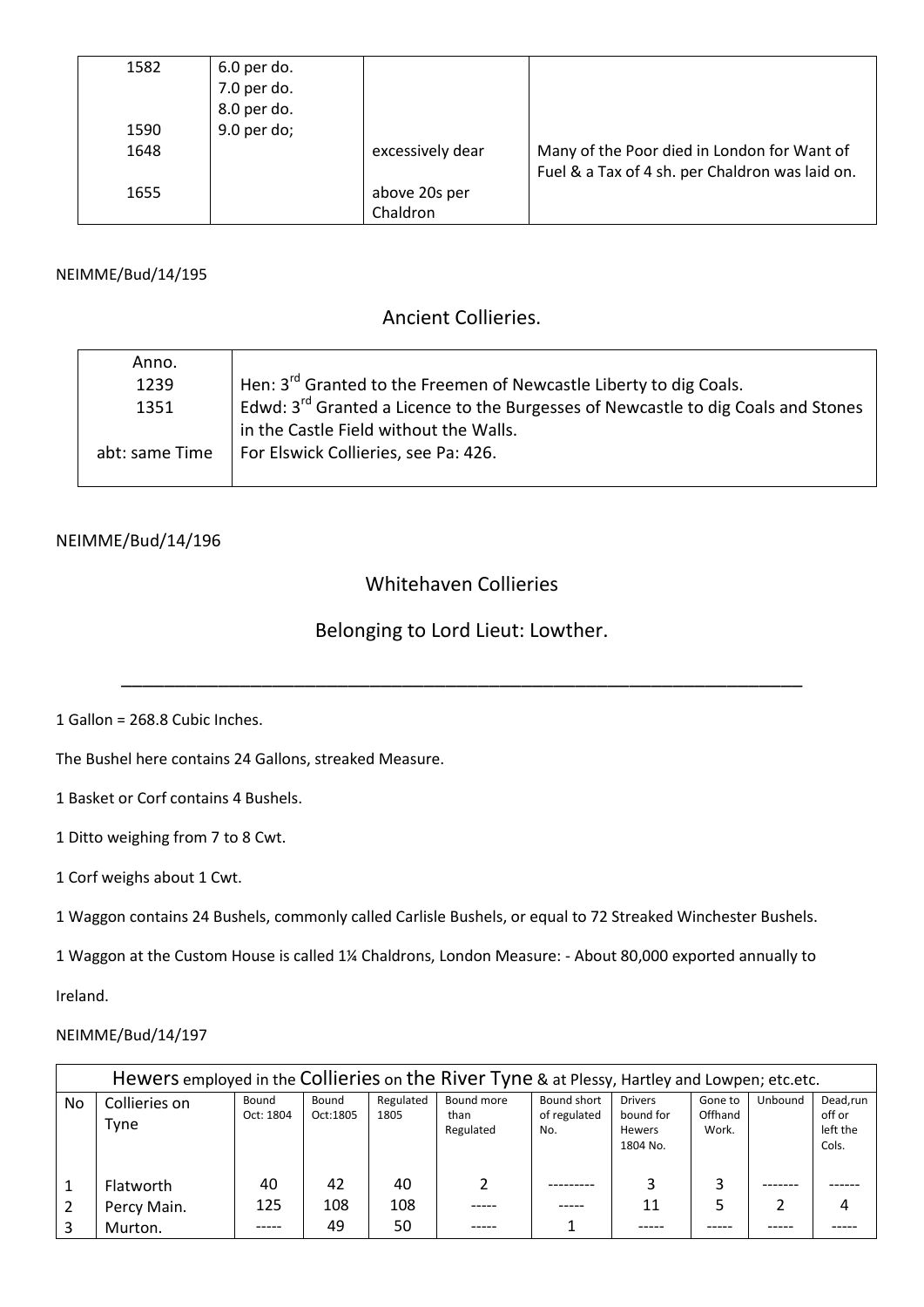| 1582 | 6.0 per do. |                  |                                                 |
|------|-------------|------------------|-------------------------------------------------|
|      | 7.0 per do. |                  |                                                 |
|      | 8.0 per do. |                  |                                                 |
| 1590 | 9.0 per do; |                  |                                                 |
| 1648 |             | excessively dear | Many of the Poor died in London for Want of     |
|      |             |                  | Fuel & a Tax of 4 sh. per Chaldron was laid on. |
| 1655 |             | above 20s per    |                                                 |
|      |             | Chaldron         |                                                 |

### NEIMME/Bud/14/195

## Ancient Collieries.

| Anno.          |                                                                                               |
|----------------|-----------------------------------------------------------------------------------------------|
| 1239           | Hen: 3 <sup>rd</sup> Granted to the Freemen of Newcastle Liberty to dig Coals.                |
| 1351           | Edwd: 3 <sup>rd</sup> Granted a Licence to the Burgesses of Newcastle to dig Coals and Stones |
|                | in the Castle Field without the Walls.                                                        |
| abt: same Time | For Elswick Collieries, see Pa: 426.                                                          |
|                |                                                                                               |

### NEIMME/Bud/14/196

## Whitehaven Collieries

# Belonging to Lord Lieut: Lowther.

\_\_\_\_\_\_\_\_\_\_\_\_\_\_\_\_\_\_\_\_\_\_\_\_\_\_\_\_\_\_\_\_\_\_\_\_\_\_\_\_\_\_\_\_\_\_\_\_\_\_\_\_\_\_\_\_\_\_\_\_\_\_\_

1 Gallon = 268.8 Cubic Inches.

The Bushel here contains 24 Gallons, streaked Measure.

1 Basket or Corf contains 4 Bushels.

1 Ditto weighing from 7 to 8 Cwt.

1 Corf weighs about 1 Cwt.

1 Waggon contains 24 Bushels, commonly called Carlisle Bushels, or equal to 72 Streaked Winchester Bushels.

1 Waggon at the Custom House is called 1¼ Chaldrons, London Measure: - About 80,000 exported annually to

Ireland.

### NEIMME/Bud/14/197

|    | Hewers employed in the Collieries on the River Tyne & at Plessy, Hartley and Lowpen; etc.etc. |                    |                                        |     |                                 |                                    |                                                          |                             |         |                                         |  |  |  |  |
|----|-----------------------------------------------------------------------------------------------|--------------------|----------------------------------------|-----|---------------------------------|------------------------------------|----------------------------------------------------------|-----------------------------|---------|-----------------------------------------|--|--|--|--|
| No | Collieries on<br><b>Tyne</b>                                                                  | Bound<br>Oct: 1804 | Regulated<br>Bound<br>Oct:1805<br>1805 |     | Bound more<br>than<br>Regulated | Bound short<br>of regulated<br>No. | <b>Drivers</b><br>bound for<br><b>Hewers</b><br>1804 No. | Gone to<br>Offhand<br>Work. | Unbound | Dead,run<br>off or<br>left the<br>Cols. |  |  |  |  |
|    | Flatworth                                                                                     | 40                 | 42                                     | 40  |                                 |                                    |                                                          |                             |         |                                         |  |  |  |  |
|    | Percy Main.                                                                                   | 125                | 108                                    | 108 |                                 |                                    | 11                                                       |                             |         | 4                                       |  |  |  |  |
|    | Murton.                                                                                       |                    | 49                                     | 50  |                                 |                                    |                                                          |                             |         |                                         |  |  |  |  |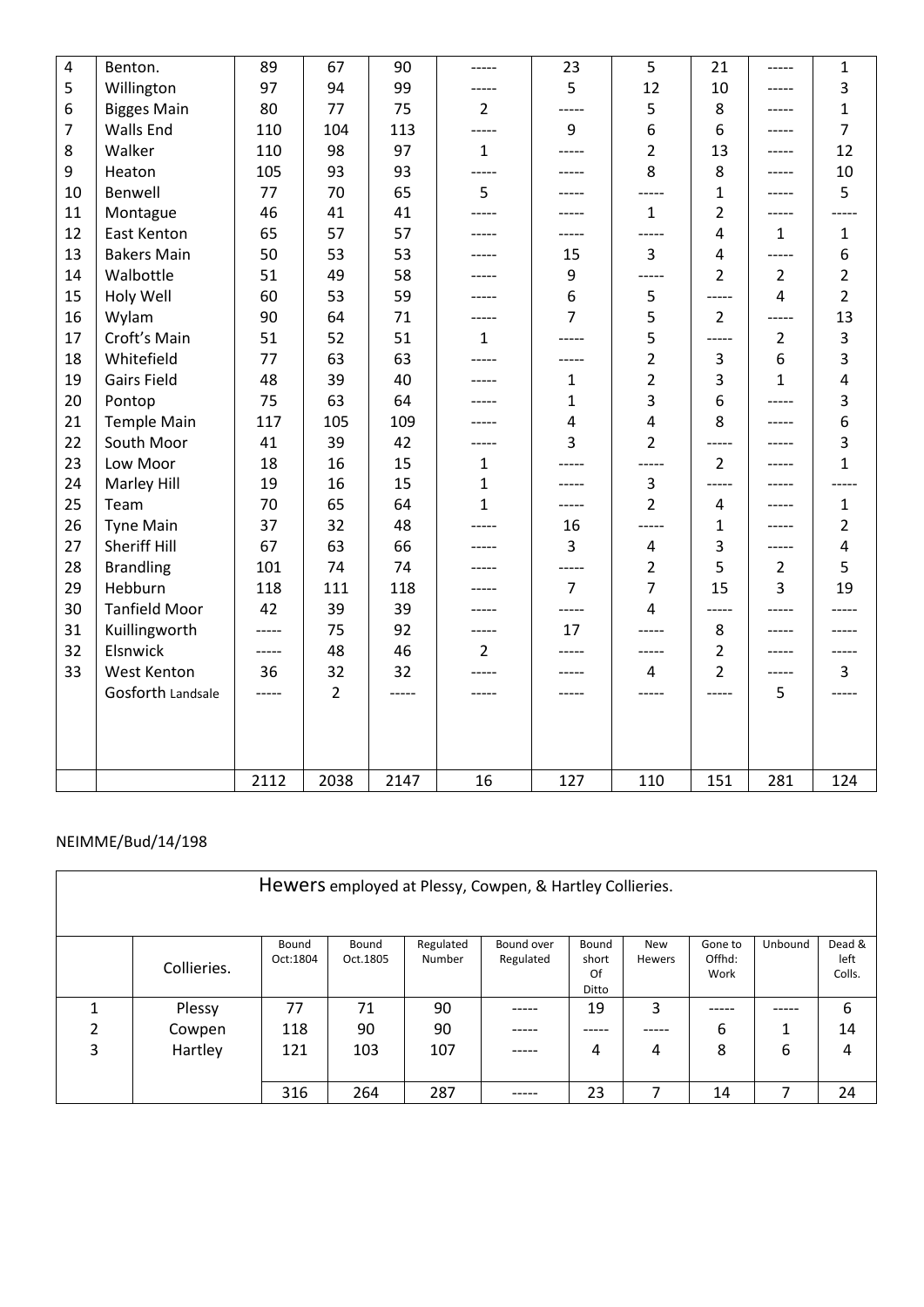| $\overline{4}$ | Benton.              | 89       | 67             | 90    | -----          | 23             | 5              | 21             | -----          | $\mathbf{1}$            |  |
|----------------|----------------------|----------|----------------|-------|----------------|----------------|----------------|----------------|----------------|-------------------------|--|
| 5              | Willington           | 97       | 94             | 99    |                | 5              | 12             | 10             |                | 3                       |  |
| 6              | <b>Bigges Main</b>   | 80       | 77             | 75    | $2^{\circ}$    | -----          | 5              | 8              | -----          | $\mathbf{1}$            |  |
| $\overline{7}$ | <b>Walls End</b>     | 110      | 104            | 113   | -----          | 9              | 6              | 6              | -----          | $\overline{7}$          |  |
| 8              | Walker               | 110      | 98             | 97    | $\mathbf{1}$   | -----          | $\overline{2}$ | 13             | -----          | 12                      |  |
| 9              | Heaton               | 105      | 93             | 93    | -----          | -----          | 8              | 8              | -----          | 10                      |  |
| 10             | Benwell              | 77       | 70             | 65    | 5              | -----          |                | 1              |                | 5                       |  |
| 11             | Montague             | 46       | 41             | 41    | -----          | -----          | $\mathbf{1}$   | $\overline{2}$ | -----          |                         |  |
| 12             | East Kenton          | 65       | 57             | 57    |                | -----          | -----          | $\overline{4}$ | $\mathbf 1$    | $\mathbf 1$             |  |
| 13             | <b>Bakers Main</b>   | 50       | 53             | 53    |                | 15             | 3              | $\overline{4}$ | -----          | 6                       |  |
| 14             | Walbottle            | 51       | 49             | 58    |                | 9              | -----          | 2              | $\overline{2}$ | $\overline{2}$          |  |
| 15             | Holy Well            | 60       | 53             | 59    |                | 6              | 5              | -----          | 4              | $\overline{2}$          |  |
| 16             | Wylam                | 90       | 64             | 71    |                | $\overline{7}$ | 5              | $\overline{2}$ | -----          | 13                      |  |
| 17             | Croft's Main         | 51       | 52             | 51    | $\mathbf{1}$   | -----          | 5              | -----          | $\overline{2}$ | 3                       |  |
| 18             | Whitefield           | 77       | 63             | 63    |                |                | $\overline{2}$ | 3              | 6              | 3                       |  |
| 19             | <b>Gairs Field</b>   | 48       | 39             | 40    |                | $\mathbf{1}$   | $\overline{2}$ | 3              | $\mathbf{1}$   | 4                       |  |
| 20             | Pontop               | 75<br>63 |                | 64    |                | $\mathbf{1}$   | 3              | 6              | -----          | 3                       |  |
| 21             | <b>Temple Main</b>   | 117      | 105            | 109   |                | $\overline{4}$ | $\overline{4}$ | 8              | -----          | 6                       |  |
| 22             | South Moor           | 41       | 39             | 42    | -----          | 3              | $\overline{2}$ | -----          | -----          | $\overline{3}$          |  |
| 23             | Low Moor             | 18       | 16             | 15    | $\mathbf{1}$   |                |                | 2              |                | $\mathbf{1}$            |  |
| 24             | Marley Hill          | 19       | 16             | 15    | $\mathbf{1}$   | -----          | 3              | -----          |                |                         |  |
| 25             | Team                 | 70       | 65             | 64    | $\mathbf{1}$   | -----          | $\overline{2}$ | 4              |                | $\mathbf{1}$            |  |
| 26             | <b>Tyne Main</b>     | 37       | 32             | 48    | $- - - - -$    | 16             | -----          | 1              | -----          | $\overline{2}$          |  |
| 27             | <b>Sheriff Hill</b>  | 67       | 63             | 66    |                | 3              | $\overline{4}$ | 3              | -----          | $\overline{\mathbf{4}}$ |  |
| 28             | <b>Brandling</b>     | 101      | 74             | 74    |                | -----          | $\overline{2}$ | 5              | 2              | 5                       |  |
| 29             | Hebburn              | 118      | 111            | 118   |                | $\overline{7}$ | $\overline{7}$ | 15             | 3              | 19                      |  |
| 30             | <b>Tanfield Moor</b> | 42       | 39             | 39    |                | -----          | $\overline{4}$ | ----           |                |                         |  |
| 31             | Kuillingworth        | -----    | 75             | 92    | -----          | 17             | -----          | 8              | -----          |                         |  |
| 32             | Elsnwick             | -----    | 48             | 46    | $\overline{2}$ |                | -----          | $\overline{2}$ | -----          | -----                   |  |
| 33             | <b>West Kenton</b>   | 36       | 32             | 32    |                | -----          | $\overline{4}$ | $\overline{2}$ | -----          | $\overline{3}$          |  |
|                | Gosforth Landsale    | -----    | $\overline{2}$ | ----- |                |                |                |                | 5              |                         |  |
|                |                      |          |                |       |                |                |                |                |                |                         |  |
|                |                      |          |                |       |                |                |                |                |                |                         |  |
|                |                      |          |                |       |                |                |                |                |                |                         |  |
|                |                      | 2112     | 2038           | 2147  | 16             | 127            | 110            | 151            | 281            | 124                     |  |

## NEIMME/Bud/14/198

|   | Hewers employed at Plessy, Cowpen, & Hartley Collieries.                                                                                                                                          |     |     |     |       |    |   |    |       |    |  |  |  |  |
|---|---------------------------------------------------------------------------------------------------------------------------------------------------------------------------------------------------|-----|-----|-----|-------|----|---|----|-------|----|--|--|--|--|
|   | Unbound<br>Regulated<br>Bound over<br>Bound<br>Gone to<br>Bound<br>Bound<br>New<br>Offhd:<br>Oct.1805<br>Number<br>Regulated<br>Oct:1804<br>Hewers<br>short<br>Collieries.<br>Of<br>Work<br>Ditto |     |     |     |       |    |   |    |       |    |  |  |  |  |
|   | Plessy                                                                                                                                                                                            | 77  | 71  | 90  |       | 19 | 3 |    | _____ | 6  |  |  |  |  |
| 2 | Cowpen                                                                                                                                                                                            | 118 | 90  | 90  |       |    |   | 6  | 1     | 14 |  |  |  |  |
| 3 | Hartley<br>121                                                                                                                                                                                    |     | 103 | 107 | ----- | 4  | 4 | 8  | 6     | 4  |  |  |  |  |
|   |                                                                                                                                                                                                   | 316 | 264 | 287 |       | 23 | 7 | 14 |       | 24 |  |  |  |  |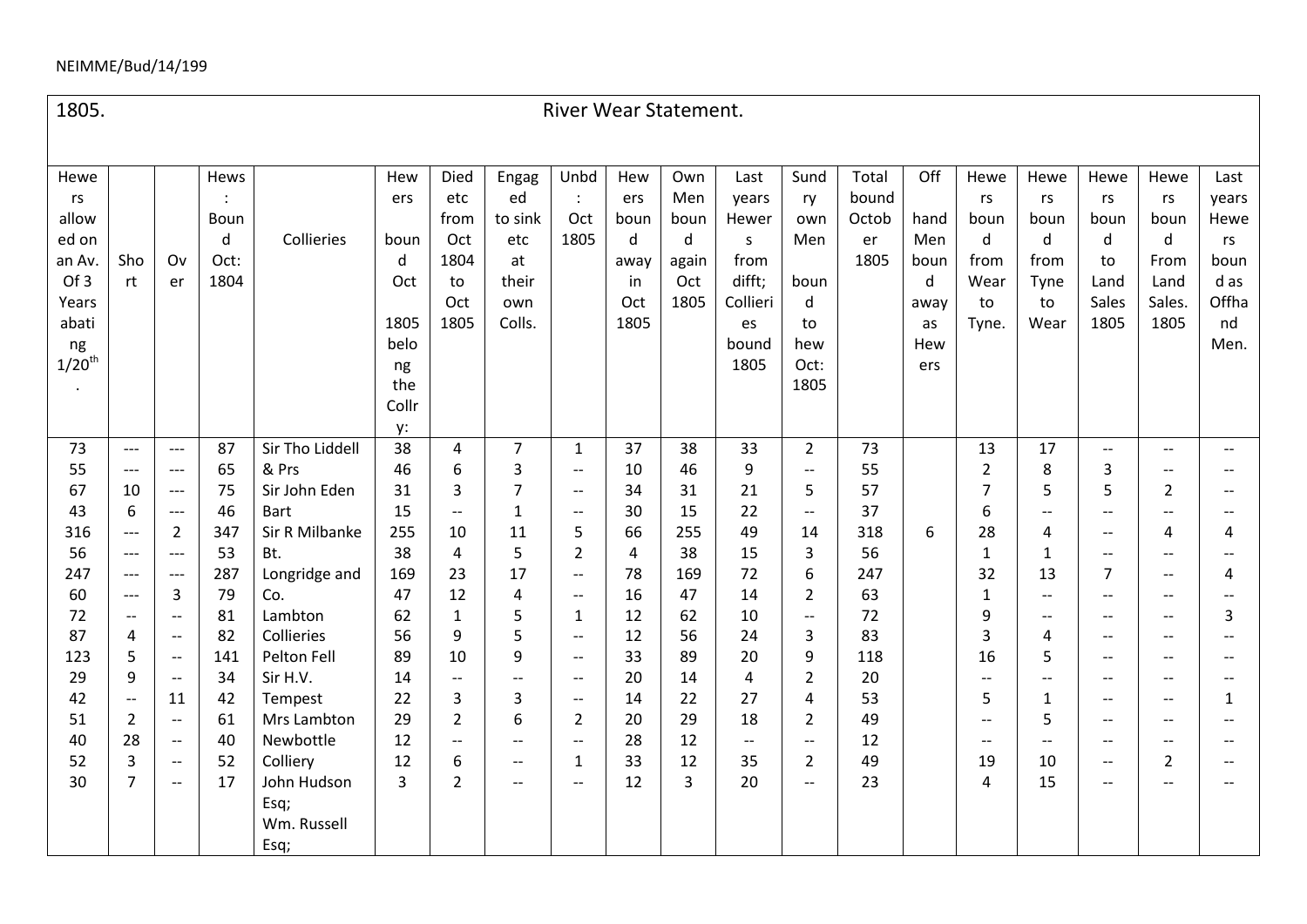#### NEIMME/Bud/14/199

Hewe rs allow ed on an Av. Of 3 Years abati ng  $1/20^{th}$ . Sho rt Ov er Hews : Boun d Oct: 1804 Collieries Hew ers boun d **Oct** 1805 belo ng the Collr y: Died etc from Oct 1804 to Oct 1805 Engag ed to sink etc at their own Colls. Unbd : Oct 1805 Hew ers boun d away in Oct 1805 Own Men boun d again Oct 1805 Last years Hewer s from difft; Collieri es bound 1805 Sund ry own Men boun d to hew Oct: 1805 Total bound **Octob** er 1805 **Off** hand Men boun d away as Hew ers Hewe rs boun d from Wear to Tyne. Hewe rs boun d from Tyne to Wear Hewe rs boun d to Land Sales 1805 Hewe rs boun d From Land Sales. 1805 Last years Hewe rs boun d as Offha nd Men. 73 55 67 43 316 56 247 60 72 87 123 29 42 51 40 52 30 --- --- 10 6 --- --- --- --- -- 4 5 9 -- 2 28 3 7 --- --- --- --- 2 --- --- 3 -- -- -- -- 11 -- -- -- -- 87 65 75 46 347 53 287 79 81 82 141 34 42 61 40 52 17 Sir Tho Liddell & Prs Sir John Eden **Bart** Sir R Milbanke Bt. Longridge and Co. Lambton Collieries Pelton Fell Sir H.V. Tempest Mrs Lambton Newbottle Colliery John Hudson Esq; Wm. Russell Esq; 38 46 31 15 255 38 169 47 62 56 89 14 22 29 12 12 3 4 6 3 -- 10 4 23 12 1 9 10 -- 3 2 -- 6 2 7 3 7 1 11 5 17 4 5 5 9 -- 3 6 -- -- -- 1 -- -- -- 5 2 -- -- 1 -- -- -- -- 2 -- 1 -- 37 10 34 30 66 4 78 16 12 12 33 20 14 20 28 33 12 38 46 31 15 255 38 169 47 62 56 89 14 22 29 12 12 3 33 9 21 22 49 15 72 14 10 24 20 4 27 18 -- 35 20 2 -- 5 -- 14 3 6 2 -- 3 9 2 4 2 -- 2 -- 73 55 57 37 318 56 247 63 72 83 118 20 53 49 12 49 23 6 13 2 7 6 28 1 32 1 9 3 16 -- 5 -- -- 19 4 17 8 5 -- 4 1 13 -- -- 4 5 -- 1 5 -- 10 15 -- 3 5 -- -- -- 7 -- -- -- --  $-$ -- -- -- -- -- -- -- 2 -- 4 -- -- -- -- -- --  $-$ -- -- -- 2 -- -- -- -- -- 4 -- 4 -- 3 -- -- -- 1 -- -- -- --

1805. River Wear Statement.